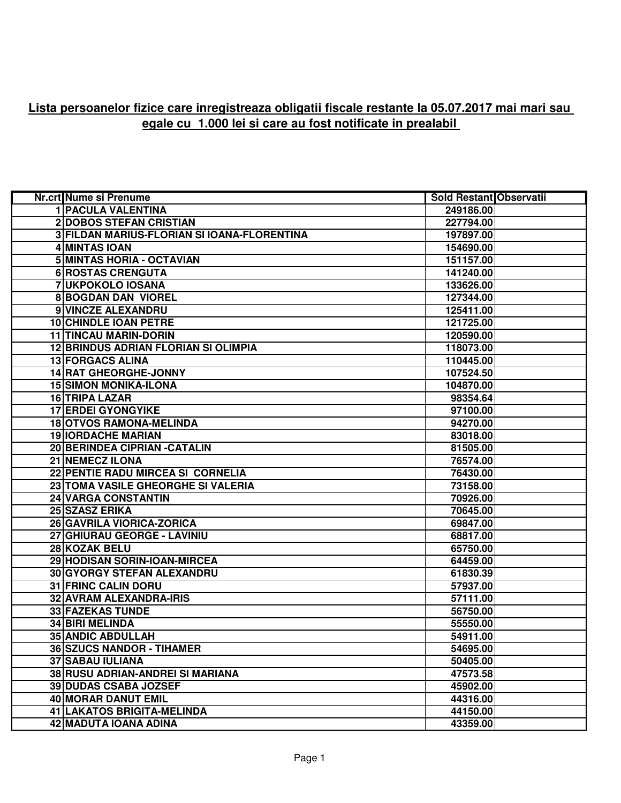## **Lista persoanelor fizice care inregistreaza obligatii fiscale restante la 05.07.2017 mai mari sau egale cu 1.000 lei si care au fost notificate in prealabil**

| Nr.crt Nume si Prenume                      | <b>Sold Restant Observatii</b> |  |
|---------------------------------------------|--------------------------------|--|
| 1   PACULA VALENTINA                        | 249186.00                      |  |
| <b>2 DOBOS STEFAN CRISTIAN</b>              | 227794.00                      |  |
| 3 FILDAN MARIUS-FLORIAN SI IOANA-FLORENTINA | 197897.00                      |  |
| <b>4 MINTAS IOAN</b>                        | 154690.00                      |  |
| 5 MINTAS HORIA - OCTAVIAN                   | 151157.00                      |  |
| 6 ROSTAS CRENGUTA                           | 141240.00                      |  |
| 7 UKPOKOLO IOSANA                           | 133626.00                      |  |
| <b>8 BOGDAN DAN VIOREL</b>                  | 127344.00                      |  |
| 9 VINCZE ALEXANDRU                          | 125411.00                      |  |
| <b>10 CHINDLE IOAN PETRE</b>                | 121725.00                      |  |
| <b>11 TINCAU MARIN-DORIN</b>                | 120590.00                      |  |
| <b>12 BRINDUS ADRIAN FLORIAN SI OLIMPIA</b> | 118073.00                      |  |
| <b>13 FORGACS ALINA</b>                     | 110445.00                      |  |
| <b>14 RAT GHEORGHE-JONNY</b>                | 107524.50                      |  |
| <b>15 SIMON MONIKA-ILONA</b>                | 104870.00                      |  |
| 16 TRIPA LAZAR                              | 98354.64                       |  |
| <b>17 ERDEI GYONGYIKE</b>                   | 97100.00                       |  |
| <b>18 OTVOS RAMONA-MELINDA</b>              | 94270.00                       |  |
| <b>19 IORDACHE MARIAN</b>                   | 83018.00                       |  |
| 20 BERINDEA CIPRIAN - CATALIN               | 81505.00                       |  |
| 21 NEMECZ ILONA                             | 76574.00                       |  |
| 22 PENTIE RADU MIRCEA SI CORNELIA           | 76430.00                       |  |
| 23 TOMA VASILE GHEORGHE SI VALERIA          | 73158.00                       |  |
| 24 VARGA CONSTANTIN                         | 70926.00                       |  |
| 25 SZASZ ERIKA                              | 70645.00                       |  |
| 26 GAVRILA VIORICA-ZORICA                   | 69847.00                       |  |
| 27 GHIURAU GEORGE - LAVINIU                 | 68817.00                       |  |
| 28 KOZAK BELU                               | 65750.00                       |  |
| 29 HODISAN SORIN-IOAN-MIRCEA                | 64459.00                       |  |
| 30 GYORGY STEFAN ALEXANDRU                  | 61830.39                       |  |
| <b>31 FRINC CALIN DORU</b>                  | 57937.00                       |  |
| 32 AVRAM ALEXANDRA-IRIS                     | 57111.00                       |  |
| 33 FAZEKAS TUNDE                            | 56750.00                       |  |
| 34 BIRI MELINDA                             | 55550.00                       |  |
| <b>35 ANDIC ABDULLAH</b>                    | 54911.00                       |  |
| <b>36 SZUCS NANDOR - TIHAMER</b>            | 54695.00                       |  |
| <b>37 SABAU IULIANA</b>                     | 50405.00                       |  |
| <b>38 RUSU ADRIAN-ANDREI SI MARIANA</b>     | 47573.58                       |  |
| <b>39 DUDAS CSABA JOZSEF</b>                | 45902.00                       |  |
| <b>40 MORAR DANUT EMIL</b>                  | 44316.00                       |  |
| <b>41 LAKATOS BRIGITA-MELINDA</b>           | 44150.00                       |  |
| 42 MADUTA IOANA ADINA                       | 43359.00                       |  |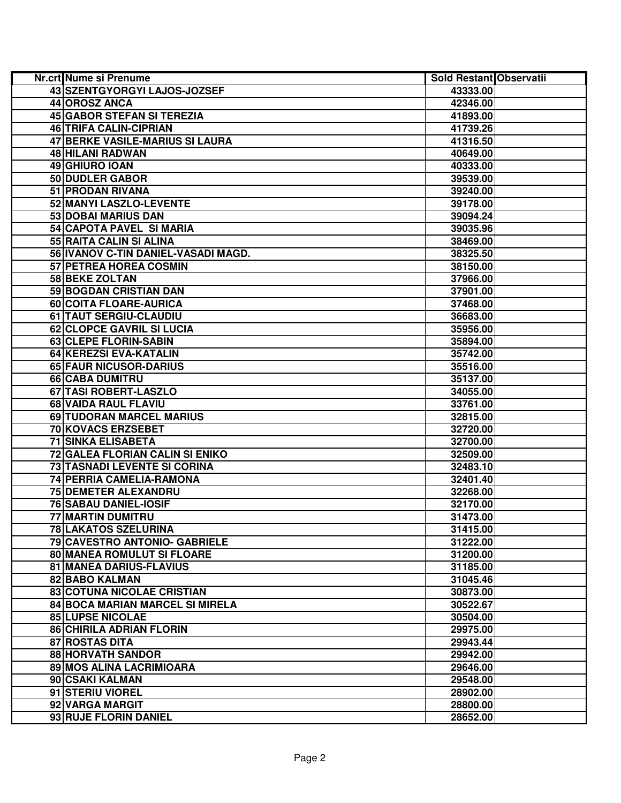| Nr.crt Nume si Prenume              | Sold Restant Observatii |  |
|-------------------------------------|-------------------------|--|
| 43 SZENTGYORGYI LAJOS-JOZSEF        | 43333.00                |  |
| 44 OROSZ ANCA                       | 42346.00                |  |
| 45 GABOR STEFAN SI TEREZIA          | 41893.00                |  |
| 46 TRIFA CALIN-CIPRIAN              | 41739.26                |  |
| 47 BERKE VASILE-MARIUS SI LAURA     | 41316.50                |  |
| 48 HILANI RADWAN                    | 40649.00                |  |
| 49 GHIURO IOAN                      | 40333.00                |  |
| 50 DUDLER GABOR                     | 39539.00                |  |
| 51 PRODAN RIVANA                    | 39240.00                |  |
| 52 MANYI LASZLO-LEVENTE             | 39178.00                |  |
| 53 DOBAI MARIUS DAN                 | 39094.24                |  |
| 54 CAPOTA PAVEL SI MARIA            | 39035.96                |  |
| 55 RAITA CALIN SI ALINA             | 38469.00                |  |
| 56 IVANOV C-TIN DANIEL-VASADI MAGD. | 38325.50                |  |
| <b>57 PETREA HOREA COSMIN</b>       | 38150.00                |  |
| <b>58 BEKE ZOLTAN</b>               | 37966.00                |  |
| 59 BOGDAN CRISTIAN DAN              | 37901.00                |  |
| 60 COITA FLOARE-AURICA              | 37468.00                |  |
| 61 TAUT SERGIU-CLAUDIU              | 36683.00                |  |
| 62 CLOPCE GAVRIL SI LUCIA           | 35956.00                |  |
| 63 CLEPE FLORIN-SABIN               | 35894.00                |  |
| 64 KEREZSI EVA-KATALIN              | 35742.00                |  |
| <b>65 FAUR NICUSOR-DARIUS</b>       | 35516.00                |  |
| <b>66 CABA DUMITRU</b>              | 35137.00                |  |
| 67 TASI ROBERT-LASZLO               | 34055.00                |  |
| 68 VAIDA RAUL FLAVIU                | 33761.00                |  |
| 69 TUDORAN MARCEL MARIUS            | 32815.00                |  |
| 70 KOVACS ERZSEBET                  | 32720.00                |  |
| <b>71 SINKA ELISABETA</b>           | 32700.00                |  |
| 72 GALEA FLORIAN CALIN SI ENIKO     | 32509.00                |  |
| 73 TASNADI LEVENTE SI CORINA        | 32483.10                |  |
| 74 PERRIA CAMELIA-RAMONA            | 32401.40                |  |
| 75 DEMETER ALEXANDRU                | 32268.00                |  |
| <b>76 SABAU DANIEL-IOSIF</b>        | 32170.00                |  |
| 77 MARTIN DUMITRU                   | 31473.00                |  |
| 78 LAKATOS SZELURINA                | 31415.00                |  |
| 79 CAVESTRO ANTONIO- GABRIELE       | 31222.00                |  |
| 80 MANEA ROMULUT SI FLOARE          | 31200.00                |  |
| <b>81 MANEA DARIUS-FLAVIUS</b>      | 31185.00                |  |
| 82 BABO KALMAN                      | 31045.46                |  |
| 83 COTUNA NICOLAE CRISTIAN          | 30873.00                |  |
| 84 BOCA MARIAN MARCEL SI MIRELA     | 30522.67                |  |
| <b>85 LUPSE NICOLAE</b>             | 30504.00                |  |
| 86 CHIRILA ADRIAN FLORIN            | 29975.00                |  |
| 87 ROSTAS DITA                      | 29943.44                |  |
| <b>88 HORVATH SANDOR</b>            | 29942.00                |  |
| 89 MOS ALINA LACRIMIOARA            | 29646.00                |  |
| 90 CSAKI KALMAN                     | 29548.00                |  |
| 91 STERIU VIOREL                    | 28902.00                |  |
| 92 VARGA MARGIT                     | 28800.00                |  |
| 93 RUJE FLORIN DANIEL               | 28652.00                |  |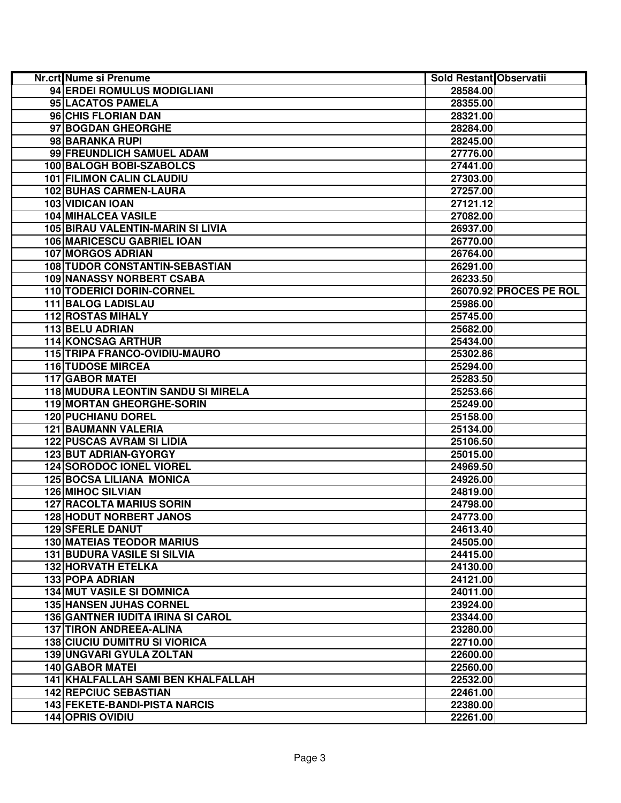| <b>Nr.crt Nume si Prenume</b>                                              | Sold Restant Observatii |                        |
|----------------------------------------------------------------------------|-------------------------|------------------------|
| 94 ERDEI ROMULUS MODIGLIANI                                                | 28584.00                |                        |
| 95 LACATOS PAMELA                                                          | 28355.00                |                        |
| 96 CHIS FLORIAN DAN                                                        | 28321.00                |                        |
| 97 BOGDAN GHEORGHE                                                         | 28284.00                |                        |
| 98 BARANKA RUPI                                                            | 28245.00                |                        |
| 99 FREUNDLICH SAMUEL ADAM                                                  | 27776.00                |                        |
| 100 BALOGH BOBI-SZABOLCS                                                   | 27441.00                |                        |
| <b>101 FILIMON CALIN CLAUDIU</b>                                           | 27303.00                |                        |
| <b>102 BUHAS CARMEN-LAURA</b>                                              | 27257.00                |                        |
| 103 VIDICAN IOAN                                                           | 27121.12                |                        |
| <b>104 MIHALCEA VASILE</b>                                                 | 27082.00                |                        |
| 105 BIRAU VALENTIN-MARIN SI LIVIA                                          | 26937.00                |                        |
| 106 MARICESCU GABRIEL IOAN                                                 | 26770.00                |                        |
| <b>107 MORGOS ADRIAN</b>                                                   | 26764.00                |                        |
| 108 TUDOR CONSTANTIN-SEBASTIAN                                             | 26291.00                |                        |
| <b>109 NANASSY NORBERT CSABA</b>                                           | 26233.50                |                        |
| 110 TODERICI DORIN-CORNEL                                                  |                         | 26070.92 PROCES PE ROL |
| 111 BALOG LADISLAU                                                         | 25986.00                |                        |
| <b>112 ROSTAS MIHALY</b>                                                   | 25745.00                |                        |
| 113 BELU ADRIAN                                                            | 25682.00                |                        |
| <b>114 KONCSAG ARTHUR</b>                                                  | 25434.00                |                        |
| 115 TRIPA FRANCO-OVIDIU-MAURO                                              | 25302.86                |                        |
| <b>116 TUDOSE MIRCEA</b>                                                   | 25294.00                |                        |
| <b>117 GABOR MATEI</b>                                                     | 25283.50                |                        |
| <b>118 MUDURA LEONTIN SANDU SI MIRELA</b>                                  | 25253.66                |                        |
| 119 MORTAN GHEORGHE-SORIN                                                  | 25249.00                |                        |
| <b>120 PUCHIANU DOREL</b>                                                  | 25158.00                |                        |
| <b>121 BAUMANN VALERIA</b>                                                 | 25134.00                |                        |
| <b>122 PUSCAS AVRAM SI LIDIA</b>                                           | 25106.50                |                        |
| 123 BUT ADRIAN-GYORGY                                                      | 25015.00                |                        |
| <b>124 SORODOC IONEL VIOREL</b>                                            | 24969.50                |                        |
| <b>125 BOCSA LILIANA MONICA</b>                                            | 24926.00                |                        |
| <b>126 MIHOC SILVIAN</b>                                                   | 24819.00                |                        |
| <b>127 RACOLTA MARIUS SORIN</b>                                            | 24798.00                |                        |
| <b>128 HODUT NORBERT JANOS</b>                                             | 24773.00                |                        |
| <b>129 SFERLE DANUT</b>                                                    | 24613.40                |                        |
| <b>130 MATEIAS TEODOR MARIUS</b>                                           | 24505.00                |                        |
| <b>131 BUDURA VASILE SI SILVIA</b>                                         | 24415.00                |                        |
| <b>132 HORVATH ETELKA</b>                                                  | 24130.00                |                        |
| 133 POPA ADRIAN                                                            | 24121.00                |                        |
| <b>134 MUT VASILE SI DOMNICA</b>                                           | 24011.00                |                        |
| <b>135 HANSEN JUHAS CORNEL</b><br><b>136 GANTNER IUDITA IRINA SI CAROL</b> | 23924.00                |                        |
| <b>137 TIRON ANDREEA-ALINA</b>                                             | 23344.00                |                        |
| <b>138 CIUCIU DUMITRU SI VIORICA</b>                                       | 23280.00                |                        |
| 139 UNGVARI GYULA ZOLTAN                                                   | 22710.00                |                        |
| <b>140 GABOR MATEI</b>                                                     | 22600.00<br>22560.00    |                        |
| 141 KHALFALLAH SAMI BEN KHALFALLAH                                         | 22532.00                |                        |
| <b>142 REPCIUC SEBASTIAN</b>                                               | 22461.00                |                        |
| <b>143 FEKETE-BANDI-PISTA NARCIS</b>                                       | 22380.00                |                        |
| <b>144 OPRIS OVIDIU</b>                                                    | 22261.00                |                        |
|                                                                            |                         |                        |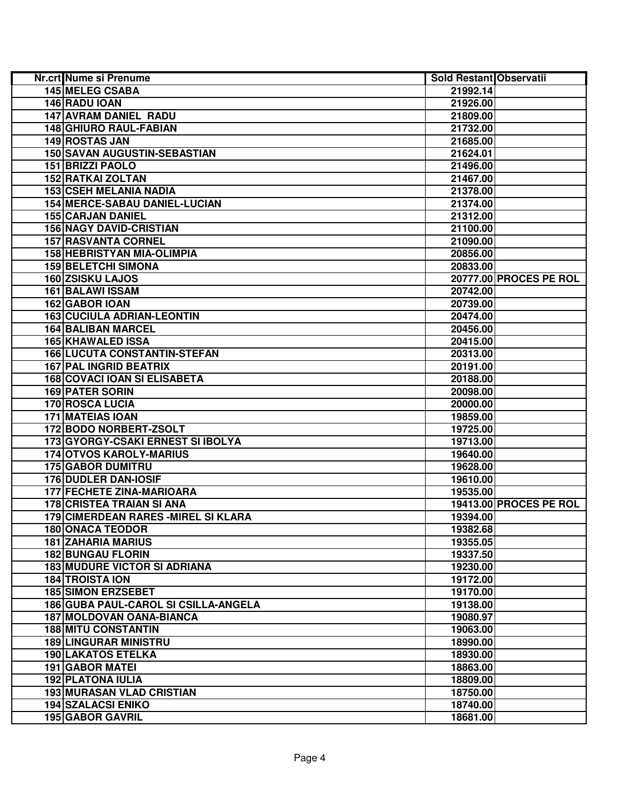| Nr.crt Nume si Prenume               | Sold Restant Observatii |                        |
|--------------------------------------|-------------------------|------------------------|
| <b>145 MELEG CSABA</b>               | 21992.14                |                        |
| 146 RADU IOAN                        | 21926.00                |                        |
| 147 AVRAM DANIEL RADU                | 21809.00                |                        |
| 148 GHIURO RAUL-FABIAN               | 21732.00                |                        |
| 149 ROSTAS JAN                       | 21685.00                |                        |
| <b>150 SAVAN AUGUSTIN-SEBASTIAN</b>  | 21624.01                |                        |
| 151 BRIZZI PAOLO                     | 21496.00                |                        |
| 152 RATKAI ZOLTAN                    | 21467.00                |                        |
| <b>153 CSEH MELANIA NADIA</b>        | 21378.00                |                        |
| 154 MERCE-SABAU DANIEL-LUCIAN        | 21374.00                |                        |
| <b>155 CARJAN DANIEL</b>             | 21312.00                |                        |
| <b>156 NAGY DAVID-CRISTIAN</b>       | 21100.00                |                        |
| <b>157 RASVANTA CORNEL</b>           | 21090.00                |                        |
| 158 HEBRISTYAN MIA-OLIMPIA           | 20856.00                |                        |
| <b>159 BELETCHI SIMONA</b>           | 20833.00                |                        |
| 160 ZSISKU LAJOS                     |                         | 20777.00 PROCES PE ROL |
| <b>161 BALAWI ISSAM</b>              | 20742.00                |                        |
| 162 GABOR IOAN                       | 20739.00                |                        |
| <b>163 CUCIULA ADRIAN-LEONTIN</b>    | 20474.00                |                        |
| <b>164 BALIBAN MARCEL</b>            | 20456.00                |                        |
| <b>165 KHAWALED ISSA</b>             | 20415.00                |                        |
| <b>166 LUCUTA CONSTANTIN-STEFAN</b>  | 20313.00                |                        |
| <b>167 PAL INGRID BEATRIX</b>        | 20191.00                |                        |
| <b>168 COVACI IOAN SI ELISABETA</b>  | 20188.00                |                        |
| <b>169 PATER SORIN</b>               | 20098.00                |                        |
| 170 ROSCA LUCIA                      | 20000.00                |                        |
| <b>171 MATEIAS IOAN</b>              | 19859.00                |                        |
| 172 BODO NORBERT-ZSOLT               | 19725.00                |                        |
| 173 GYORGY-CSAKI ERNEST SI IBOLYA    | 19713.00                |                        |
| <b>174 OTVOS KAROLY-MARIUS</b>       | 19640.00                |                        |
| <b>175 GABOR DUMITRU</b>             | 19628.00                |                        |
| 176 DUDLER DAN-IOSIF                 | 19610.00                |                        |
| 177 FECHETE ZINA-MARIOARA            | 19535.00                |                        |
| <b>178 CRISTEA TRAIAN SI ANA</b>     |                         | 19413.00 PROCES PE ROL |
| 179 CIMERDEAN RARES - MIREL SI KLARA | 19394.00                |                        |
| <b>180 ONACA TEODOR</b>              | 19382.68                |                        |
| <b>181 ZAHARIA MARIUS</b>            | 19355.05                |                        |
| <b>182 BUNGAU FLORIN</b>             | 19337.50                |                        |
| <b>183 MUDURE VICTOR SI ADRIANA</b>  | 19230.00                |                        |
| <b>184 TROISTA ION</b>               | 19172.00                |                        |
| <b>185 SIMON ERZSEBET</b>            | 19170.00                |                        |
| 186 GUBA PAUL-CAROL SI CSILLA-ANGELA | 19138.00                |                        |
| <b>187 MOLDOVAN OANA-BIANCA</b>      | 19080.97                |                        |
| <b>188 MITU CONSTANTIN</b>           | 19063.00                |                        |
| <b>189 LINGURAR MINISTRU</b>         | 18990.00                |                        |
| <b>190 LAKATOS ETELKA</b>            | 18930.00                |                        |
| <b>191 GABOR MATEI</b>               | 18863.00                |                        |
| <b>192 PLATONA IULIA</b>             | 18809.00                |                        |
| <b>193 MURASAN VLAD CRISTIAN</b>     | 18750.00                |                        |
| <b>194 SZALACSI ENIKO</b>            | 18740.00                |                        |
| <b>195 GABOR GAVRIL</b>              | 18681.00                |                        |
|                                      |                         |                        |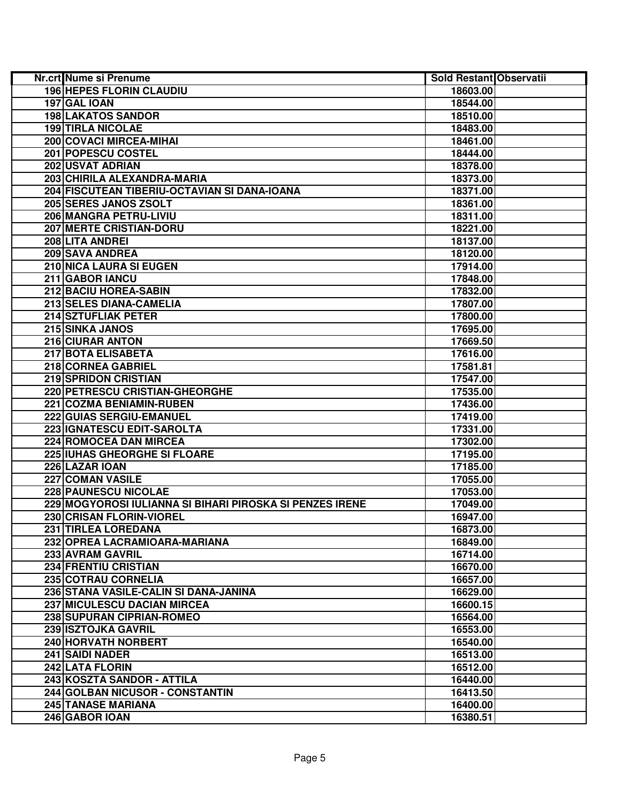| Nr.crt Nume si Prenume                                   | Sold Restant Observatii |  |
|----------------------------------------------------------|-------------------------|--|
| <b>196 HEPES FLORIN CLAUDIU</b>                          | 18603.00                |  |
| 197 GAL IOAN                                             | 18544.00                |  |
| <b>198 LAKATOS SANDOR</b>                                | 18510.00                |  |
| <b>199 TIRLA NICOLAE</b>                                 | 18483.00                |  |
| 200 COVACI MIRCEA-MIHAI                                  | 18461.00                |  |
| 201 POPESCU COSTEL                                       | 18444.00                |  |
| 202 USVAT ADRIAN                                         | 18378.00                |  |
| 203 CHIRILA ALEXANDRA-MARIA                              | 18373.00                |  |
| 204 FISCUTEAN TIBERIU-OCTAVIAN SI DANA-IOANA             | 18371.00                |  |
| 205 SERES JANOS ZSOLT                                    | 18361.00                |  |
| 206 MANGRA PETRU-LIVIU                                   | 18311.00                |  |
| <b>207 MERTE CRISTIAN-DORU</b>                           | 18221.00                |  |
| 208 LITA ANDREI                                          | 18137.00                |  |
| 209 SAVA ANDREA                                          | 18120.00                |  |
| 210 NICA LAURA SI EUGEN                                  | 17914.00                |  |
| 211 GABOR IANCU                                          | 17848.00                |  |
| 212 BACIU HOREA-SABIN                                    | 17832.00                |  |
| 213 SELES DIANA-CAMELIA                                  | 17807.00                |  |
| 214 SZTUFLIAK PETER                                      | 17800.00                |  |
| 215 SINKA JANOS                                          | 17695.00                |  |
| 216 CIURAR ANTON                                         | 17669.50                |  |
| <b>217 BOTA ELISABETA</b>                                | 17616.00                |  |
| 218 CORNEA GABRIEL                                       | 17581.81                |  |
| <b>219 SPRIDON CRISTIAN</b>                              | 17547.00                |  |
| 220 PETRESCU CRISTIAN-GHEORGHE                           | 17535.00                |  |
| <b>221 COZMA BENIAMIN-RUBEN</b>                          | 17436.00                |  |
| 222 GUIAS SERGIU-EMANUEL                                 | 17419.00                |  |
| 223 IGNATESCU EDIT-SAROLTA                               | 17331.00                |  |
| 224 ROMOCEA DAN MIRCEA                                   | 17302.00                |  |
| 225 IUHAS GHEORGHE SI FLOARE                             | 17195.00                |  |
| 226 LAZAR IOAN                                           | 17185.00                |  |
| <b>227 COMAN VASILE</b>                                  | 17055.00                |  |
| <b>228 PAUNESCU NICOLAE</b>                              | 17053.00                |  |
| 229 MOGYOROSI IULIANNA SI BIHARI PIROSKA SI PENZES IRENE | 17049.00                |  |
| 230 CRISAN FLORIN-VIOREL                                 | 16947.00                |  |
| 231 TIRLEA LOREDANA                                      | 16873.00                |  |
| 232 OPREA LACRAMIOARA-MARIANA                            | 16849.00                |  |
| 233 AVRAM GAVRIL                                         | 16714.00                |  |
| 234 FRENTIU CRISTIAN                                     | 16670.00                |  |
| 235 COTRAU CORNELIA                                      | 16657.00                |  |
| 236 STANA VASILE-CALIN SI DANA-JANINA                    | 16629.00                |  |
| 237 MICULESCU DACIAN MIRCEA                              | 16600.15                |  |
| 238 SUPURAN CIPRIAN-ROMEO                                | 16564.00                |  |
| 239 ISZTOJKA GAVRIL                                      | 16553.00                |  |
| 240 HORVATH NORBERT                                      | 16540.00                |  |
| <b>241 SAIDI NADER</b>                                   | 16513.00                |  |
| 242 LATA FLORIN                                          |                         |  |
| 243 KOSZTA SANDOR - ATTILA                               | 16512.00                |  |
| 244 GOLBAN NICUSOR - CONSTANTIN                          | 16440.00                |  |
|                                                          | 16413.50                |  |
| <b>245 TANASE MARIANA</b>                                | 16400.00                |  |
| 246 GABOR IOAN                                           | 16380.51                |  |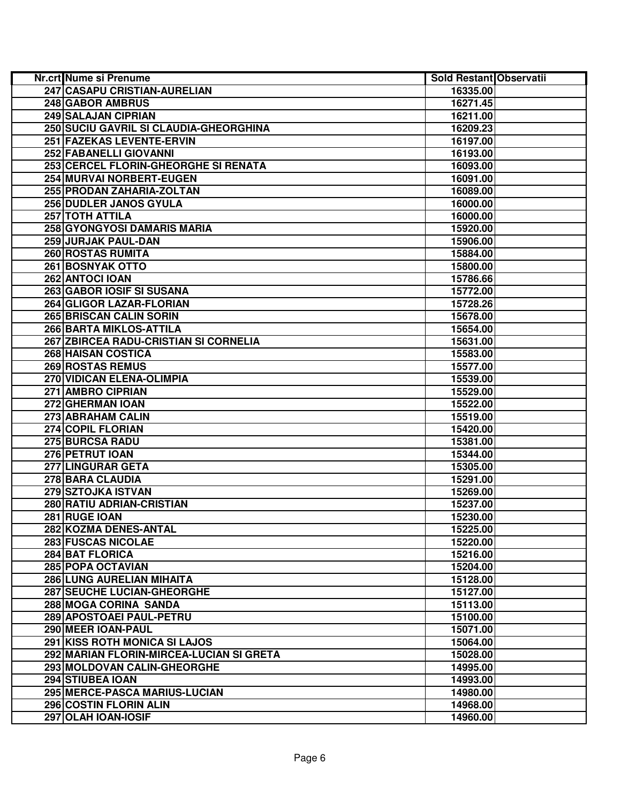| Nr.crt Nume si Prenume                   | Sold Restant Observatii |  |
|------------------------------------------|-------------------------|--|
| 247 CASAPU CRISTIAN-AURELIAN             | 16335.00                |  |
| <b>248 GABOR AMBRUS</b>                  | 16271.45                |  |
| 249 SALAJAN CIPRIAN                      | 16211.00                |  |
| 250 SUCIU GAVRIL SI CLAUDIA-GHEORGHINA   | 16209.23                |  |
| 251 FAZEKAS LEVENTE-ERVIN                | 16197.00                |  |
| 252 FABANELLI GIOVANNI                   | 16193.00                |  |
| 253 CERCEL FLORIN-GHEORGHE SI RENATA     | 16093.00                |  |
| 254 MURVAI NORBERT-EUGEN                 | 16091.00                |  |
| 255 PRODAN ZAHARIA-ZOLTAN                | 16089.00                |  |
| <b>256 DUDLER JANOS GYULA</b>            | 16000.00                |  |
| 257 TOTH ATTILA                          | 16000.00                |  |
| 258 GYONGYOSI DAMARIS MARIA              | 15920.00                |  |
| 259 JURJAK PAUL-DAN                      | 15906.00                |  |
| 260 ROSTAS RUMITA                        | 15884.00                |  |
| 261 BOSNYAK OTTO                         | 15800.00                |  |
| 262 ANTOCI IOAN                          | 15786.66                |  |
| 263 GABOR IOSIF SI SUSANA                | 15772.00                |  |
| 264 GLIGOR LAZAR-FLORIAN                 | 15728.26                |  |
| 265 BRISCAN CALIN SORIN                  | 15678.00                |  |
| 266 BARTA MIKLOS-ATTILA                  | 15654.00                |  |
| 267 ZBIRCEA RADU-CRISTIAN SI CORNELIA    | 15631.00                |  |
| <b>268 HAISAN COSTICA</b>                | 15583.00                |  |
| <b>269 ROSTAS REMUS</b>                  | 15577.00                |  |
| <b>270 VIDICAN ELENA-OLIMPIA</b>         | 15539.00                |  |
| 271 AMBRO CIPRIAN                        | 15529.00                |  |
| 272 GHERMAN IOAN                         | 15522.00                |  |
| 273 ABRAHAM CALIN                        | 15519.00                |  |
| 274 COPIL FLORIAN                        | 15420.00                |  |
| <b>275 BURCSA RADU</b>                   | 15381.00                |  |
| 276 PETRUT IOAN                          | 15344.00                |  |
| 277 LINGURAR GETA                        | 15305.00                |  |
| 278 BARA CLAUDIA                         | 15291.00                |  |
| 279 SZTOJKA ISTVAN                       | 15269.00                |  |
| 280 RATIU ADRIAN-CRISTIAN                | 15237.00                |  |
| 281 RUGE IOAN                            | 15230.00                |  |
| 282 KOZMA DENES-ANTAL                    | 15225.00                |  |
| <b>283 FUSCAS NICOLAE</b>                | 15220.00                |  |
| 284 BAT FLORICA                          | 15216.00                |  |
| <b>285 POPA OCTAVIAN</b>                 | 15204.00                |  |
| 286 LUNG AURELIAN MIHAITA                | 15128.00                |  |
| <b>287 SEUCHE LUCIAN-GHEORGHE</b>        | 15127.00                |  |
| 288 MOGA CORINA SANDA                    | 15113.00                |  |
| 289 APOSTOAEI PAUL-PETRU                 | 15100.00                |  |
| 290 MEER IOAN-PAUL                       | 15071.00                |  |
| 291 KISS ROTH MONICA SI LAJOS            | 15064.00                |  |
| 292 MARIAN FLORIN-MIRCEA-LUCIAN SI GRETA | 15028.00                |  |
| 293 MOLDOVAN CALIN-GHEORGHE              | 14995.00                |  |
| 294 STIUBEA IOAN                         | 14993.00                |  |
| 295 MERCE-PASCA MARIUS-LUCIAN            | 14980.00                |  |
| 296 COSTIN FLORIN ALIN                   | 14968.00                |  |
| 297 OLAH IOAN-IOSIF                      | 14960.00                |  |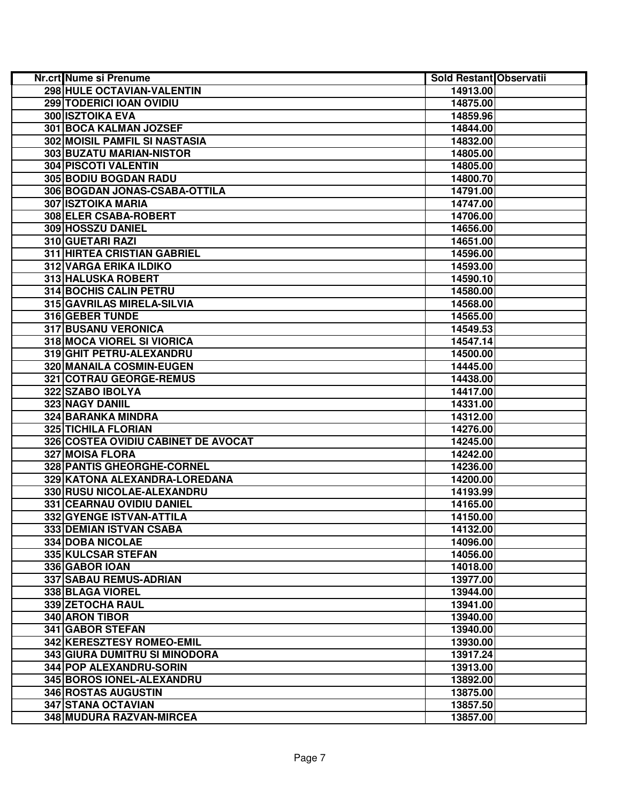| <b>Nr.crt Nume si Prenume</b>        | <b>Sold Restant Observatii</b> |  |
|--------------------------------------|--------------------------------|--|
| 298 HULE OCTAVIAN-VALENTIN           | 14913.00                       |  |
| <b>299 TODERICI IOAN OVIDIU</b>      | 14875.00                       |  |
| 300 ISZTOIKA EVA                     | 14859.96                       |  |
| 301 BOCA KALMAN JOZSEF               | 14844.00                       |  |
| <b>302 MOISIL PAMFIL SI NASTASIA</b> | 14832.00                       |  |
| 303 BUZATU MARIAN-NISTOR             | 14805.00                       |  |
| 304 PISCOTI VALENTIN                 | 14805.00                       |  |
| 305 BODIU BOGDAN RADU                | 14800.70                       |  |
| 306 BOGDAN JONAS-CSABA-OTTILA        | 14791.00                       |  |
| 307 ISZTOIKA MARIA                   | 14747.00                       |  |
| 308 ELER CSABA-ROBERT                | 14706.00                       |  |
| 309 HOSSZU DANIEL                    | 14656.00                       |  |
| 310 GUETARI RAZI                     | 14651.00                       |  |
| 311 HIRTEA CRISTIAN GABRIEL          | 14596.00                       |  |
| <b>312 VARGA ERIKA ILDIKO</b>        | 14593.00                       |  |
| 313 HALUSKA ROBERT                   | 14590.10                       |  |
| 314 BOCHIS CALIN PETRU               | 14580.00                       |  |
| 315 GAVRILAS MIRELA-SILVIA           | 14568.00                       |  |
| 316 GEBER TUNDE                      | 14565.00                       |  |
| <b>317 BUSANU VERONICA</b>           | 14549.53                       |  |
| 318 MOCA VIOREL SI VIORICA           | 14547.14                       |  |
| 319 GHIT PETRU-ALEXANDRU             | 14500.00                       |  |
| 320 MANAILA COSMIN-EUGEN             | 14445.00                       |  |
| 321 COTRAU GEORGE-REMUS              | 14438.00                       |  |
| 322 SZABO IBOLYA                     | 14417.00                       |  |
| <b>323 NAGY DANIIL</b>               | 14331.00                       |  |
| 324 BARANKA MINDRA                   | 14312.00                       |  |
| <b>325 TICHILA FLORIAN</b>           | 14276.00                       |  |
| 326 COSTEA OVIDIU CABINET DE AVOCAT  | 14245.00                       |  |
| 327 MOISA FLORA                      | 14242.00                       |  |
| 328 PANTIS GHEORGHE-CORNEL           | 14236.00                       |  |
| 329 KATONA ALEXANDRA-LOREDANA        | 14200.00                       |  |
| 330 RUSU NICOLAE-ALEXANDRU           | 14193.99                       |  |
| 331 CEARNAU OVIDIU DANIEL            | 14165.00                       |  |
| 332 GYENGE ISTVAN-ATTILA             | 14150.00                       |  |
| 333 DEMIAN ISTVAN CSABA              | 14132.00                       |  |
| 334 DOBA NICOLAE                     | 14096.00                       |  |
| 335 KULCSAR STEFAN                   | 14056.00                       |  |
| 336 GABOR IOAN                       | 14018.00                       |  |
| 337 SABAU REMUS-ADRIAN               | 13977.00                       |  |
| 338 BLAGA VIOREL                     | 13944.00                       |  |
| 339 ZETOCHA RAUL                     | 13941.00                       |  |
| 340 ARON TIBOR                       | 13940.00                       |  |
| 341 GABOR STEFAN                     | 13940.00                       |  |
| 342 KERESZTESY ROMEO-EMIL            | 13930.00                       |  |
| <b>343 GIURA DUMITRU SI MINODORA</b> | 13917.24                       |  |
| 344 POP ALEXANDRU-SORIN              | 13913.00                       |  |
| 345 BOROS IONEL-ALEXANDRU            | 13892.00                       |  |
| <b>346 ROSTAS AUGUSTIN</b>           | 13875.00                       |  |
| 347 STANA OCTAVIAN                   | 13857.50                       |  |
| 348 MUDURA RAZVAN-MIRCEA             | 13857.00                       |  |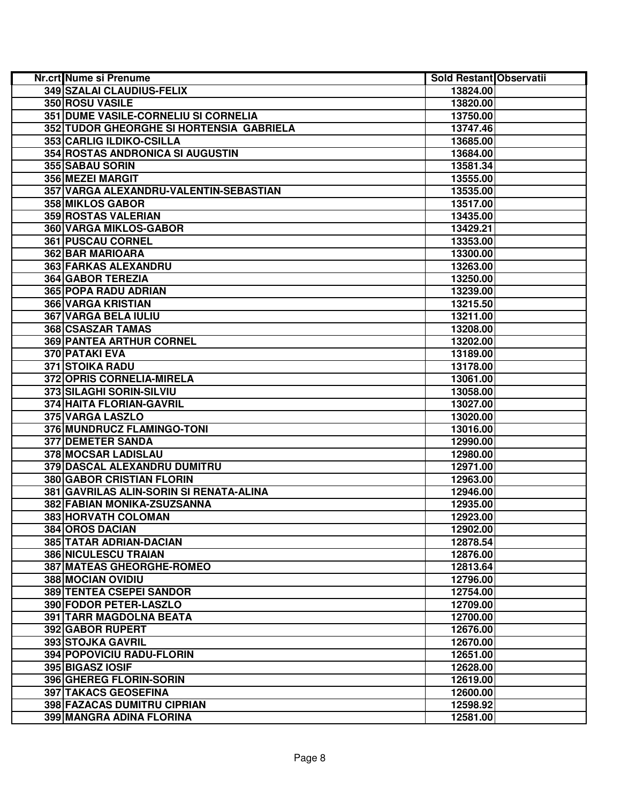| Nr.crt Nume si Prenume                   | Sold Restant Observatii |  |
|------------------------------------------|-------------------------|--|
| 349 SZALAI CLAUDIUS-FELIX                | 13824.00                |  |
| 350 ROSU VASILE                          | 13820.00                |  |
| 351 DUME VASILE-CORNELIU SI CORNELIA     | 13750.00                |  |
| 352 TUDOR GHEORGHE SI HORTENSIA GABRIELA | 13747.46                |  |
| 353 CARLIG ILDIKO-CSILLA                 | 13685.00                |  |
| 354 ROSTAS ANDRONICA SI AUGUSTIN         | 13684.00                |  |
| 355 SABAU SORIN                          | 13581.34                |  |
| 356 MEZEI MARGIT                         | 13555.00                |  |
| 357 VARGA ALEXANDRU-VALENTIN-SEBASTIAN   | 13535.00                |  |
| 358 MIKLOS GABOR                         | 13517.00                |  |
| 359 ROSTAS VALERIAN                      | 13435.00                |  |
| 360 VARGA MIKLOS-GABOR                   | 13429.21                |  |
| 361 PUSCAU CORNEL                        | 13353.00                |  |
| 362 BAR MARIOARA                         | 13300.00                |  |
| 363 FARKAS ALEXANDRU                     | 13263.00                |  |
| 364 GABOR TEREZIA                        | 13250.00                |  |
| 365 POPA RADU ADRIAN                     | 13239.00                |  |
| 366 VARGA KRISTIAN                       | 13215.50                |  |
| 367 VARGA BELA IULIU                     | 13211.00                |  |
| 368 CSASZAR TAMAS                        | 13208.00                |  |
| <b>369 PANTEA ARTHUR CORNEL</b>          | 13202.00                |  |
| 370 PATAKI EVA                           | 13189.00                |  |
| <b>371 STOIKA RADU</b>                   | 13178.00                |  |
| 372 OPRIS CORNELIA-MIRELA                | 13061.00                |  |
| 373 SILAGHI SORIN-SILVIU                 | 13058.00                |  |
| 374 HAITA FLORIAN-GAVRIL                 | 13027.00                |  |
| 375 VARGA LASZLO                         | 13020.00                |  |
| 376 MUNDRUCZ FLAMINGO-TONI               | 13016.00                |  |
| 377 DEMETER SANDA                        | 12990.00                |  |
| 378 MOCSAR LADISLAU                      | 12980.00                |  |
| 379 DASCAL ALEXANDRU DUMITRU             | 12971.00                |  |
| 380 GABOR CRISTIAN FLORIN                | 12963.00                |  |
| 381 GAVRILAS ALIN-SORIN SI RENATA-ALINA  | 12946.00                |  |
| 382 FABIAN MONIKA-ZSUZSANNA              | 12935.00                |  |
| 383 HORVATH COLOMAN                      | 12923.00                |  |
| 384 OROS DACIAN                          | 12902.00                |  |
| 385 TATAR ADRIAN-DACIAN                  | 12878.54                |  |
| 386 NICULESCU TRAIAN                     | 12876.00                |  |
| <b>387 MATEAS GHEORGHE-ROMEO</b>         | 12813.64                |  |
| 388 MOCIAN OVIDIU                        | 12796.00                |  |
| <b>389 TENTEA CSEPEI SANDOR</b>          | 12754.00                |  |
| 390 FODOR PETER-LASZLO                   | 12709.00                |  |
| 391 TARR MAGDOLNA BEATA                  | 12700.00                |  |
| 392 GABOR RUPERT                         | 12676.00                |  |
| 393 STOJKA GAVRIL                        | 12670.00                |  |
| 394 POPOVICIU RADU-FLORIN                | 12651.00                |  |
| 395 BIGASZ IOSIF                         | 12628.00                |  |
| 396 GHEREG FLORIN-SORIN                  | 12619.00                |  |
| <b>397 TAKACS GEOSEFINA</b>              | 12600.00                |  |
| <b>398 FAZACAS DUMITRU CIPRIAN</b>       | 12598.92                |  |
| 399 MANGRA ADINA FLORINA                 | 12581.00                |  |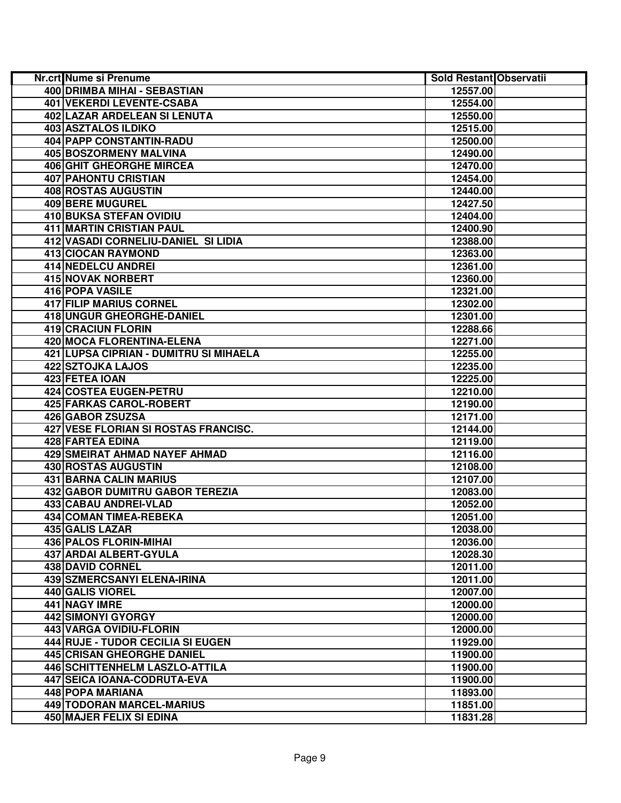| <b>Nr.crt Nume si Prenume</b>          | Sold Restant Observatii |  |
|----------------------------------------|-------------------------|--|
| 400 DRIMBA MIHAI - SEBASTIAN           | 12557.00                |  |
| <b>401 VEKERDI LEVENTE-CSABA</b>       | 12554.00                |  |
| 402 LAZAR ARDELEAN SI LENUTA           | 12550.00                |  |
| 403 ASZTALOS ILDIKO                    | 12515.00                |  |
| 404 PAPP CONSTANTIN-RADU               | 12500.00                |  |
| 405 BOSZORMENY MALVINA                 | 12490.00                |  |
| 406 GHIT GHEORGHE MIRCEA               | 12470.00                |  |
| 407 PAHONTU CRISTIAN                   | 12454.00                |  |
| 408 ROSTAS AUGUSTIN                    | 12440.00                |  |
| 409 BERE MUGUREL                       | 12427.50                |  |
| 410 BUKSA STEFAN OVIDIU                | 12404.00                |  |
| 411 MARTIN CRISTIAN PAUL               | 12400.90                |  |
| 412 VASADI CORNELIU-DANIEL SI LIDIA    | 12388.00                |  |
| 413 CIOCAN RAYMOND                     | 12363.00                |  |
| 414 NEDELCU ANDREI                     | 12361.00                |  |
| <b>415 NOVAK NORBERT</b>               | 12360.00                |  |
| 416 POPA VASILE                        | 12321.00                |  |
| 417 FILIP MARIUS CORNEL                | 12302.00                |  |
| 418 UNGUR GHEORGHE-DANIEL              | 12301.00                |  |
| <b>419 CRACIUN FLORIN</b>              | 12288.66                |  |
| 420 MOCA FLORENTINA-ELENA              | 12271.00                |  |
| 421 LUPSA CIPRIAN - DUMITRU SI MIHAELA | 12255.00                |  |
| 422 SZTOJKA LAJOS                      | 12235.00                |  |
| 423 FETEA IOAN                         | 12225.00                |  |
| <b>424 COSTEA EUGEN-PETRU</b>          | 12210.00                |  |
| 425 FARKAS CAROL-ROBERT                | 12190.00                |  |
| <b>426 GABOR ZSUZSA</b>                | 12171.00                |  |
| 427 VESE FLORIAN SI ROSTAS FRANCISC.   | 12144.00                |  |
| 428 FARTEA EDINA                       | 12119.00                |  |
| <b>429 SMEIRAT AHMAD NAYEF AHMAD</b>   | 12116.00                |  |
| 430 ROSTAS AUGUSTIN                    | 12108.00                |  |
| 431 BARNA CALIN MARIUS                 | 12107.00                |  |
| 432 GABOR DUMITRU GABOR TEREZIA        | 12083.00                |  |
| 433 CABAU ANDREI-VLAD                  | 12052.00                |  |
| 434 COMAN TIMEA-REBEKA                 | 12051.00                |  |
| <b>435 GALIS LAZAR</b>                 | 12038.00                |  |
| <b>436 PALOS FLORIN-MIHAI</b>          | 12036.00                |  |
| 437 ARDAI ALBERT-GYULA                 | 12028.30                |  |
| 438 DAVID CORNEL                       | 12011.00                |  |
| <b>439 SZMERCSANYI ELENA-IRINA</b>     | 12011.00                |  |
| 440 GALIS VIOREL                       | 12007.00                |  |
| 441 NAGY IMRE                          | 12000.00                |  |
| <b>442 SIMONYI GYORGY</b>              | 12000.00                |  |
| 443 VARGA OVIDIU-FLORIN                | 12000.00                |  |
| 444 RUJE - TUDOR CECILIA SI EUGEN      | 11929.00                |  |
| <b>445 CRISAN GHEORGHE DANIEL</b>      | 11900.00                |  |
| <b>446 SCHITTENHELM LASZLO-ATTILA</b>  | 11900.00                |  |
| 447 SEICA IOANA-CODRUTA-EVA            | 11900.00                |  |
| 448 POPA MARIANA                       | 11893.00                |  |
| 449 TODORAN MARCEL-MARIUS              | 11851.00                |  |
| 450 MAJER FELIX SI EDINA               | 11831.28                |  |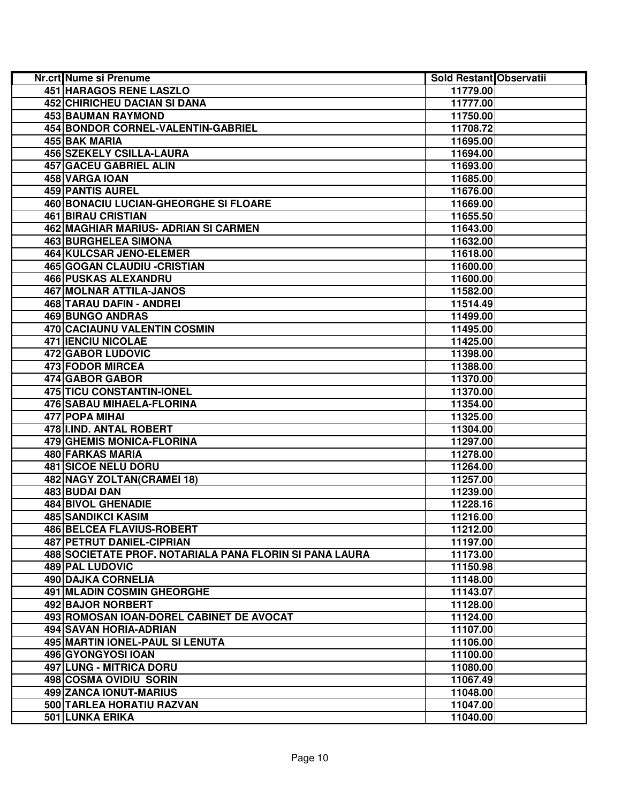| Nr.crt Nume si Prenume                                  | Sold Restant Observatii |  |
|---------------------------------------------------------|-------------------------|--|
| 451 HARAGOS RENE LASZLO                                 | 11779.00                |  |
| <b>452 CHIRICHEU DACIAN SI DANA</b>                     | 11777.00                |  |
| 453 BAUMAN RAYMOND                                      | 11750.00                |  |
| 454 BONDOR CORNEL-VALENTIN-GABRIEL                      | 11708.72                |  |
| 455 BAK MARIA                                           | 11695.00                |  |
| 456 SZEKELY CSILLA-LAURA                                | 11694.00                |  |
| 457 GACEU GABRIEL ALIN                                  | 11693.00                |  |
| 458 VARGA IOAN                                          | 11685.00                |  |
| <b>459 PANTIS AUREL</b>                                 | 11676.00                |  |
| <b>460 BONACIU LUCIAN-GHEORGHE SI FLOARE</b>            | 11669.00                |  |
| <b>461 BIRAU CRISTIAN</b>                               | 11655.50                |  |
| 462 MAGHIAR MARIUS- ADRIAN SI CARMEN                    | 11643.00                |  |
| <b>463 BURGHELEA SIMONA</b>                             | 11632.00                |  |
| 464 KULCSAR JENO-ELEMER                                 | 11618.00                |  |
| 465 GOGAN CLAUDIU - CRISTIAN                            | 11600.00                |  |
| 466 PUSKAS ALEXANDRU                                    | 11600.00                |  |
| 467 MOLNAR ATTILA-JANOS                                 | 11582.00                |  |
| 468 TARAU DAFIN - ANDREI                                | 11514.49                |  |
| <b>469 BUNGO ANDRAS</b>                                 | 11499.00                |  |
| 470 CACIAUNU VALENTIN COSMIN                            | 11495.00                |  |
| <b>471 IENCIU NICOLAE</b>                               | 11425.00                |  |
| 472 GABOR LUDOVIC                                       | 11398.00                |  |
| 473 FODOR MIRCEA                                        | 11388.00                |  |
| <b>474 GABOR GABOR</b>                                  | 11370.00                |  |
| <b>475 TICU CONSTANTIN-IONEL</b>                        | 11370.00                |  |
| <b>476 SABAU MIHAELA-FLORINA</b>                        | 11354.00                |  |
| 477 POPA MIHAI                                          | 11325.00                |  |
| 478 II.IND. ANTAL ROBERT                                | 11304.00                |  |
| 479 GHEMIS MONICA-FLORINA                               | 11297.00                |  |
| 480 FARKAS MARIA                                        | 11278.00                |  |
| <b>481 SICOE NELU DORU</b>                              | 11264.00                |  |
| 482 NAGY ZOLTAN(CRAMEI 18)                              | 11257.00                |  |
| 483 BUDAI DAN                                           | 11239.00                |  |
| 484 BIVOL GHENADIE                                      | 11228.16                |  |
| <b>485 SANDIKCI KASIM</b>                               | 11216.00                |  |
| <b>486 BELCEA FLAVIUS-ROBERT</b>                        | 11212.00                |  |
| 487 PETRUT DANIEL-CIPRIAN                               | 11197.00                |  |
| 488 SOCIETATE PROF. NOTARIALA PANA FLORIN SI PANA LAURA | 11173.00                |  |
| <b>489 PAL LUDOVIC</b>                                  | 11150.98                |  |
| 490 DAJKA CORNELIA                                      | 11148.00                |  |
| <b>491 MLADIN COSMIN GHEORGHE</b>                       | 11143.07                |  |
| 492 BAJOR NORBERT                                       | 11128.00                |  |
| 493 ROMOSAN IOAN-DOREL CABINET DE AVOCAT                | 11124.00                |  |
| 494 SAVAN HORIA-ADRIAN                                  | 11107.00                |  |
| 495 MARTIN IONEL-PAUL SI LENUTA                         | 11106.00                |  |
| 496 GYONGYOSI IOAN                                      | 11100.00                |  |
| <b>497 LUNG - MITRICA DORU</b>                          | 11080.00                |  |
| 498 COSMA OVIDIU SORIN                                  | 11067.49                |  |
| <b>499 ZANCA IONUT-MARIUS</b>                           | 11048.00                |  |
| 500 TARLEA HORATIU RAZVAN                               | 11047.00                |  |
| <b>501 LUNKA ERIKA</b>                                  | 11040.00                |  |
|                                                         |                         |  |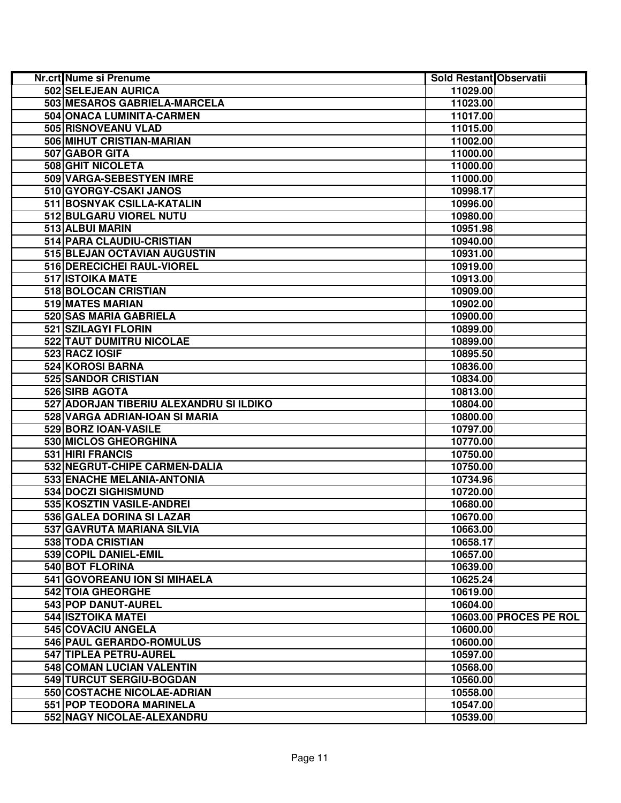| <b>Nr.crt Nume si Prenume</b>           | Sold Restant Observatii |                        |
|-----------------------------------------|-------------------------|------------------------|
| 502 SELEJEAN AURICA                     | 11029.00                |                        |
| 503 MESAROS GABRIELA-MARCELA            | 11023.00                |                        |
| 504 ONACA LUMINITA-CARMEN               | 11017.00                |                        |
| 505 RISNOVEANU VLAD                     | 11015.00                |                        |
| 506 MIHUT CRISTIAN-MARIAN               | 11002.00                |                        |
| 507 GABOR GITA                          | 11000.00                |                        |
| 508 GHIT NICOLETA                       | 11000.00                |                        |
| 509 VARGA-SEBESTYEN IMRE                | 11000.00                |                        |
| 510 GYORGY-CSAKI JANOS                  | 10998.17                |                        |
| 511 BOSNYAK CSILLA-KATALIN              | 10996.00                |                        |
| 512 BULGARU VIOREL NUTU                 | 10980.00                |                        |
| 513 ALBUI MARIN                         | 10951.98                |                        |
| 514 PARA CLAUDIU-CRISTIAN               | 10940.00                |                        |
| 515 BLEJAN OCTAVIAN AUGUSTIN            | 10931.00                |                        |
| 516 DERECICHEI RAUL-VIOREL              | 10919.00                |                        |
| 517 ISTOIKA MATE                        | 10913.00                |                        |
| 518 BOLOCAN CRISTIAN                    | 10909.00                |                        |
| 519 MATES MARIAN                        | 10902.00                |                        |
| 520 SAS MARIA GABRIELA                  | 10900.00                |                        |
| 521 SZILAGYI FLORIN                     | 10899.00                |                        |
| 522 TAUT DUMITRU NICOLAE                | 10899.00                |                        |
| 523 RACZ IOSIF                          | 10895.50                |                        |
| 524 KOROSI BARNA                        | 10836.00                |                        |
| 525 SANDOR CRISTIAN                     | 10834.00                |                        |
| 526 SIRB AGOTA                          | 10813.00                |                        |
| 527 ADORJAN TIBERIU ALEXANDRU SI ILDIKO | 10804.00                |                        |
| 528 VARGA ADRIAN-IOAN SI MARIA          | 10800.00                |                        |
| 529 BORZ IOAN-VASILE                    | 10797.00                |                        |
| 530 MICLOS GHEORGHINA                   | 10770.00                |                        |
| 531 HIRI FRANCIS                        | 10750.00                |                        |
| 532 NEGRUT-CHIPE CARMEN-DALIA           | 10750.00                |                        |
| 533 ENACHE MELANIA-ANTONIA              | 10734.96                |                        |
| 534 DOCZI SIGHISMUND                    | 10720.00                |                        |
| 535 KOSZTIN VASILE-ANDREI               | 10680.00                |                        |
| 536 GALEA DORINA SI LAZAR               | 10670.00                |                        |
| 537 GAVRUTA MARIANA SILVIA              | 10663.00                |                        |
| 538 TODA CRISTIAN                       | 10658.17                |                        |
| 539 COPIL DANIEL-EMIL                   | 10657.00                |                        |
| 540 BOT FLORINA                         | 10639.00                |                        |
| 541 GOVOREANU ION SI MIHAELA            | 10625.24                |                        |
| <b>542 TOIA GHEORGHE</b>                | 10619.00                |                        |
| 543 POP DANUT-AUREL                     | 10604.00                |                        |
| 544 ISZTOIKA MATEI                      |                         | 10603.00 PROCES PE ROL |
| 545 COVACIU ANGELA                      | 10600.00                |                        |
| 546 PAUL GERARDO-ROMULUS                | 10600.00                |                        |
| 547 TIPLEA PETRU-AUREL                  | 10597.00                |                        |
| 548 COMAN LUCIAN VALENTIN               | 10568.00                |                        |
| 549 TURCUT SERGIU-BOGDAN                | 10560.00                |                        |
| 550 COSTACHE NICOLAE-ADRIAN             | 10558.00                |                        |
| <b>551 POP TEODORA MARINELA</b>         | 10547.00                |                        |
| 552 NAGY NICOLAE-ALEXANDRU              | 10539.00                |                        |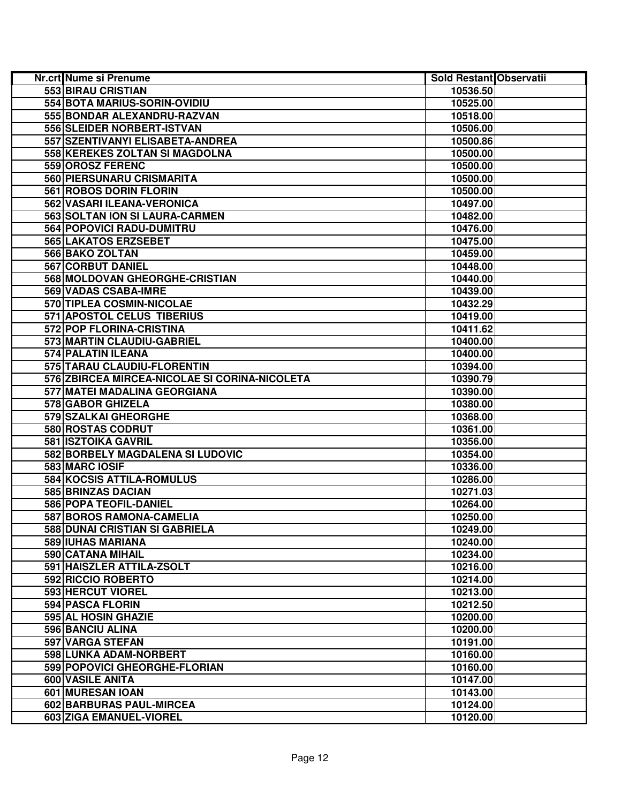| Nr.crt Nume si Prenume                        | Sold Restant Observatii |  |
|-----------------------------------------------|-------------------------|--|
| 553 BIRAU CRISTIAN                            | 10536.50                |  |
| 554 BOTA MARIUS-SORIN-OVIDIU                  | 10525.00                |  |
| 555 BONDAR ALEXANDRU-RAZVAN                   | 10518.00                |  |
| 556 SLEIDER NORBERT-ISTVAN                    | 10506.00                |  |
| 557 SZENTIVANYI ELISABETA-ANDREA              | 10500.86                |  |
| 558 KEREKES ZOLTAN SI MAGDOLNA                | 10500.00                |  |
| 559 OROSZ FERENC                              | 10500.00                |  |
| 560 PIERSUNARU CRISMARITA                     | 10500.00                |  |
| 561 ROBOS DORIN FLORIN                        | 10500.00                |  |
| 562 VASARI ILEANA-VERONICA                    | 10497.00                |  |
| 563 SOLTAN ION SI LAURA-CARMEN                | 10482.00                |  |
| 564 POPOVICI RADU-DUMITRU                     | 10476.00                |  |
| 565 LAKATOS ERZSEBET                          | 10475.00                |  |
| 566 BAKO ZOLTAN                               | 10459.00                |  |
| 567 CORBUT DANIEL                             | 10448.00                |  |
| 568 MOLDOVAN GHEORGHE-CRISTIAN                | 10440.00                |  |
| 569 VADAS CSABA-IMRE                          | 10439.00                |  |
| 570 TIPLEA COSMIN-NICOLAE                     | 10432.29                |  |
| 571 APOSTOL CELUS TIBERIUS                    | 10419.00                |  |
| 572 POP FLORINA-CRISTINA                      | 10411.62                |  |
| 573 MARTIN CLAUDIU-GABRIEL                    | 10400.00                |  |
| <b>574 PALATIN ILEANA</b>                     | 10400.00                |  |
| 575 TARAU CLAUDIU-FLORENTIN                   | 10394.00                |  |
| 576 ZBIRCEA MIRCEA-NICOLAE SI CORINA-NICOLETA | 10390.79                |  |
| 577 MATEI MADALINA GEORGIANA                  | 10390.00                |  |
| 578 GABOR GHIZELA                             | 10380.00                |  |
| 579 SZALKAI GHEORGHE                          | 10368.00                |  |
| 580 ROSTAS CODRUT                             | 10361.00                |  |
| 581 ISZTOIKA GAVRIL                           | 10356.00                |  |
| 582 BORBELY MAGDALENA SI LUDOVIC              | 10354.00                |  |
| 583 MARC IOSIF                                | 10336.00                |  |
| 584 KOCSIS ATTILA-ROMULUS                     | 10286.00                |  |
| 585 BRINZAS DACIAN                            | 10271.03                |  |
| 586 POPA TEOFIL-DANIEL                        | 10264.00                |  |
| 587 BOROS RAMONA-CAMELIA                      | 10250.00                |  |
| 588 DUNAI CRISTIAN SI GABRIELA                | 10249.00                |  |
| 589 IUHAS MARIANA                             | 10240.00                |  |
| 590 CATANA MIHAIL                             | 10234.00                |  |
| 591 HAISZLER ATTILA-ZSOLT                     | 10216.00                |  |
| 592 RICCIO ROBERTO                            | 10214.00                |  |
| 593 HERCUT VIOREL                             | 10213.00                |  |
| 594 PASCA FLORIN                              | 10212.50                |  |
| 595 AL HOSIN GHAZIE                           | 10200.00                |  |
| 596 BANCIU ALINA                              | 10200.00                |  |
| 597 VARGA STEFAN                              | 10191.00                |  |
| 598 LUNKA ADAM-NORBERT                        | 10160.00                |  |
| 599 POPOVICI GHEORGHE-FLORIAN                 | 10160.00                |  |
| 600 VASILE ANITA                              | 10147.00                |  |
| 601 MURESAN IOAN                              | 10143.00                |  |
| 602 BARBURAS PAUL-MIRCEA                      | 10124.00                |  |
| 603 ZIGA EMANUEL-VIOREL                       | 10120.00                |  |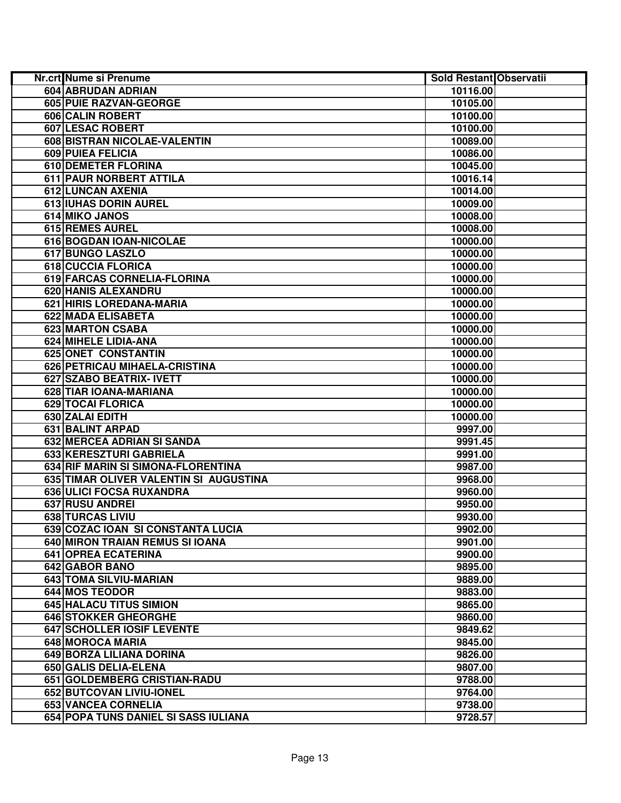| Nr.crt Nume si Prenume                 | Sold Restant Observatii |  |
|----------------------------------------|-------------------------|--|
| 604 ABRUDAN ADRIAN                     | 10116.00                |  |
| 605 PUIE RAZVAN-GEORGE                 | 10105.00                |  |
| 606 CALIN ROBERT                       | 10100.00                |  |
| 607 LESAC ROBERT                       | 10100.00                |  |
| 608 BISTRAN NICOLAE-VALENTIN           | 10089.00                |  |
| 609 PUIEA FELICIA                      | 10086.00                |  |
| <b>610 DEMETER FLORINA</b>             | 10045.00                |  |
| 611 PAUR NORBERT ATTILA                | 10016.14                |  |
| 612 LUNCAN AXENIA                      | 10014.00                |  |
| 613 IUHAS DORIN AUREL                  | 10009.00                |  |
| 614 MIKO JANOS                         | 10008.00                |  |
| 615 REMES AUREL                        | 10008.00                |  |
| 616 BOGDAN IOAN-NICOLAE                | 10000.00                |  |
| 617 BUNGO LASZLO                       | 10000.00                |  |
| 618 CUCCIA FLORICA                     | 10000.00                |  |
| 619 FARCAS CORNELIA-FLORINA            | 10000.00                |  |
| 620 HANIS ALEXANDRU                    | 10000.00                |  |
| 621 HIRIS LOREDANA-MARIA               | 10000.00                |  |
| 622 MADA ELISABETA                     | 10000.00                |  |
| 623 MARTON CSABA                       | 10000.00                |  |
| 624 MIHELE LIDIA-ANA                   | 10000.00                |  |
| 625 ONET CONSTANTIN                    | 10000.00                |  |
| 626 PETRICAU MIHAELA-CRISTINA          | 10000.00                |  |
| 627 SZABO BEATRIX- IVETT               | 10000.00                |  |
| 628 TIAR IOANA-MARIANA                 | 10000.00                |  |
| 629 TOCAI FLORICA                      | 10000.00                |  |
| 630 ZALAI EDITH                        | 10000.00                |  |
| 631 BALINT ARPAD                       | 9997.00                 |  |
| 632 MERCEA ADRIAN SI SANDA             | 9991.45                 |  |
| 633 KERESZTURI GABRIELA                | 9991.00                 |  |
| 634 RIF MARIN SI SIMONA-FLORENTINA     | 9987.00                 |  |
| 635 TIMAR OLIVER VALENTIN SI AUGUSTINA | 9968.00                 |  |
| 636 ULICI FOCSA RUXANDRA               | 9960.00                 |  |
| 637 RUSU ANDREI                        | 9950.00                 |  |
| 638 TURCAS LIVIU                       | 9930.00                 |  |
| 639 COZAC IOAN SI CONSTANTA LUCIA      | 9902.00                 |  |
| 640 MIRON TRAIAN REMUS SI IOANA        | 9901.00                 |  |
| 641 OPREA ECATERINA                    | 9900.00                 |  |
| 642 GABOR BANO                         | 9895.00                 |  |
| 643 TOMA SILVIU-MARIAN                 | 9889.00                 |  |
| 644 MOS TEODOR                         | 9883.00                 |  |
| 645 HALACU TITUS SIMION                | 9865.00                 |  |
| 646 STOKKER GHEORGHE                   | 9860.00                 |  |
| 647 SCHOLLER IOSIF LEVENTE             | 9849.62                 |  |
| 648 MOROCA MARIA                       | 9845.00                 |  |
| 649 BORZA LILIANA DORINA               | 9826.00                 |  |
| 650 GALIS DELIA-ELENA                  | 9807.00                 |  |
| 651 GOLDEMBERG CRISTIAN-RADU           | 9788.00                 |  |
| 652 BUTCOVAN LIVIU-IONEL               | 9764.00                 |  |
| <b>653 VANCEA CORNELIA</b>             | 9738.00                 |  |
| 654 POPA TUNS DANIEL SI SASS IULIANA   | 9728.57                 |  |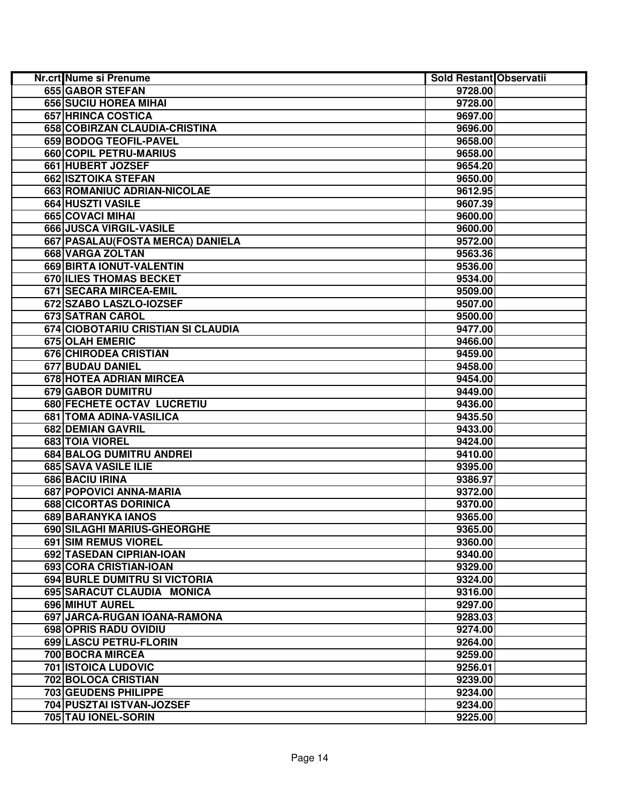| Nr.crt Nume si Prenume               | Sold Restant Observatii |  |
|--------------------------------------|-------------------------|--|
| <b>655 GABOR STEFAN</b>              | 9728.00                 |  |
| <b>656 SUCIU HOREA MIHAI</b>         | 9728.00                 |  |
| 657 HRINCA COSTICA                   | 9697.00                 |  |
| 658 COBIRZAN CLAUDIA-CRISTINA        | 9696.00                 |  |
| 659 BODOG TEOFIL-PAVEL               | 9658.00                 |  |
| 660 COPIL PETRU-MARIUS               | 9658.00                 |  |
| 661 HUBERT JOZSEF                    | 9654.20                 |  |
| 662 ISZTOIKA STEFAN                  | 9650.00                 |  |
| 663 ROMANIUC ADRIAN-NICOLAE          | 9612.95                 |  |
| 664 HUSZTI VASILE                    | 9607.39                 |  |
| 665 COVACI MIHAI                     | 9600.00                 |  |
| 666 JUSCA VIRGIL-VASILE              | 9600.00                 |  |
| 667   PASALAU (FOSTA MERCA) DANIELA  | 9572.00                 |  |
| 668 VARGA ZOLTAN                     | 9563.36                 |  |
| 669 BIRTA IONUT-VALENTIN             | 9536.00                 |  |
| 670 ILIES THOMAS BECKET              | 9534.00                 |  |
| 671 SECARA MIRCEA-EMIL               | 9509.00                 |  |
| 672 SZABO LASZLO-IOZSEF              | 9507.00                 |  |
| 673 SATRAN CAROL                     | 9500.00                 |  |
| 674 CIOBOTARIU CRISTIAN SI CLAUDIA   | 9477.00                 |  |
| 675 OLAH EMERIC                      | 9466.00                 |  |
| 676 CHIRODEA CRISTIAN                | 9459.00                 |  |
| 677 BUDAU DANIEL                     | 9458.00                 |  |
| <b>678 HOTEA ADRIAN MIRCEA</b>       | 9454.00                 |  |
| 679 GABOR DUMITRU                    | 9449.00                 |  |
| 680 FECHETE OCTAV LUCRETIU           | 9436.00                 |  |
| 681   TOMA ADINA-VASILICA            | 9435.50                 |  |
| 682 DEMIAN GAVRIL                    | 9433.00                 |  |
| 683 TOIA VIOREL                      | 9424.00                 |  |
| 684 BALOG DUMITRU ANDREI             | 9410.00                 |  |
| 685 SAVA VASILE ILIE                 | 9395.00                 |  |
| 686 BACIU IRINA                      | 9386.97                 |  |
| 687 POPOVICI ANNA-MARIA              | 9372.00                 |  |
| 688 CICORTAS DORINICA                | 9370.00                 |  |
| 689 BARANYKA IANOS                   | 9365.00                 |  |
| 690 SILAGHI MARIUS-GHEORGHE          | 9365.00                 |  |
| 691 SIM REMUS VIOREL                 | 9360.00                 |  |
| 692 TASEDAN CIPRIAN-IOAN             | 9340.00                 |  |
| 693 CORA CRISTIAN-IOAN               | 9329.00                 |  |
| <b>694 BURLE DUMITRU SI VICTORIA</b> | 9324.00                 |  |
| 695 SARACUT CLAUDIA MONICA           | 9316.00                 |  |
| 696 MIHUT AUREL                      | 9297.00                 |  |
| 697 JARCA-RUGAN IOANA-RAMONA         | 9283.03                 |  |
| 698 OPRIS RADU OVIDIU                | 9274.00                 |  |
| 699 LASCU PETRU-FLORIN               | 9264.00                 |  |
| 700 BOCRA MIRCEA                     | 9259.00                 |  |
| <b>701 ISTOICA LUDOVIC</b>           | 9256.01                 |  |
| 702 BOLOCA CRISTIAN                  | 9239.00                 |  |
| <b>703 GEUDENS PHILIPPE</b>          | 9234.00                 |  |
| 704 PUSZTAI ISTVAN-JOZSEF            | 9234.00                 |  |
| 705 TAU IONEL-SORIN                  | 9225.00                 |  |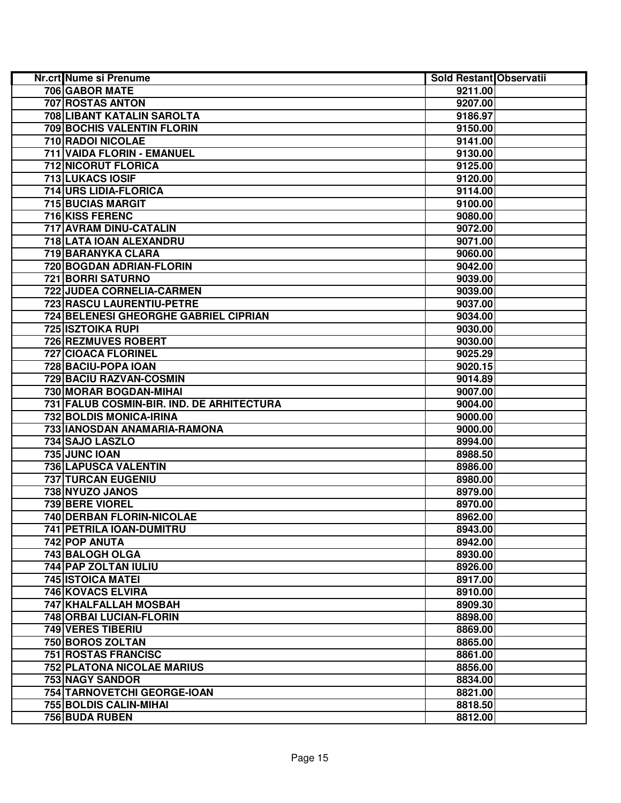| Nr.crt Nume si Prenume                    | Sold Restant Observatii |  |
|-------------------------------------------|-------------------------|--|
| 706 GABOR MATE                            | 9211.00                 |  |
| 707 ROSTAS ANTON                          | 9207.00                 |  |
| 708 LIBANT KATALIN SAROLTA                | 9186.97                 |  |
| 709 BOCHIS VALENTIN FLORIN                | 9150.00                 |  |
| 710 RADOI NICOLAE                         | 9141.00                 |  |
| 711 VAIDA FLORIN - EMANUEL                | 9130.00                 |  |
| 712 NICORUT FLORICA                       | 9125.00                 |  |
| 713 LUKACS IOSIF                          | 9120.00                 |  |
| 714 URS LIDIA-FLORICA                     | 9114.00                 |  |
| <b>715 BUCIAS MARGIT</b>                  | 9100.00                 |  |
| 716 KISS FERENC                           | 9080.00                 |  |
| 717 AVRAM DINU-CATALIN                    | 9072.00                 |  |
| 718 LATA IOAN ALEXANDRU                   | 9071.00                 |  |
| 719 BARANYKA CLARA                        | 9060.00                 |  |
| 720 BOGDAN ADRIAN-FLORIN                  | 9042.00                 |  |
| 721 BORRI SATURNO                         | 9039.00                 |  |
| 722 JUDEA CORNELIA-CARMEN                 | 9039.00                 |  |
| 723 RASCU LAURENTIU-PETRE                 | 9037.00                 |  |
| 724 BELENESI GHEORGHE GABRIEL CIPRIAN     | 9034.00                 |  |
| <b>725 ISZTOIKA RUPI</b>                  | 9030.00                 |  |
| 726 REZMUVES ROBERT                       | 9030.00                 |  |
| 727 CIOACA FLORINEL                       | 9025.29                 |  |
| 728 BACIU-POPA IOAN                       | 9020.15                 |  |
| 729 BACIU RAZVAN-COSMIN                   | 9014.89                 |  |
| 730 MORAR BOGDAN-MIHAI                    | 9007.00                 |  |
| 731 FALUB COSMIN-BIR. IND. DE ARHITECTURA | 9004.00                 |  |
| 732 BOLDIS MONICA-IRINA                   | 9000.00                 |  |
| 733 IANOSDAN ANAMARIA-RAMONA              | 9000.00                 |  |
| 734 SAJO LASZLO                           | 8994.00                 |  |
| 735 JUNC IOAN                             | 8988.50                 |  |
| 736 LAPUSCA VALENTIN                      | 8986.00                 |  |
| <b>737 TURCAN EUGENIU</b>                 | 8980.00                 |  |
| 738 NYUZO JANOS                           | 8979.00                 |  |
| 739 BERE VIOREL                           | 8970.00                 |  |
| 740 DERBAN FLORIN-NICOLAE                 | 8962.00                 |  |
| 741 PETRILA IOAN-DUMITRU                  | 8943.00                 |  |
| 742 POP ANUTA                             | 8942.00                 |  |
| 743 BALOGH OLGA                           | 8930.00                 |  |
| 744 PAP ZOLTAN IULIU                      | 8926.00                 |  |
| <b>745 ISTOICA MATEI</b>                  | 8917.00                 |  |
| 746 KOVACS ELVIRA                         | 8910.00                 |  |
| 747 KHALFALLAH MOSBAH                     | 8909.30                 |  |
| 748 ORBAI LUCIAN-FLORIN                   | 8898.00                 |  |
| 749 VERES TIBERIU                         | 8869.00                 |  |
| 750 BOROS ZOLTAN                          | 8865.00                 |  |
| <b>751 ROSTAS FRANCISC</b>                | 8861.00                 |  |
| <b>752 PLATONA NICOLAE MARIUS</b>         | 8856.00                 |  |
| <b>753 NAGY SANDOR</b>                    | 8834.00                 |  |
| 754 TARNOVETCHI GEORGE-IOAN               | 8821.00                 |  |
| <b>755 BOLDIS CALIN-MIHAI</b>             | 8818.50                 |  |
| <b>756 BUDA RUBEN</b>                     | 8812.00                 |  |
|                                           |                         |  |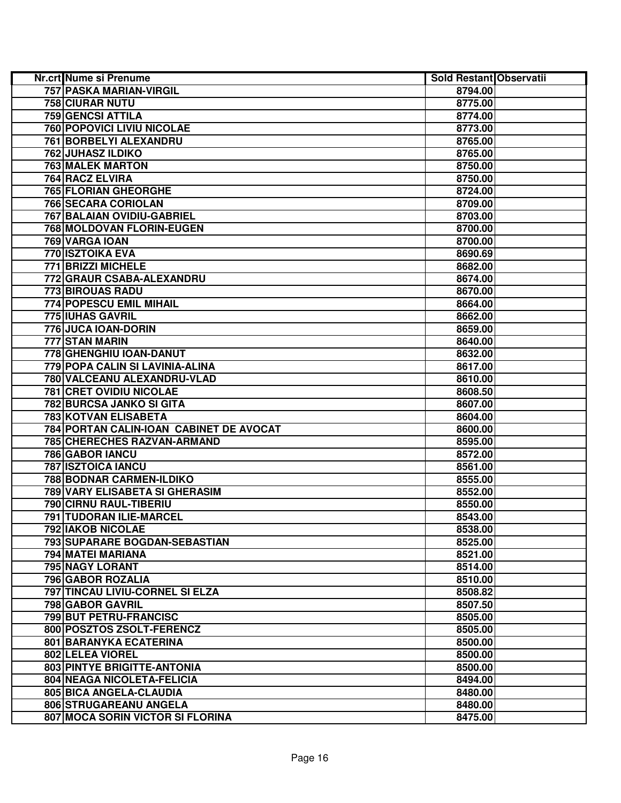| Nr.crt Nume si Prenume                  | Sold Restant Observatii |  |
|-----------------------------------------|-------------------------|--|
| <b>757 PASKA MARIAN-VIRGIL</b>          | 8794.00                 |  |
| 758 CIURAR NUTU                         | 8775.00                 |  |
| 759 GENCSI ATTILA                       | 8774.00                 |  |
| 760 POPOVICI LIVIU NICOLAE              | 8773.00                 |  |
| 761 BORBELYI ALEXANDRU                  | 8765.00                 |  |
| 762 JUHASZ ILDIKO                       | 8765.00                 |  |
| <b>763 MALEK MARTON</b>                 | 8750.00                 |  |
| 764 RACZ ELVIRA                         | 8750.00                 |  |
| 765 FLORIAN GHEORGHE                    | 8724.00                 |  |
| 766 SECARA CORIOLAN                     | 8709.00                 |  |
| 767 BALAIAN OVIDIU-GABRIEL              | 8703.00                 |  |
| 768 MOLDOVAN FLORIN-EUGEN               | 8700.00                 |  |
| 769 VARGA IOAN                          | 8700.00                 |  |
| 770 ISZTOIKA EVA                        | 8690.69                 |  |
| 771 BRIZZI MICHELE                      | 8682.00                 |  |
| 772 GRAUR CSABA-ALEXANDRU               | 8674.00                 |  |
| 773 BIROUAS RADU                        | 8670.00                 |  |
| 774 POPESCU EMIL MIHAIL                 | 8664.00                 |  |
| 775 IUHAS GAVRIL                        | 8662.00                 |  |
| 776 JUCA IOAN-DORIN                     | 8659.00                 |  |
| 777 STAN MARIN                          | 8640.00                 |  |
| 778 GHENGHIU IOAN-DANUT                 | 8632.00                 |  |
| 779 POPA CALIN SI LAVINIA-ALINA         | 8617.00                 |  |
| 780 VALCEANU ALEXANDRU-VLAD             | 8610.00                 |  |
| <b>781 CRET OVIDIU NICOLAE</b>          | 8608.50                 |  |
| 782 BURCSA JANKO SI GITA                | 8607.00                 |  |
| 783 KOTVAN ELISABETA                    | 8604.00                 |  |
| 784 PORTAN CALIN-IOAN CABINET DE AVOCAT | 8600.00                 |  |
| 785 CHERECHES RAZVAN-ARMAND             | 8595.00                 |  |
| 786 GABOR IANCU                         | 8572.00                 |  |
| <b>787 ISZTOICA IANCU</b>               | 8561.00                 |  |
| 788 BODNAR CARMEN-ILDIKO                | 8555.00                 |  |
| 789 VARY ELISABETA SI GHERASIM          | 8552.00                 |  |
| 790 CIRNU RAUL-TIBERIU                  | 8550.00                 |  |
| 791 TUDORAN ILIE-MARCEL                 | 8543.00                 |  |
| <b>792 IAKOB NICOLAE</b>                | 8538.00                 |  |
| <b>793ISUPARARE BOGDAN-SEBASTIAN</b>    | 8525.00                 |  |
| 794 MATEI MARIANA                       | 8521.00                 |  |
| 795 NAGY LORANT                         | 8514.00                 |  |
| 796 GABOR ROZALIA                       | 8510.00                 |  |
| 797 TINCAU LIVIU-CORNEL SI ELZA         | 8508.82                 |  |
| <b>798 GABOR GAVRIL</b>                 | 8507.50                 |  |
| 799 BUT PETRU-FRANCISC                  | 8505.00                 |  |
| 800 POSZTOS ZSOLT-FERENCZ               | 8505.00                 |  |
| 801 BARANYKA ECATERINA                  | 8500.00                 |  |
| 802 LELEA VIOREL                        | 8500.00                 |  |
| 803 PINTYE BRIGITTE-ANTONIA             | 8500.00                 |  |
| 804 NEAGA NICOLETA-FELICIA              | 8494.00                 |  |
| 805 BICA ANGELA-CLAUDIA                 | 8480.00                 |  |
| 806 STRUGAREANU ANGELA                  | 8480.00                 |  |
| 807 MOCA SORIN VICTOR SI FLORINA        | 8475.00                 |  |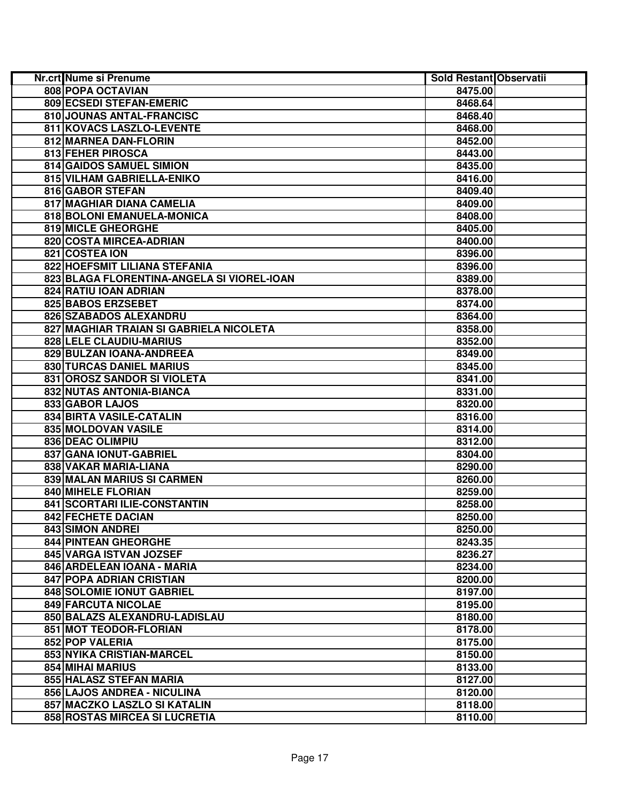| Nr.crt Nume si Prenume                     | Sold Restant Observatii |  |
|--------------------------------------------|-------------------------|--|
| 808 POPA OCTAVIAN                          | 8475.00                 |  |
| 809 ECSEDI STEFAN-EMERIC                   | 8468.64                 |  |
| 810 JOUNAS ANTAL-FRANCISC                  | 8468.40                 |  |
| 811 KOVACS LASZLO-LEVENTE                  | 8468.00                 |  |
| 812 MARNEA DAN-FLORIN                      | 8452.00                 |  |
| 813 FEHER PIROSCA                          | 8443.00                 |  |
| 814 GAIDOS SAMUEL SIMION                   | 8435.00                 |  |
| 815 VILHAM GABRIELLA-ENIKO                 | 8416.00                 |  |
| 816 GABOR STEFAN                           | 8409.40                 |  |
| 817 MAGHIAR DIANA CAMELIA                  | 8409.00                 |  |
| 818 BOLONI EMANUELA-MONICA                 | 8408.00                 |  |
| 819 MICLE GHEORGHE                         | 8405.00                 |  |
| 820 COSTA MIRCEA-ADRIAN                    | 8400.00                 |  |
| 821 COSTEA ION                             | 8396.00                 |  |
| 822 HOEFSMIT LILIANA STEFANIA              | 8396.00                 |  |
| 823 BLAGA FLORENTINA-ANGELA SI VIOREL-IOAN | 8389.00                 |  |
| 824 RATIU IOAN ADRIAN                      | 8378.00                 |  |
| 825 BABOS ERZSEBET                         | 8374.00                 |  |
| 826 SZABADOS ALEXANDRU                     | 8364.00                 |  |
| 827 MAGHIAR TRAIAN SI GABRIELA NICOLETA    | 8358.00                 |  |
| 828 LELE CLAUDIU-MARIUS                    | 8352.00                 |  |
| 829 BULZAN IOANA-ANDREEA                   | 8349.00                 |  |
| 830 TURCAS DANIEL MARIUS                   | 8345.00                 |  |
| 831 OROSZ SANDOR SI VIOLETA                | 8341.00                 |  |
| 832 NUTAS ANTONIA-BIANCA                   | 8331.00                 |  |
| 833 GABOR LAJOS                            | 8320.00                 |  |
| 834 BIRTA VASILE-CATALIN                   | 8316.00                 |  |
| 835 MOLDOVAN VASILE                        | 8314.00                 |  |
| 836 DEAC OLIMPIU                           | 8312.00                 |  |
| 837 GANA IONUT-GABRIEL                     | 8304.00                 |  |
| 838 VAKAR MARIA-LIANA                      | 8290.00                 |  |
| 839 MALAN MARIUS SI CARMEN                 | 8260.00                 |  |
| 840 MIHELE FLORIAN                         | 8259.00                 |  |
| 841 SCORTARI ILIE-CONSTANTIN               | 8258.00                 |  |
| <b>842 FECHETE DACIAN</b>                  | 8250.00                 |  |
| 843 SIMON ANDREI                           | 8250.00                 |  |
| <b>844 PINTEAN GHEORGHE</b>                | 8243.35                 |  |
| <b>845 VARGA ISTVAN JOZSEF</b>             | 8236.27                 |  |
| 846 ARDELEAN IOANA - MARIA                 | 8234.00                 |  |
| 847 POPA ADRIAN CRISTIAN                   | 8200.00                 |  |
| 848 SOLOMIE IONUT GABRIEL                  | 8197.00                 |  |
| <b>849 FARCUTA NICOLAE</b>                 | 8195.00                 |  |
| 850 BALAZS ALEXANDRU-LADISLAU              | 8180.00                 |  |
| 851 MOT TEODOR-FLORIAN                     | 8178.00                 |  |
| 852 POP VALERIA                            | 8175.00                 |  |
| <b>853 NYIKA CRISTIAN-MARCEL</b>           | 8150.00                 |  |
| 854 MIHAI MARIUS                           | 8133.00                 |  |
| 855 HALASZ STEFAN MARIA                    | 8127.00                 |  |
| 856 LAJOS ANDREA - NICULINA                | 8120.00                 |  |
| 857 MACZKO LASZLO SI KATALIN               | 8118.00                 |  |
| 858 ROSTAS MIRCEA SI LUCRETIA              | 8110.00                 |  |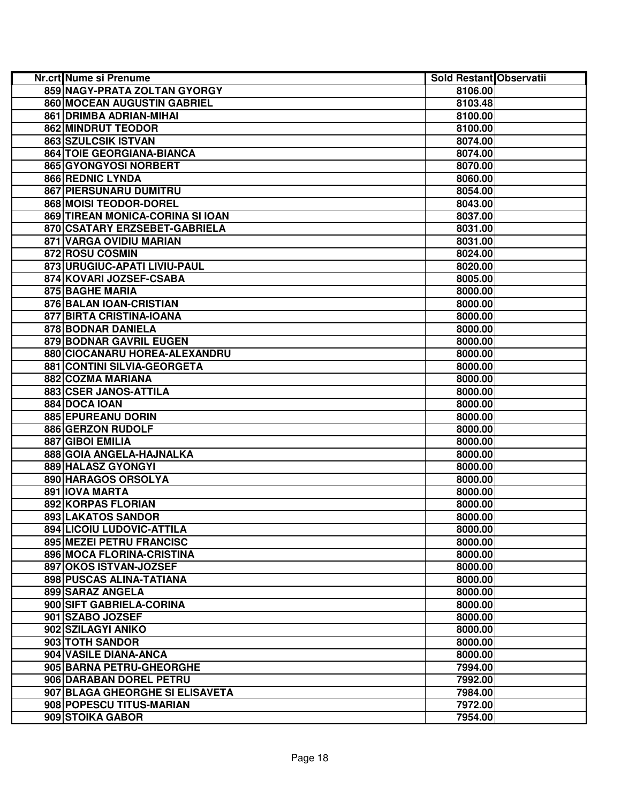| Nr.crt Nume si Prenume           | Sold Restant Observatii |  |
|----------------------------------|-------------------------|--|
| 859 NAGY-PRATA ZOLTAN GYORGY     | 8106.00                 |  |
| 860 MOCEAN AUGUSTIN GABRIEL      | 8103.48                 |  |
| 861 DRIMBA ADRIAN-MIHAI          | 8100.00                 |  |
| 862 MINDRUT TEODOR               | 8100.00                 |  |
| 863 SZULCSIK ISTVAN              | 8074.00                 |  |
| 864 TOIE GEORGIANA-BIANCA        | 8074.00                 |  |
| 865 GYONGYOSI NORBERT            | 8070.00                 |  |
| 866 REDNIC LYNDA                 | 8060.00                 |  |
| 867 PIERSUNARU DUMITRU           | 8054.00                 |  |
| 868 MOISI TEODOR-DOREL           | 8043.00                 |  |
| 869 TIREAN MONICA-CORINA SI IOAN | 8037.00                 |  |
| 870 CSATARY ERZSEBET-GABRIELA    | 8031.00                 |  |
| 871 VARGA OVIDIU MARIAN          | 8031.00                 |  |
| 872 ROSU COSMIN                  | 8024.00                 |  |
| 873 URUGIUC-APATI LIVIU-PAUL     | 8020.00                 |  |
| 874 KOVARI JOZSEF-CSABA          | 8005.00                 |  |
| 875 BAGHE MARIA                  | 8000.00                 |  |
| 876 BALAN IOAN-CRISTIAN          | 8000.00                 |  |
| 877 BIRTA CRISTINA-IOANA         | 8000.00                 |  |
| 878 BODNAR DANIELA               | 8000.00                 |  |
| <b>879 BODNAR GAVRIL EUGEN</b>   | 8000.00                 |  |
| 880 CIOCANARU HOREA-ALEXANDRU    | 8000.00                 |  |
| 881 CONTINI SILVIA-GEORGETA      | 8000.00                 |  |
| 882 COZMA MARIANA                | 8000.00                 |  |
| 883 CSER JANOS-ATTILA            | 8000.00                 |  |
| 884 DOCA IOAN                    | 8000.00                 |  |
| 885 EPUREANU DORIN               | 8000.00                 |  |
| 886 GERZON RUDOLF                | 8000.00                 |  |
| 887 GIBOI EMILIA                 | 8000.00                 |  |
| 888 GOIA ANGELA-HAJNALKA         | 8000.00                 |  |
| 889 HALASZ GYONGYI               | 8000.00                 |  |
| 890 HARAGOS ORSOLYA              | 8000.00                 |  |
| 891 IOVA MARTA                   | 8000.00                 |  |
| 892 KORPAS FLORIAN               | 8000.00                 |  |
| 893 LAKATOS SANDOR               | 8000.00                 |  |
| 894 LICOIU LUDOVIC-ATTILA        | 8000.00                 |  |
| 895 MEZEI PETRU FRANCISC         | 8000.00                 |  |
| 896 MOCA FLORINA-CRISTINA        | 8000.00                 |  |
| 897 OKOS ISTVAN-JOZSEF           | 8000.00                 |  |
| 898 PUSCAS ALINA-TATIANA         | 8000.00                 |  |
| 899 SARAZ ANGELA                 | 8000.00                 |  |
| 900 SIFT GABRIELA-CORINA         | 8000.00                 |  |
| 901 SZABO JOZSEF                 | 8000.00                 |  |
| 902 SZILAGYI ANIKO               | 8000.00                 |  |
| 903 TOTH SANDOR                  | 8000.00                 |  |
| 904 VASILE DIANA-ANCA            | 8000.00                 |  |
| 905 BARNA PETRU-GHEORGHE         | 7994.00                 |  |
| 906 DARABAN DOREL PETRU          | 7992.00                 |  |
| 907 BLAGA GHEORGHE SI ELISAVETA  | 7984.00                 |  |
| 908 POPESCU TITUS-MARIAN         | 7972.00                 |  |
| 909 STOIKA GABOR                 | 7954.00                 |  |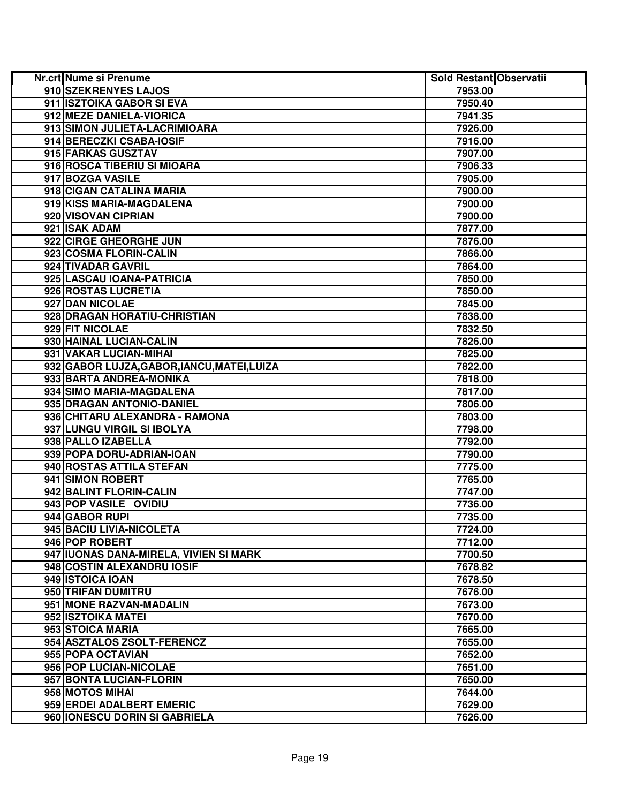| <b>Nr.crt Nume si Prenume</b>               | Sold Restant Observatii |  |
|---------------------------------------------|-------------------------|--|
| 910 SZEKRENYES LAJOS                        | 7953.00                 |  |
| 911 ISZTOIKA GABOR SI EVA                   | 7950.40                 |  |
| 912 MEZE DANIELA-VIORICA                    | 7941.35                 |  |
| 913 SIMON JULIETA-LACRIMIOARA               | 7926.00                 |  |
| 914 BERECZKI CSABA-IOSIF                    | 7916.00                 |  |
| 915 FARKAS GUSZTAV                          | 7907.00                 |  |
| 916 ROSCA TIBERIU SI MIOARA                 | 7906.33                 |  |
| 917 BOZGA VASILE                            | 7905.00                 |  |
| 918 CIGAN CATALINA MARIA                    | 7900.00                 |  |
| 919 KISS MARIA-MAGDALENA                    | 7900.00                 |  |
| 920 VISOVAN CIPRIAN                         | 7900.00                 |  |
| 921 ISAK ADAM                               | 7877.00                 |  |
| 922 CIRGE GHEORGHE JUN                      | 7876.00                 |  |
| 923 COSMA FLORIN-CALIN                      | 7866.00                 |  |
| 924 TIVADAR GAVRIL                          | 7864.00                 |  |
| 925 LASCAU IOANA-PATRICIA                   | 7850.00                 |  |
| 926 ROSTAS LUCRETIA                         | 7850.00                 |  |
| 927 DAN NICOLAE                             | 7845.00                 |  |
| 928 DRAGAN HORATIU-CHRISTIAN                | 7838.00                 |  |
| 929 FIT NICOLAE                             | 7832.50                 |  |
| 930 HAINAL LUCIAN-CALIN                     | 7826.00                 |  |
| 931 VAKAR LUCIAN-MIHAI                      | 7825.00                 |  |
| 932 GABOR LUJZA, GABOR, IANCU, MATEI, LUIZA | 7822.00                 |  |
| 933 BARTA ANDREA-MONIKA                     | 7818.00                 |  |
| 934 SIMO MARIA-MAGDALENA                    | 7817.00                 |  |
| 935 DRAGAN ANTONIO-DANIEL                   | 7806.00                 |  |
| 936 CHITARU ALEXANDRA - RAMONA              | 7803.00                 |  |
| 937 LUNGU VIRGIL SI IBOLYA                  | 7798.00                 |  |
| 938 PALLO IZABELLA                          | 7792.00                 |  |
| 939 POPA DORU-ADRIAN-IOAN                   | 7790.00                 |  |
| 940 ROSTAS ATTILA STEFAN                    | 7775.00                 |  |
| 941 SIMON ROBERT                            | 7765.00                 |  |
| 942 BALINT FLORIN-CALIN                     | 7747.00                 |  |
| 943 POP VASILE OVIDIU                       | 7736.00                 |  |
| 944 GABOR RUPI                              | 7735.00                 |  |
| 945 BACIU LIVIA-NICOLETA                    | 7724.00                 |  |
| 946 POP ROBERT                              | 7712.00                 |  |
| 947 IUONAS DANA-MIRELA, VIVIEN SI MARK      | 7700.50                 |  |
| 948 COSTIN ALEXANDRU IOSIF                  | 7678.82                 |  |
| 949 ISTOICA IOAN                            | 7678.50                 |  |
| 950 TRIFAN DUMITRU                          | 7676.00                 |  |
| 951 MONE RAZVAN-MADALIN                     | 7673.00                 |  |
| 952 ISZTOIKA MATEI                          | 7670.00                 |  |
| 953 STOICA MARIA                            | 7665.00                 |  |
| 954 ASZTALOS ZSOLT-FERENCZ                  | 7655.00                 |  |
| 955 POPA OCTAVIAN                           | 7652.00                 |  |
| 956 POP LUCIAN-NICOLAE                      | 7651.00                 |  |
| 957 BONTA LUCIAN-FLORIN                     | 7650.00                 |  |
| 958 MOTOS MIHAI                             | 7644.00                 |  |
| 959 ERDEI ADALBERT EMERIC                   | 7629.00                 |  |
| 960 IONESCU DORIN SI GABRIELA               | 7626.00                 |  |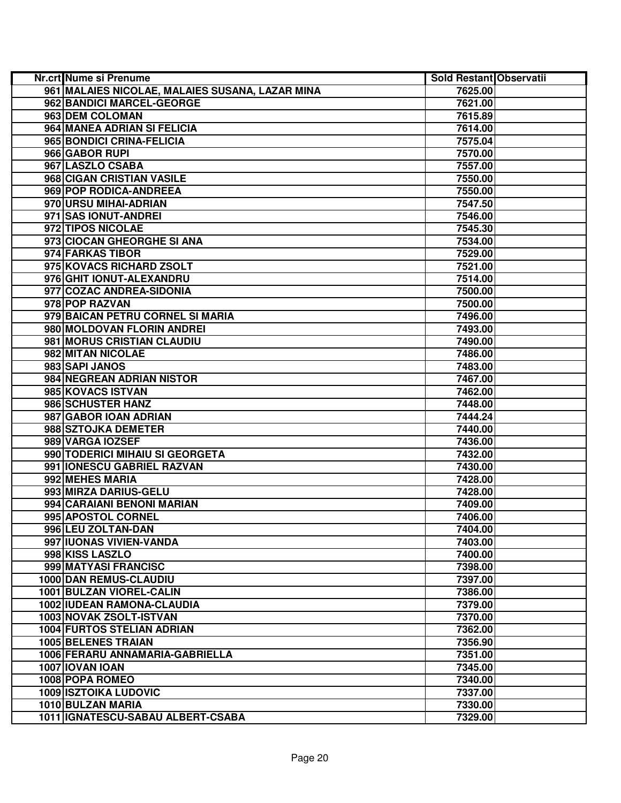| Nr.crt Nume si Prenume                          | Sold Restant Observatii |  |
|-------------------------------------------------|-------------------------|--|
| 961 MALAIES NICOLAE, MALAIES SUSANA, LAZAR MINA | 7625.00                 |  |
| 962 BANDICI MARCEL-GEORGE                       | 7621.00                 |  |
| 963 DEM COLOMAN                                 | 7615.89                 |  |
| 964 MANEA ADRIAN SI FELICIA                     | 7614.00                 |  |
| 965 BONDICI CRINA-FELICIA                       | 7575.04                 |  |
| 966 GABOR RUPI                                  | 7570.00                 |  |
| 967 LASZLO CSABA                                | 7557.00                 |  |
| 968 CIGAN CRISTIAN VASILE                       | 7550.00                 |  |
| 969 POP RODICA-ANDREEA                          | 7550.00                 |  |
| 970 URSU MIHAI-ADRIAN                           | 7547.50                 |  |
| 971 SAS IONUT-ANDREI                            | 7546.00                 |  |
| 972 TIPOS NICOLAE                               | 7545.30                 |  |
| 973 CIOCAN GHEORGHE SI ANA                      | 7534.00                 |  |
| 974 FARKAS TIBOR                                | 7529.00                 |  |
| 975 KOVACS RICHARD ZSOLT                        | 7521.00                 |  |
| 976 GHIT IONUT-ALEXANDRU                        | 7514.00                 |  |
| 977 COZAC ANDREA-SIDONIA                        | 7500.00                 |  |
| 978 POP RAZVAN                                  | 7500.00                 |  |
| 979 BAICAN PETRU CORNEL SI MARIA                | 7496.00                 |  |
| 980 MOLDOVAN FLORIN ANDREI                      | 7493.00                 |  |
| 981 MORUS CRISTIAN CLAUDIU                      | 7490.00                 |  |
| 982 MITAN NICOLAE                               | 7486.00                 |  |
| 983 SAPI JANOS                                  | 7483.00                 |  |
| 984 NEGREAN ADRIAN NISTOR                       | 7467.00                 |  |
| 985 KOVACS ISTVAN                               | 7462.00                 |  |
| 986 SCHUSTER HANZ                               | 7448.00                 |  |
| 987 GABOR IOAN ADRIAN                           | 7444.24                 |  |
| 988 SZTOJKA DEMETER                             | 7440.00                 |  |
| 989 VARGA IOZSEF                                | 7436.00                 |  |
| 990 TODERICI MIHAIU SI GEORGETA                 | 7432.00                 |  |
| 991 IONESCU GABRIEL RAZVAN                      | 7430.00                 |  |
| 992 MEHES MARIA                                 | 7428.00                 |  |
| 993 MIRZA DARIUS-GELU                           | 7428.00                 |  |
| 994 CARAIANI BENONI MARIAN                      | 7409.00                 |  |
| 995 APOSTOL CORNEL                              | 7406.00                 |  |
| 996 LEU ZOLTAN-DAN                              | 7404.00                 |  |
| 997 IUONAS VIVIEN-VANDA                         | 7403.00                 |  |
| 998 KISS LASZLO                                 | 7400.00                 |  |
| 999 MATYASI FRANCISC                            | 7398.00                 |  |
| 1000 DAN REMUS-CLAUDIU                          | 7397.00                 |  |
| 1001 BULZAN VIOREL-CALIN                        | 7386.00                 |  |
| 1002 IUDEAN RAMONA-CLAUDIA                      | 7379.00                 |  |
| 1003 NOVAK ZSOLT-ISTVAN                         | 7370.00                 |  |
| <b>1004 FURTOS STELIAN ADRIAN</b>               | 7362.00                 |  |
| <b>1005 BELENES TRAIAN</b>                      | 7356.90                 |  |
| 1006 FERARU ANNAMARIA-GABRIELLA                 | 7351.00                 |  |
| 1007 IOVAN IOAN                                 | 7345.00                 |  |
| 1008 POPA ROMEO                                 | 7340.00                 |  |
| <b>1009 ISZTOIKA LUDOVIC</b>                    | 7337.00                 |  |
| 1010 BULZAN MARIA                               | 7330.00                 |  |
| 1011   IGNATESCU-SABAU ALBERT-CSABA             | 7329.00                 |  |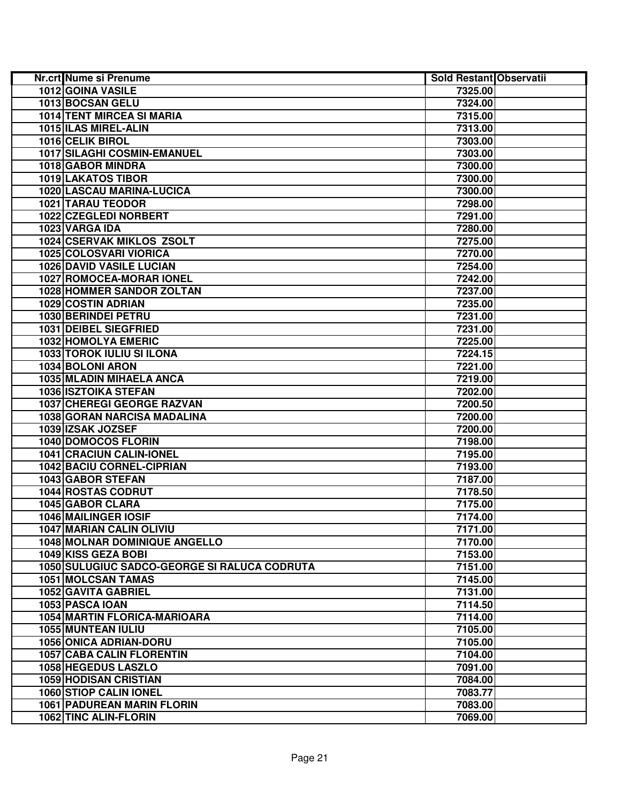| <b>Nr.crt Nume si Prenume</b>                | Sold Restant Observatii |  |
|----------------------------------------------|-------------------------|--|
| 1012 GOINA VASILE                            | 7325.00                 |  |
| 1013 BOCSAN GELU                             | 7324.00                 |  |
| <b>1014 TENT MIRCEA SI MARIA</b>             | 7315.00                 |  |
| 1015 ILAS MIREL-ALIN                         | 7313.00                 |  |
| 1016 CELIK BIROL                             | 7303.00                 |  |
| 1017 SILAGHI COSMIN-EMANUEL                  | 7303.00                 |  |
| 1018 GABOR MINDRA                            | 7300.00                 |  |
| <b>1019 LAKATOS TIBOR</b>                    | 7300.00                 |  |
| 1020 LASCAU MARINA-LUCICA                    | 7300.00                 |  |
| 1021 TARAU TEODOR                            | 7298.00                 |  |
| 1022 CZEGLEDI NORBERT                        | 7291.00                 |  |
| 1023 VARGA IDA                               | 7280.00                 |  |
| 1024 CSERVAK MIKLOS ZSOLT                    | 7275.00                 |  |
| 1025 COLOSVARI VIORICA                       | 7270.00                 |  |
| <b>1026 DAVID VASILE LUCIAN</b>              | 7254.00                 |  |
| 1027 ROMOCEA-MORAR IONEL                     | 7242.00                 |  |
| 1028 HOMMER SANDOR ZOLTAN                    | 7237.00                 |  |
| 1029 COSTIN ADRIAN                           | 7235.00                 |  |
| 1030 BERINDEI PETRU                          | 7231.00                 |  |
| 1031 DEIBEL SIEGFRIED                        | 7231.00                 |  |
| 1032 HOMOLYA EMERIC                          | 7225.00                 |  |
| 1033 TOROK IULIU SI ILONA                    | 7224.15                 |  |
| 1034 BOLONI ARON                             | 7221.00                 |  |
| 1035 MLADIN MIHAELA ANCA                     | 7219.00                 |  |
| <b>1036 ISZTOIKA STEFAN</b>                  | 7202.00                 |  |
| 1037 CHEREGI GEORGE RAZVAN                   | 7200.50                 |  |
| 1038 GORAN NARCISA MADALINA                  | 7200.00                 |  |
| 1039 IZSAK JOZSEF                            | 7200.00                 |  |
| 1040 DOMOCOS FLORIN                          | 7198.00                 |  |
| 1041 CRACIUN CALIN-IONEL                     | 7195.00                 |  |
| <b>1042 BACIU CORNEL-CIPRIAN</b>             | 7193.00                 |  |
| 1043 GABOR STEFAN                            | 7187.00                 |  |
| 1044 ROSTAS CODRUT                           | 7178.50                 |  |
| 1045 GABOR CLARA                             | 7175.00                 |  |
| 1046 MAILINGER IOSIF                         | 7174.00                 |  |
| <b>1047 MARIAN CALIN OLIVIU</b>              | 7171.00                 |  |
| <b>1048 MOLNAR DOMINIQUE ANGELLO</b>         | 7170.00                 |  |
| 1049 KISS GEZA BOBI                          | 7153.00                 |  |
| 1050 SULUGIUC SADCO-GEORGE SI RALUCA CODRUTA | 7151.00                 |  |
| <b>1051 MOLCSAN TAMAS</b>                    | 7145.00                 |  |
| 1052 GAVITA GABRIEL                          | 7131.00                 |  |
| 1053 PASCA IOAN                              | 7114.50                 |  |
| 1054 MARTIN FLORICA-MARIOARA                 | 7114.00                 |  |
| 1055 MUNTEAN IULIU                           | 7105.00                 |  |
| 1056 ONICA ADRIAN-DORU                       | 7105.00                 |  |
| <b>1057 CABA CALIN FLORENTIN</b>             | 7104.00                 |  |
| 1058 HEGEDUS LASZLO                          | 7091.00                 |  |
| <b>1059 HODISAN CRISTIAN</b>                 | 7084.00                 |  |
| 1060 STIOP CALIN IONEL                       | 7083.77                 |  |
| <b>1061 PADUREAN MARIN FLORIN</b>            | 7083.00                 |  |
| 1062 TINC ALIN-FLORIN                        | 7069.00                 |  |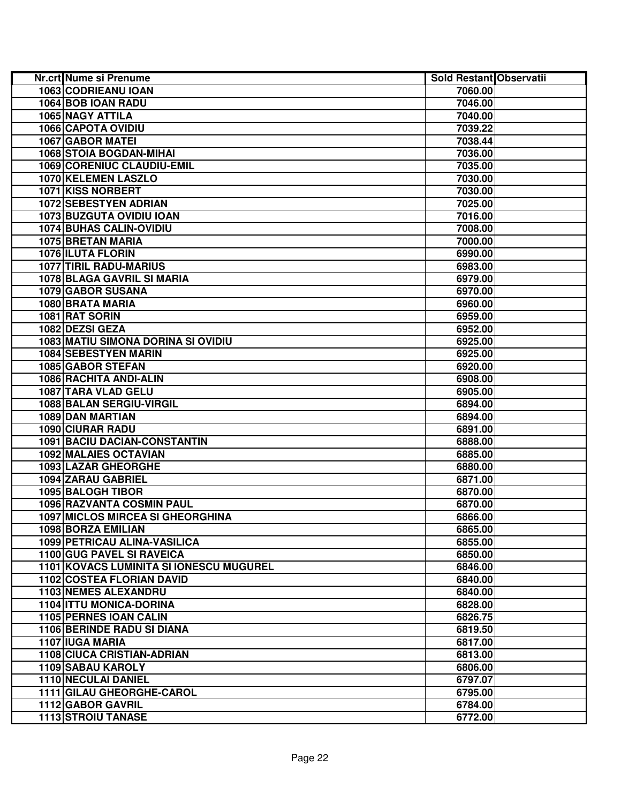| <b>Nr.crt Nume si Prenume</b>           | Sold Restant Observatii |  |
|-----------------------------------------|-------------------------|--|
| 1063 CODRIEANU IOAN                     | 7060.00                 |  |
| 1064 BOB IOAN RADU                      | 7046.00                 |  |
| 1065 NAGY ATTILA                        | 7040.00                 |  |
| 1066 CAPOTA OVIDIU                      | 7039.22                 |  |
| 1067 GABOR MATEI                        | 7038.44                 |  |
| 1068 STOIA BOGDAN-MIHAI                 | 7036.00                 |  |
| 1069 CORENIUC CLAUDIU-EMIL              | 7035.00                 |  |
| 1070 KELEMEN LASZLO                     | 7030.00                 |  |
| <b>1071 KISS NORBERT</b>                | 7030.00                 |  |
| 1072 SEBESTYEN ADRIAN                   | 7025.00                 |  |
| <b>1073 BUZGUTA OVIDIU IOAN</b>         | 7016.00                 |  |
| 1074 BUHAS CALIN-OVIDIU                 | 7008.00                 |  |
| 1075 BRETAN MARIA                       | 7000.00                 |  |
| 1076 ILUTA FLORIN                       | 6990.00                 |  |
| 1077 TIRIL RADU-MARIUS                  | 6983.00                 |  |
| 1078 BLAGA GAVRIL SI MARIA              | 6979.00                 |  |
| 1079 GABOR SUSANA                       | 6970.00                 |  |
| 1080 BRATA MARIA                        | 6960.00                 |  |
| 1081 RAT SORIN                          | 6959.00                 |  |
| 1082 DEZSI GEZA                         | 6952.00                 |  |
| 1083 MATIU SIMONA DORINA SI OVIDIU      | 6925.00                 |  |
| 1084 SEBESTYEN MARIN                    | 6925.00                 |  |
| 1085 GABOR STEFAN                       | 6920.00                 |  |
| 1086 RACHITA ANDI-ALIN                  | 6908.00                 |  |
| 1087 TARA VLAD GELU                     | 6905.00                 |  |
| 1088 BALAN SERGIU-VIRGIL                | 6894.00                 |  |
| 1089 DAN MARTIAN                        | 6894.00                 |  |
| <b>1090 CIURAR RADU</b>                 | 6891.00                 |  |
| 1091 BACIU DACIAN-CONSTANTIN            | 6888.00                 |  |
| 1092 MALAIES OCTAVIAN                   | 6885.00                 |  |
| 1093 LAZAR GHEORGHE                     | 6880.00                 |  |
| 1094 ZARAU GABRIEL                      | 6871.00                 |  |
| 1095 BALOGH TIBOR                       | 6870.00                 |  |
| 1096 RAZVANTA COSMIN PAUL               | 6870.00                 |  |
| <b>1097 MICLOS MIRCEA SI GHEORGHINA</b> | 6866.00                 |  |
| 1098 BORZA EMILIAN                      | 6865.00                 |  |
| 1099 PETRICAU ALINA-VASILICA            | 6855.00                 |  |
| 1100 GUG PAVEL SI RAVEICA               | 6850.00                 |  |
| 1101 KOVACS LUMINITA SI IONESCU MUGUREL | 6846.00                 |  |
| <b>1102 COSTEA FLORIAN DAVID</b>        | 6840.00                 |  |
| 1103 NEMES ALEXANDRU                    | 6840.00                 |  |
| 1104 ITTU MONICA-DORINA                 | 6828.00                 |  |
| 1105 PERNES IOAN CALIN                  | 6826.75                 |  |
| <b>1106 BERINDE RADU SI DIANA</b>       | 6819.50                 |  |
| 1107 IUGA MARIA                         | 6817.00                 |  |
| <b>1108 CIUCA CRISTIAN-ADRIAN</b>       | 6813.00                 |  |
| <b>1109 SABAU KAROLY</b>                | 6806.00                 |  |
| <b>1110 NECULAI DANIEL</b>              | 6797.07                 |  |
| 1111 GILAU GHEORGHE-CAROL               | 6795.00                 |  |
| 1112 GABOR GAVRIL                       | 6784.00                 |  |
| <b>1113 STROIU TANASE</b>               | 6772.00                 |  |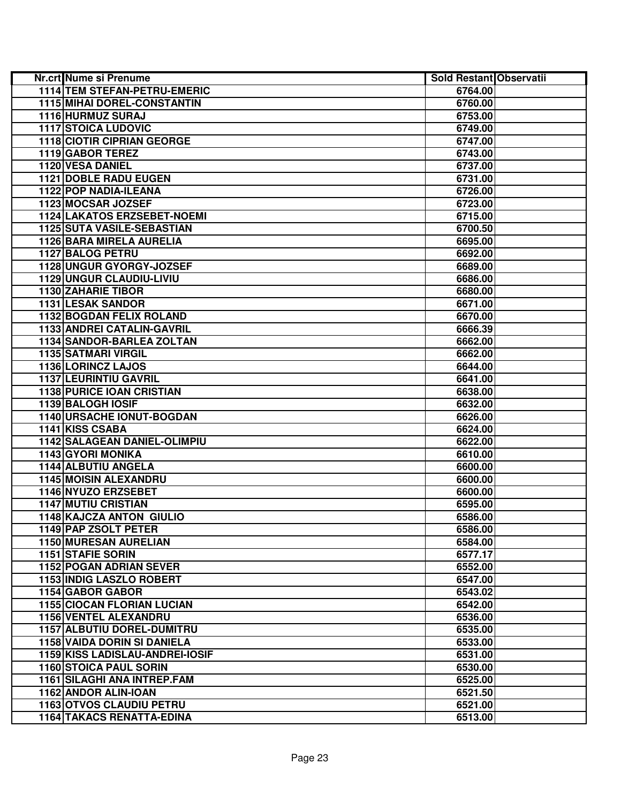| Nr.crt Nume si Prenume             | Sold Restant Observatii |  |
|------------------------------------|-------------------------|--|
| 1114 TEM STEFAN-PETRU-EMERIC       | 6764.00                 |  |
| <b>1115 MIHAI DOREL-CONSTANTIN</b> | 6760.00                 |  |
| 1116 HURMUZ SURAJ                  | 6753.00                 |  |
| <b>1117 STOICA LUDOVIC</b>         | 6749.00                 |  |
| <b>1118 CIOTIR CIPRIAN GEORGE</b>  | 6747.00                 |  |
| 1119 GABOR TEREZ                   | 6743.00                 |  |
| 1120 VESA DANIEL                   | 6737.00                 |  |
| 1121 DOBLE RADU EUGEN              | 6731.00                 |  |
| <b>1122 POP NADIA-ILEANA</b>       | 6726.00                 |  |
| 1123 MOCSAR JOZSEF                 | 6723.00                 |  |
| 1124 LAKATOS ERZSEBET-NOEMI        | 6715.00                 |  |
| 1125 SUTA VASILE-SEBASTIAN         | 6700.50                 |  |
| 1126 BARA MIRELA AURELIA           | 6695.00                 |  |
| 1127 BALOG PETRU                   | 6692.00                 |  |
| 1128 UNGUR GYORGY-JOZSEF           | 6689.00                 |  |
| 1129 UNGUR CLAUDIU-LIVIU           | 6686.00                 |  |
| <b>1130 ZAHARIE TIBOR</b>          | 6680.00                 |  |
| 1131 LESAK SANDOR                  | 6671.00                 |  |
| <b>1132 BOGDAN FELIX ROLAND</b>    | 6670.00                 |  |
| 1133 ANDREI CATALIN-GAVRIL         | 6666.39                 |  |
| 1134 SANDOR-BARLEA ZOLTAN          | 6662.00                 |  |
| <b>1135 SATMARI VIRGIL</b>         | 6662.00                 |  |
| 1136 LORINCZ LAJOS                 | 6644.00                 |  |
| <b>1137 LEURINTIU GAVRIL</b>       | 6641.00                 |  |
| <b>1138 PURICE IOAN CRISTIAN</b>   | 6638.00                 |  |
| 1139 BALOGH IOSIF                  | 6632.00                 |  |
| <b>1140 URSACHE IONUT-BOGDAN</b>   | 6626.00                 |  |
| 1141 KISS CSABA                    | 6624.00                 |  |
| 1142 SALAGEAN DANIEL-OLIMPIU       | 6622.00                 |  |
| 1143 GYORI MONIKA                  | 6610.00                 |  |
| <b>1144 ALBUTIU ANGELA</b>         | 6600.00                 |  |
| <b>1145 MOISIN ALEXANDRU</b>       | 6600.00                 |  |
| 1146 NYUZO ERZSEBET                | 6600.00                 |  |
| <b>1147 MUTIU CRISTIAN</b>         | 6595.00                 |  |
| 1148 KAJCZA ANTON GIULIO           | 6586.00                 |  |
| 1149 PAP ZSOLT PETER               | 6586.00                 |  |
| <b>1150 MURESAN AURELIAN</b>       | 6584.00                 |  |
| 1151 STAFIE SORIN                  | 6577.17                 |  |
| <b>1152 POGAN ADRIAN SEVER</b>     | 6552.00                 |  |
| 1153 INDIG LASZLO ROBERT           | 6547.00                 |  |
| 1154 GABOR GABOR                   | 6543.02                 |  |
| <b>1155 CIOCAN FLORIAN LUCIAN</b>  | 6542.00                 |  |
| <b>1156 VENTEL ALEXANDRU</b>       | 6536.00                 |  |
| 1157 ALBUTIU DOREL-DUMITRU         | 6535.00                 |  |
| 1158 VAIDA DORIN SI DANIELA        | 6533.00                 |  |
| 1159 KISS LADISLAU-ANDREI-IOSIF    | 6531.00                 |  |
| <b>1160 STOICA PAUL SORIN</b>      | 6530.00                 |  |
| 1161 SILAGHI ANA INTREP.FAM        | 6525.00                 |  |
| 1162 ANDOR ALIN-IOAN               | 6521.50                 |  |
| <b>1163 OTVOS CLAUDIU PETRU</b>    | 6521.00                 |  |
| <b>1164 TAKACS RENATTA-EDINA</b>   | 6513.00                 |  |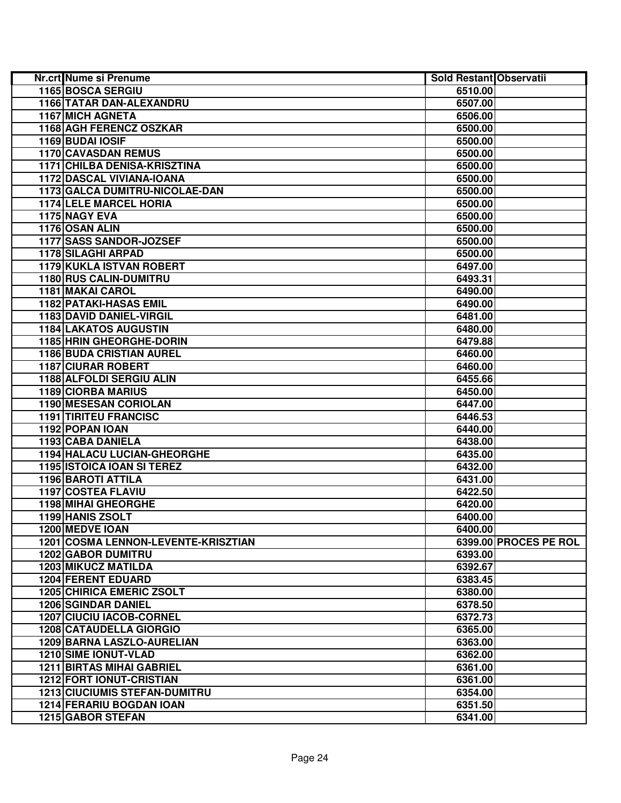| <b>Nr.crt</b> Nume si Prenume              | Sold Restant Observatii |                       |
|--------------------------------------------|-------------------------|-----------------------|
| 1165 BOSCA SERGIU                          | 6510.00                 |                       |
| 1166 TATAR DAN-ALEXANDRU                   | 6507.00                 |                       |
| <b>1167 MICH AGNETA</b>                    | 6506.00                 |                       |
| 1168 AGH FERENCZ OSZKAR                    | 6500.00                 |                       |
| 1169 BUDAI IOSIF                           | 6500.00                 |                       |
| 1170 CAVASDAN REMUS                        | 6500.00                 |                       |
| 1171 CHILBA DENISA-KRISZTINA               | 6500.00                 |                       |
| 1172 DASCAL VIVIANA-IOANA                  | 6500.00                 |                       |
| 1173 GALCA DUMITRU-NICOLAE-DAN             | 6500.00                 |                       |
| <b>1174 LELE MARCEL HORIA</b>              | 6500.00                 |                       |
| 1175 NAGY EVA                              | 6500.00                 |                       |
| 1176 OSAN ALIN                             | 6500.00                 |                       |
| 1177 SASS SANDOR-JOZSEF                    | 6500.00                 |                       |
| <b>1178 SILAGHI ARPAD</b>                  | 6500.00                 |                       |
| 1179 KUKLA ISTVAN ROBERT                   | 6497.00                 |                       |
| 1180 RUS CALIN-DUMITRU                     | 6493.31                 |                       |
| 1181 MAKAI CAROL                           | 6490.00                 |                       |
| <b>1182 PATAKI-HASAS EMIL</b>              | 6490.00                 |                       |
| 1183 DAVID DANIEL-VIRGIL                   | 6481.00                 |                       |
| <b>1184 LAKATOS AUGUSTIN</b>               | 6480.00                 |                       |
| <b>1185 HRIN GHEORGHE-DORIN</b>            | 6479.88                 |                       |
| <b>1186 BUDA CRISTIAN AUREL</b>            | 6460.00                 |                       |
| <b>1187 CIURAR ROBERT</b>                  | 6460.00                 |                       |
| 1188 ALFOLDI SERGIU ALIN                   | 6455.66                 |                       |
| <b>1189 CIORBA MARIUS</b>                  | 6450.00                 |                       |
| <b>1190 MESESAN CORIOLAN</b>               | 6447.00                 |                       |
| <b>1191 TIRITEU FRANCISC</b>               | 6446.53                 |                       |
| 1192 POPAN IOAN                            | 6440.00                 |                       |
| 1193 CABA DANIELA                          | 6438.00                 |                       |
| 1194 HALACU LUCIAN-GHEORGHE                | 6435.00                 |                       |
| <b>1195 ISTOICA IOAN SI TEREZ</b>          | 6432.00                 |                       |
| 1196 BAROTI ATTILA                         | 6431.00                 |                       |
| 1197 COSTEA FLAVIU                         | 6422.50                 |                       |
| 1198 MIHAI GHEORGHE                        | 6420.00                 |                       |
| 1199 HANIS ZSOLT                           | 6400.00                 |                       |
| 1200 MEDVE IOAN                            | 6400.00                 |                       |
| <b>1201 COSMA LENNON-LEVENTE-KRISZTIAN</b> |                         | 6399.00 PROCES PE ROL |
| <b>1202 GABOR DUMITRU</b>                  | 6393.00                 |                       |
| <b>1203 MIKUCZ MATILDA</b>                 | 6392.67                 |                       |
| <b>1204 FERENT EDUARD</b>                  | 6383.45                 |                       |
| <b>1205 CHIRICA EMERIC ZSOLT</b>           | 6380.00                 |                       |
| <b>1206 SGINDAR DANIEL</b>                 | 6378.50                 |                       |
| <b>1207 CIUCIU IACOB-CORNEL</b>            | 6372.73                 |                       |
| <b>1208 CATAUDELLA GIORGIO</b>             | 6365.00                 |                       |
| 1209 BARNA LASZLO-AURELIAN                 | 6363.00                 |                       |
| <b>1210 SIME IONUT-VLAD</b>                | 6362.00                 |                       |
| <b>1211 BIRTAS MIHAI GABRIEL</b>           | 6361.00                 |                       |
| <b>1212 FORT IONUT-CRISTIAN</b>            | 6361.00                 |                       |
| <b>1213 CIUCIUMIS STEFAN-DUMITRU</b>       | 6354.00                 |                       |
| 1214 FERARIU BOGDAN IOAN                   | 6351.50                 |                       |
| 1215 GABOR STEFAN                          | 6341.00                 |                       |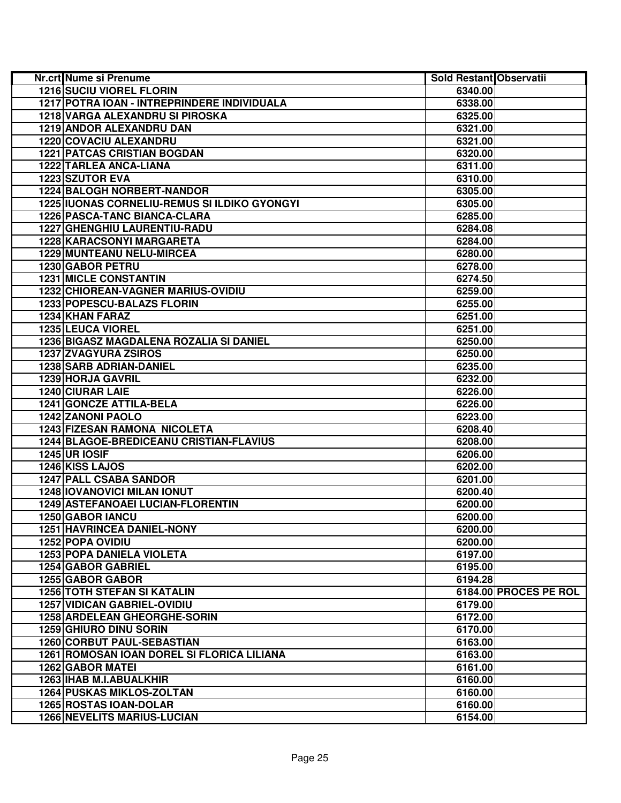| Nr.crt Nume si Prenume                       | Sold Restant Observatii |                       |
|----------------------------------------------|-------------------------|-----------------------|
| <b>1216 SUCIU VIOREL FLORIN</b>              | 6340.00                 |                       |
| 1217 POTRA IOAN - INTREPRINDERE INDIVIDUALA  | 6338.00                 |                       |
| 1218 VARGA ALEXANDRU SI PIROSKA              | 6325.00                 |                       |
| 1219 ANDOR ALEXANDRU DAN                     | 6321.00                 |                       |
| 1220 COVACIU ALEXANDRU                       | 6321.00                 |                       |
| <b>1221 PATCAS CRISTIAN BOGDAN</b>           | 6320.00                 |                       |
| 1222 TARLEA ANCA-LIANA                       | 6311.00                 |                       |
| 1223 SZUTOR EVA                              | 6310.00                 |                       |
| 1224 BALOGH NORBERT-NANDOR                   | 6305.00                 |                       |
| 1225 IUONAS CORNELIU-REMUS SI ILDIKO GYONGYI | 6305.00                 |                       |
| 1226 PASCA-TANC BIANCA-CLARA                 | 6285.00                 |                       |
| 1227 GHENGHIU LAURENTIU-RADU                 | 6284.08                 |                       |
| 1228 KARACSONYI MARGARETA                    | 6284.00                 |                       |
| 1229 MUNTEANU NELU-MIRCEA                    | 6280.00                 |                       |
| 1230 GABOR PETRU                             | 6278.00                 |                       |
| <b>1231 MICLE CONSTANTIN</b>                 | 6274.50                 |                       |
| <b>1232 CHIOREAN-VAGNER MARIUS-OVIDIU</b>    | 6259.00                 |                       |
| 1233 POPESCU-BALAZS FLORIN                   | 6255.00                 |                       |
| 1234 KHAN FARAZ                              | 6251.00                 |                       |
| 1235 LEUCA VIOREL                            | 6251.00                 |                       |
| 1236 BIGASZ MAGDALENA ROZALIA SI DANIEL      | 6250.00                 |                       |
| <b>1237 ZVAGYURA ZSIROS</b>                  | 6250.00                 |                       |
| <b>1238 SARB ADRIAN-DANIEL</b>               | 6235.00                 |                       |
| 1239 HORJA GAVRIL                            | 6232.00                 |                       |
| <b>1240 CIURAR LAIE</b>                      | 6226.00                 |                       |
| 1241 GONCZE ATTILA-BELA                      | 6226.00                 |                       |
| 1242 ZANONI PAOLO                            | 6223.00                 |                       |
| <b>1243 FIZESAN RAMONA NICOLETA</b>          | 6208.40                 |                       |
| 1244 BLAGOE-BREDICEANU CRISTIAN-FLAVIUS      | 6208.00                 |                       |
| <b>1245 UR IOSIF</b>                         | 6206.00                 |                       |
| 1246 KISS LAJOS                              | 6202.00                 |                       |
| <b>1247 PALL CSABA SANDOR</b>                | 6201.00                 |                       |
| 1248 IOVANOVICI MILAN IONUT                  | 6200.40                 |                       |
| 1249 ASTEFANOAEI LUCIAN-FLORENTIN            | 6200.00                 |                       |
| 1250 GABOR IANCU                             | 6200.00                 |                       |
| <b>1251 HAVRINCEA DANIEL-NONY</b>            | 6200.00                 |                       |
| <b>1252 POPA OVIDIU</b>                      | 6200.00                 |                       |
| <b>1253 POPA DANIELA VIOLETA</b>             | 6197.00                 |                       |
| 1254 GABOR GABRIEL                           | 6195.00                 |                       |
| 1255 GABOR GABOR                             | 6194.28                 |                       |
| <b>1256 TOTH STEFAN SI KATALIN</b>           |                         | 6184.00 PROCES PE ROL |
| <b>1257 VIDICAN GABRIEL-OVIDIU</b>           | 6179.00                 |                       |
| 1258 ARDELEAN GHEORGHE-SORIN                 | 6172.00                 |                       |
| 1259 GHIURO DINU SORIN                       | 6170.00                 |                       |
| 1260 CORBUT PAUL-SEBASTIAN                   | 6163.00                 |                       |
| 1261 ROMOSAN IOAN DOREL SI FLORICA LILIANA   | 6163.00                 |                       |
| <b>1262 GABOR MATEI</b>                      | 6161.00                 |                       |
| 1263 IHAB M.I.ABUALKHIR                      | 6160.00                 |                       |
| <b>1264 PUSKAS MIKLOS-ZOLTAN</b>             | 6160.00                 |                       |
| 1265 ROSTAS IOAN-DOLAR                       | 6160.00                 |                       |
| <b>1266 NEVELITS MARIUS-LUCIAN</b>           | 6154.00                 |                       |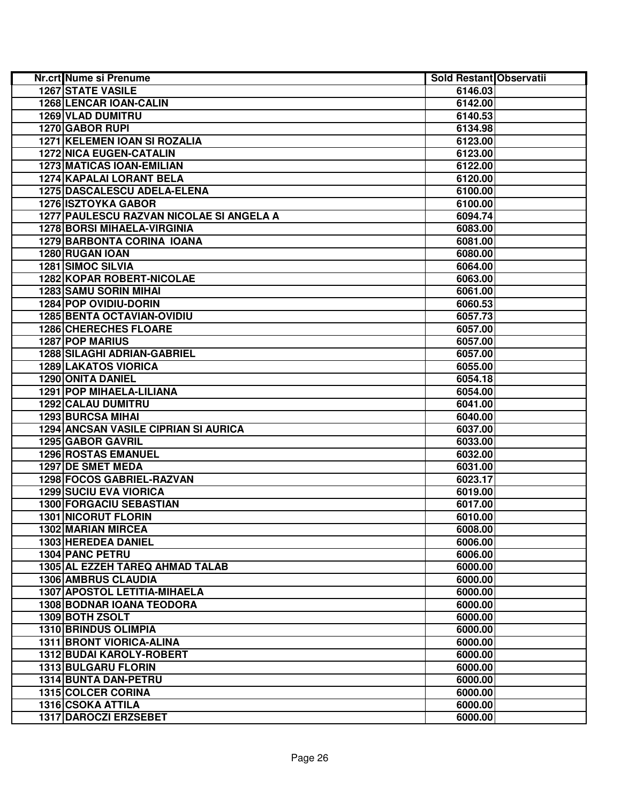| <b>Nr.crt Nume si Prenume</b>            | Sold Restant Observatii |  |
|------------------------------------------|-------------------------|--|
| <b>1267 STATE VASILE</b>                 | 6146.03                 |  |
| <b>1268 LENCAR IOAN-CALIN</b>            | 6142.00                 |  |
| 1269 VLAD DUMITRU                        | 6140.53                 |  |
| 1270 GABOR RUPI                          | 6134.98                 |  |
| 1271 KELEMEN IOAN SI ROZALIA             | 6123.00                 |  |
| <b>1272 NICA EUGEN-CATALIN</b>           | 6123.00                 |  |
| <b>1273 MATICAS IOAN-EMILIAN</b>         | 6122.00                 |  |
| 1274 KAPALAI LORANT BELA                 | 6120.00                 |  |
| 1275 DASCALESCU ADELA-ELENA              | 6100.00                 |  |
| 1276 ISZTOYKA GABOR                      | 6100.00                 |  |
| 1277 PAULESCU RAZVAN NICOLAE SI ANGELA A | 6094.74                 |  |
| 1278 BORSI MIHAELA-VIRGINIA              | 6083.00                 |  |
| 1279 BARBONTA CORINA IOANA               | 6081.00                 |  |
| 1280 RUGAN IOAN                          | 6080.00                 |  |
| 1281 SIMOC SILVIA                        | 6064.00                 |  |
| 1282 KOPAR ROBERT-NICOLAE                | 6063.00                 |  |
| <b>1283 SAMU SORIN MIHAI</b>             | 6061.00                 |  |
| 1284 POP OVIDIU-DORIN                    | 6060.53                 |  |
| <b>1285 BENTA OCTAVIAN-OVIDIU</b>        | 6057.73                 |  |
| <b>1286 CHERECHES FLOARE</b>             | 6057.00                 |  |
| <b>1287 POP MARIUS</b>                   | 6057.00                 |  |
| <b>1288 SILAGHI ADRIAN-GABRIEL</b>       | 6057.00                 |  |
| <b>1289 LAKATOS VIORICA</b>              | 6055.00                 |  |
| <b>1290 ONITA DANIEL</b>                 | 6054.18                 |  |
| <b>1291 POP MIHAELA-LILIANA</b>          | 6054.00                 |  |
| <b>1292 CALAU DUMITRU</b>                | 6041.00                 |  |
| <b>1293 BURCSA MIHAI</b>                 | 6040.00                 |  |
| 1294 ANCSAN VASILE CIPRIAN SI AURICA     | 6037.00                 |  |
| 1295 GABOR GAVRIL                        | 6033.00                 |  |
| <b>1296 ROSTAS EMANUEL</b>               | 6032.00                 |  |
| 1297 DE SMET MEDA                        | 6031.00                 |  |
| <b>1298 FOCOS GABRIEL-RAZVAN</b>         | 6023.17                 |  |
| <b>1299 SUCIU EVA VIORICA</b>            | 6019.00                 |  |
| 1300 FORGACIU SEBASTIAN                  | 6017.00                 |  |
| <b>1301 NICORUT FLORIN</b>               | 6010.00                 |  |
| <b>1302 MARIAN MIRCEA</b>                | 6008.00                 |  |
| 1303 HEREDEA DANIEL                      | 6006.00                 |  |
| 1304 PANC PETRU                          | 6006.00                 |  |
| 1305 AL EZZEH TAREQ AHMAD TALAB          | 6000.00                 |  |
| <b>1306 AMBRUS CLAUDIA</b>               | 6000.00                 |  |
| <b>1307 APOSTOL LETITIA-MIHAELA</b>      | 6000.00                 |  |
| <b>1308 BODNAR IOANA TEODORA</b>         | 6000.00                 |  |
| 1309 BOTH ZSOLT                          | 6000.00                 |  |
| 1310 BRINDUS OLIMPIA                     | 6000.00                 |  |
| <b>1311 BRONT VIORICA-ALINA</b>          | 6000.00                 |  |
| 1312 BUDAI KAROLY-ROBERT                 | 6000.00                 |  |
| <b>1313 BULGARU FLORIN</b>               | 6000.00                 |  |
| 1314 BUNTA DAN-PETRU                     | 6000.00                 |  |
| <b>1315 COLCER CORINA</b>                | 6000.00                 |  |
| <b>1316 CSOKA ATTILA</b>                 | 6000.00                 |  |
| 1317 DAROCZI ERZSEBET                    | 6000.00                 |  |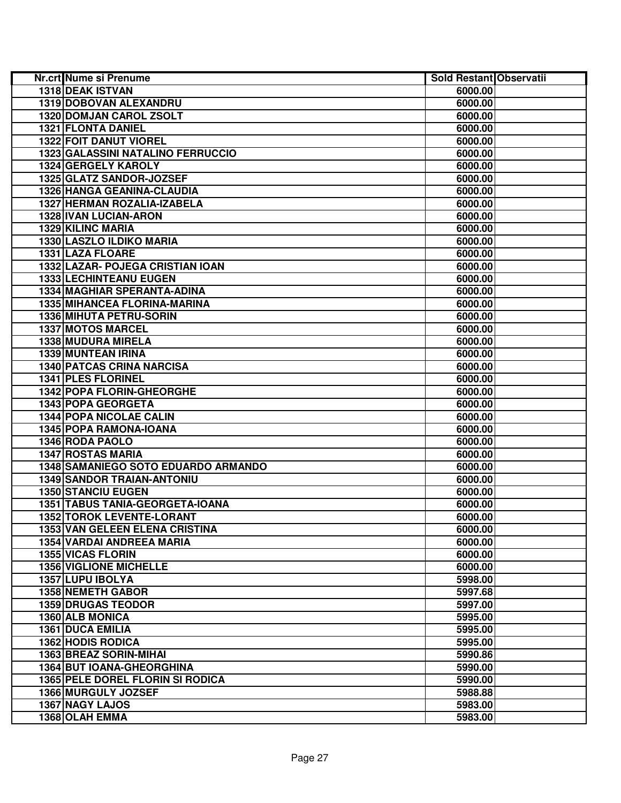| 1318 DEAK ISTVAN<br>6000.00<br>1319 DOBOVAN ALEXANDRU<br>6000.00<br>1320 DOMJAN CAROL ZSOLT<br>6000.00<br>1321 FLONTA DANIEL<br>6000.00<br><b>1322 FOIT DANUT VIOREL</b><br>6000.00<br><b>1323 GALASSINI NATALINO FERRUCCIO</b><br>6000.00<br>1324 GERGELY KAROLY<br>6000.00<br>1325 GLATZ SANDOR-JOZSEF<br>6000.00<br>1326 HANGA GEANINA-CLAUDIA<br>6000.00<br>1327 HERMAN ROZALIA-IZABELA<br>6000.00<br>1328 IVAN LUCIAN-ARON<br>6000.00<br>1329 KILINC MARIA<br>6000.00<br>1330 LASZLO ILDIKO MARIA<br>6000.00<br>1331 LAZA FLOARE<br>6000.00<br>1332 LAZAR- POJEGA CRISTIAN IOAN<br>6000.00<br>1333 LECHINTEANU EUGEN<br>6000.00<br>1334 MAGHIAR SPERANTA-ADINA<br>6000.00<br>1335 MIHANCEA FLORINA-MARINA<br>6000.00<br>1336 MIHUTA PETRU-SORIN<br>6000.00<br><b>1337 MOTOS MARCEL</b><br>6000.00<br>1338 MUDURA MIRELA<br>6000.00<br><b>1339 MUNTEAN IRINA</b><br>6000.00<br><b>1340 PATCAS CRINA NARCISA</b><br>6000.00<br><b>1341 PLES FLORINEL</b><br>6000.00<br><b>1342 POPA FLORIN-GHEORGHE</b><br>6000.00<br>1343 POPA GEORGETA<br>6000.00<br>1344 POPA NICOLAE CALIN<br>6000.00<br>1345 POPA RAMONA-IOANA<br>6000.00<br>1346 RODA PAOLO<br>6000.00<br><b>1347 ROSTAS MARIA</b><br>6000.00<br>1348 SAMANIEGO SOTO EDUARDO ARMANDO<br>6000.00<br><b>1349 SANDOR TRAIAN-ANTONIU</b><br>6000.00<br><b>1350 STANCIU EUGEN</b><br>6000.00<br>1351 TABUS TANIA-GEORGETA-IOANA<br>6000.00<br>1352 TOROK LEVENTE-LORANT<br>6000.00<br><b>1353 VAN GELEEN ELENA CRISTINA</b><br>6000.00<br>6000.00<br>1354 VARDAI ANDREEA MARIA<br>1355 VICAS FLORIN<br>6000.00<br><b>1356 VIGLIONE MICHELLE</b><br>6000.00<br>1357 LUPU IBOLYA<br>5998.00<br><b>1358 NEMETH GABOR</b><br>5997.68<br><b>1359 DRUGAS TEODOR</b><br>5997.00<br>1360 ALB MONICA<br>5995.00<br>1361 DUCA EMILIA<br>5995.00<br><b>1362 HODIS RODICA</b><br>5995.00<br>1363 BREAZ SORIN-MIHAI<br>5990.86<br><b>1364 BUT IOANA-GHEORGHINA</b><br>5990.00<br><b>1365 PELE DOREL FLORIN SI RODICA</b><br>5990.00<br>1366 MURGULY JOZSEF<br>5988.88<br>1367 NAGY LAJOS<br>5983.00<br>1368 OLAH EMMA<br>5983.00 | <b>Nr.crt Nume si Prenume</b> | Sold Restant Observatii |  |
|-------------------------------------------------------------------------------------------------------------------------------------------------------------------------------------------------------------------------------------------------------------------------------------------------------------------------------------------------------------------------------------------------------------------------------------------------------------------------------------------------------------------------------------------------------------------------------------------------------------------------------------------------------------------------------------------------------------------------------------------------------------------------------------------------------------------------------------------------------------------------------------------------------------------------------------------------------------------------------------------------------------------------------------------------------------------------------------------------------------------------------------------------------------------------------------------------------------------------------------------------------------------------------------------------------------------------------------------------------------------------------------------------------------------------------------------------------------------------------------------------------------------------------------------------------------------------------------------------------------------------------------------------------------------------------------------------------------------------------------------------------------------------------------------------------------------------------------------------------------------------------------------------------------------------------------------------------------------------------------------------------------------------------------------------------------------------|-------------------------------|-------------------------|--|
|                                                                                                                                                                                                                                                                                                                                                                                                                                                                                                                                                                                                                                                                                                                                                                                                                                                                                                                                                                                                                                                                                                                                                                                                                                                                                                                                                                                                                                                                                                                                                                                                                                                                                                                                                                                                                                                                                                                                                                                                                                                                         |                               |                         |  |
|                                                                                                                                                                                                                                                                                                                                                                                                                                                                                                                                                                                                                                                                                                                                                                                                                                                                                                                                                                                                                                                                                                                                                                                                                                                                                                                                                                                                                                                                                                                                                                                                                                                                                                                                                                                                                                                                                                                                                                                                                                                                         |                               |                         |  |
|                                                                                                                                                                                                                                                                                                                                                                                                                                                                                                                                                                                                                                                                                                                                                                                                                                                                                                                                                                                                                                                                                                                                                                                                                                                                                                                                                                                                                                                                                                                                                                                                                                                                                                                                                                                                                                                                                                                                                                                                                                                                         |                               |                         |  |
|                                                                                                                                                                                                                                                                                                                                                                                                                                                                                                                                                                                                                                                                                                                                                                                                                                                                                                                                                                                                                                                                                                                                                                                                                                                                                                                                                                                                                                                                                                                                                                                                                                                                                                                                                                                                                                                                                                                                                                                                                                                                         |                               |                         |  |
|                                                                                                                                                                                                                                                                                                                                                                                                                                                                                                                                                                                                                                                                                                                                                                                                                                                                                                                                                                                                                                                                                                                                                                                                                                                                                                                                                                                                                                                                                                                                                                                                                                                                                                                                                                                                                                                                                                                                                                                                                                                                         |                               |                         |  |
|                                                                                                                                                                                                                                                                                                                                                                                                                                                                                                                                                                                                                                                                                                                                                                                                                                                                                                                                                                                                                                                                                                                                                                                                                                                                                                                                                                                                                                                                                                                                                                                                                                                                                                                                                                                                                                                                                                                                                                                                                                                                         |                               |                         |  |
|                                                                                                                                                                                                                                                                                                                                                                                                                                                                                                                                                                                                                                                                                                                                                                                                                                                                                                                                                                                                                                                                                                                                                                                                                                                                                                                                                                                                                                                                                                                                                                                                                                                                                                                                                                                                                                                                                                                                                                                                                                                                         |                               |                         |  |
|                                                                                                                                                                                                                                                                                                                                                                                                                                                                                                                                                                                                                                                                                                                                                                                                                                                                                                                                                                                                                                                                                                                                                                                                                                                                                                                                                                                                                                                                                                                                                                                                                                                                                                                                                                                                                                                                                                                                                                                                                                                                         |                               |                         |  |
|                                                                                                                                                                                                                                                                                                                                                                                                                                                                                                                                                                                                                                                                                                                                                                                                                                                                                                                                                                                                                                                                                                                                                                                                                                                                                                                                                                                                                                                                                                                                                                                                                                                                                                                                                                                                                                                                                                                                                                                                                                                                         |                               |                         |  |
|                                                                                                                                                                                                                                                                                                                                                                                                                                                                                                                                                                                                                                                                                                                                                                                                                                                                                                                                                                                                                                                                                                                                                                                                                                                                                                                                                                                                                                                                                                                                                                                                                                                                                                                                                                                                                                                                                                                                                                                                                                                                         |                               |                         |  |
|                                                                                                                                                                                                                                                                                                                                                                                                                                                                                                                                                                                                                                                                                                                                                                                                                                                                                                                                                                                                                                                                                                                                                                                                                                                                                                                                                                                                                                                                                                                                                                                                                                                                                                                                                                                                                                                                                                                                                                                                                                                                         |                               |                         |  |
|                                                                                                                                                                                                                                                                                                                                                                                                                                                                                                                                                                                                                                                                                                                                                                                                                                                                                                                                                                                                                                                                                                                                                                                                                                                                                                                                                                                                                                                                                                                                                                                                                                                                                                                                                                                                                                                                                                                                                                                                                                                                         |                               |                         |  |
|                                                                                                                                                                                                                                                                                                                                                                                                                                                                                                                                                                                                                                                                                                                                                                                                                                                                                                                                                                                                                                                                                                                                                                                                                                                                                                                                                                                                                                                                                                                                                                                                                                                                                                                                                                                                                                                                                                                                                                                                                                                                         |                               |                         |  |
|                                                                                                                                                                                                                                                                                                                                                                                                                                                                                                                                                                                                                                                                                                                                                                                                                                                                                                                                                                                                                                                                                                                                                                                                                                                                                                                                                                                                                                                                                                                                                                                                                                                                                                                                                                                                                                                                                                                                                                                                                                                                         |                               |                         |  |
|                                                                                                                                                                                                                                                                                                                                                                                                                                                                                                                                                                                                                                                                                                                                                                                                                                                                                                                                                                                                                                                                                                                                                                                                                                                                                                                                                                                                                                                                                                                                                                                                                                                                                                                                                                                                                                                                                                                                                                                                                                                                         |                               |                         |  |
|                                                                                                                                                                                                                                                                                                                                                                                                                                                                                                                                                                                                                                                                                                                                                                                                                                                                                                                                                                                                                                                                                                                                                                                                                                                                                                                                                                                                                                                                                                                                                                                                                                                                                                                                                                                                                                                                                                                                                                                                                                                                         |                               |                         |  |
|                                                                                                                                                                                                                                                                                                                                                                                                                                                                                                                                                                                                                                                                                                                                                                                                                                                                                                                                                                                                                                                                                                                                                                                                                                                                                                                                                                                                                                                                                                                                                                                                                                                                                                                                                                                                                                                                                                                                                                                                                                                                         |                               |                         |  |
|                                                                                                                                                                                                                                                                                                                                                                                                                                                                                                                                                                                                                                                                                                                                                                                                                                                                                                                                                                                                                                                                                                                                                                                                                                                                                                                                                                                                                                                                                                                                                                                                                                                                                                                                                                                                                                                                                                                                                                                                                                                                         |                               |                         |  |
|                                                                                                                                                                                                                                                                                                                                                                                                                                                                                                                                                                                                                                                                                                                                                                                                                                                                                                                                                                                                                                                                                                                                                                                                                                                                                                                                                                                                                                                                                                                                                                                                                                                                                                                                                                                                                                                                                                                                                                                                                                                                         |                               |                         |  |
|                                                                                                                                                                                                                                                                                                                                                                                                                                                                                                                                                                                                                                                                                                                                                                                                                                                                                                                                                                                                                                                                                                                                                                                                                                                                                                                                                                                                                                                                                                                                                                                                                                                                                                                                                                                                                                                                                                                                                                                                                                                                         |                               |                         |  |
|                                                                                                                                                                                                                                                                                                                                                                                                                                                                                                                                                                                                                                                                                                                                                                                                                                                                                                                                                                                                                                                                                                                                                                                                                                                                                                                                                                                                                                                                                                                                                                                                                                                                                                                                                                                                                                                                                                                                                                                                                                                                         |                               |                         |  |
|                                                                                                                                                                                                                                                                                                                                                                                                                                                                                                                                                                                                                                                                                                                                                                                                                                                                                                                                                                                                                                                                                                                                                                                                                                                                                                                                                                                                                                                                                                                                                                                                                                                                                                                                                                                                                                                                                                                                                                                                                                                                         |                               |                         |  |
|                                                                                                                                                                                                                                                                                                                                                                                                                                                                                                                                                                                                                                                                                                                                                                                                                                                                                                                                                                                                                                                                                                                                                                                                                                                                                                                                                                                                                                                                                                                                                                                                                                                                                                                                                                                                                                                                                                                                                                                                                                                                         |                               |                         |  |
|                                                                                                                                                                                                                                                                                                                                                                                                                                                                                                                                                                                                                                                                                                                                                                                                                                                                                                                                                                                                                                                                                                                                                                                                                                                                                                                                                                                                                                                                                                                                                                                                                                                                                                                                                                                                                                                                                                                                                                                                                                                                         |                               |                         |  |
|                                                                                                                                                                                                                                                                                                                                                                                                                                                                                                                                                                                                                                                                                                                                                                                                                                                                                                                                                                                                                                                                                                                                                                                                                                                                                                                                                                                                                                                                                                                                                                                                                                                                                                                                                                                                                                                                                                                                                                                                                                                                         |                               |                         |  |
|                                                                                                                                                                                                                                                                                                                                                                                                                                                                                                                                                                                                                                                                                                                                                                                                                                                                                                                                                                                                                                                                                                                                                                                                                                                                                                                                                                                                                                                                                                                                                                                                                                                                                                                                                                                                                                                                                                                                                                                                                                                                         |                               |                         |  |
|                                                                                                                                                                                                                                                                                                                                                                                                                                                                                                                                                                                                                                                                                                                                                                                                                                                                                                                                                                                                                                                                                                                                                                                                                                                                                                                                                                                                                                                                                                                                                                                                                                                                                                                                                                                                                                                                                                                                                                                                                                                                         |                               |                         |  |
|                                                                                                                                                                                                                                                                                                                                                                                                                                                                                                                                                                                                                                                                                                                                                                                                                                                                                                                                                                                                                                                                                                                                                                                                                                                                                                                                                                                                                                                                                                                                                                                                                                                                                                                                                                                                                                                                                                                                                                                                                                                                         |                               |                         |  |
|                                                                                                                                                                                                                                                                                                                                                                                                                                                                                                                                                                                                                                                                                                                                                                                                                                                                                                                                                                                                                                                                                                                                                                                                                                                                                                                                                                                                                                                                                                                                                                                                                                                                                                                                                                                                                                                                                                                                                                                                                                                                         |                               |                         |  |
|                                                                                                                                                                                                                                                                                                                                                                                                                                                                                                                                                                                                                                                                                                                                                                                                                                                                                                                                                                                                                                                                                                                                                                                                                                                                                                                                                                                                                                                                                                                                                                                                                                                                                                                                                                                                                                                                                                                                                                                                                                                                         |                               |                         |  |
|                                                                                                                                                                                                                                                                                                                                                                                                                                                                                                                                                                                                                                                                                                                                                                                                                                                                                                                                                                                                                                                                                                                                                                                                                                                                                                                                                                                                                                                                                                                                                                                                                                                                                                                                                                                                                                                                                                                                                                                                                                                                         |                               |                         |  |
|                                                                                                                                                                                                                                                                                                                                                                                                                                                                                                                                                                                                                                                                                                                                                                                                                                                                                                                                                                                                                                                                                                                                                                                                                                                                                                                                                                                                                                                                                                                                                                                                                                                                                                                                                                                                                                                                                                                                                                                                                                                                         |                               |                         |  |
|                                                                                                                                                                                                                                                                                                                                                                                                                                                                                                                                                                                                                                                                                                                                                                                                                                                                                                                                                                                                                                                                                                                                                                                                                                                                                                                                                                                                                                                                                                                                                                                                                                                                                                                                                                                                                                                                                                                                                                                                                                                                         |                               |                         |  |
|                                                                                                                                                                                                                                                                                                                                                                                                                                                                                                                                                                                                                                                                                                                                                                                                                                                                                                                                                                                                                                                                                                                                                                                                                                                                                                                                                                                                                                                                                                                                                                                                                                                                                                                                                                                                                                                                                                                                                                                                                                                                         |                               |                         |  |
|                                                                                                                                                                                                                                                                                                                                                                                                                                                                                                                                                                                                                                                                                                                                                                                                                                                                                                                                                                                                                                                                                                                                                                                                                                                                                                                                                                                                                                                                                                                                                                                                                                                                                                                                                                                                                                                                                                                                                                                                                                                                         |                               |                         |  |
|                                                                                                                                                                                                                                                                                                                                                                                                                                                                                                                                                                                                                                                                                                                                                                                                                                                                                                                                                                                                                                                                                                                                                                                                                                                                                                                                                                                                                                                                                                                                                                                                                                                                                                                                                                                                                                                                                                                                                                                                                                                                         |                               |                         |  |
|                                                                                                                                                                                                                                                                                                                                                                                                                                                                                                                                                                                                                                                                                                                                                                                                                                                                                                                                                                                                                                                                                                                                                                                                                                                                                                                                                                                                                                                                                                                                                                                                                                                                                                                                                                                                                                                                                                                                                                                                                                                                         |                               |                         |  |
|                                                                                                                                                                                                                                                                                                                                                                                                                                                                                                                                                                                                                                                                                                                                                                                                                                                                                                                                                                                                                                                                                                                                                                                                                                                                                                                                                                                                                                                                                                                                                                                                                                                                                                                                                                                                                                                                                                                                                                                                                                                                         |                               |                         |  |
|                                                                                                                                                                                                                                                                                                                                                                                                                                                                                                                                                                                                                                                                                                                                                                                                                                                                                                                                                                                                                                                                                                                                                                                                                                                                                                                                                                                                                                                                                                                                                                                                                                                                                                                                                                                                                                                                                                                                                                                                                                                                         |                               |                         |  |
|                                                                                                                                                                                                                                                                                                                                                                                                                                                                                                                                                                                                                                                                                                                                                                                                                                                                                                                                                                                                                                                                                                                                                                                                                                                                                                                                                                                                                                                                                                                                                                                                                                                                                                                                                                                                                                                                                                                                                                                                                                                                         |                               |                         |  |
|                                                                                                                                                                                                                                                                                                                                                                                                                                                                                                                                                                                                                                                                                                                                                                                                                                                                                                                                                                                                                                                                                                                                                                                                                                                                                                                                                                                                                                                                                                                                                                                                                                                                                                                                                                                                                                                                                                                                                                                                                                                                         |                               |                         |  |
|                                                                                                                                                                                                                                                                                                                                                                                                                                                                                                                                                                                                                                                                                                                                                                                                                                                                                                                                                                                                                                                                                                                                                                                                                                                                                                                                                                                                                                                                                                                                                                                                                                                                                                                                                                                                                                                                                                                                                                                                                                                                         |                               |                         |  |
|                                                                                                                                                                                                                                                                                                                                                                                                                                                                                                                                                                                                                                                                                                                                                                                                                                                                                                                                                                                                                                                                                                                                                                                                                                                                                                                                                                                                                                                                                                                                                                                                                                                                                                                                                                                                                                                                                                                                                                                                                                                                         |                               |                         |  |
|                                                                                                                                                                                                                                                                                                                                                                                                                                                                                                                                                                                                                                                                                                                                                                                                                                                                                                                                                                                                                                                                                                                                                                                                                                                                                                                                                                                                                                                                                                                                                                                                                                                                                                                                                                                                                                                                                                                                                                                                                                                                         |                               |                         |  |
|                                                                                                                                                                                                                                                                                                                                                                                                                                                                                                                                                                                                                                                                                                                                                                                                                                                                                                                                                                                                                                                                                                                                                                                                                                                                                                                                                                                                                                                                                                                                                                                                                                                                                                                                                                                                                                                                                                                                                                                                                                                                         |                               |                         |  |
|                                                                                                                                                                                                                                                                                                                                                                                                                                                                                                                                                                                                                                                                                                                                                                                                                                                                                                                                                                                                                                                                                                                                                                                                                                                                                                                                                                                                                                                                                                                                                                                                                                                                                                                                                                                                                                                                                                                                                                                                                                                                         |                               |                         |  |
|                                                                                                                                                                                                                                                                                                                                                                                                                                                                                                                                                                                                                                                                                                                                                                                                                                                                                                                                                                                                                                                                                                                                                                                                                                                                                                                                                                                                                                                                                                                                                                                                                                                                                                                                                                                                                                                                                                                                                                                                                                                                         |                               |                         |  |
|                                                                                                                                                                                                                                                                                                                                                                                                                                                                                                                                                                                                                                                                                                                                                                                                                                                                                                                                                                                                                                                                                                                                                                                                                                                                                                                                                                                                                                                                                                                                                                                                                                                                                                                                                                                                                                                                                                                                                                                                                                                                         |                               |                         |  |
|                                                                                                                                                                                                                                                                                                                                                                                                                                                                                                                                                                                                                                                                                                                                                                                                                                                                                                                                                                                                                                                                                                                                                                                                                                                                                                                                                                                                                                                                                                                                                                                                                                                                                                                                                                                                                                                                                                                                                                                                                                                                         |                               |                         |  |
|                                                                                                                                                                                                                                                                                                                                                                                                                                                                                                                                                                                                                                                                                                                                                                                                                                                                                                                                                                                                                                                                                                                                                                                                                                                                                                                                                                                                                                                                                                                                                                                                                                                                                                                                                                                                                                                                                                                                                                                                                                                                         |                               |                         |  |
|                                                                                                                                                                                                                                                                                                                                                                                                                                                                                                                                                                                                                                                                                                                                                                                                                                                                                                                                                                                                                                                                                                                                                                                                                                                                                                                                                                                                                                                                                                                                                                                                                                                                                                                                                                                                                                                                                                                                                                                                                                                                         |                               |                         |  |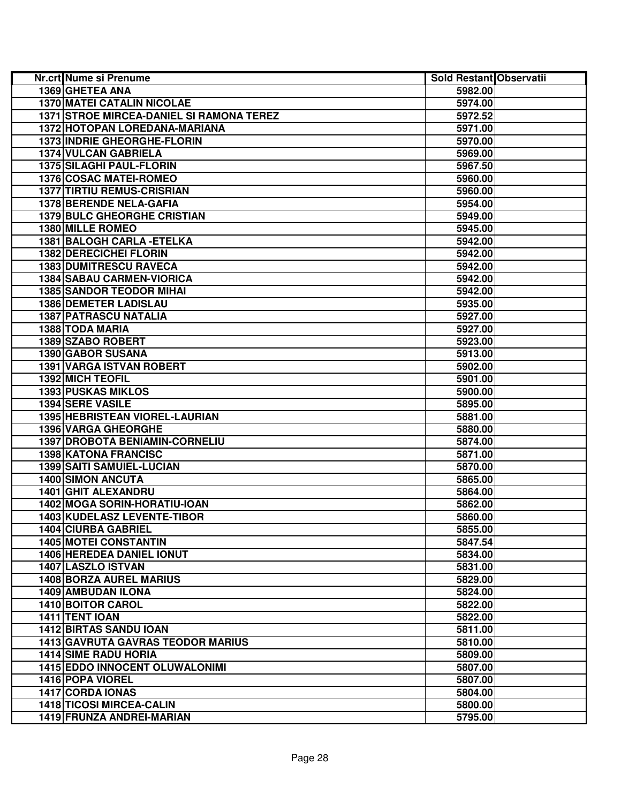| Nr.crt Nume si Prenume                   | Sold Restant Observatii |  |
|------------------------------------------|-------------------------|--|
| 1369 GHETEA ANA                          | 5982.00                 |  |
| <b>1370 MATEI CATALIN NICOLAE</b>        | 5974.00                 |  |
| 1371 STROE MIRCEA-DANIEL SI RAMONA TEREZ | 5972.52                 |  |
| 1372 HOTOPAN LOREDANA-MARIANA            | 5971.00                 |  |
| 1373 INDRIE GHEORGHE-FLORIN              | 5970.00                 |  |
| 1374 VULCAN GABRIELA                     | 5969.00                 |  |
| 1375 SILAGHI PAUL-FLORIN                 | 5967.50                 |  |
| <b>1376 COSAC MATEI-ROMEO</b>            | 5960.00                 |  |
| <b>1377 TIRTIU REMUS-CRISRIAN</b>        | 5960.00                 |  |
| 1378 BERENDE NELA-GAFIA                  | 5954.00                 |  |
| <b>1379 BULC GHEORGHE CRISTIAN</b>       | 5949.00                 |  |
| 1380 MILLE ROMEO                         | 5945.00                 |  |
| 1381 BALOGH CARLA - ETELKA               | 5942.00                 |  |
| 1382 DERECICHEI FLORIN                   | 5942.00                 |  |
| <b>1383 DUMITRESCU RAVECA</b>            | 5942.00                 |  |
| 1384 SABAU CARMEN-VIORICA                | 5942.00                 |  |
| <b>1385 SANDOR TEODOR MIHAI</b>          | 5942.00                 |  |
| 1386 DEMETER LADISLAU                    | 5935.00                 |  |
| <b>1387 PATRASCU NATALIA</b>             | 5927.00                 |  |
| 1388 TODA MARIA                          | 5927.00                 |  |
| 1389 SZABO ROBERT                        | 5923.00                 |  |
| 1390 GABOR SUSANA                        | 5913.00                 |  |
| 1391 VARGA ISTVAN ROBERT                 | 5902.00                 |  |
| 1392 MICH TEOFIL                         | 5901.00                 |  |
| <b>1393 PUSKAS MIKLOS</b>                | 5900.00                 |  |
| <b>1394 SERE VASILE</b>                  | 5895.00                 |  |
| <b>1395 HEBRISTEAN VIOREL-LAURIAN</b>    | 5881.00                 |  |
| 1396 VARGA GHEORGHE                      | 5880.00                 |  |
| 1397 DROBOTA BENIAMIN-CORNELIU           | 5874.00                 |  |
| 1398 KATONA FRANCISC                     | 5871.00                 |  |
| 1399 SAITI SAMUIEL-LUCIAN                | 5870.00                 |  |
| <b>1400 SIMON ANCUTA</b>                 | 5865.00                 |  |
| <b>1401 GHIT ALEXANDRU</b>               | 5864.00                 |  |
| 1402 MOGA SORIN-HORATIU-IOAN             | 5862.00                 |  |
| 1403 KUDELASZ LEVENTE-TIBOR              | 5860.00                 |  |
| 1404 CIURBA GABRIEL                      | 5855.00                 |  |
| <b>1405 MOTEL CONSTANTIN</b>             | 5847.54                 |  |
| 1406 HEREDEA DANIEL IONUT                | 5834.00                 |  |
| 1407 LASZLO ISTVAN                       | 5831.00                 |  |
| <b>1408 BORZA AUREL MARIUS</b>           | 5829.00                 |  |
| <b>1409 AMBUDAN ILONA</b>                | 5824.00                 |  |
| 1410 BOITOR CAROL                        | 5822.00                 |  |
| 1411 TENT IOAN                           | 5822.00                 |  |
| <b>1412 BIRTAS SANDU IOAN</b>            | 5811.00                 |  |
| <b>1413 GAVRUTA GAVRAS TEODOR MARIUS</b> | 5810.00                 |  |
| <b>1414 SIME RADU HORIA</b>              | 5809.00                 |  |
| <b>1415 EDDO INNOCENT OLUWALONIMI</b>    | 5807.00                 |  |
| 1416 POPA VIOREL                         | 5807.00                 |  |
| <b>1417 CORDA IONAS</b>                  | 5804.00                 |  |
| <b>1418 TICOSI MIRCEA-CALIN</b>          | 5800.00                 |  |
| <b>1419 FRUNZA ANDREI-MARIAN</b>         | 5795.00                 |  |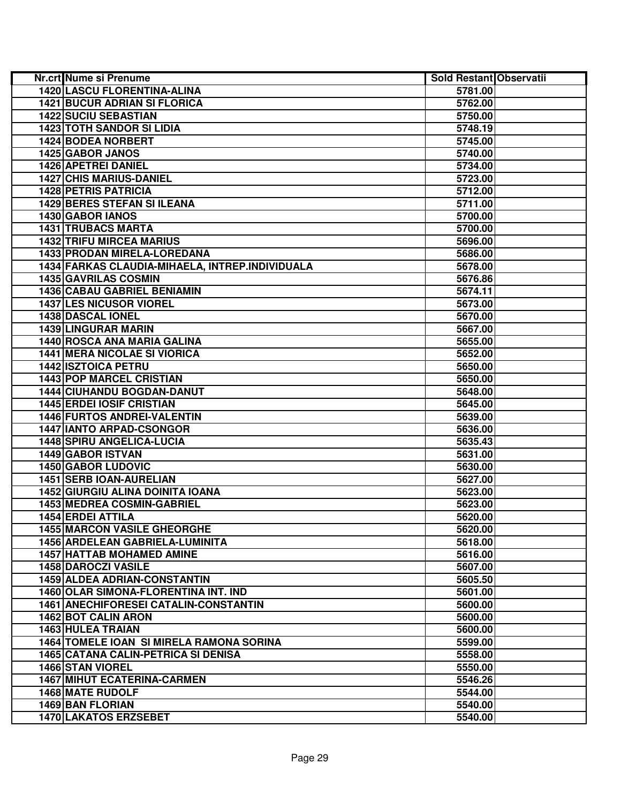| <b>Nr.crt Nume si Prenume</b>                   | Sold Restant Observatii |  |
|-------------------------------------------------|-------------------------|--|
| <b>1420 LASCU FLORENTINA-ALINA</b>              | 5781.00                 |  |
| <b>1421 BUCUR ADRIAN SI FLORICA</b>             | 5762.00                 |  |
| <b>1422 SUCIU SEBASTIAN</b>                     | 5750.00                 |  |
| <b>1423 TOTH SANDOR SI LIDIA</b>                | 5748.19                 |  |
| 1424 BODEA NORBERT                              | 5745.00                 |  |
| 1425 GABOR JANOS                                | 5740.00                 |  |
| 1426 APETREI DANIEL                             | 5734.00                 |  |
| <b>1427 CHIS MARIUS-DANIEL</b>                  | 5723.00                 |  |
| <b>1428 PETRIS PATRICIA</b>                     | 5712.00                 |  |
| <b>1429 BERES STEFAN SI ILEANA</b>              | 5711.00                 |  |
| 1430 GABOR IANOS                                | 5700.00                 |  |
| <b>1431 TRUBACS MARTA</b>                       | 5700.00                 |  |
| <b>1432 TRIFU MIRCEA MARIUS</b>                 | 5696.00                 |  |
| <b>1433 PRODAN MIRELA-LOREDANA</b>              | 5686.00                 |  |
| 1434 FARKAS CLAUDIA-MIHAELA, INTREP.INDIVIDUALA | 5678.00                 |  |
| 1435 GAVRILAS COSMIN                            | 5676.86                 |  |
| 1436 CABAU GABRIEL BENIAMIN                     | 5674.11                 |  |
| <b>1437 LES NICUSOR VIOREL</b>                  | 5673.00                 |  |
| 1438 DASCAL IONEL                               | 5670.00                 |  |
| <b>1439 LINGURAR MARIN</b>                      | 5667.00                 |  |
| 1440 ROSCA ANA MARIA GALINA                     | 5655.00                 |  |
| <b>1441 MERA NICOLAE SI VIORICA</b>             | 5652.00                 |  |
| <b>1442 ISZTOICA PETRU</b>                      | 5650.00                 |  |
| <b>1443 POP MARCEL CRISTIAN</b>                 | 5650.00                 |  |
| 1444 CIUHANDU BOGDAN-DANUT                      | 5648.00                 |  |
| <b>1445 ERDEI IOSIF CRISTIAN</b>                | 5645.00                 |  |
| 1446 FURTOS ANDREI-VALENTIN                     | 5639.00                 |  |
| <b>1447 IANTO ARPAD-CSONGOR</b>                 | 5636.00                 |  |
| 1448 SPIRU ANGELICA-LUCIA                       | 5635.43                 |  |
| 1449 GABOR ISTVAN                               | 5631.00                 |  |
| <b>1450 GABOR LUDOVIC</b>                       | 5630.00                 |  |
| 1451 SERB IOAN-AURELIAN                         | 5627.00                 |  |
| 1452 GIURGIU ALINA DOINITA IOANA                | 5623.00                 |  |
| 1453 MEDREA COSMIN-GABRIEL                      | 5623.00                 |  |
| <b>1454 ERDEI ATTILA</b>                        | 5620.00                 |  |
| <b>1455 MARCON VASILE GHEORGHE</b>              | 5620.00                 |  |
| 1456 ARDELEAN GABRIELA-LUMINITA                 | 5618.00                 |  |
| <b>1457 HATTAB MOHAMED AMINE</b>                | 5616.00                 |  |
| <b>1458 DAROCZI VASILE</b>                      | 5607.00                 |  |
| 1459 ALDEA ADRIAN-CONSTANTIN                    | 5605.50                 |  |
| 1460 OLAR SIMONA-FLORENTINA INT. IND            | 5601.00                 |  |
| <b>1461 ANECHIFORESEI CATALIN-CONSTANTIN</b>    | 5600.00                 |  |
| <b>1462 BOT CALIN ARON</b>                      | 5600.00                 |  |
| <b>1463 HULEA TRAIAN</b>                        | 5600.00                 |  |
| 1464 TOMELE IOAN SI MIRELA RAMONA SORINA        | 5599.00                 |  |
| <b>1465 CATANA CALIN-PETRICA SI DENISA</b>      | 5558.00                 |  |
| <b>1466 STAN VIOREL</b>                         | 5550.00                 |  |
| <b>1467 MIHUT ECATERINA-CARMEN</b>              | 5546.26                 |  |
| <b>1468 MATE RUDOLF</b>                         | 5544.00                 |  |
| <b>1469 BAN FLORIAN</b>                         | 5540.00                 |  |
| 1470 LAKATOS ERZSEBET                           | 5540.00                 |  |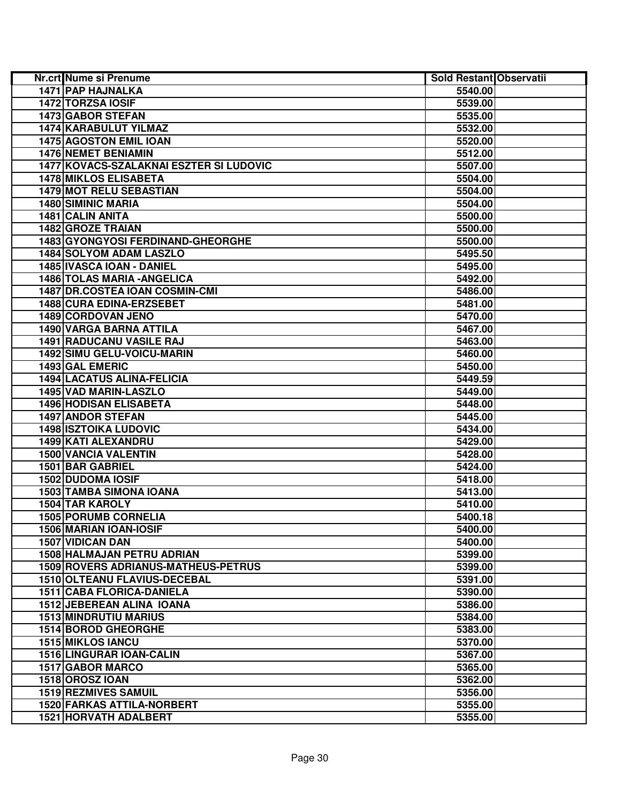| Nr.crt Nume si Prenume                  | Sold Restant Observatii |  |
|-----------------------------------------|-------------------------|--|
| 1471 PAP HAJNALKA                       | 5540.00                 |  |
| 1472 TORZSA IOSIF                       | 5539.00                 |  |
| 1473 GABOR STEFAN                       | 5535.00                 |  |
| 1474 KARABULUT YILMAZ                   | 5532.00                 |  |
| <b>1475 AGOSTON EMIL IOAN</b>           | 5520.00                 |  |
| <b>1476 NEMET BENIAMIN</b>              | 5512.00                 |  |
| 1477 KOVACS-SZALAKNAI ESZTER SI LUDOVIC | 5507.00                 |  |
| <b>1478 MIKLOS ELISABETA</b>            | 5504.00                 |  |
| 1479 MOT RELU SEBASTIAN                 | 5504.00                 |  |
| <b>1480 SIMINIC MARIA</b>               | 5504.00                 |  |
| 1481 CALIN ANITA                        | 5500.00                 |  |
| 1482 GROZE TRAIAN                       | 5500.00                 |  |
| 1483 GYONGYOSI FERDINAND-GHEORGHE       | 5500.00                 |  |
| <b>1484 SOLYOM ADAM LASZLO</b>          | 5495.50                 |  |
| 1485 IVASCA IOAN - DANIEL               | 5495.00                 |  |
| 1486 TOLAS MARIA - ANGELICA             | 5492.00                 |  |
| 1487 DR.COSTEA IOAN COSMIN-CMI          | 5486.00                 |  |
| 1488 CURA EDINA-ERZSEBET                | 5481.00                 |  |
| 1489 CORDOVAN JENO                      | 5470.00                 |  |
| 1490 VARGA BARNA ATTILA                 | 5467.00                 |  |
| 1491 RADUCANU VASILE RAJ                | 5463.00                 |  |
| 1492 SIMU GELU-VOICU-MARIN              | 5460.00                 |  |
| 1493 GAL EMERIC                         | 5450.00                 |  |
| <b>1494 LACATUS ALINA-FELICIA</b>       | 5449.59                 |  |
| 1495 VAD MARIN-LASZLO                   | 5449.00                 |  |
| <b>1496 HODISAN ELISABETA</b>           | 5448.00                 |  |
| <b>1497 ANDOR STEFAN</b>                | 5445.00                 |  |
| <b>1498 ISZTOIKA LUDOVIC</b>            | 5434.00                 |  |
| 1499 KATI ALEXANDRU                     | 5429.00                 |  |
| <b>1500 VANCIA VALENTIN</b>             | 5428.00                 |  |
| 1501 BAR GABRIEL                        | 5424.00                 |  |
| 1502 DUDOMA IOSIF                       | 5418.00                 |  |
| 1503 TAMBA SIMONA IOANA                 | 5413.00                 |  |
| 1504 TAR KAROLY                         | 5410.00                 |  |
| <b>1505 PORUMB CORNELIA</b>             | 5400.18                 |  |
| 1506 MARIAN IOAN-IOSIF                  | 5400.00                 |  |
| 1507 VIDICAN DAN                        | 5400.00                 |  |
| 1508 HALMAJAN PETRU ADRIAN              | 5399.00                 |  |
| 1509 ROVERS ADRIANUS-MATHEUS-PETRUS     | 5399.00                 |  |
| 1510 OLTEANU FLAVIUS-DECEBAL            | 5391.00                 |  |
| 1511 CABA FLORICA-DANIELA               | 5390.00                 |  |
| 1512 JEBEREAN ALINA IOANA               | 5386.00                 |  |
| <b>1513 MINDRUTIU MARIUS</b>            | 5384.00                 |  |
| <b>1514 BOROD GHEORGHE</b>              | 5383.00                 |  |
| <b>1515 MIKLOS IANCU</b>                | 5370.00                 |  |
| 1516 LINGURAR IOAN-CALIN                | 5367.00                 |  |
| 1517 GABOR MARCO                        | 5365.00                 |  |
| 1518 OROSZ IOAN                         | 5362.00                 |  |
| <b>1519 REZMIVES SAMUIL</b>             | 5356.00                 |  |
| <b>1520 FARKAS ATTILA-NORBERT</b>       | 5355.00                 |  |
| <b>1521 HORVATH ADALBERT</b>            | 5355.00                 |  |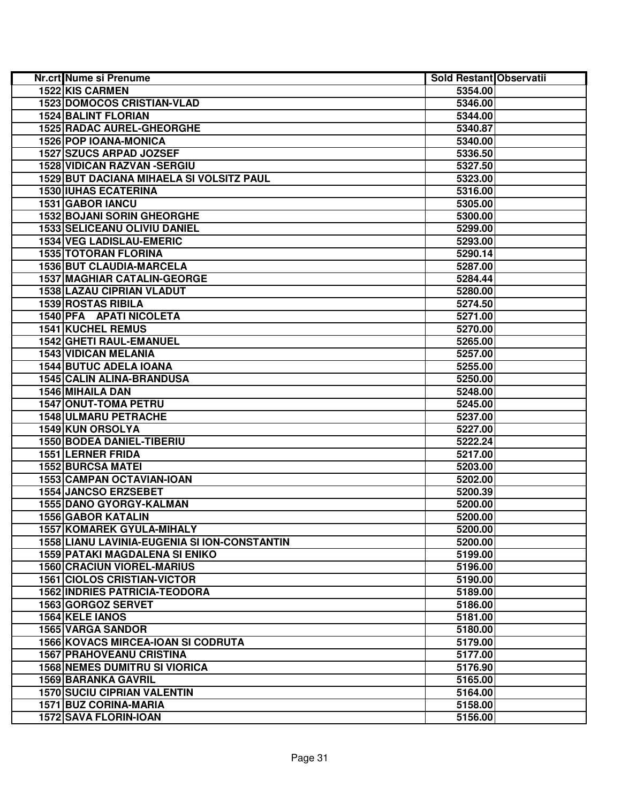| 1522 KIS CARMEN<br>5354.00<br><b>1523 DOMOCOS CRISTIAN-VLAD</b><br>5346.00<br><b>1524 BALINT FLORIAN</b><br>5344.00<br><b>1525 RADAC AUREL-GHEORGHE</b><br>5340.87<br>1526 POP IOANA-MONICA<br>5340.00<br>1527 SZUCS ARPAD JOZSEF<br>5336.50<br>1528 VIDICAN RAZVAN - SERGIU<br>5327.50<br>1529 BUT DACIANA MIHAELA SI VOLSITZ PAUL<br>5323.00<br><b>1530 IUHAS ECATERINA</b><br>5316.00<br>1531 GABOR IANCU<br>5305.00<br><b>1532 BOJANI SORIN GHEORGHE</b><br>5300.00<br>1533 SELICEANU OLIVIU DANIEL<br>5299.00<br><b>1534 VEG LADISLAU-EMERIC</b><br>5293.00<br><b>1535 TOTORAN FLORINA</b><br>5290.14<br>1536 BUT CLAUDIA-MARCELA<br>5287.00<br><b>1537 MAGHIAR CATALIN-GEORGE</b><br>5284.44<br>1538 LAZAU CIPRIAN VLADUT<br>5280.00<br>1539 ROSTAS RIBILA<br>5274.50<br>1540 PFA APATI NICOLETA<br>5271.00<br><b>1541 KUCHEL REMUS</b><br>5270.00<br>1542 GHETI RAUL-EMANUEL<br>5265.00<br><b>1543 VIDICAN MELANIA</b><br>5257.00<br><b>1544 BUTUC ADELA IOANA</b><br>5255.00<br><b>1545 CALIN ALINA-BRANDUSA</b><br>5250.00<br>1546 MIHAILA DAN<br>5248.00<br><b>1547 ONUT-TOMA PETRU</b><br>5245.00<br>1548 ULMARU PETRACHE<br>5237.00<br>1549 KUN ORSOLYA<br>5227.00<br>1550 BODEA DANIEL-TIBERIU<br>5222.24<br>1551 LERNER FRIDA<br>5217.00<br><b>1552 BURCSA MATEI</b><br>5203.00<br>1553 CAMPAN OCTAVIAN-IOAN<br>5202.00<br><b>1554 JANCSO ERZSEBET</b><br>5200.39<br><b>1555 DANO GYORGY-KALMAN</b><br>5200.00<br><b>1556 GABOR KATALIN</b><br>5200.00<br><b>1557 KOMAREK GYULA-MIHALY</b><br>5200.00<br>5200.00<br><b>1558 LIANU LAVINIA-EUGENIA SI ION-CONSTANTIN</b><br><b>1559 PATAKI MAGDALENA SI ENIKO</b><br>5199.00<br><b>1560 CRACIUN VIOREL-MARIUS</b><br>5196.00<br><b>1561 CIOLOS CRISTIAN-VICTOR</b><br>5190.00<br><b>1562 INDRIES PATRICIA-TEODORA</b><br>5189.00<br>1563 GORGOZ SERVET<br>5186.00<br>1564 KELE IANOS<br>5181.00<br><b>1565 VARGA SANDOR</b><br>5180.00 | Nr.crt Nume si Prenume                    | Sold Restant Observatii |  |
|-----------------------------------------------------------------------------------------------------------------------------------------------------------------------------------------------------------------------------------------------------------------------------------------------------------------------------------------------------------------------------------------------------------------------------------------------------------------------------------------------------------------------------------------------------------------------------------------------------------------------------------------------------------------------------------------------------------------------------------------------------------------------------------------------------------------------------------------------------------------------------------------------------------------------------------------------------------------------------------------------------------------------------------------------------------------------------------------------------------------------------------------------------------------------------------------------------------------------------------------------------------------------------------------------------------------------------------------------------------------------------------------------------------------------------------------------------------------------------------------------------------------------------------------------------------------------------------------------------------------------------------------------------------------------------------------------------------------------------------------------------------------------------------------------------------------------------------------------------------------------------------------------------|-------------------------------------------|-------------------------|--|
|                                                                                                                                                                                                                                                                                                                                                                                                                                                                                                                                                                                                                                                                                                                                                                                                                                                                                                                                                                                                                                                                                                                                                                                                                                                                                                                                                                                                                                                                                                                                                                                                                                                                                                                                                                                                                                                                                                     |                                           |                         |  |
|                                                                                                                                                                                                                                                                                                                                                                                                                                                                                                                                                                                                                                                                                                                                                                                                                                                                                                                                                                                                                                                                                                                                                                                                                                                                                                                                                                                                                                                                                                                                                                                                                                                                                                                                                                                                                                                                                                     |                                           |                         |  |
|                                                                                                                                                                                                                                                                                                                                                                                                                                                                                                                                                                                                                                                                                                                                                                                                                                                                                                                                                                                                                                                                                                                                                                                                                                                                                                                                                                                                                                                                                                                                                                                                                                                                                                                                                                                                                                                                                                     |                                           |                         |  |
|                                                                                                                                                                                                                                                                                                                                                                                                                                                                                                                                                                                                                                                                                                                                                                                                                                                                                                                                                                                                                                                                                                                                                                                                                                                                                                                                                                                                                                                                                                                                                                                                                                                                                                                                                                                                                                                                                                     |                                           |                         |  |
|                                                                                                                                                                                                                                                                                                                                                                                                                                                                                                                                                                                                                                                                                                                                                                                                                                                                                                                                                                                                                                                                                                                                                                                                                                                                                                                                                                                                                                                                                                                                                                                                                                                                                                                                                                                                                                                                                                     |                                           |                         |  |
|                                                                                                                                                                                                                                                                                                                                                                                                                                                                                                                                                                                                                                                                                                                                                                                                                                                                                                                                                                                                                                                                                                                                                                                                                                                                                                                                                                                                                                                                                                                                                                                                                                                                                                                                                                                                                                                                                                     |                                           |                         |  |
|                                                                                                                                                                                                                                                                                                                                                                                                                                                                                                                                                                                                                                                                                                                                                                                                                                                                                                                                                                                                                                                                                                                                                                                                                                                                                                                                                                                                                                                                                                                                                                                                                                                                                                                                                                                                                                                                                                     |                                           |                         |  |
|                                                                                                                                                                                                                                                                                                                                                                                                                                                                                                                                                                                                                                                                                                                                                                                                                                                                                                                                                                                                                                                                                                                                                                                                                                                                                                                                                                                                                                                                                                                                                                                                                                                                                                                                                                                                                                                                                                     |                                           |                         |  |
|                                                                                                                                                                                                                                                                                                                                                                                                                                                                                                                                                                                                                                                                                                                                                                                                                                                                                                                                                                                                                                                                                                                                                                                                                                                                                                                                                                                                                                                                                                                                                                                                                                                                                                                                                                                                                                                                                                     |                                           |                         |  |
|                                                                                                                                                                                                                                                                                                                                                                                                                                                                                                                                                                                                                                                                                                                                                                                                                                                                                                                                                                                                                                                                                                                                                                                                                                                                                                                                                                                                                                                                                                                                                                                                                                                                                                                                                                                                                                                                                                     |                                           |                         |  |
|                                                                                                                                                                                                                                                                                                                                                                                                                                                                                                                                                                                                                                                                                                                                                                                                                                                                                                                                                                                                                                                                                                                                                                                                                                                                                                                                                                                                                                                                                                                                                                                                                                                                                                                                                                                                                                                                                                     |                                           |                         |  |
|                                                                                                                                                                                                                                                                                                                                                                                                                                                                                                                                                                                                                                                                                                                                                                                                                                                                                                                                                                                                                                                                                                                                                                                                                                                                                                                                                                                                                                                                                                                                                                                                                                                                                                                                                                                                                                                                                                     |                                           |                         |  |
|                                                                                                                                                                                                                                                                                                                                                                                                                                                                                                                                                                                                                                                                                                                                                                                                                                                                                                                                                                                                                                                                                                                                                                                                                                                                                                                                                                                                                                                                                                                                                                                                                                                                                                                                                                                                                                                                                                     |                                           |                         |  |
|                                                                                                                                                                                                                                                                                                                                                                                                                                                                                                                                                                                                                                                                                                                                                                                                                                                                                                                                                                                                                                                                                                                                                                                                                                                                                                                                                                                                                                                                                                                                                                                                                                                                                                                                                                                                                                                                                                     |                                           |                         |  |
|                                                                                                                                                                                                                                                                                                                                                                                                                                                                                                                                                                                                                                                                                                                                                                                                                                                                                                                                                                                                                                                                                                                                                                                                                                                                                                                                                                                                                                                                                                                                                                                                                                                                                                                                                                                                                                                                                                     |                                           |                         |  |
|                                                                                                                                                                                                                                                                                                                                                                                                                                                                                                                                                                                                                                                                                                                                                                                                                                                                                                                                                                                                                                                                                                                                                                                                                                                                                                                                                                                                                                                                                                                                                                                                                                                                                                                                                                                                                                                                                                     |                                           |                         |  |
|                                                                                                                                                                                                                                                                                                                                                                                                                                                                                                                                                                                                                                                                                                                                                                                                                                                                                                                                                                                                                                                                                                                                                                                                                                                                                                                                                                                                                                                                                                                                                                                                                                                                                                                                                                                                                                                                                                     |                                           |                         |  |
|                                                                                                                                                                                                                                                                                                                                                                                                                                                                                                                                                                                                                                                                                                                                                                                                                                                                                                                                                                                                                                                                                                                                                                                                                                                                                                                                                                                                                                                                                                                                                                                                                                                                                                                                                                                                                                                                                                     |                                           |                         |  |
|                                                                                                                                                                                                                                                                                                                                                                                                                                                                                                                                                                                                                                                                                                                                                                                                                                                                                                                                                                                                                                                                                                                                                                                                                                                                                                                                                                                                                                                                                                                                                                                                                                                                                                                                                                                                                                                                                                     |                                           |                         |  |
|                                                                                                                                                                                                                                                                                                                                                                                                                                                                                                                                                                                                                                                                                                                                                                                                                                                                                                                                                                                                                                                                                                                                                                                                                                                                                                                                                                                                                                                                                                                                                                                                                                                                                                                                                                                                                                                                                                     |                                           |                         |  |
|                                                                                                                                                                                                                                                                                                                                                                                                                                                                                                                                                                                                                                                                                                                                                                                                                                                                                                                                                                                                                                                                                                                                                                                                                                                                                                                                                                                                                                                                                                                                                                                                                                                                                                                                                                                                                                                                                                     |                                           |                         |  |
|                                                                                                                                                                                                                                                                                                                                                                                                                                                                                                                                                                                                                                                                                                                                                                                                                                                                                                                                                                                                                                                                                                                                                                                                                                                                                                                                                                                                                                                                                                                                                                                                                                                                                                                                                                                                                                                                                                     |                                           |                         |  |
|                                                                                                                                                                                                                                                                                                                                                                                                                                                                                                                                                                                                                                                                                                                                                                                                                                                                                                                                                                                                                                                                                                                                                                                                                                                                                                                                                                                                                                                                                                                                                                                                                                                                                                                                                                                                                                                                                                     |                                           |                         |  |
|                                                                                                                                                                                                                                                                                                                                                                                                                                                                                                                                                                                                                                                                                                                                                                                                                                                                                                                                                                                                                                                                                                                                                                                                                                                                                                                                                                                                                                                                                                                                                                                                                                                                                                                                                                                                                                                                                                     |                                           |                         |  |
|                                                                                                                                                                                                                                                                                                                                                                                                                                                                                                                                                                                                                                                                                                                                                                                                                                                                                                                                                                                                                                                                                                                                                                                                                                                                                                                                                                                                                                                                                                                                                                                                                                                                                                                                                                                                                                                                                                     |                                           |                         |  |
|                                                                                                                                                                                                                                                                                                                                                                                                                                                                                                                                                                                                                                                                                                                                                                                                                                                                                                                                                                                                                                                                                                                                                                                                                                                                                                                                                                                                                                                                                                                                                                                                                                                                                                                                                                                                                                                                                                     |                                           |                         |  |
|                                                                                                                                                                                                                                                                                                                                                                                                                                                                                                                                                                                                                                                                                                                                                                                                                                                                                                                                                                                                                                                                                                                                                                                                                                                                                                                                                                                                                                                                                                                                                                                                                                                                                                                                                                                                                                                                                                     |                                           |                         |  |
|                                                                                                                                                                                                                                                                                                                                                                                                                                                                                                                                                                                                                                                                                                                                                                                                                                                                                                                                                                                                                                                                                                                                                                                                                                                                                                                                                                                                                                                                                                                                                                                                                                                                                                                                                                                                                                                                                                     |                                           |                         |  |
|                                                                                                                                                                                                                                                                                                                                                                                                                                                                                                                                                                                                                                                                                                                                                                                                                                                                                                                                                                                                                                                                                                                                                                                                                                                                                                                                                                                                                                                                                                                                                                                                                                                                                                                                                                                                                                                                                                     |                                           |                         |  |
|                                                                                                                                                                                                                                                                                                                                                                                                                                                                                                                                                                                                                                                                                                                                                                                                                                                                                                                                                                                                                                                                                                                                                                                                                                                                                                                                                                                                                                                                                                                                                                                                                                                                                                                                                                                                                                                                                                     |                                           |                         |  |
|                                                                                                                                                                                                                                                                                                                                                                                                                                                                                                                                                                                                                                                                                                                                                                                                                                                                                                                                                                                                                                                                                                                                                                                                                                                                                                                                                                                                                                                                                                                                                                                                                                                                                                                                                                                                                                                                                                     |                                           |                         |  |
|                                                                                                                                                                                                                                                                                                                                                                                                                                                                                                                                                                                                                                                                                                                                                                                                                                                                                                                                                                                                                                                                                                                                                                                                                                                                                                                                                                                                                                                                                                                                                                                                                                                                                                                                                                                                                                                                                                     |                                           |                         |  |
|                                                                                                                                                                                                                                                                                                                                                                                                                                                                                                                                                                                                                                                                                                                                                                                                                                                                                                                                                                                                                                                                                                                                                                                                                                                                                                                                                                                                                                                                                                                                                                                                                                                                                                                                                                                                                                                                                                     |                                           |                         |  |
|                                                                                                                                                                                                                                                                                                                                                                                                                                                                                                                                                                                                                                                                                                                                                                                                                                                                                                                                                                                                                                                                                                                                                                                                                                                                                                                                                                                                                                                                                                                                                                                                                                                                                                                                                                                                                                                                                                     |                                           |                         |  |
|                                                                                                                                                                                                                                                                                                                                                                                                                                                                                                                                                                                                                                                                                                                                                                                                                                                                                                                                                                                                                                                                                                                                                                                                                                                                                                                                                                                                                                                                                                                                                                                                                                                                                                                                                                                                                                                                                                     |                                           |                         |  |
|                                                                                                                                                                                                                                                                                                                                                                                                                                                                                                                                                                                                                                                                                                                                                                                                                                                                                                                                                                                                                                                                                                                                                                                                                                                                                                                                                                                                                                                                                                                                                                                                                                                                                                                                                                                                                                                                                                     |                                           |                         |  |
|                                                                                                                                                                                                                                                                                                                                                                                                                                                                                                                                                                                                                                                                                                                                                                                                                                                                                                                                                                                                                                                                                                                                                                                                                                                                                                                                                                                                                                                                                                                                                                                                                                                                                                                                                                                                                                                                                                     |                                           |                         |  |
|                                                                                                                                                                                                                                                                                                                                                                                                                                                                                                                                                                                                                                                                                                                                                                                                                                                                                                                                                                                                                                                                                                                                                                                                                                                                                                                                                                                                                                                                                                                                                                                                                                                                                                                                                                                                                                                                                                     |                                           |                         |  |
|                                                                                                                                                                                                                                                                                                                                                                                                                                                                                                                                                                                                                                                                                                                                                                                                                                                                                                                                                                                                                                                                                                                                                                                                                                                                                                                                                                                                                                                                                                                                                                                                                                                                                                                                                                                                                                                                                                     |                                           |                         |  |
|                                                                                                                                                                                                                                                                                                                                                                                                                                                                                                                                                                                                                                                                                                                                                                                                                                                                                                                                                                                                                                                                                                                                                                                                                                                                                                                                                                                                                                                                                                                                                                                                                                                                                                                                                                                                                                                                                                     |                                           |                         |  |
|                                                                                                                                                                                                                                                                                                                                                                                                                                                                                                                                                                                                                                                                                                                                                                                                                                                                                                                                                                                                                                                                                                                                                                                                                                                                                                                                                                                                                                                                                                                                                                                                                                                                                                                                                                                                                                                                                                     |                                           |                         |  |
|                                                                                                                                                                                                                                                                                                                                                                                                                                                                                                                                                                                                                                                                                                                                                                                                                                                                                                                                                                                                                                                                                                                                                                                                                                                                                                                                                                                                                                                                                                                                                                                                                                                                                                                                                                                                                                                                                                     |                                           |                         |  |
|                                                                                                                                                                                                                                                                                                                                                                                                                                                                                                                                                                                                                                                                                                                                                                                                                                                                                                                                                                                                                                                                                                                                                                                                                                                                                                                                                                                                                                                                                                                                                                                                                                                                                                                                                                                                                                                                                                     |                                           |                         |  |
|                                                                                                                                                                                                                                                                                                                                                                                                                                                                                                                                                                                                                                                                                                                                                                                                                                                                                                                                                                                                                                                                                                                                                                                                                                                                                                                                                                                                                                                                                                                                                                                                                                                                                                                                                                                                                                                                                                     |                                           |                         |  |
|                                                                                                                                                                                                                                                                                                                                                                                                                                                                                                                                                                                                                                                                                                                                                                                                                                                                                                                                                                                                                                                                                                                                                                                                                                                                                                                                                                                                                                                                                                                                                                                                                                                                                                                                                                                                                                                                                                     | <b>1566 KOVACS MIRCEA-IOAN SI CODRUTA</b> | 5179.00                 |  |
| 5177.00<br><b>1567 PRAHOVEANU CRISTINA</b>                                                                                                                                                                                                                                                                                                                                                                                                                                                                                                                                                                                                                                                                                                                                                                                                                                                                                                                                                                                                                                                                                                                                                                                                                                                                                                                                                                                                                                                                                                                                                                                                                                                                                                                                                                                                                                                          |                                           |                         |  |
| 5176.90<br><b>1568 NEMES DUMITRU SI VIORICA</b>                                                                                                                                                                                                                                                                                                                                                                                                                                                                                                                                                                                                                                                                                                                                                                                                                                                                                                                                                                                                                                                                                                                                                                                                                                                                                                                                                                                                                                                                                                                                                                                                                                                                                                                                                                                                                                                     |                                           |                         |  |
| <b>1569 BARANKA GAVRIL</b><br>5165.00                                                                                                                                                                                                                                                                                                                                                                                                                                                                                                                                                                                                                                                                                                                                                                                                                                                                                                                                                                                                                                                                                                                                                                                                                                                                                                                                                                                                                                                                                                                                                                                                                                                                                                                                                                                                                                                               |                                           |                         |  |
| <b>1570 SUCIU CIPRIAN VALENTIN</b><br>5164.00                                                                                                                                                                                                                                                                                                                                                                                                                                                                                                                                                                                                                                                                                                                                                                                                                                                                                                                                                                                                                                                                                                                                                                                                                                                                                                                                                                                                                                                                                                                                                                                                                                                                                                                                                                                                                                                       |                                           |                         |  |
| <b>1571 BUZ CORINA-MARIA</b><br>5158.00                                                                                                                                                                                                                                                                                                                                                                                                                                                                                                                                                                                                                                                                                                                                                                                                                                                                                                                                                                                                                                                                                                                                                                                                                                                                                                                                                                                                                                                                                                                                                                                                                                                                                                                                                                                                                                                             |                                           |                         |  |
| <b>1572 SAVA FLORIN-IOAN</b><br>5156.00                                                                                                                                                                                                                                                                                                                                                                                                                                                                                                                                                                                                                                                                                                                                                                                                                                                                                                                                                                                                                                                                                                                                                                                                                                                                                                                                                                                                                                                                                                                                                                                                                                                                                                                                                                                                                                                             |                                           |                         |  |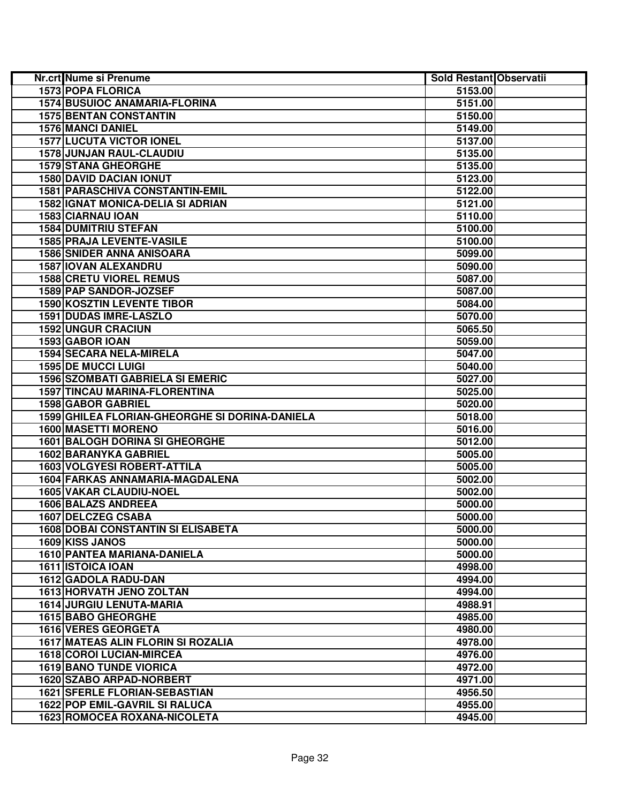| Nr.crt Nume si Prenume                         | Sold Restant Observatii |  |
|------------------------------------------------|-------------------------|--|
| 1573 POPA FLORICA                              | 5153.00                 |  |
| <b>1574 BUSUIOC ANAMARIA-FLORINA</b>           | 5151.00                 |  |
| <b>1575 BENTAN CONSTANTIN</b>                  | 5150.00                 |  |
| <b>1576 MANCI DANIEL</b>                       | 5149.00                 |  |
| <b>1577 LUCUTA VICTOR IONEL</b>                | 5137.00                 |  |
| 1578 JUNJAN RAUL-CLAUDIU                       | 5135.00                 |  |
| <b>1579 STANA GHEORGHE</b>                     | 5135.00                 |  |
| <b>1580 DAVID DACIAN IONUT</b>                 | 5123.00                 |  |
| <b>1581 PARASCHIVA CONSTANTIN-EMIL</b>         | 5122.00                 |  |
| <b>1582 IGNAT MONICA-DELIA SI ADRIAN</b>       | 5121.00                 |  |
| 1583 CIARNAU IOAN                              | 5110.00                 |  |
| <b>1584 DUMITRIU STEFAN</b>                    | 5100.00                 |  |
| 1585 PRAJA LEVENTE-VASILE                      | 5100.00                 |  |
| <b>1586 SNIDER ANNA ANISOARA</b>               | 5099.00                 |  |
| 1587 IOVAN ALEXANDRU                           | 5090.00                 |  |
| <b>1588 CRETU VIOREL REMUS</b>                 | 5087.00                 |  |
| 1589 PAP SANDOR-JOZSEF                         | 5087.00                 |  |
| 1590 KOSZTIN LEVENTE TIBOR                     | 5084.00                 |  |
| 1591 DUDAS IMRE-LASZLO                         | 5070.00                 |  |
| <b>1592 UNGUR CRACIUN</b>                      | 5065.50                 |  |
| 1593 GABOR IOAN                                | 5059.00                 |  |
| 1594 SECARA NELA-MIRELA                        | 5047.00                 |  |
| <b>1595 DE MUCCI LUIGI</b>                     | 5040.00                 |  |
| <b>1596 SZOMBATI GABRIELA SI EMERIC</b>        | 5027.00                 |  |
| <b>1597 TINCAU MARINA-FLORENTINA</b>           | 5025.00                 |  |
| <b>1598 GABOR GABRIEL</b>                      | 5020.00                 |  |
| 1599 GHILEA FLORIAN-GHEORGHE SI DORINA-DANIELA | 5018.00                 |  |
| 1600 MASETTI MORENO                            | 5016.00                 |  |
| <b>1601 BALOGH DORINA SI GHEORGHE</b>          | 5012.00                 |  |
| 1602 BARANYKA GABRIEL                          | 5005.00                 |  |
| <b>1603 VOLGYESI ROBERT-ATTILA</b>             | 5005.00                 |  |
| 1604 FARKAS ANNAMARIA-MAGDALENA                | 5002.00                 |  |
| 1605 VAKAR CLAUDIU-NOEL                        | 5002.00                 |  |
| 1606 BALAZS ANDREEA                            | 5000.00                 |  |
| 1607 DELCZEG CSABA                             | 5000.00                 |  |
| <b>1608 DOBAI CONSTANTIN SI ELISABETA</b>      | 5000.00                 |  |
| 1609 KISS JANOS                                | 5000.00                 |  |
| <b>1610 PANTEA MARIANA-DANIELA</b>             | 5000.00                 |  |
| 1611 ISTOICA IOAN                              | 4998.00                 |  |
| 1612 GADOLA RADU-DAN                           | 4994.00                 |  |
| <b>1613 HORVATH JENO ZOLTAN</b>                | 4994.00                 |  |
| <b>1614 JURGIU LENUTA-MARIA</b>                | 4988.91                 |  |
| 1615 BABO GHEORGHE                             | 4985.00                 |  |
| 1616 VERES GEORGETA                            | 4980.00                 |  |
| <b>1617 MATEAS ALIN FLORIN SI ROZALIA</b>      | 4978.00                 |  |
| <b>1618 COROI LUCIAN-MIRCEA</b>                | 4976.00                 |  |
| <b>1619 BANO TUNDE VIORICA</b>                 | 4972.00                 |  |
| 1620 SZABO ARPAD-NORBERT                       | 4971.00                 |  |
| <b>1621 SFERLE FLORIAN-SEBASTIAN</b>           | 4956.50                 |  |
| 1622 POP EMIL-GAVRIL SI RALUCA                 | 4955.00                 |  |
| 1623 ROMOCEA ROXANA-NICOLETA                   | 4945.00                 |  |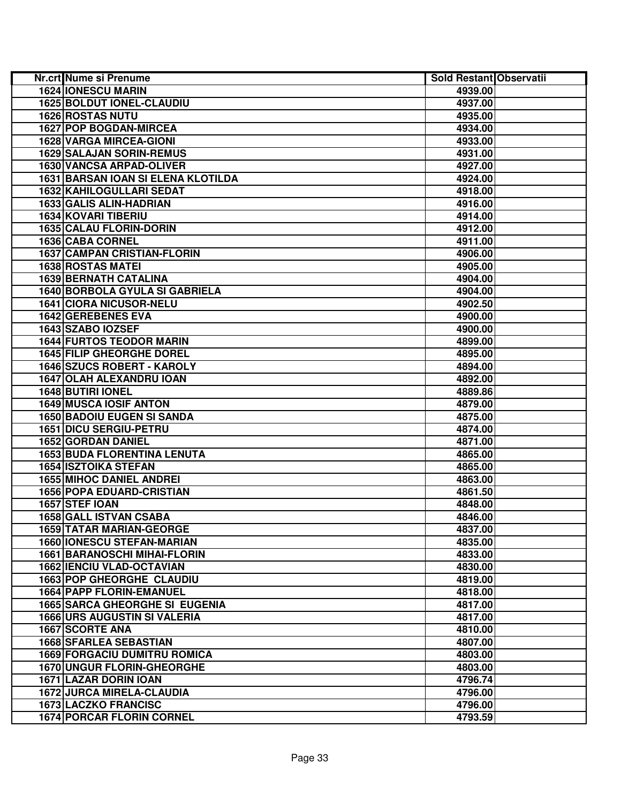| <b>Nr.crt</b> Nume si Prenume             | Sold Restant Observatii |  |
|-------------------------------------------|-------------------------|--|
| <b>1624 IONESCU MARIN</b>                 | 4939.00                 |  |
| <b>1625 BOLDUT IONEL-CLAUDIU</b>          | 4937.00                 |  |
| <b>1626 ROSTAS NUTU</b>                   | 4935.00                 |  |
| 1627 POP BOGDAN-MIRCEA                    | 4934.00                 |  |
| <b>1628 VARGA MIRCEA-GIONI</b>            | 4933.00                 |  |
| <b>1629 SALAJAN SORIN-REMUS</b>           | 4931.00                 |  |
| <b>1630 VANCSA ARPAD-OLIVER</b>           | 4927.00                 |  |
| <b>1631 BARSAN IOAN SI ELENA KLOTILDA</b> | 4924.00                 |  |
| 1632 KAHILOGULLARI SEDAT                  | 4918.00                 |  |
| 1633 GALIS ALIN-HADRIAN                   | 4916.00                 |  |
| 1634 KOVARI TIBERIU                       | 4914.00                 |  |
| <b>1635 CALAU FLORIN-DORIN</b>            | 4912.00                 |  |
| 1636 CABA CORNEL                          | 4911.00                 |  |
| <b>1637 CAMPAN CRISTIAN-FLORIN</b>        | 4906.00                 |  |
| <b>1638 ROSTAS MATEI</b>                  | 4905.00                 |  |
| 1639 BERNATH CATALINA                     | 4904.00                 |  |
| 1640 BORBOLA GYULA SI GABRIELA            | 4904.00                 |  |
| 1641 CIORA NICUSOR-NELU                   | 4902.50                 |  |
| 1642 GEREBENES EVA                        | 4900.00                 |  |
| 1643 SZABO IOZSEF                         | 4900.00                 |  |
| <b>1644 FURTOS TEODOR MARIN</b>           | 4899.00                 |  |
| <b>1645 FILIP GHEORGHE DOREL</b>          | 4895.00                 |  |
| <b>1646 SZUCS ROBERT - KAROLY</b>         | 4894.00                 |  |
| 1647 OLAH ALEXANDRU IOAN                  | 4892.00                 |  |
| 1648 BUTIRI IONEL                         | 4889.86                 |  |
| <b>1649 MUSCA IOSIF ANTON</b>             | 4879.00                 |  |
| <b>1650 BADOIU EUGEN SI SANDA</b>         | 4875.00                 |  |
| 1651 DICU SERGIU-PETRU                    | 4874.00                 |  |
| 1652 GORDAN DANIEL                        | 4871.00                 |  |
| <b>1653 BUDA FLORENTINA LENUTA</b>        | 4865.00                 |  |
| <b>1654 ISZTOIKA STEFAN</b>               | 4865.00                 |  |
| <b>1655 MIHOC DANIEL ANDREI</b>           | 4863.00                 |  |
| <b>1656 POPA EDUARD-CRISTIAN</b>          | 4861.50                 |  |
| 1657 STEF IOAN                            | 4848.00                 |  |
| 1658 GALL ISTVAN CSABA                    | 4846.00                 |  |
| 1659 TATAR MARIAN-GEORGE                  | 4837.00                 |  |
| <b>1660 IONESCU STEFAN-MARIAN</b>         | 4835.00                 |  |
| <b>1661 BARANOSCHI MIHAI-FLORIN</b>       | 4833.00                 |  |
| <b>1662 IENCIU VLAD-OCTAVIAN</b>          | 4830.00                 |  |
| <b>1663 POP GHEORGHE CLAUDIU</b>          | 4819.00                 |  |
| <b>1664 PAPP FLORIN-EMANUEL</b>           | 4818.00                 |  |
| <b>1665 SARCA GHEORGHE SI EUGENIA</b>     | 4817.00                 |  |
| <b>1666 URS AUGUSTIN SI VALERIA</b>       | 4817.00                 |  |
| 1667 SCORTE ANA                           | 4810.00                 |  |
| <b>1668 SFARLEA SEBASTIAN</b>             | 4807.00                 |  |
| <b>1669 FORGACIU DUMITRU ROMICA</b>       | 4803.00                 |  |
| <b>1670 UNGUR FLORIN-GHEORGHE</b>         | 4803.00                 |  |
| <b>1671 LAZAR DORIN IOAN</b>              | 4796.74                 |  |
| <b>1672 JURCA MIRELA-CLAUDIA</b>          | 4796.00                 |  |
| <b>1673 LACZKO FRANCISC</b>               | 4796.00                 |  |
| <b>1674 PORCAR FLORIN CORNEL</b>          | 4793.59                 |  |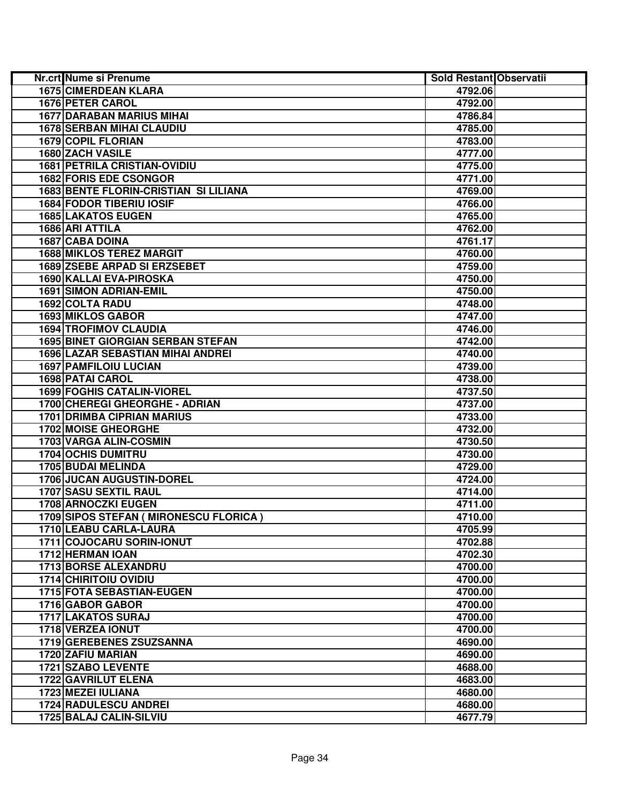| <b>Nr.crt Nume si Prenume</b>                                    | <b>Sold Restant Observatii</b> |  |
|------------------------------------------------------------------|--------------------------------|--|
| <b>1675 CIMERDEAN KLARA</b>                                      | 4792.06                        |  |
| <b>1676 PETER CAROL</b>                                          | 4792.00                        |  |
| <b>1677 DARABAN MARIUS MIHAI</b>                                 | 4786.84                        |  |
| <b>1678 SERBAN MIHAI CLAUDIU</b>                                 | 4785.00                        |  |
| 1679 COPIL FLORIAN                                               | 4783.00                        |  |
| 1680 ZACH VASILE                                                 | 4777.00                        |  |
| <b>1681 PETRILA CRISTIAN-OVIDIU</b>                              | 4775.00                        |  |
| 1682 FORIS EDE CSONGOR                                           | 4771.00                        |  |
| 1683 BENTE FLORIN-CRISTIAN SI LILIANA                            | 4769.00                        |  |
| <b>1684 FODOR TIBERIU IOSIF</b>                                  | 4766.00                        |  |
| <b>1685 LAKATOS EUGEN</b>                                        | 4765.00                        |  |
| 1686 ARI ATTILA                                                  | 4762.00                        |  |
| 1687 CABA DOINA                                                  | 4761.17                        |  |
| <b>1688 MIKLOS TEREZ MARGIT</b>                                  | 4760.00                        |  |
| 1689 ZSEBE ARPAD SI ERZSEBET                                     | 4759.00                        |  |
| 1690 KALLAI EVA-PIROSKA                                          | 4750.00                        |  |
| <b>1691 SIMON ADRIAN-EMIL</b>                                    | 4750.00                        |  |
| 1692 COLTA RADU                                                  | 4748.00                        |  |
| 1693 MIKLOS GABOR                                                | 4747.00                        |  |
| <b>1694 TROFIMOV CLAUDIA</b>                                     | 4746.00                        |  |
| <b>1695 BINET GIORGIAN SERBAN STEFAN</b>                         | 4742.00                        |  |
| <b>1696 LAZAR SEBASTIAN MIHAI ANDREI</b>                         | 4740.00                        |  |
| <b>1697 PAMFILOIU LUCIAN</b>                                     | 4739.00                        |  |
| <b>1698 PATAI CAROL</b>                                          | 4738.00                        |  |
| <b>1699 FOGHIS CATALIN-VIOREL</b>                                | 4737.50                        |  |
| 1700 CHEREGI GHEORGHE - ADRIAN                                   | 4737.00                        |  |
| <b>1701 DRIMBA CIPRIAN MARIUS</b>                                | 4733.00                        |  |
| 1702 MOISE GHEORGHE                                              | 4732.00                        |  |
| 1703 VARGA ALIN-COSMIN                                           | 4730.50                        |  |
| <b>1704 OCHIS DUMITRU</b>                                        | 4730.00                        |  |
| 1705 BUDAI MELINDA                                               | 4729.00                        |  |
| <b>1706 JUCAN AUGUSTIN-DOREL</b>                                 | 4724.00                        |  |
| 1707 SASU SEXTIL RAUL                                            | 4714.00                        |  |
| <b>1708 ARNOCZKI EUGEN</b>                                       | 4711.00                        |  |
| 1709 SIPOS STEFAN ( MIRONESCU FLORICA )                          | 4710.00                        |  |
| 1710 LEABU CARLA-LAURA                                           | 4705.99                        |  |
| 1711 COJOCARU SORIN-IONUT<br><b>1712 HERMAN IOAN</b>             | 4702.88                        |  |
|                                                                  | 4702.30                        |  |
| 1713 BORSE ALEXANDRU                                             | 4700.00                        |  |
| <b>1714 CHIRITOIU OVIDIU</b><br><b>1715 FOTA SEBASTIAN-EUGEN</b> | 4700.00<br>4700.00             |  |
|                                                                  |                                |  |
| 1716 GABOR GABOR<br>1717 LAKATOS SURAJ                           | 4700.00<br>4700.00             |  |
| 1718 VERZEA IONUT                                                | 4700.00                        |  |
| 1719 GEREBENES ZSUZSANNA                                         | 4690.00                        |  |
| 1720 ZAFIU MARIAN                                                | 4690.00                        |  |
| <b>1721 SZABO LEVENTE</b>                                        | 4688.00                        |  |
| <b>1722 GAVRILUT ELENA</b>                                       | 4683.00                        |  |
| 1723 MEZEI IULIANA                                               | 4680.00                        |  |
| <b>1724 RADULESCU ANDREI</b>                                     | 4680.00                        |  |
| <b>1725 BALAJ CALIN-SILVIU</b>                                   | 4677.79                        |  |
|                                                                  |                                |  |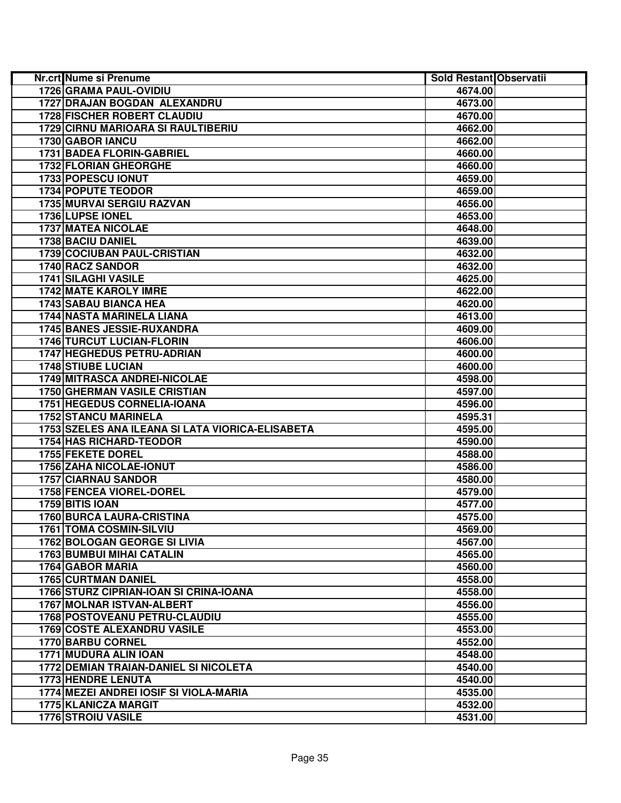| Nr.crt Nume si Prenume                           | Sold Restant Observatii |  |
|--------------------------------------------------|-------------------------|--|
| 1726 GRAMA PAUL-OVIDIU                           | 4674.00                 |  |
| 1727 DRAJAN BOGDAN ALEXANDRU                     | 4673.00                 |  |
| <b>1728 FISCHER ROBERT CLAUDIU</b>               | 4670.00                 |  |
| <b>1729 CIRNU MARIOARA SI RAULTIBERIU</b>        | 4662.00                 |  |
| 1730 GABOR IANCU                                 | 4662.00                 |  |
| 1731 BADEA FLORIN-GABRIEL                        | 4660.00                 |  |
| 1732 FLORIAN GHEORGHE                            | 4660.00                 |  |
| 1733 POPESCU IONUT                               | 4659.00                 |  |
| 1734 POPUTE TEODOR                               | 4659.00                 |  |
| <b>1735 MURVAI SERGIU RAZVAN</b>                 | 4656.00                 |  |
| 1736 LUPSE IONEL                                 | 4653.00                 |  |
| 1737 MATEA NICOLAE                               | 4648.00                 |  |
| 1738 BACIU DANIEL                                | 4639.00                 |  |
| 1739 COCIUBAN PAUL-CRISTIAN                      | 4632.00                 |  |
| 1740 RACZ SANDOR                                 | 4632.00                 |  |
| 1741 SILAGHI VASILE                              | 4625.00                 |  |
| 1742 MATE KAROLY IMRE                            | 4622.00                 |  |
| 1743 SABAU BIANCA HEA                            | 4620.00                 |  |
| 1744 NASTA MARINELA LIANA                        | 4613.00                 |  |
| 1745 BANES JESSIE-RUXANDRA                       | 4609.00                 |  |
| <b>1746 TURCUT LUCIAN-FLORIN</b>                 | 4606.00                 |  |
| <b>1747 HEGHEDUS PETRU-ADRIAN</b>                | 4600.00                 |  |
| <b>1748 STIUBE LUCIAN</b>                        | 4600.00                 |  |
| <b>1749 MITRASCA ANDREI-NICOLAE</b>              | 4598.00                 |  |
| <b>1750 GHERMAN VASILE CRISTIAN</b>              | 4597.00                 |  |
| <b>1751 HEGEDUS CORNELIA-IOANA</b>               | 4596.00                 |  |
| <b>1752 STANCU MARINELA</b>                      | 4595.31                 |  |
| 1753 SZELES ANA ILEANA SI LATA VIORICA-ELISABETA | 4595.00                 |  |
| <b>1754 HAS RICHARD-TEODOR</b>                   | 4590.00                 |  |
| 1755 FEKETE DOREL                                | 4588.00                 |  |
| <b>1756 ZAHA NICOLAE-IONUT</b>                   | 4586.00                 |  |
| 1757 CIARNAU SANDOR                              | 4580.00                 |  |
| <b>1758 FENCEA VIOREL-DOREL</b>                  | 4579.00                 |  |
| 1759 BITIS IOAN                                  | 4577.00                 |  |
| <b>1760 BURCA LAURA-CRISTINA</b>                 | 4575.00                 |  |
| <b>1761 TOMA COSMIN-SILVIU</b>                   | 4569.00                 |  |
| <b>1762 BOLOGAN GEORGE SI LIVIA</b>              | 4567.00                 |  |
| <b>1763 BUMBUI MIHAI CATALIN</b>                 | 4565.00                 |  |
| 1764 GABOR MARIA                                 | 4560.00                 |  |
| <b>1765 CURTMAN DANIEL</b>                       | 4558.00                 |  |
| 1766 STURZ CIPRIAN-IOAN SI CRINA-IOANA           | 4558.00                 |  |
| 1767 MOLNAR ISTVAN-ALBERT                        | 4556.00                 |  |
| 1768 POSTOVEANU PETRU-CLAUDIU                    | 4555.00                 |  |
| <b>1769 COSTE ALEXANDRU VASILE</b>               | 4553.00                 |  |
| 1770 BARBU CORNEL                                | 4552.00                 |  |
| 1771 MUDURA ALIN IOAN                            | 4548.00                 |  |
| <b>1772 DEMIAN TRAIAN-DANIEL SI NICOLETA</b>     | 4540.00                 |  |
| <b>1773 HENDRE LENUTA</b>                        | 4540.00                 |  |
| 1774 MEZEI ANDREI IOSIF SI VIOLA-MARIA           | 4535.00                 |  |
| <b>1775 KLANICZA MARGIT</b>                      | 4532.00                 |  |
| <b>1776 STROIU VASILE</b>                        | 4531.00                 |  |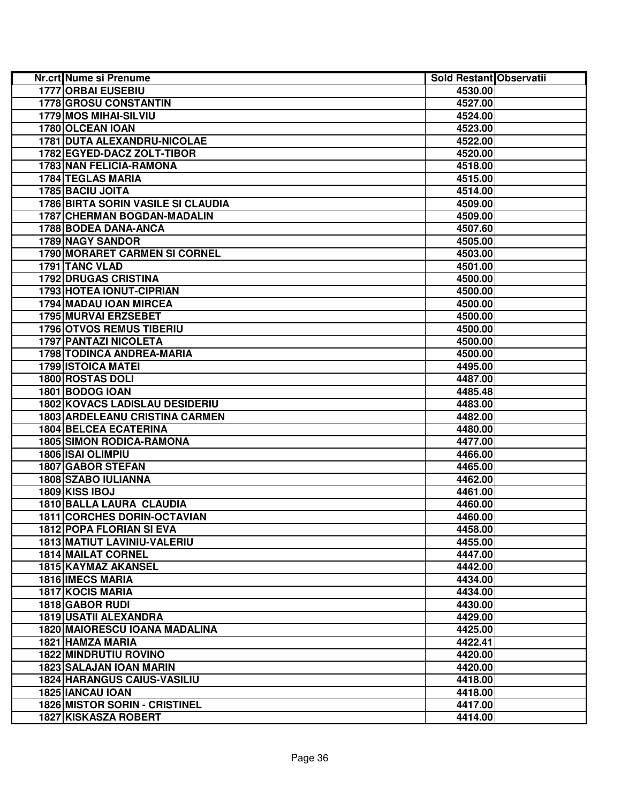| Nr.crt Nume si Prenume                | Sold Restant Observatii |  |
|---------------------------------------|-------------------------|--|
| <b>1777 ORBAI EUSEBIU</b>             | 4530.00                 |  |
| 1778 GROSU CONSTANTIN                 | 4527.00                 |  |
| 1779 MOS MIHAI-SILVIU                 | 4524.00                 |  |
| 1780 OLCEAN IOAN                      | 4523.00                 |  |
| 1781 DUTA ALEXANDRU-NICOLAE           | 4522.00                 |  |
| 1782 EGYED-DACZ ZOLT-TIBOR            | 4520.00                 |  |
| 1783 NAN FELICIA-RAMONA               | 4518.00                 |  |
| 1784 TEGLAS MARIA                     | 4515.00                 |  |
| 1785 BACIU JOITA                      | 4514.00                 |  |
| 1786 BIRTA SORIN VASILE SI CLAUDIA    | 4509.00                 |  |
| 1787 CHERMAN BOGDAN-MADALIN           | 4509.00                 |  |
| 1788 BODEA DANA-ANCA                  | 4507.60                 |  |
| 1789 NAGY SANDOR                      | 4505.00                 |  |
| 1790 MORARET CARMEN SI CORNEL         | 4503.00                 |  |
| 1791 TANC VLAD                        | 4501.00                 |  |
| <b>1792 DRUGAS CRISTINA</b>           | 4500.00                 |  |
| 1793 HOTEA IONUT-CIPRIAN              | 4500.00                 |  |
| 1794 MADAU IOAN MIRCEA                | 4500.00                 |  |
| 1795 MURVAI ERZSEBET                  | 4500.00                 |  |
| <b>1796 OTVOS REMUS TIBERIU</b>       | 4500.00                 |  |
| 1797 PANTAZI NICOLETA                 | 4500.00                 |  |
| 1798 TODINCA ANDREA-MARIA             | 4500.00                 |  |
| <b>1799 ISTOICA MATEI</b>             | 4495.00                 |  |
| 1800 ROSTAS DOLI                      | 4487.00                 |  |
| 1801 BODOG IOAN                       | 4485.48                 |  |
| <b>1802 KOVACS LADISLAU DESIDERIU</b> | 4483.00                 |  |
| <b>1803 ARDELEANU CRISTINA CARMEN</b> | 4482.00                 |  |
| <b>1804 BELCEA ECATERINA</b>          | 4480.00                 |  |
| <b>1805 SIMON RODICA-RAMONA</b>       | 4477.00                 |  |
| 1806 ISAI OLIMPIU                     | 4466.00                 |  |
| <b>1807 GABOR STEFAN</b>              | 4465.00                 |  |
| 1808 SZABO IULIANNA                   | 4462.00                 |  |
| 1809 KISS IBOJ                        | 4461.00                 |  |
| 1810 BALLA LAURA CLAUDIA              | 4460.00                 |  |
| <b>1811 CORCHES DORIN-OCTAVIAN</b>    | 4460.00                 |  |
| <b>1812 POPA FLORIAN SI EVA</b>       | 4458.00                 |  |
| <b>1813 MATIUT LAVINIU-VALERIU</b>    | 4455.00                 |  |
| <b>1814 MAILAT CORNEL</b>             | 4447.00                 |  |
| 1815 KAYMAZ AKANSEL                   | 4442.00                 |  |
| 1816 IMECS MARIA                      | 4434.00                 |  |
| 1817 KOCIS MARIA                      | 4434.00                 |  |
| 1818 GABOR RUDI                       | 4430.00                 |  |
| <b>1819 USATII ALEXANDRA</b>          | 4429.00                 |  |
| 1820 MAIORESCU IOANA MADALINA         | 4425.00                 |  |
| 1821 HAMZA MARIA                      | 4422.41                 |  |
| <b>1822 MINDRUTIU ROVINO</b>          | 4420.00                 |  |
| <b>1823 SALAJAN IOAN MARIN</b>        | 4420.00                 |  |
| <b>1824 HARANGUS CAIUS-VASILIU</b>    | 4418.00                 |  |
| <b>1825 IANCAU IOAN</b>               | 4418.00                 |  |
| <b>1826 MISTOR SORIN - CRISTINEL</b>  | 4417.00                 |  |
| <b>1827 KISKASZA ROBERT</b>           | 4414.00                 |  |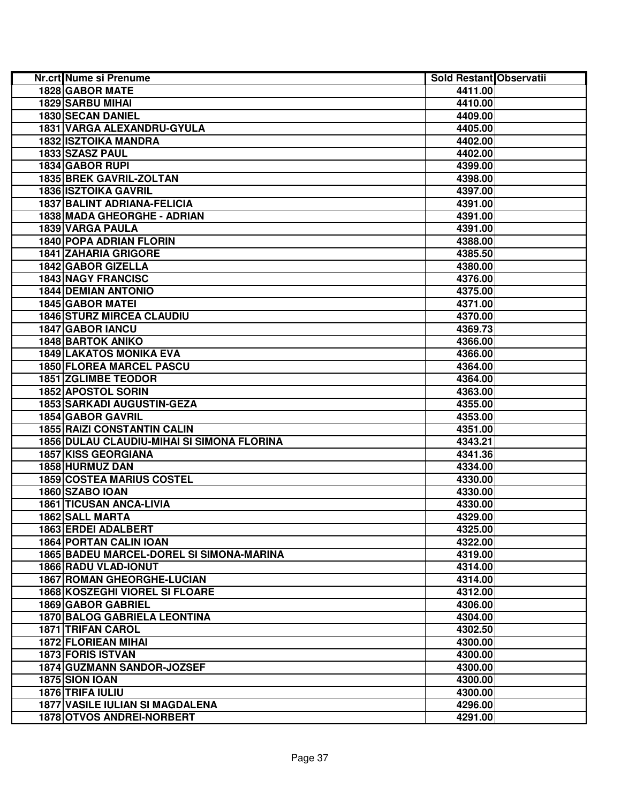| Nr.crt Nume si Prenume                     | Sold Restant Observatii |  |
|--------------------------------------------|-------------------------|--|
| 1828 GABOR MATE                            | 4411.00                 |  |
| 1829 SARBU MIHAI                           | 4410.00                 |  |
| 1830 SECAN DANIEL                          | 4409.00                 |  |
| 1831 VARGA ALEXANDRU-GYULA                 | 4405.00                 |  |
| <b>1832 ISZTOIKA MANDRA</b>                | 4402.00                 |  |
| 1833 SZASZ PAUL                            | 4402.00                 |  |
| 1834 GABOR RUPI                            | 4399.00                 |  |
| 1835 BREK GAVRIL-ZOLTAN                    | 4398.00                 |  |
| <b>1836 ISZTOIKA GAVRIL</b>                | 4397.00                 |  |
| <b>1837 BALINT ADRIANA-FELICIA</b>         | 4391.00                 |  |
| 1838 MADA GHEORGHE - ADRIAN                | 4391.00                 |  |
| 1839 VARGA PAULA                           | 4391.00                 |  |
| 1840 POPA ADRIAN FLORIN                    | 4388.00                 |  |
| <b>1841 ZAHARIA GRIGORE</b>                | 4385.50                 |  |
| 1842 GABOR GIZELLA                         | 4380.00                 |  |
| <b>1843 NAGY FRANCISC</b>                  | 4376.00                 |  |
| <b>1844 DEMIAN ANTONIO</b>                 | 4375.00                 |  |
| <b>1845 GABOR MATEI</b>                    | 4371.00                 |  |
| <b>1846 STURZ MIRCEA CLAUDIU</b>           | 4370.00                 |  |
| 1847 GABOR IANCU                           | 4369.73                 |  |
| <b>1848 BARTOK ANIKO</b>                   | 4366.00                 |  |
| <b>1849 LAKATOS MONIKA EVA</b>             | 4366.00                 |  |
| <b>1850 FLOREA MARCEL PASCU</b>            | 4364.00                 |  |
| <b>1851 ZGLIMBE TEODOR</b>                 | 4364.00                 |  |
| 1852 APOSTOL SORIN                         | 4363.00                 |  |
| <b>1853 SARKADI AUGUSTIN-GEZA</b>          | 4355.00                 |  |
| <b>1854 GABOR GAVRIL</b>                   | 4353.00                 |  |
| <b>1855 RAIZI CONSTANTIN CALIN</b>         | 4351.00                 |  |
| 1856 DULAU CLAUDIU-MIHAI SI SIMONA FLORINA | 4343.21                 |  |
| <b>1857 KISS GEORGIANA</b>                 | 4341.36                 |  |
| 1858 HURMUZ DAN                            | 4334.00                 |  |
| <b>1859 COSTEA MARIUS COSTEL</b>           | 4330.00                 |  |
| 1860 SZABO IOAN                            | 4330.00                 |  |
| <b>1861 TICUSAN ANCA-LIVIA</b>             | 4330.00                 |  |
| 1862 SALL MARTA                            | 4329.00                 |  |
| 1863 ERDEI ADALBERT                        | 4325.00                 |  |
| <b>1864 PORTAN CALIN IOAN</b>              | 4322.00                 |  |
| 1865 BADEU MARCEL-DOREL SI SIMONA-MARINA   | 4319.00                 |  |
| <b>1866 RADU VLAD-IONUT</b>                | 4314.00                 |  |
| <b>1867 ROMAN GHEORGHE-LUCIAN</b>          | 4314.00                 |  |
| 1868 KOSZEGHI VIOREL SI FLOARE             | 4312.00                 |  |
| <b>1869 GABOR GABRIEL</b>                  | 4306.00                 |  |
| <b>1870 BALOG GABRIELA LEONTINA</b>        | 4304.00                 |  |
| <b>1871 TRIFAN CAROL</b>                   | 4302.50                 |  |
| <b>1872 FLORIEAN MIHAI</b>                 | 4300.00                 |  |
| <b>1873 FORIS ISTVAN</b>                   | 4300.00                 |  |
| 1874 GUZMANN SANDOR-JOZSEF                 | 4300.00                 |  |
| 1875 SION IOAN                             | 4300.00                 |  |
| 1876 TRIFA IULIU                           | 4300.00                 |  |
| <b>1877 VASILE IULIAN SI MAGDALENA</b>     | 4296.00                 |  |
| 1878 OTVOS ANDREI-NORBERT                  |                         |  |
|                                            | 4291.00                 |  |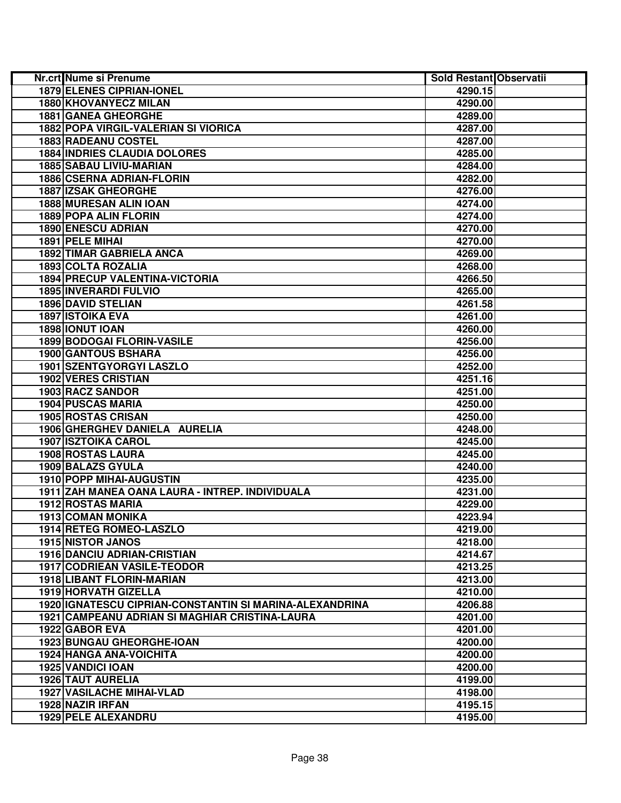| Nr.crt Nume si Prenume                                  | Sold Restant Observatii |  |
|---------------------------------------------------------|-------------------------|--|
| <b>1879 ELENES CIPRIAN-IONEL</b>                        | 4290.15                 |  |
| 1880 KHOVANYECZ MILAN                                   | 4290.00                 |  |
| <b>1881 GANEA GHEORGHE</b>                              | 4289.00                 |  |
| 1882 POPA VIRGIL-VALERIAN SI VIORICA                    | 4287.00                 |  |
| <b>1883 RADEANU COSTEL</b>                              | 4287.00                 |  |
| <b>1884 INDRIES CLAUDIA DOLORES</b>                     | 4285.00                 |  |
| 1885 SABAU LIVIU-MARIAN                                 | 4284.00                 |  |
| 1886 CSERNA ADRIAN-FLORIN                               | 4282.00                 |  |
| <b>1887 IZSAK GHEORGHE</b>                              | 4276.00                 |  |
| 1888 MURESAN ALIN IOAN                                  | 4274.00                 |  |
| 1889 POPA ALIN FLORIN                                   | 4274.00                 |  |
| 1890 ENESCU ADRIAN                                      | 4270.00                 |  |
| 1891 PELE MIHAI                                         | 4270.00                 |  |
| <b>1892 TIMAR GABRIELA ANCA</b>                         | 4269.00                 |  |
| 1893 COLTA ROZALIA                                      | 4268.00                 |  |
| 1894 PRECUP VALENTINA-VICTORIA                          | 4266.50                 |  |
| <b>1895 INVERARDI FULVIO</b>                            | 4265.00                 |  |
| <b>1896 DAVID STELIAN</b>                               | 4261.58                 |  |
| <b>1897 ISTOIKA EVA</b>                                 | 4261.00                 |  |
| <b>1898 IONUT IOAN</b>                                  | 4260.00                 |  |
| <b>1899 BODOGAI FLORIN-VASILE</b>                       | 4256.00                 |  |
| <b>1900 GANTOUS BSHARA</b>                              | 4256.00                 |  |
| <b>1901 SZENTGYORGYI LASZLO</b>                         | 4252.00                 |  |
| <b>1902 VERES CRISTIAN</b>                              | 4251.16                 |  |
| 1903 RACZ SANDOR                                        | 4251.00                 |  |
| <b>1904 PUSCAS MARIA</b>                                | 4250.00                 |  |
| 1905 ROSTAS CRISAN                                      | 4250.00                 |  |
| 1906 GHERGHEV DANIELA AURELIA                           | 4248.00                 |  |
| <b>1907 ISZTOIKA CAROL</b>                              | 4245.00                 |  |
| 1908 ROSTAS LAURA                                       | 4245.00                 |  |
| 1909 BALAZS GYULA                                       | 4240.00                 |  |
| 1910 POPP MIHAI-AUGUSTIN                                | 4235.00                 |  |
| 1911 ZAH MANEA OANA LAURA - INTREP. INDIVIDUALA         | 4231.00                 |  |
| 1912 ROSTAS MARIA                                       | 4229.00                 |  |
| <b>1913 COMAN MONIKA</b>                                | 4223.94                 |  |
| 1914 RETEG ROMEO-LASZLO                                 | 4219.00                 |  |
| <b>1915 NISTOR JANOS</b>                                | 4218.00                 |  |
| 1916 DANCIU ADRIAN-CRISTIAN                             | 4214.67                 |  |
| <b>1917 CODRIEAN VASILE-TEODOR</b>                      | 4213.25                 |  |
| 1918 LIBANT FLORIN-MARIAN                               | 4213.00                 |  |
| <b>1919 HORVATH GIZELLA</b>                             | 4210.00                 |  |
| 1920 IGNATESCU CIPRIAN-CONSTANTIN SI MARINA-ALEXANDRINA | 4206.88                 |  |
| <b>1921 CAMPEANU ADRIAN SI MAGHIAR CRISTINA-LAURA</b>   | 4201.00                 |  |
| 1922 GABOR EVA                                          | 4201.00                 |  |
| <b>1923 BUNGAU GHEORGHE-IOAN</b>                        | 4200.00                 |  |
| <b>1924 HANGA ANA-VOICHITA</b>                          | 4200.00                 |  |
| <b>1925 VANDICI IOAN</b>                                | 4200.00                 |  |
| <b>1926 TAUT AURELIA</b>                                | 4199.00                 |  |
| <b>1927 VASILACHE MIHAI-VLAD</b>                        | 4198.00                 |  |
| 1928 NAZIR IRFAN                                        |                         |  |
|                                                         | 4195.15                 |  |
| <b>1929 PELE ALEXANDRU</b>                              | 4195.00                 |  |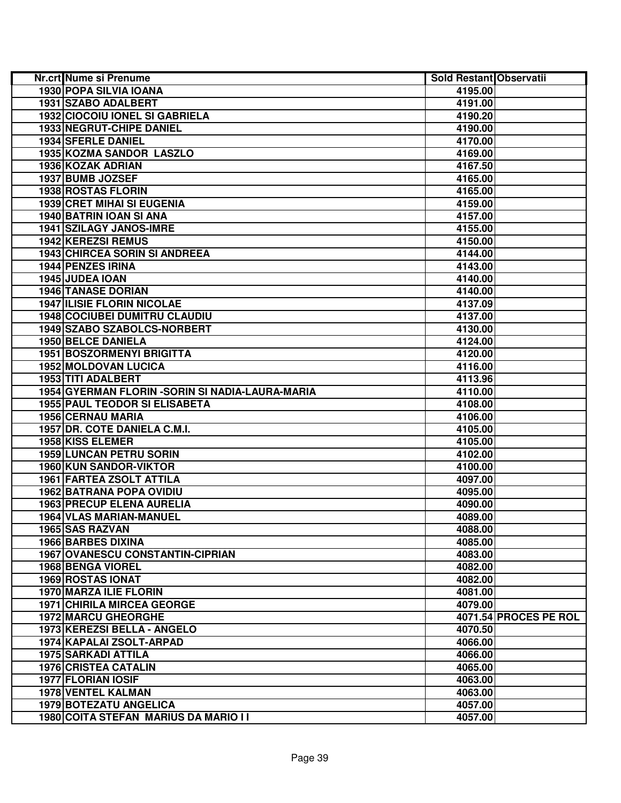| Nr.crt Nume si Prenume                           | Sold Restant Observatii |                       |
|--------------------------------------------------|-------------------------|-----------------------|
| 1930 POPA SILVIA IOANA                           | 4195.00                 |                       |
| 1931 SZABO ADALBERT                              | 4191.00                 |                       |
| 1932 CIOCOIU IONEL SI GABRIELA                   | 4190.20                 |                       |
| 1933 NEGRUT-CHIPE DANIEL                         | 4190.00                 |                       |
| 1934 SFERLE DANIEL                               | 4170.00                 |                       |
| 1935 KOZMA SANDOR LASZLO                         | 4169.00                 |                       |
| 1936 KOZAK ADRIAN                                | 4167.50                 |                       |
| 1937 BUMB JOZSEF                                 | 4165.00                 |                       |
| 1938 ROSTAS FLORIN                               | 4165.00                 |                       |
| 1939 CRET MIHAI SI EUGENIA                       | 4159.00                 |                       |
| 1940 BATRIN IOAN SI ANA                          | 4157.00                 |                       |
| 1941 SZILAGY JANOS-IMRE                          | 4155.00                 |                       |
| <b>1942 KEREZSI REMUS</b>                        | 4150.00                 |                       |
| <b>1943 CHIRCEA SORIN SI ANDREEA</b>             | 4144.00                 |                       |
| 1944 PENZES IRINA                                | 4143.00                 |                       |
| 1945 JUDEA IOAN                                  | 4140.00                 |                       |
| <b>1946 TANASE DORIAN</b>                        | 4140.00                 |                       |
| <b>1947 ILISIE FLORIN NICOLAE</b>                | 4137.09                 |                       |
| <b>1948 COCIUBEI DUMITRU CLAUDIU</b>             | 4137.00                 |                       |
| 1949 SZABO SZABOLCS-NORBERT                      | 4130.00                 |                       |
| 1950 BELCE DANIELA                               | 4124.00                 |                       |
| 1951 BOSZORMENYI BRIGITTA                        | 4120.00                 |                       |
| <b>1952 MOLDOVAN LUCICA</b>                      | 4116.00                 |                       |
| 1953 TITI ADALBERT                               | 4113.96                 |                       |
| 1954 GYERMAN FLORIN - SORIN SI NADIA-LAURA-MARIA | 4110.00                 |                       |
| <b>1955 PAUL TEODOR SI ELISABETA</b>             | 4108.00                 |                       |
| <b>1956 CERNAU MARIA</b>                         | 4106.00                 |                       |
| 1957 DR. COTE DANIELA C.M.I.                     | 4105.00                 |                       |
| 1958 KISS ELEMER                                 | 4105.00                 |                       |
| <b>1959 LUNCAN PETRU SORIN</b>                   | 4102.00                 |                       |
| 1960 KUN SANDOR-VIKTOR                           | 4100.00                 |                       |
| 1961 FARTEA ZSOLT ATTILA                         | 4097.00                 |                       |
| <b>1962 BATRANA POPA OVIDIU</b>                  | 4095.00                 |                       |
| <b>1963 PRECUP ELENA AURELIA</b>                 | 4090.00                 |                       |
| <b>1964 VLAS MARIAN-MANUEL</b>                   | 4089.00                 |                       |
| 1965 SAS RAZVAN                                  | 4088.00                 |                       |
| <b>1966 BARBES DIXINA</b>                        | 4085.00                 |                       |
| <b>1967 OVANESCU CONSTANTIN-CIPRIAN</b>          | 4083.00                 |                       |
| <b>1968 BENGA VIOREL</b>                         | 4082.00                 |                       |
| 1969 ROSTAS IONAT                                | 4082.00                 |                       |
| 1970 MARZA ILIE FLORIN                           | 4081.00                 |                       |
| <b>1971 CHIRILA MIRCEA GEORGE</b>                | 4079.00                 |                       |
| <b>1972 MARCU GHEORGHE</b>                       |                         | 4071.54 PROCES PE ROL |
| 1973 KEREZSI BELLA - ANGELO                      | 4070.50                 |                       |
| 1974 KAPALAI ZSOLT-ARPAD                         | 4066.00                 |                       |
| <b>1975 SARKADI ATTILA</b>                       | 4066.00                 |                       |
| <b>1976 CRISTEA CATALIN</b>                      | 4065.00                 |                       |
| <b>1977 FLORIAN IOSIF</b>                        | 4063.00                 |                       |
| <b>1978 VENTEL KALMAN</b>                        | 4063.00                 |                       |
| <b>1979 BOTEZATU ANGELICA</b>                    | 4057.00                 |                       |
| 1980 COITA STEFAN MARIUS DA MARIO I I            | 4057.00                 |                       |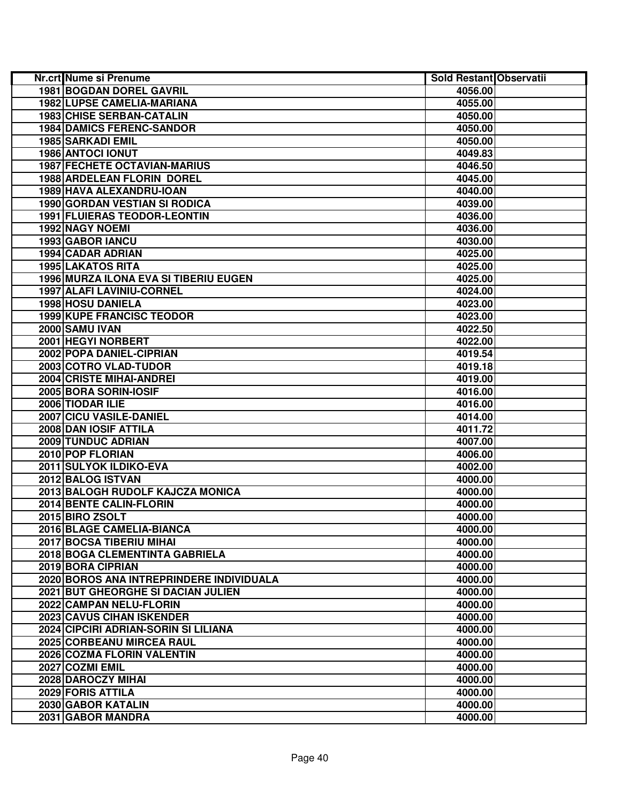| <b>Nr.crt Nume si Prenume</b>            | Sold Restant Observatii |  |
|------------------------------------------|-------------------------|--|
| <b>1981 BOGDAN DOREL GAVRIL</b>          | 4056.00                 |  |
| <b>1982 LUPSE CAMELIA-MARIANA</b>        | 4055.00                 |  |
| <b>1983 CHISE SERBAN-CATALIN</b>         | 4050.00                 |  |
| <b>1984 DAMICS FERENC-SANDOR</b>         | 4050.00                 |  |
| 1985 SARKADI EMIL                        | 4050.00                 |  |
| 1986 ANTOCI IONUT                        | 4049.83                 |  |
| <b>1987 FECHETE OCTAVIAN-MARIUS</b>      | 4046.50                 |  |
| 1988 ARDELEAN FLORIN DOREL               | 4045.00                 |  |
| 1989 HAVA ALEXANDRU-IOAN                 | 4040.00                 |  |
| 1990 GORDAN VESTIAN SI RODICA            | 4039.00                 |  |
| 1991 FLUIERAS TEODOR-LEONTIN             | 4036.00                 |  |
| 1992 NAGY NOEMI                          | 4036.00                 |  |
| 1993 GABOR IANCU                         | 4030.00                 |  |
| 1994 CADAR ADRIAN                        | 4025.00                 |  |
| 1995 LAKATOS RITA                        | 4025.00                 |  |
| 1996 MURZA ILONA EVA SI TIBERIU EUGEN    | 4025.00                 |  |
| 1997 ALAFI LAVINIU-CORNEL                | 4024.00                 |  |
| 1998 HOSU DANIELA                        | 4023.00                 |  |
| <b>1999 KUPE FRANCISC TEODOR</b>         | 4023.00                 |  |
| <b>2000 SAMU IVAN</b>                    | 4022.50                 |  |
| 2001 HEGYI NORBERT                       | 4022.00                 |  |
| 2002 POPA DANIEL-CIPRIAN                 | 4019.54                 |  |
| 2003 COTRO VLAD-TUDOR                    | 4019.18                 |  |
| <b>2004 CRISTE MIHAI-ANDREI</b>          | 4019.00                 |  |
| 2005 BORA SORIN-IOSIF                    | 4016.00                 |  |
| 2006 TIODAR ILIE                         | 4016.00                 |  |
| 2007 CICU VASILE-DANIEL                  | 4014.00                 |  |
| 2008 DAN IOSIF ATTILA                    | 4011.72                 |  |
| 2009 TUNDUC ADRIAN                       | 4007.00                 |  |
| 2010 POP FLORIAN                         | 4006.00                 |  |
| 2011 SULYOK ILDIKO-EVA                   | 4002.00                 |  |
| 2012 BALOG ISTVAN                        | 4000.00                 |  |
| 2013 BALOGH RUDOLF KAJCZA MONICA         | 4000.00                 |  |
| 2014 BENTE CALIN-FLORIN                  | 4000.00                 |  |
| 2015 BIRO ZSOLT                          | 4000.00                 |  |
| 2016 BLAGE CAMELIA-BIANCA                | 4000.00                 |  |
| 2017 BOCSA TIBERIU MIHAI                 | 4000.00                 |  |
| 2018 BOGA CLEMENTINTA GABRIELA           | 4000.00                 |  |
| 2019 BORA CIPRIAN                        | 4000.00                 |  |
| 2020 BOROS ANA INTREPRINDERE INDIVIDUALA | 4000.00                 |  |
| 2021 BUT GHEORGHE SI DACIAN JULIEN       | 4000.00                 |  |
| 2022 CAMPAN NELU-FLORIN                  | 4000.00                 |  |
| 2023 CAVUS CIHAN ISKENDER                | 4000.00                 |  |
| 2024 CIPCIRI ADRIAN-SORIN SI LILIANA     | 4000.00                 |  |
| 2025 CORBEANU MIRCEA RAUL                | 4000.00                 |  |
| 2026 COZMA FLORIN VALENTIN               | 4000.00                 |  |
| 2027 COZMI EMIL                          | 4000.00                 |  |
| 2028 DAROCZY MIHAI                       | 4000.00                 |  |
| 2029 FORIS ATTILA                        | 4000.00                 |  |
| 2030 GABOR KATALIN                       | 4000.00                 |  |
| 2031 GABOR MANDRA                        | 4000.00                 |  |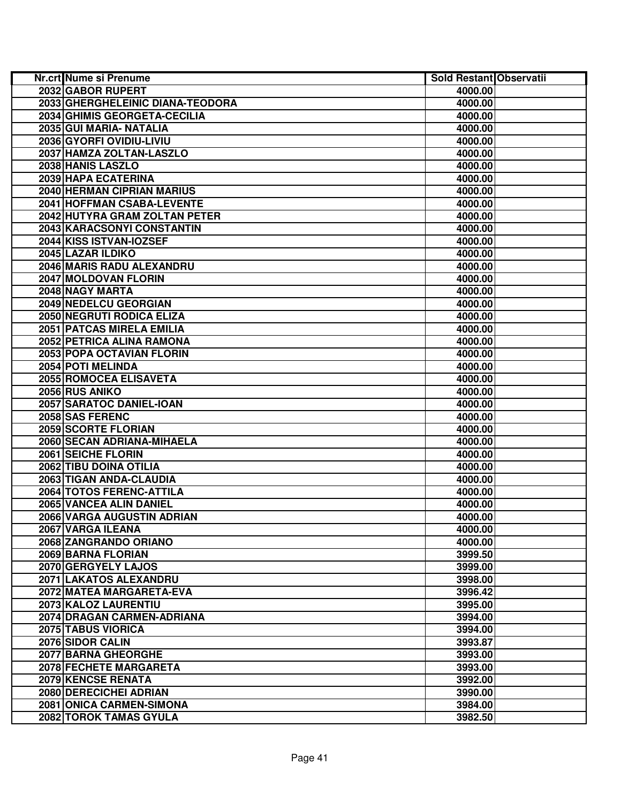| <b>Nr.crt Nume si Prenume</b>                    | Sold Restant Observatii |  |
|--------------------------------------------------|-------------------------|--|
| 2032 GABOR RUPERT                                | 4000.00                 |  |
| 2033 GHERGHELEINIC DIANA-TEODORA                 | 4000.00                 |  |
| 2034 GHIMIS GEORGETA-CECILIA                     | 4000.00                 |  |
| 2035 GUI MARIA- NATALIA                          | 4000.00                 |  |
| 2036 GYORFI OVIDIU-LIVIU                         | 4000.00                 |  |
| 2037 HAMZA ZOLTAN-LASZLO                         | 4000.00                 |  |
| 2038 HANIS LASZLO                                | 4000.00                 |  |
| 2039 HAPA ECATERINA                              | 4000.00                 |  |
| 2040 HERMAN CIPRIAN MARIUS                       | 4000.00                 |  |
| 2041 HOFFMAN CSABA-LEVENTE                       | 4000.00                 |  |
| 2042 HUTYRA GRAM ZOLTAN PETER                    | 4000.00                 |  |
| 2043 KARACSONYI CONSTANTIN                       | 4000.00                 |  |
| 2044 KISS ISTVAN-IOZSEF                          | 4000.00                 |  |
| 2045 LAZAR ILDIKO                                | 4000.00                 |  |
| 2046 MARIS RADU ALEXANDRU                        | 4000.00                 |  |
| 2047 MOLDOVAN FLORIN                             | 4000.00                 |  |
| 2048 NAGY MARTA                                  | 4000.00                 |  |
| 2049 NEDELCU GEORGIAN                            | 4000.00                 |  |
| 2050 NEGRUTI RODICA ELIZA                        | 4000.00                 |  |
| 2051 PATCAS MIRELA EMILIA                        | 4000.00                 |  |
| 2052 PETRICA ALINA RAMONA                        | 4000.00                 |  |
| <b>2053 POPA OCTAVIAN FLORIN</b>                 | 4000.00                 |  |
| 2054 POTI MELINDA                                | 4000.00                 |  |
| 2055 ROMOCEA ELISAVETA                           | 4000.00                 |  |
| 2056 RUS ANIKO                                   | 4000.00                 |  |
| 2057 SARATOC DANIEL-IOAN                         | 4000.00                 |  |
| 2058 SAS FERENC                                  | 4000.00                 |  |
| 2059 SCORTE FLORIAN                              | 4000.00                 |  |
| 2060 SECAN ADRIANA-MIHAELA<br>2061 SEICHE FLORIN | 4000.00                 |  |
| 2062 TIBU DOINA OTILIA                           | 4000.00                 |  |
| 2063 TIGAN ANDA-CLAUDIA                          | 4000.00<br>4000.00      |  |
| 2064 TOTOS FERENC-ATTILA                         | 4000.00                 |  |
| 2065 VANCEA ALIN DANIEL                          | 4000.00                 |  |
| 2066 VARGA AUGUSTIN ADRIAN                       | 4000.00                 |  |
| 2067 VARGA ILEANA                                | 4000.00                 |  |
| 2068 ZANGRANDO ORIANO                            | 4000.00                 |  |
| 2069 BARNA FLORIAN                               | 3999.50                 |  |
| 2070 GERGYELY LAJOS                              | 3999.00                 |  |
| 2071 LAKATOS ALEXANDRU                           | 3998.00                 |  |
| 2072 MATEA MARGARETA-EVA                         | 3996.42                 |  |
| 2073 KALOZ LAURENTIU                             | 3995.00                 |  |
| 2074 DRAGAN CARMEN-ADRIANA                       | 3994.00                 |  |
| 2075 TABUS VIORICA                               | 3994.00                 |  |
| 2076 SIDOR CALIN                                 | 3993.87                 |  |
| 2077 BARNA GHEORGHE                              | 3993.00                 |  |
| 2078 FECHETE MARGARETA                           | 3993.00                 |  |
| <b>2079 KENCSE RENATA</b>                        | 3992.00                 |  |
| 2080 DERECICHEI ADRIAN                           | 3990.00                 |  |
| 2081 ONICA CARMEN-SIMONA                         | 3984.00                 |  |
| 2082 TOROK TAMAS GYULA                           | 3982.50                 |  |
|                                                  |                         |  |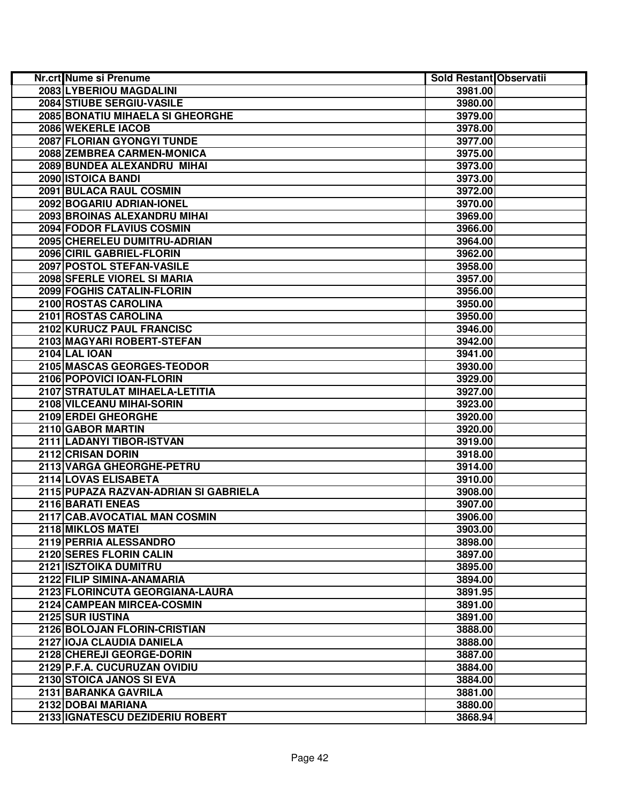| Nr.crt Nume si Prenume                | Sold Restant Observatii |  |
|---------------------------------------|-------------------------|--|
| 2083 LYBERIOU MAGDALINI               | 3981.00                 |  |
| 2084 STIUBE SERGIU-VASILE             | 3980.00                 |  |
| 2085 BONATIU MIHAELA SI GHEORGHE      | 3979.00                 |  |
| 2086 WEKERLE IACOB                    | 3978.00                 |  |
| 2087 FLORIAN GYONGYI TUNDE            | 3977.00                 |  |
| 2088 ZEMBREA CARMEN-MONICA            | 3975.00                 |  |
| 2089 BUNDEA ALEXANDRU MIHAI           | 3973.00                 |  |
| 2090 ISTOICA BANDI                    | 3973.00                 |  |
| 2091 BULACA RAUL COSMIN               | 3972.00                 |  |
| 2092 BOGARIU ADRIAN-IONEL             | 3970.00                 |  |
| 2093 BROINAS ALEXANDRU MIHAI          | 3969.00                 |  |
| 2094 FODOR FLAVIUS COSMIN             | 3966.00                 |  |
| 2095 CHERELEU DUMITRU-ADRIAN          | 3964.00                 |  |
| 2096 CIRIL GABRIEL-FLORIN             | 3962.00                 |  |
| 2097 POSTOL STEFAN-VASILE             | 3958.00                 |  |
| 2098 SFERLE VIOREL SI MARIA           | 3957.00                 |  |
| 2099 FOGHIS CATALIN-FLORIN            | 3956.00                 |  |
| 2100 ROSTAS CAROLINA                  | 3950.00                 |  |
| 2101 ROSTAS CAROLINA                  | 3950.00                 |  |
| 2102 KURUCZ PAUL FRANCISC             | 3946.00                 |  |
| 2103 MAGYARI ROBERT-STEFAN            | 3942.00                 |  |
| <b>2104 LAL IOAN</b>                  | 3941.00                 |  |
| 2105 MASCAS GEORGES-TEODOR            | 3930.00                 |  |
| 2106 POPOVICI IOAN-FLORIN             | 3929.00                 |  |
| 2107 STRATULAT MIHAELA-LETITIA        | 3927.00                 |  |
| 2108 VILCEANU MIHAI-SORIN             | 3923.00                 |  |
| 2109 ERDEI GHEORGHE                   | 3920.00                 |  |
| 2110 GABOR MARTIN                     | 3920.00                 |  |
| 2111 LADANYI TIBOR-ISTVAN             | 3919.00                 |  |
| 2112 CRISAN DORIN                     | 3918.00                 |  |
| 2113 VARGA GHEORGHE-PETRU             | 3914.00                 |  |
| 2114 LOVAS ELISABETA                  | 3910.00                 |  |
| 2115 PUPAZA RAZVAN-ADRIAN SI GABRIELA | 3908.00                 |  |
| 2116 BARATI ENEAS                     | 3907.00                 |  |
| 2117 CAB.AVOCATIAL MAN COSMIN         | 3906.00                 |  |
| 2118 MIKLOS MATEI                     | 3903.00                 |  |
| 2119 PERRIA ALESSANDRO                | 3898.00                 |  |
| 2120 SERES FLORIN CALIN               | 3897.00                 |  |
| <b>2121 ISZTOIKA DUMITRU</b>          | 3895.00                 |  |
| 2122 FILIP SIMINA-ANAMARIA            | 3894.00                 |  |
| 2123 FLORINCUTA GEORGIANA-LAURA       | 3891.95                 |  |
| 2124 CAMPEAN MIRCEA-COSMIN            | 3891.00                 |  |
| 2125 SUR IUSTINA                      | 3891.00                 |  |
| 2126 BOLOJAN FLORIN-CRISTIAN          | 3888.00                 |  |
| 2127 IOJA CLAUDIA DANIELA             | 3888.00                 |  |
| 2128 CHEREJI GEORGE-DORIN             | 3887.00                 |  |
| 2129 P.F.A. CUCURUZAN OVIDIU          | 3884.00                 |  |
| 2130 STOICA JANOS SI EVA              | 3884.00                 |  |
| 2131 BARANKA GAVRILA                  | 3881.00                 |  |
| 2132 DOBAI MARIANA                    | 3880.00                 |  |
| 2133 IGNATESCU DEZIDERIU ROBERT       | 3868.94                 |  |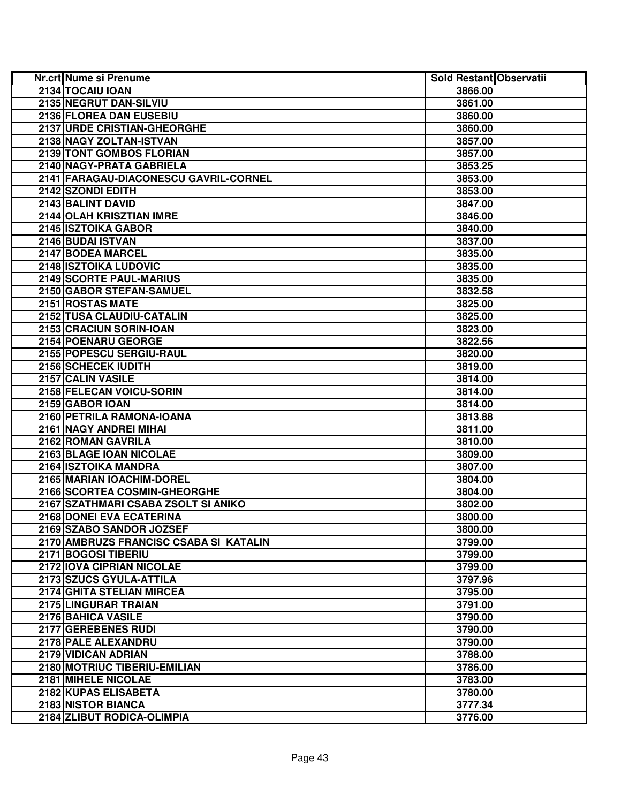| Nr.crt Nume si Prenume                 | Sold Restant Observatii |  |
|----------------------------------------|-------------------------|--|
| 2134 TOCAIU IOAN                       | 3866.00                 |  |
| 2135 NEGRUT DAN-SILVIU                 | 3861.00                 |  |
| 2136 FLOREA DAN EUSEBIU                | 3860.00                 |  |
| 2137 URDE CRISTIAN-GHEORGHE            | 3860.00                 |  |
| 2138 NAGY ZOLTAN-ISTVAN                | 3857.00                 |  |
| 2139 TONT GOMBOS FLORIAN               | 3857.00                 |  |
| 2140 NAGY-PRATA GABRIELA               | 3853.25                 |  |
| 2141 FARAGAU-DIACONESCU GAVRIL-CORNEL  | 3853.00                 |  |
| 2142 SZONDI EDITH                      | 3853.00                 |  |
| 2143 BALINT DAVID                      | 3847.00                 |  |
| 2144 OLAH KRISZTIAN IMRE               | 3846.00                 |  |
| 2145 ISZTOIKA GABOR                    | 3840.00                 |  |
| 2146 BUDAI ISTVAN                      | 3837.00                 |  |
| 2147 BODEA MARCEL                      | 3835.00                 |  |
| 2148 ISZTOIKA LUDOVIC                  | 3835.00                 |  |
| 2149 SCORTE PAUL-MARIUS                | 3835.00                 |  |
| 2150 GABOR STEFAN-SAMUEL               | 3832.58                 |  |
| 2151 ROSTAS MATE                       | 3825.00                 |  |
| 2152 TUSA CLAUDIU-CATALIN              | 3825.00                 |  |
| 2153 CRACIUN SORIN-IOAN                | 3823.00                 |  |
| 2154 POENARU GEORGE                    | 3822.56                 |  |
| 2155 POPESCU SERGIU-RAUL               | 3820.00                 |  |
| 2156 SCHECEK IUDITH                    | 3819.00                 |  |
| 2157 CALIN VASILE                      | 3814.00                 |  |
| 2158 FELECAN VOICU-SORIN               | 3814.00                 |  |
| 2159 GABOR IOAN                        | 3814.00                 |  |
| 2160 PETRILA RAMONA-IOANA              | 3813.88                 |  |
| 2161 NAGY ANDREI MIHAI                 | 3811.00                 |  |
| 2162 ROMAN GAVRILA                     | 3810.00                 |  |
| 2163 BLAGE IOAN NICOLAE                | 3809.00                 |  |
| 2164 ISZTOIKA MANDRA                   | 3807.00                 |  |
| 2165 MARIAN IOACHIM-DOREL              | 3804.00                 |  |
| 2166 SCORTEA COSMIN-GHEORGHE           | 3804.00                 |  |
| 2167 SZATHMARI CSABA ZSOLT SI ANIKO    | 3802.00                 |  |
| 2168 DONEI EVA ECATERINA               | 3800.00                 |  |
| 2169 SZABO SANDOR JOZSEF               | 3800.00                 |  |
| 2170 AMBRUZS FRANCISC CSABA SI KATALIN | 3799.00                 |  |
| 2171 BOGOSI TIBERIU                    | 3799.00                 |  |
| 2172 IOVA CIPRIAN NICOLAE              | 3799.00                 |  |
| 2173 SZUCS GYULA-ATTILA                | 3797.96                 |  |
| 2174 GHITA STELIAN MIRCEA              | 3795.00                 |  |
| 2175 LINGURAR TRAIAN                   | 3791.00                 |  |
| 2176 BAHICA VASILE                     | 3790.00                 |  |
| 2177 GEREBENES RUDI                    | 3790.00                 |  |
| 2178 PALE ALEXANDRU                    | 3790.00                 |  |
| 2179 VIDICAN ADRIAN                    | 3788.00                 |  |
| 2180 MOTRIUC TIBERIU-EMILIAN           | 3786.00                 |  |
| 2181 MIHELE NICOLAE                    | 3783.00                 |  |
| 2182 KUPAS ELISABETA                   | 3780.00                 |  |
| <b>2183 NISTOR BIANCA</b>              | 3777.34                 |  |
| 2184 ZLIBUT RODICA-OLIMPIA             | 3776.00                 |  |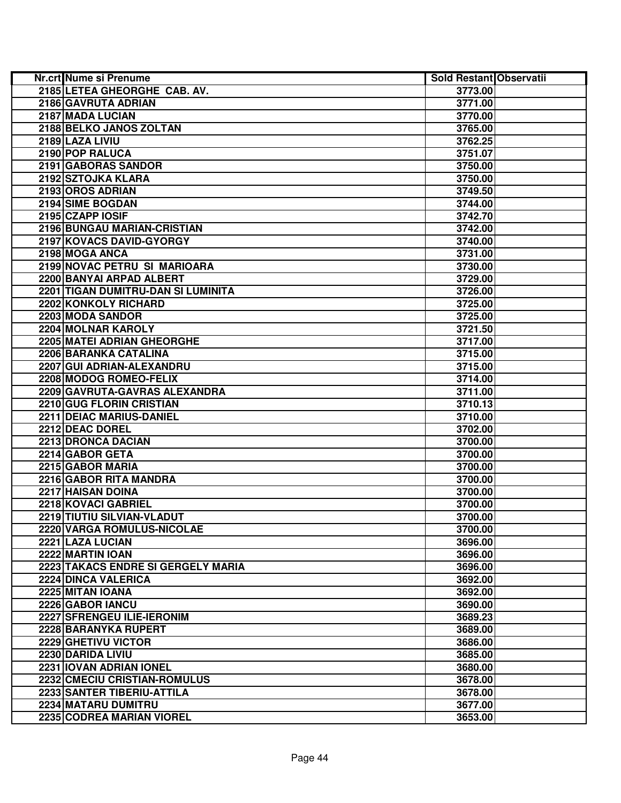| Nr.crt Nume si Prenume             | Sold Restant Observatii |  |
|------------------------------------|-------------------------|--|
| 2185 LETEA GHEORGHE CAB. AV.       | 3773.00                 |  |
| 2186 GAVRUTA ADRIAN                | 3771.00                 |  |
| 2187 MADA LUCIAN                   | 3770.00                 |  |
| 2188 BELKO JANOS ZOLTAN            | 3765.00                 |  |
| 2189 LAZA LIVIU                    | 3762.25                 |  |
| 2190 POP RALUCA                    | 3751.07                 |  |
| 2191 GABORAS SANDOR                | 3750.00                 |  |
| 2192 SZTOJKA KLARA                 | 3750.00                 |  |
| 2193 OROS ADRIAN                   | 3749.50                 |  |
| 2194 SIME BOGDAN                   | 3744.00                 |  |
| 2195 CZAPP IOSIF                   | 3742.70                 |  |
| 2196 BUNGAU MARIAN-CRISTIAN        | 3742.00                 |  |
| 2197 KOVACS DAVID-GYORGY           | 3740.00                 |  |
| 2198 MOGA ANCA                     | 3731.00                 |  |
| 2199 NOVAC PETRU SI MARIOARA       | 3730.00                 |  |
| 2200 BANYAI ARPAD ALBERT           | 3729.00                 |  |
| 2201 TIGAN DUMITRU-DAN SI LUMINITA | 3726.00                 |  |
| 2202 KONKOLY RICHARD               | 3725.00                 |  |
| 2203 MODA SANDOR                   | 3725.00                 |  |
| 2204 MOLNAR KAROLY                 | 3721.50                 |  |
| 2205 MATEI ADRIAN GHEORGHE         | 3717.00                 |  |
| 2206 BARANKA CATALINA              | 3715.00                 |  |
| 2207 GUI ADRIAN-ALEXANDRU          | 3715.00                 |  |
| 2208 MODOG ROMEO-FELIX             | 3714.00                 |  |
| 2209 GAVRUTA-GAVRAS ALEXANDRA      | 3711.00                 |  |
| 2210 GUG FLORIN CRISTIAN           | 3710.13                 |  |
| 2211 DEIAC MARIUS-DANIEL           | 3710.00                 |  |
| 2212 DEAC DOREL                    | 3702.00                 |  |
| 2213 DRONCA DACIAN                 | 3700.00                 |  |
| 2214 GABOR GETA                    | 3700.00                 |  |
| 2215 GABOR MARIA                   | 3700.00                 |  |
| 2216 GABOR RITA MANDRA             | 3700.00                 |  |
| <b>2217 HAISAN DOINA</b>           | 3700.00                 |  |
| 2218 KOVACI GABRIEL                | 3700.00                 |  |
| 2219 TIUTIU SILVIAN-VLADUT         | 3700.00                 |  |
| 2220 VARGA ROMULUS-NICOLAE         | 3700.00                 |  |
| 2221 LAZA LUCIAN                   | 3696.00                 |  |
| 2222 MARTIN IOAN                   | 3696.00                 |  |
| 2223 TAKACS ENDRE SI GERGELY MARIA | 3696.00                 |  |
| 2224 DINCA VALERICA                | 3692.00                 |  |
| 2225 MITAN IOANA                   | 3692.00                 |  |
| 2226 GABOR IANCU                   | 3690.00                 |  |
| 2227 SFRENGEU ILIE-IERONIM         | 3689.23                 |  |
| 2228 BARANYKA RUPERT               | 3689.00                 |  |
| 2229 GHETIVU VICTOR                | 3686.00                 |  |
| 2230 DARIDA LIVIU                  | 3685.00                 |  |
| 2231 IOVAN ADRIAN IONEL            | 3680.00                 |  |
| 2232 CMECIU CRISTIAN-ROMULUS       | 3678.00                 |  |
| 2233 SANTER TIBERIU-ATTILA         | 3678.00                 |  |
| 2234 MATARU DUMITRU                | 3677.00                 |  |
| 2235 CODREA MARIAN VIOREL          | 3653.00                 |  |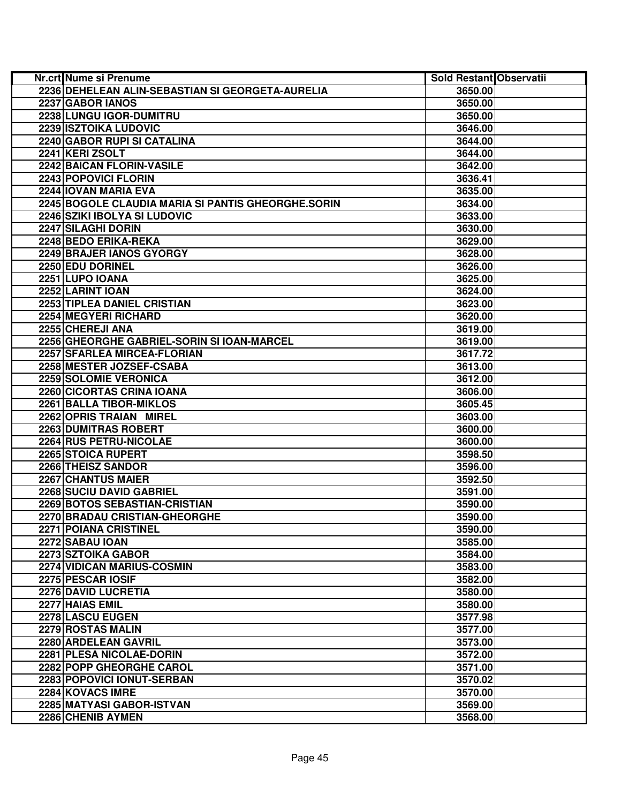| Nr.crt Nume si Prenume                             | Sold Restant Observatii |  |
|----------------------------------------------------|-------------------------|--|
| 2236 DEHELEAN ALIN-SEBASTIAN SI GEORGETA-AURELIA   | 3650.00                 |  |
| 2237 GABOR IANOS                                   | 3650.00                 |  |
| 2238 LUNGU IGOR-DUMITRU                            | 3650.00                 |  |
| 2239 ISZTOIKA LUDOVIC                              | 3646.00                 |  |
| 2240 GABOR RUPI SI CATALINA                        | 3644.00                 |  |
| 2241 KERI ZSOLT                                    | 3644.00                 |  |
| 2242 BAICAN FLORIN-VASILE                          | 3642.00                 |  |
| 2243 POPOVICI FLORIN                               | 3636.41                 |  |
| 2244 IOVAN MARIA EVA                               | 3635.00                 |  |
| 2245 BOGOLE CLAUDIA MARIA SI PANTIS GHEORGHE.SORIN | 3634.00                 |  |
| 2246 SZIKI IBOLYA SI LUDOVIC                       | 3633.00                 |  |
| 2247 SILAGHI DORIN                                 | 3630.00                 |  |
| 2248 BEDO ERIKA-REKA                               | 3629.00                 |  |
| 2249 BRAJER IANOS GYORGY                           | 3628.00                 |  |
| 2250 EDU DORINEL                                   | 3626.00                 |  |
| 2251 LUPO IOANA                                    | 3625.00                 |  |
| 2252 LARINT IOAN                                   | 3624.00                 |  |
| 2253 TIPLEA DANIEL CRISTIAN                        | 3623.00                 |  |
| 2254 MEGYERI RICHARD                               | 3620.00                 |  |
| 2255 CHEREJI ANA                                   | 3619.00                 |  |
| 2256 GHEORGHE GABRIEL-SORIN SI IOAN-MARCEL         | 3619.00                 |  |
| 2257 SFARLEA MIRCEA-FLORIAN                        | 3617.72                 |  |
| 2258 MESTER JOZSEF-CSABA                           | 3613.00                 |  |
| 2259 SOLOMIE VERONICA                              | 3612.00                 |  |
| 2260 CICORTAS CRINA IOANA                          | 3606.00                 |  |
| 2261 BALLA TIBOR-MIKLOS                            | 3605.45                 |  |
| 2262 OPRIS TRAIAN MIREL                            | 3603.00                 |  |
| 2263 DUMITRAS ROBERT                               | 3600.00                 |  |
| 2264 RUS PETRU-NICOLAE                             | 3600.00                 |  |
| 2265 STOICA RUPERT                                 | 3598.50                 |  |
| 2266 THEISZ SANDOR                                 | 3596.00                 |  |
| 2267 CHANTUS MAIER                                 | 3592.50                 |  |
| 2268 SUCIU DAVID GABRIEL                           | 3591.00                 |  |
| 2269 BOTOS SEBASTIAN-CRISTIAN                      | 3590.00                 |  |
| 2270 BRADAU CRISTIAN-GHEORGHE                      | 3590.00                 |  |
| 2271 POIANA CRISTINEL                              | 3590.00                 |  |
| 2272 SABAU IOAN                                    | 3585.00                 |  |
| 2273 SZTOIKA GABOR                                 | 3584.00                 |  |
| 2274 VIDICAN MARIUS-COSMIN                         | 3583.00                 |  |
| 2275 PESCAR IOSIF                                  | 3582.00                 |  |
| 2276 DAVID LUCRETIA                                | 3580.00                 |  |
| 2277 HAIAS EMIL                                    | 3580.00                 |  |
| 2278 LASCU EUGEN                                   | 3577.98                 |  |
| 2279 ROSTAS MALIN                                  | 3577.00                 |  |
| 2280 ARDELEAN GAVRIL                               | 3573.00                 |  |
| 2281 PLESA NICOLAE-DORIN                           | 3572.00                 |  |
| 2282 POPP GHEORGHE CAROL                           | 3571.00                 |  |
| <b>2283 POPOVICI IONUT-SERBAN</b>                  | 3570.02                 |  |
| 2284 KOVACS IMRE                                   | 3570.00                 |  |
| 2285 MATYASI GABOR-ISTVAN                          | 3569.00                 |  |
| 2286 CHENIB AYMEN                                  | 3568.00                 |  |
|                                                    |                         |  |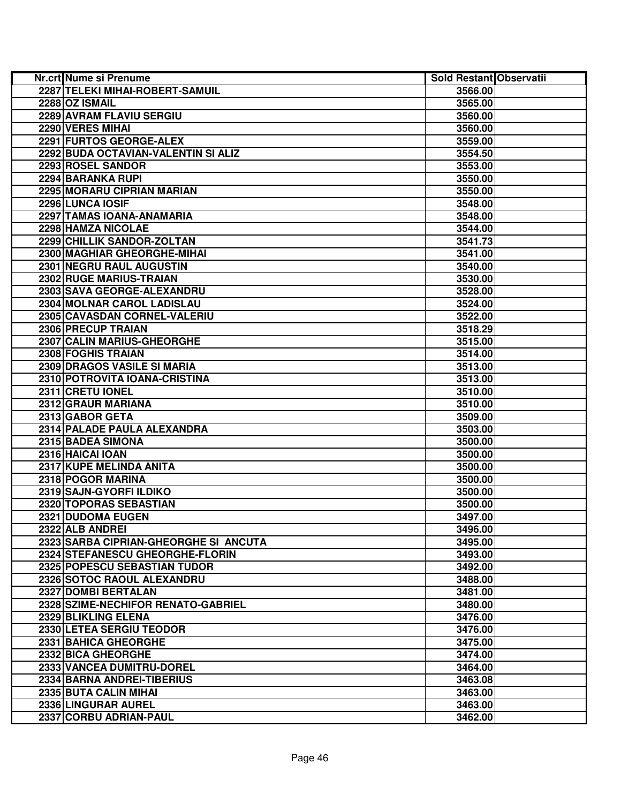| Nr.crt Nume si Prenume                | Sold Restant Observatii |  |
|---------------------------------------|-------------------------|--|
| 2287 TELEKI MIHAI-ROBERT-SAMUIL       | 3566.00                 |  |
| 2288 OZ ISMAIL                        | 3565.00                 |  |
| 2289 AVRAM FLAVIU SERGIU              | 3560.00                 |  |
| 2290 VERES MIHAI                      | 3560.00                 |  |
| 2291 FURTOS GEORGE-ALEX               | 3559.00                 |  |
| 2292 BUDA OCTAVIAN-VALENTIN SI ALIZ   | 3554.50                 |  |
| 2293 ROSEL SANDOR                     | 3553.00                 |  |
| 2294 BARANKA RUPI                     | 3550.00                 |  |
| 2295 MORARU CIPRIAN MARIAN            | 3550.00                 |  |
| 2296 LUNCA IOSIF                      | 3548.00                 |  |
| 2297 TAMAS IOANA-ANAMARIA             | 3548.00                 |  |
| 2298 HAMZA NICOLAE                    | 3544.00                 |  |
| 2299 CHILLIK SANDOR-ZOLTAN            | 3541.73                 |  |
| 2300 MAGHIAR GHEORGHE-MIHAI           | 3541.00                 |  |
| 2301 NEGRU RAUL AUGUSTIN              | 3540.00                 |  |
| 2302 RUGE MARIUS-TRAIAN               | 3530.00                 |  |
| 2303 SAVA GEORGE-ALEXANDRU            | 3528.00                 |  |
| 2304 MOLNAR CAROL LADISLAU            | 3524.00                 |  |
| 2305 CAVASDAN CORNEL-VALERIU          | 3522.00                 |  |
| 2306 PRECUP TRAIAN                    | 3518.29                 |  |
| 2307 CALIN MARIUS-GHEORGHE            | 3515.00                 |  |
| 2308 FOGHIS TRAIAN                    | 3514.00                 |  |
| 2309 DRAGOS VASILE SI MARIA           | 3513.00                 |  |
| 2310 POTROVITA IOANA-CRISTINA         | 3513.00                 |  |
| 2311 CRETU IONEL                      | 3510.00                 |  |
| 2312 GRAUR MARIANA                    | 3510.00                 |  |
| 2313 GABOR GETA                       | 3509.00                 |  |
| 2314 PALADE PAULA ALEXANDRA           | 3503.00                 |  |
| 2315 BADEA SIMONA                     | 3500.00                 |  |
| 2316 HAICAI IOAN                      | 3500.00                 |  |
| 2317 KUPE MELINDA ANITA               | 3500.00                 |  |
| 2318 POGOR MARINA                     | 3500.00                 |  |
| 2319 SAJN-GYORFI ILDIKO               | 3500.00                 |  |
| 2320 TOPORAS SEBASTIAN                | 3500.00                 |  |
| 2321 DUDOMA EUGEN                     | 3497.00                 |  |
| 2322 ALB ANDREI                       | 3496.00                 |  |
| 2323 SARBA CIPRIAN-GHEORGHE SI ANCUTA | 3495.00                 |  |
| 2324 STEFANESCU GHEORGHE-FLORIN       | 3493.00                 |  |
| 2325 POPESCU SEBASTIAN TUDOR          | 3492.00                 |  |
| 2326 SOTOC RAOUL ALEXANDRU            | 3488.00                 |  |
| 2327 DOMBI BERTALAN                   | 3481.00                 |  |
| 2328 SZIME-NECHIFOR RENATO-GABRIEL    | 3480.00                 |  |
| 2329 BLIKLING ELENA                   | 3476.00                 |  |
| 2330 LETEA SERGIU TEODOR              | 3476.00                 |  |
| 2331 BAHICA GHEORGHE                  | 3475.00                 |  |
| 2332 BICA GHEORGHE                    | 3474.00                 |  |
| 2333 VANCEA DUMITRU-DOREL             | 3464.00                 |  |
| 2334 BARNA ANDREI-TIBERIUS            | 3463.08                 |  |
| 2335 BUTA CALIN MIHAI                 | 3463.00                 |  |
| 2336 LINGURAR AUREL                   | 3463.00                 |  |
| 2337 CORBU ADRIAN-PAUL                | 3462.00                 |  |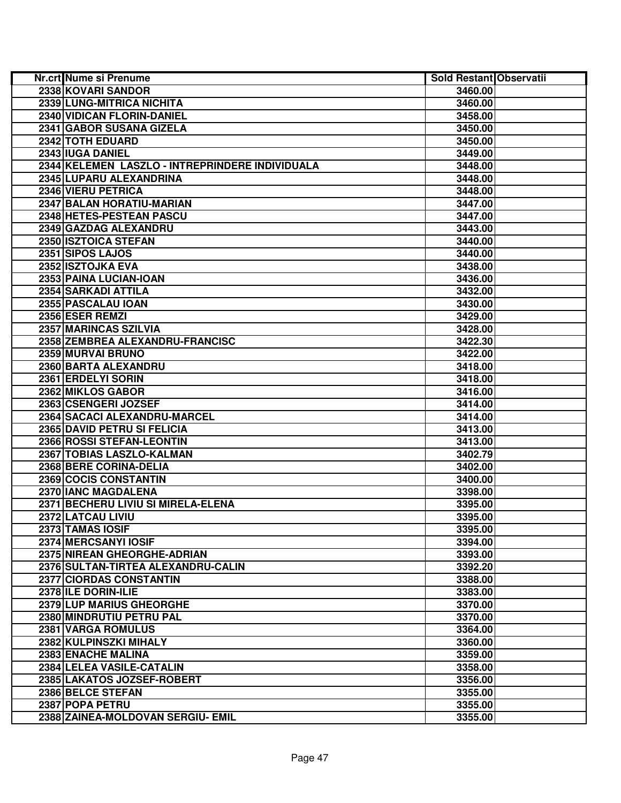| Nr.crt Nume si Prenume                          | <b>Sold Restant Observatii</b> |  |
|-------------------------------------------------|--------------------------------|--|
| 2338 KOVARI SANDOR                              | 3460.00                        |  |
| 2339 LUNG-MITRICA NICHITA                       | 3460.00                        |  |
| 2340 VIDICAN FLORIN-DANIEL                      | 3458.00                        |  |
| 2341 GABOR SUSANA GIZELA                        | 3450.00                        |  |
| 2342 TOTH EDUARD                                | 3450.00                        |  |
| 2343 IUGA DANIEL                                | 3449.00                        |  |
| 2344 KELEMEN LASZLO - INTREPRINDERE INDIVIDUALA | 3448.00                        |  |
| 2345 LUPARU ALEXANDRINA                         | 3448.00                        |  |
| 2346 VIERU PETRICA                              | 3448.00                        |  |
| 2347 BALAN HORATIU-MARIAN                       | 3447.00                        |  |
| 2348 HETES-PESTEAN PASCU                        | 3447.00                        |  |
| 2349 GAZDAG ALEXANDRU                           | 3443.00                        |  |
| 2350 ISZTOICA STEFAN                            | 3440.00                        |  |
| 2351 SIPOS LAJOS                                | 3440.00                        |  |
| 2352 ISZTOJKA EVA                               | 3438.00                        |  |
| 2353 PAINA LUCIAN-IOAN                          | 3436.00                        |  |
| 2354 SARKADI ATTILA                             | 3432.00                        |  |
| 2355 PASCALAU IOAN                              | 3430.00                        |  |
| 2356 ESER REMZI                                 | 3429.00                        |  |
| 2357 MARINCAS SZILVIA                           | 3428.00                        |  |
| 2358 ZEMBREA ALEXANDRU-FRANCISC                 | 3422.30                        |  |
| 2359 MURVAI BRUNO                               | 3422.00                        |  |
| 2360 BARTA ALEXANDRU                            | 3418.00                        |  |
| 2361 ERDELYI SORIN                              | 3418.00                        |  |
| 2362 MIKLOS GABOR                               | 3416.00                        |  |
| 2363 CSENGERI JOZSEF                            | 3414.00                        |  |
| 2364 SACACI ALEXANDRU-MARCEL                    | 3414.00                        |  |
| 2365 DAVID PETRU SI FELICIA                     | 3413.00                        |  |
| 2366 ROSSI STEFAN-LEONTIN                       | 3413.00                        |  |
| 2367 TOBIAS LASZLO-KALMAN                       | 3402.79                        |  |
| 2368 BERE CORINA-DELIA                          | 3402.00                        |  |
| 2369 COCIS CONSTANTIN                           | 3400.00                        |  |
| 2370 IANC MAGDALENA                             | 3398.00                        |  |
| 2371 BECHERU LIVIU SI MIRELA-ELENA              | 3395.00                        |  |
| 2372 LATCAU LIVIU                               | 3395.00                        |  |
| 2373 TAMAS IOSIF                                | 3395.00                        |  |
| 2374 MERCSANYI IOSIF                            | 3394.00                        |  |
| 2375 NIREAN GHEORGHE-ADRIAN                     | 3393.00                        |  |
| 2376 SULTAN-TIRTEA ALEXANDRU-CALIN              | 3392.20                        |  |
| 2377 CIORDAS CONSTANTIN                         | 3388.00                        |  |
| 2378 ILE DORIN-ILIE                             | 3383.00                        |  |
| 2379 LUP MARIUS GHEORGHE                        | 3370.00                        |  |
| 2380 MINDRUTIU PETRU PAL                        | 3370.00                        |  |
| 2381 VARGA ROMULUS                              | 3364.00                        |  |
| 2382 KULPINSZKI MIHALY                          | 3360.00                        |  |
| 2383 ENACHE MALINA                              | 3359.00                        |  |
| 2384 LELEA VASILE-CATALIN                       | 3358.00                        |  |
| 2385 LAKATOS JOZSEF-ROBERT                      | 3356.00                        |  |
| 2386 BELCE STEFAN                               | 3355.00                        |  |
| 2387 POPA PETRU                                 | 3355.00                        |  |
| 2388 ZAINEA-MOLDOVAN SERGIU- EMIL               | 3355.00                        |  |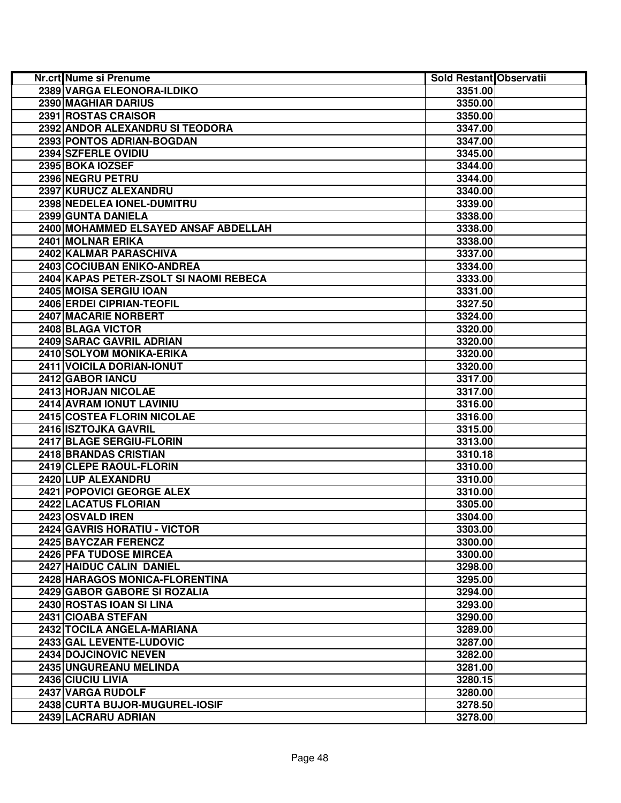| Nr.crt Nume si Prenume                 | Sold Restant Observatii |  |
|----------------------------------------|-------------------------|--|
| 2389 VARGA ELEONORA-ILDIKO             | 3351.00                 |  |
| 2390 MAGHIAR DARIUS                    | 3350.00                 |  |
| 2391 ROSTAS CRAISOR                    | 3350.00                 |  |
| 2392 ANDOR ALEXANDRU SI TEODORA        | 3347.00                 |  |
| 2393 PONTOS ADRIAN-BOGDAN              | 3347.00                 |  |
| 2394 SZFERLE OVIDIU                    | 3345.00                 |  |
| 2395 BOKA IOZSEF                       | 3344.00                 |  |
| 2396 NEGRU PETRU                       | 3344.00                 |  |
| 2397 KURUCZ ALEXANDRU                  | 3340.00                 |  |
| 2398 NEDELEA IONEL-DUMITRU             | 3339.00                 |  |
| 2399 GUNTA DANIELA                     | 3338.00                 |  |
| 2400 MOHAMMED ELSAYED ANSAF ABDELLAH   | 3338.00                 |  |
| 2401 MOLNAR ERIKA                      | 3338.00                 |  |
| 2402 KALMAR PARASCHIVA                 | 3337.00                 |  |
| 2403 COCIUBAN ENIKO-ANDREA             | 3334.00                 |  |
| 2404 KAPAS PETER-ZSOLT SI NAOMI REBECA | 3333.00                 |  |
| 2405 MOISA SERGIU IOAN                 | 3331.00                 |  |
| 2406 ERDEI CIPRIAN-TEOFIL              | 3327.50                 |  |
| 2407 MACARIE NORBERT                   | 3324.00                 |  |
| 2408 BLAGA VICTOR                      | 3320.00                 |  |
| 2409 SARAC GAVRIL ADRIAN               | 3320.00                 |  |
| 2410 SOLYOM MONIKA-ERIKA               | 3320.00                 |  |
| 2411 VOICILA DORIAN-IONUT              | 3320.00                 |  |
| 2412 GABOR IANCU                       | 3317.00                 |  |
| 2413 HORJAN NICOLAE                    | 3317.00                 |  |
| 2414 AVRAM IONUT LAVINIU               | 3316.00                 |  |
| 2415 COSTEA FLORIN NICOLAE             | 3316.00                 |  |
| 2416 ISZTOJKA GAVRIL                   | 3315.00                 |  |
| 2417 BLAGE SERGIU-FLORIN               | 3313.00                 |  |
| 2418 BRANDAS CRISTIAN                  | 3310.18                 |  |
| 2419 CLEPE RAOUL-FLORIN                | 3310.00                 |  |
| 2420 LUP ALEXANDRU                     | 3310.00                 |  |
| 2421 POPOVICI GEORGE ALEX              | 3310.00                 |  |
| 2422 LACATUS FLORIAN                   | 3305.00                 |  |
| 2423 OSVALD IREN                       | 3304.00                 |  |
| 2424 GAVRIS HORATIU - VICTOR           | 3303.00                 |  |
| <b>2425 BAYCZAR FERENCZ</b>            | 3300.00                 |  |
| 2426 PFA TUDOSE MIRCEA                 | 3300.00                 |  |
| 2427 HAIDUC CALIN DANIEL               | 3298.00                 |  |
| 2428 HARAGOS MONICA-FLORENTINA         | 3295.00                 |  |
| 2429 GABOR GABORE SI ROZALIA           | 3294.00                 |  |
| 2430 ROSTAS IOAN SI LINA               | 3293.00                 |  |
| 2431 CIOABA STEFAN                     | 3290.00                 |  |
| 2432 TOCILA ANGELA-MARIANA             | 3289.00                 |  |
| 2433 GAL LEVENTE-LUDOVIC               | 3287.00                 |  |
| 2434 DOJCINOVIC NEVEN                  | 3282.00                 |  |
| <b>2435 UNGUREANU MELINDA</b>          | 3281.00                 |  |
| 2436 CIUCIU LIVIA                      | 3280.15                 |  |
| 2437 VARGA RUDOLF                      | 3280.00                 |  |
| 2438 CURTA BUJOR-MUGUREL-IOSIF         | 3278.50                 |  |
| 2439 LACRARU ADRIAN                    | 3278.00                 |  |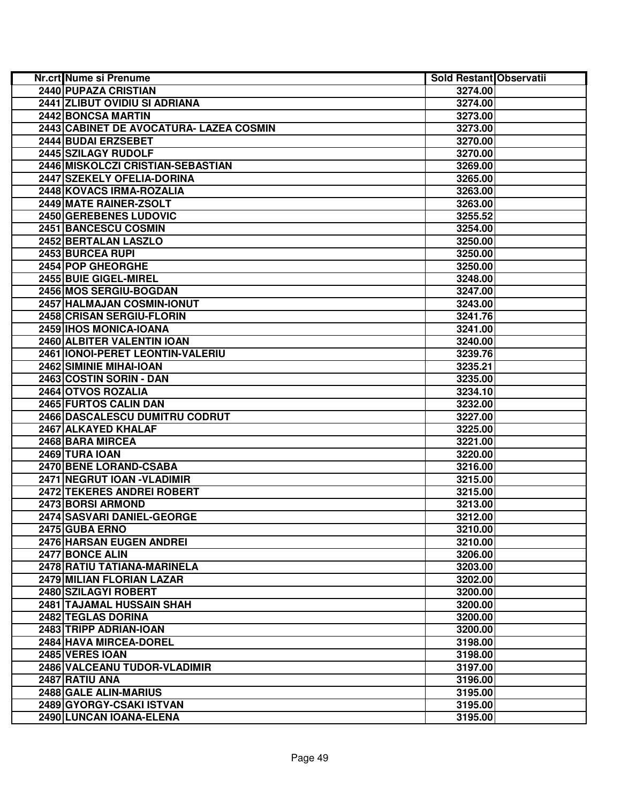| Nr.crt Nume si Prenume                  | Sold Restant Observatii |  |
|-----------------------------------------|-------------------------|--|
| <b>2440 PUPAZA CRISTIAN</b>             | 3274.00                 |  |
| 2441 ZLIBUT OVIDIU SI ADRIANA           | 3274.00                 |  |
| 2442 BONCSA MARTIN                      | 3273.00                 |  |
| 2443 CABINET DE AVOCATURA- LAZEA COSMIN | 3273.00                 |  |
| 2444 BUDAI ERZSEBET                     | 3270.00                 |  |
| 2445 SZILAGY RUDOLF                     | 3270.00                 |  |
| 2446 MISKOLCZI CRISTIAN-SEBASTIAN       | 3269.00                 |  |
| 2447 SZEKELY OFELIA-DORINA              | 3265.00                 |  |
| 2448 KOVACS IRMA-ROZALIA                | 3263.00                 |  |
| 2449 MATE RAINER-ZSOLT                  | 3263.00                 |  |
| 2450 GEREBENES LUDOVIC                  | 3255.52                 |  |
| 2451 BANCESCU COSMIN                    | 3254.00                 |  |
| 2452 BERTALAN LASZLO                    | 3250.00                 |  |
| 2453 BURCEA RUPI                        | 3250.00                 |  |
| 2454 POP GHEORGHE                       | 3250.00                 |  |
| 2455 BUIE GIGEL-MIREL                   | 3248.00                 |  |
| 2456 MOS SERGIU-BOGDAN                  | 3247.00                 |  |
| 2457 HALMAJAN COSMIN-IONUT              | 3243.00                 |  |
| 2458 CRISAN SERGIU-FLORIN               | 3241.76                 |  |
| 2459 IHOS MONICA-IOANA                  | 3241.00                 |  |
| 2460 ALBITER VALENTIN IOAN              | 3240.00                 |  |
| 2461   IONOI-PERET LEONTIN-VALERIU      | 3239.76                 |  |
| 2462 SIMINIE MIHAI-IOAN                 | 3235.21                 |  |
| 2463 COSTIN SORIN - DAN                 | 3235.00                 |  |
| 2464 OTVOS ROZALIA                      | 3234.10                 |  |
| 2465 FURTOS CALIN DAN                   | 3232.00                 |  |
| 2466 DASCALESCU DUMITRU CODRUT          | 3227.00                 |  |
| 2467 ALKAYED KHALAF                     | 3225.00                 |  |
| 2468 BARA MIRCEA                        | 3221.00                 |  |
| 2469 TURA IOAN                          | 3220.00                 |  |
| 2470 BENE LORAND-CSABA                  | 3216.00                 |  |
| 2471 NEGRUT IOAN - VLADIMIR             | 3215.00                 |  |
| 2472 TEKERES ANDREI ROBERT              | 3215.00                 |  |
| 2473 BORSI ARMOND                       | 3213.00                 |  |
| 2474 SASVARI DANIEL-GEORGE              | 3212.00                 |  |
| 2475 GUBA ERNO                          | 3210.00                 |  |
| <b>2476 HARSAN EUGEN ANDREI</b>         | 3210.00                 |  |
| 2477 BONCE ALIN                         | 3206.00                 |  |
| 2478 RATIU TATIANA-MARINELA             | 3203.00                 |  |
| 2479 MILIAN FLORIAN LAZAR               | 3202.00                 |  |
| 2480 SZILAGYI ROBERT                    | 3200.00                 |  |
| 2481 TAJAMAL HUSSAIN SHAH               | 3200.00                 |  |
| 2482 TEGLAS DORINA                      | 3200.00                 |  |
| 2483 TRIPP ADRIAN-IOAN                  | 3200.00                 |  |
| 2484 HAVA MIRCEA-DOREL                  | 3198.00                 |  |
| 2485 VERES IOAN                         | 3198.00                 |  |
| 2486 VALCEANU TUDOR-VLADIMIR            | 3197.00                 |  |
| 2487 RATIU ANA                          | 3196.00                 |  |
| 2488 GALE ALIN-MARIUS                   | 3195.00                 |  |
| 2489 GYORGY-CSAKI ISTVAN                | 3195.00                 |  |
| 2490 LUNCAN IOANA-ELENA                 | 3195.00                 |  |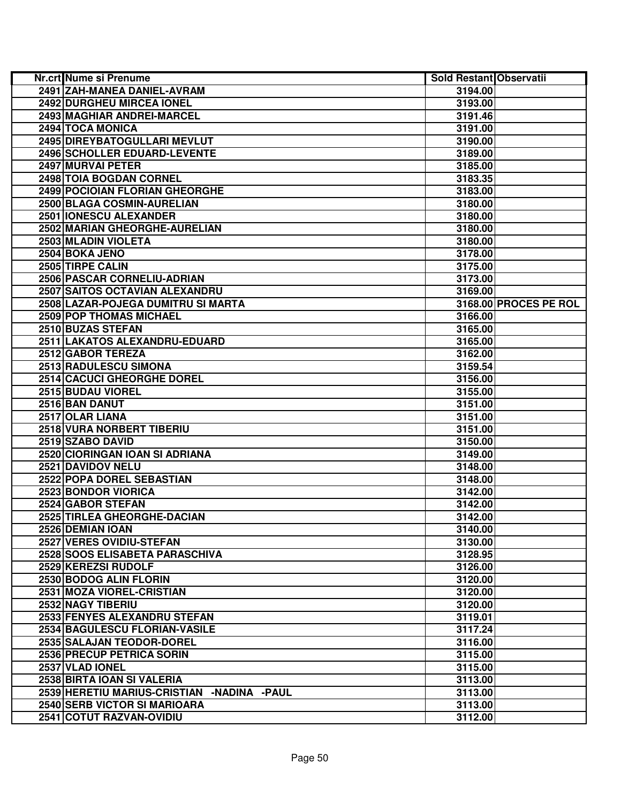| Nr.crt Nume si Prenume                     | <b>Sold Restant Observatii</b> |                       |
|--------------------------------------------|--------------------------------|-----------------------|
| 2491 ZAH-MANEA DANIEL-AVRAM                | 3194.00                        |                       |
| 2492 DURGHEU MIRCEA IONEL                  | 3193.00                        |                       |
| 2493 MAGHIAR ANDREI-MARCEL                 | 3191.46                        |                       |
| 2494 TOCA MONICA                           | 3191.00                        |                       |
| 2495 DIREYBATOGULLARI MEVLUT               | 3190.00                        |                       |
| 2496 SCHOLLER EDUARD-LEVENTE               | 3189.00                        |                       |
| 2497 MURVAI PETER                          | 3185.00                        |                       |
| 2498 TOIA BOGDAN CORNEL                    | 3183.35                        |                       |
| 2499 POCIOIAN FLORIAN GHEORGHE             | 3183.00                        |                       |
| 2500 BLAGA COSMIN-AURELIAN                 | 3180.00                        |                       |
| 2501 IONESCU ALEXANDER                     | 3180.00                        |                       |
| 2502 MARIAN GHEORGHE-AURELIAN              | 3180.00                        |                       |
| 2503 MLADIN VIOLETA                        | 3180.00                        |                       |
| 2504 BOKA JENO                             | 3178.00                        |                       |
| 2505 TIRPE CALIN                           | 3175.00                        |                       |
| 2506 PASCAR CORNELIU-ADRIAN                | 3173.00                        |                       |
| 2507 SAITOS OCTAVIAN ALEXANDRU             | 3169.00                        |                       |
| 2508 LAZAR-POJEGA DUMITRU SI MARTA         |                                | 3168.00 PROCES PE ROL |
| 2509 POP THOMAS MICHAEL                    | 3166.00                        |                       |
| 2510 BUZAS STEFAN                          | 3165.00                        |                       |
| 2511 LAKATOS ALEXANDRU-EDUARD              | 3165.00                        |                       |
| 2512 GABOR TEREZA                          | 3162.00                        |                       |
| 2513 RADULESCU SIMONA                      | 3159.54                        |                       |
| <b>2514 CACUCI GHEORGHE DOREL</b>          | 3156.00                        |                       |
| 2515 BUDAU VIOREL                          | 3155.00                        |                       |
| 2516 BAN DANUT                             | 3151.00                        |                       |
| 2517 OLAR LIANA                            | 3151.00                        |                       |
| 2518 VURA NORBERT TIBERIU                  | 3151.00                        |                       |
| 2519 SZABO DAVID                           | 3150.00                        |                       |
| 2520 CIORINGAN IOAN SI ADRIANA             | 3149.00                        |                       |
| 2521 DAVIDOV NELU                          | 3148.00                        |                       |
| 2522 POPA DOREL SEBASTIAN                  | 3148.00                        |                       |
| 2523 BONDOR VIORICA                        | 3142.00                        |                       |
| 2524 GABOR STEFAN                          | 3142.00                        |                       |
| 2525 TIRLEA GHEORGHE-DACIAN                | 3142.00                        |                       |
| 2526 DEMIAN IOAN                           | 3140.00                        |                       |
| 2527 VERES OVIDIU-STEFAN                   | 3130.00                        |                       |
| <b>2528 SOOS ELISABETA PARASCHIVA</b>      | 3128.95                        |                       |
| 2529 KEREZSI RUDOLF                        | 3126.00                        |                       |
| 2530 BODOG ALIN FLORIN                     | 3120.00                        |                       |
| 2531 MOZA VIOREL-CRISTIAN                  | 3120.00                        |                       |
| 2532 NAGY TIBERIU                          | 3120.00                        |                       |
| 2533 FENYES ALEXANDRU STEFAN               | 3119.01                        |                       |
| 2534 BAGULESCU FLORIAN-VASILE              | 3117.24                        |                       |
| 2535 SALAJAN TEODOR-DOREL                  | 3116.00                        |                       |
| 2536 PRECUP PETRICA SORIN                  | 3115.00                        |                       |
| 2537 VLAD IONEL                            | 3115.00                        |                       |
| 2538 BIRTA IOAN SI VALERIA                 | 3113.00                        |                       |
| 2539 HERETIU MARIUS-CRISTIAN -NADINA -PAUL | 3113.00                        |                       |
| 2540 SERB VICTOR SI MARIOARA               | 3113.00                        |                       |
| 2541 COTUT RAZVAN-OVIDIU                   | 3112.00                        |                       |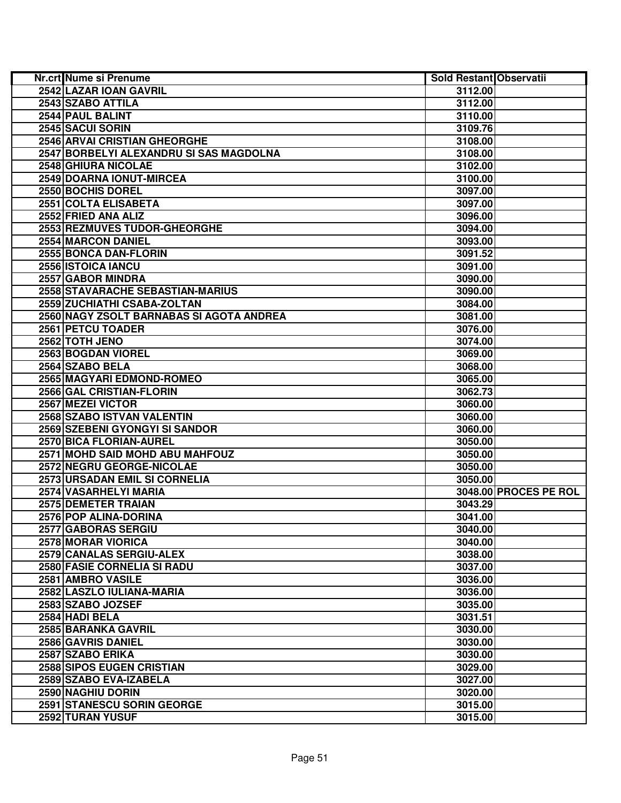| Nr.crt Nume si Prenume                   | Sold Restant Observatii |                       |
|------------------------------------------|-------------------------|-----------------------|
| 2542 LAZAR IOAN GAVRIL                   | 3112.00                 |                       |
| 2543 SZABO ATTILA                        | 3112.00                 |                       |
| 2544 PAUL BALINT                         | 3110.00                 |                       |
| 2545 SACUI SORIN                         | 3109.76                 |                       |
| 2546 ARVAI CRISTIAN GHEORGHE             | 3108.00                 |                       |
| 2547 BORBELYI ALEXANDRU SI SAS MAGDOLNA  | 3108.00                 |                       |
| 2548 GHIURA NICOLAE                      | 3102.00                 |                       |
| 2549 DOARNA IONUT-MIRCEA                 | 3100.00                 |                       |
| 2550 BOCHIS DOREL                        | 3097.00                 |                       |
| 2551 COLTA ELISABETA                     | 3097.00                 |                       |
| 2552 FRIED ANA ALIZ                      | 3096.00                 |                       |
| 2553 REZMUVES TUDOR-GHEORGHE             | 3094.00                 |                       |
| <b>2554 MARCON DANIEL</b>                | 3093.00                 |                       |
| 2555 BONCA DAN-FLORIN                    | 3091.52                 |                       |
| 2556 ISTOICA IANCU                       | 3091.00                 |                       |
| 2557 GABOR MINDRA                        | 3090.00                 |                       |
| 2558 STAVARACHE SEBASTIAN-MARIUS         | 3090.00                 |                       |
| 2559 ZUCHIATHI CSABA-ZOLTAN              | 3084.00                 |                       |
| 2560 NAGY ZSOLT BARNABAS SI AGOTA ANDREA | 3081.00                 |                       |
| 2561 PETCU TOADER                        | 3076.00                 |                       |
| 2562 TOTH JENO                           | 3074.00                 |                       |
| 2563 BOGDAN VIOREL                       | 3069.00                 |                       |
| 2564 SZABO BELA                          | 3068.00                 |                       |
| 2565 MAGYARI EDMOND-ROMEO                | 3065.00                 |                       |
| 2566 GAL CRISTIAN-FLORIN                 | 3062.73                 |                       |
| 2567 MEZEI VICTOR                        | 3060.00                 |                       |
| 2568 SZABO ISTVAN VALENTIN               | 3060.00                 |                       |
| 2569 SZEBENI GYONGYI SI SANDOR           | 3060.00                 |                       |
| 2570 BICA FLORIAN-AUREL                  | 3050.00                 |                       |
| 2571 MOHD SAID MOHD ABU MAHFOUZ          | 3050.00                 |                       |
| 2572 NEGRU GEORGE-NICOLAE                | 3050.00                 |                       |
| 2573 URSADAN EMIL SI CORNELIA            | 3050.00                 |                       |
| 2574 VASARHELYI MARIA                    |                         | 3048.00 PROCES PE ROL |
| 2575 DEMETER TRAIAN                      | 3043.29                 |                       |
| 2576 POP ALINA-DORINA                    | 3041.00                 |                       |
| 2577 GABORAS SERGIU                      | 3040.00                 |                       |
| <b>2578 MORAR VIORICA</b>                | 3040.00                 |                       |
| 2579 CANALAS SERGIU-ALEX                 | 3038.00                 |                       |
| <b>2580 FASIE CORNELIA SI RADU</b>       | 3037.00                 |                       |
| 2581 AMBRO VASILE                        | 3036.00                 |                       |
| 2582 LASZLO IULIANA-MARIA                | 3036.00                 |                       |
| 2583 SZABO JOZSEF                        | 3035.00                 |                       |
| 2584 HADI BELA                           | 3031.51                 |                       |
| 2585 BARANKA GAVRIL                      | 3030.00                 |                       |
| 2586 GAVRIS DANIEL                       | 3030.00                 |                       |
| 2587 SZABO ERIKA                         | 3030.00                 |                       |
| 2588 SIPOS EUGEN CRISTIAN                | 3029.00                 |                       |
| 2589 SZABO EVA-IZABELA                   | 3027.00                 |                       |
| 2590 NAGHIU DORIN                        | 3020.00                 |                       |
| <b>2591 STANESCU SORIN GEORGE</b>        | 3015.00                 |                       |
| 2592 TURAN YUSUF                         | 3015.00                 |                       |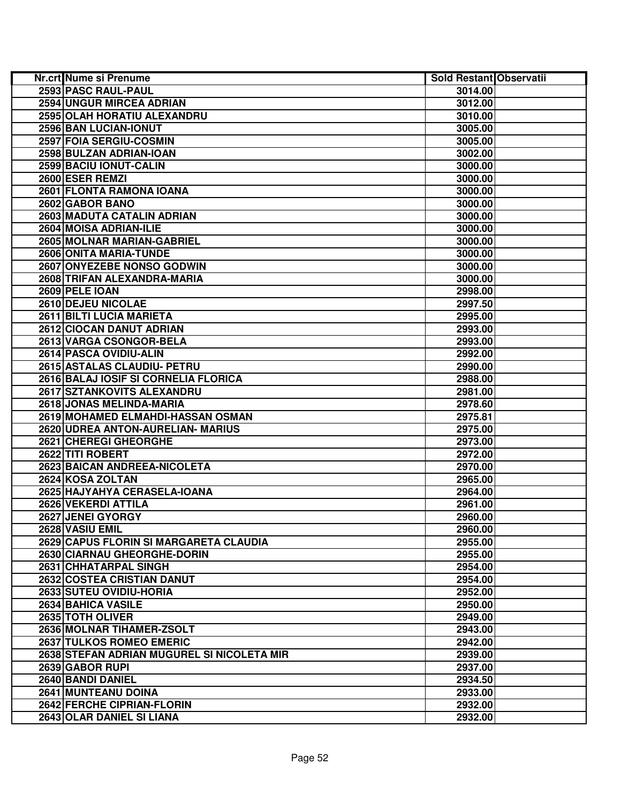| Nr.crt Nume si Prenume                     | Sold Restant Observatii |  |
|--------------------------------------------|-------------------------|--|
| 2593 PASC RAUL-PAUL                        | 3014.00                 |  |
| 2594 UNGUR MIRCEA ADRIAN                   | 3012.00                 |  |
| 2595 OLAH HORATIU ALEXANDRU                | 3010.00                 |  |
| 2596 BAN LUCIAN-IONUT                      | 3005.00                 |  |
| 2597 FOIA SERGIU-COSMIN                    | 3005.00                 |  |
| 2598 BULZAN ADRIAN-IOAN                    | 3002.00                 |  |
| 2599 BACIU IONUT-CALIN                     | 3000.00                 |  |
| 2600 ESER REMZI                            | 3000.00                 |  |
| 2601 FLONTA RAMONA IOANA                   | 3000.00                 |  |
| 2602 GABOR BANO                            | 3000.00                 |  |
| 2603 MADUTA CATALIN ADRIAN                 | 3000.00                 |  |
| 2604 MOISA ADRIAN-ILIE                     | 3000.00                 |  |
| 2605 MOLNAR MARIAN-GABRIEL                 | 3000.00                 |  |
| 2606 ONITA MARIA-TUNDE                     | 3000.00                 |  |
| 2607 ONYEZEBE NONSO GODWIN                 | 3000.00                 |  |
| 2608 TRIFAN ALEXANDRA-MARIA                | 3000.00                 |  |
| 2609 PELE IOAN                             | 2998.00                 |  |
| 2610 DEJEU NICOLAE                         | 2997.50                 |  |
| 2611 BILTI LUCIA MARIETA                   | 2995.00                 |  |
| 2612 CIOCAN DANUT ADRIAN                   | 2993.00                 |  |
| 2613 VARGA CSONGOR-BELA                    | 2993.00                 |  |
| 2614 PASCA OVIDIU-ALIN                     | 2992.00                 |  |
| 2615 ASTALAS CLAUDIU- PETRU                | 2990.00                 |  |
| 2616 BALAJ IOSIF SI CORNELIA FLORICA       | 2988.00                 |  |
| 2617 SZTANKOVITS ALEXANDRU                 | 2981.00                 |  |
| 2618 JONAS MELINDA-MARIA                   | 2978.60                 |  |
| 2619 MOHAMED ELMAHDI-HASSAN OSMAN          | 2975.81                 |  |
| 2620 UDREA ANTON-AURELIAN- MARIUS          | 2975.00                 |  |
| 2621 CHEREGI GHEORGHE                      | 2973.00                 |  |
| 2622 TITI ROBERT                           | 2972.00                 |  |
| 2623 BAICAN ANDREEA-NICOLETA               | 2970.00                 |  |
| 2624 KOSA ZOLTAN                           | 2965.00                 |  |
| 2625 HAJYAHYA CERASELA-IOANA               | 2964.00                 |  |
| 2626 VEKERDI ATTILA                        | 2961.00                 |  |
| 2627 JENEI GYORGY                          | 2960.00                 |  |
| 2628 VASIU EMIL                            | 2960.00                 |  |
| 2629 CAPUS FLORIN SI MARGARETA CLAUDIA     | 2955.00                 |  |
| <b>2630 CIARNAU GHEORGHE-DORIN</b>         | 2955.00                 |  |
| 2631 CHHATARPAL SINGH                      | 2954.00                 |  |
| 2632 COSTEA CRISTIAN DANUT                 | 2954.00                 |  |
| 2633 SUTEU OVIDIU-HORIA                    | 2952.00                 |  |
| 2634 BAHICA VASILE                         | 2950.00                 |  |
| 2635 TOTH OLIVER                           | 2949.00                 |  |
| 2636 MOLNAR TIHAMER-ZSOLT                  | 2943.00                 |  |
| 2637 TULKOS ROMEO EMERIC                   | 2942.00                 |  |
| 2638 STEFAN ADRIAN MUGUREL SI NICOLETA MIR | 2939.00                 |  |
| 2639 GABOR RUPI                            | 2937.00                 |  |
| 2640 BANDI DANIEL                          | 2934.50                 |  |
| <b>2641 MUNTEANU DOINA</b>                 | 2933.00                 |  |
| 2642 FERCHE CIPRIAN-FLORIN                 | 2932.00                 |  |
| 2643 OLAR DANIEL SI LIANA                  | 2932.00                 |  |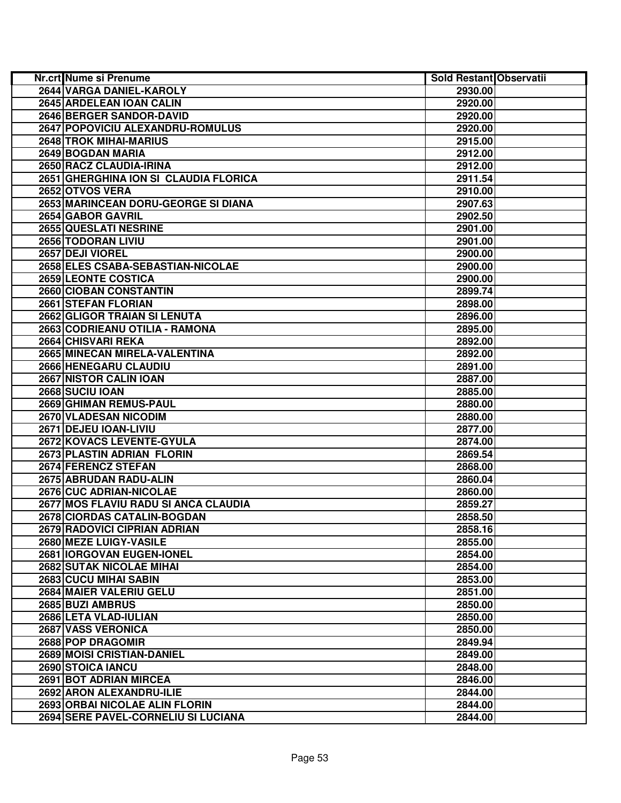| Nr.crt Nume si Prenume                | Sold Restant Observatii |  |
|---------------------------------------|-------------------------|--|
| 2644 VARGA DANIEL-KAROLY              | 2930.00                 |  |
| 2645 ARDELEAN IOAN CALIN              | 2920.00                 |  |
| 2646 BERGER SANDOR-DAVID              | 2920.00                 |  |
| 2647 POPOVICIU ALEXANDRU-ROMULUS      | 2920.00                 |  |
| 2648 TROK MIHAI-MARIUS                | 2915.00                 |  |
| 2649 BOGDAN MARIA                     | 2912.00                 |  |
| 2650 RACZ CLAUDIA-IRINA               | 2912.00                 |  |
| 2651 GHERGHINA ION SI CLAUDIA FLORICA | 2911.54                 |  |
| 2652 OTVOS VERA                       | 2910.00                 |  |
| 2653 MARINCEAN DORU-GEORGE SI DIANA   | 2907.63                 |  |
| 2654 GABOR GAVRIL                     | 2902.50                 |  |
| 2655 QUESLATI NESRINE                 | 2901.00                 |  |
| 2656 TODORAN LIVIU                    | 2901.00                 |  |
| 2657 DEJI VIOREL                      | 2900.00                 |  |
| 2658 ELES CSABA-SEBASTIAN-NICOLAE     | 2900.00                 |  |
| <b>2659 LEONTE COSTICA</b>            | 2900.00                 |  |
| 2660 CIOBAN CONSTANTIN                | 2899.74                 |  |
| 2661 STEFAN FLORIAN                   | 2898.00                 |  |
| 2662 GLIGOR TRAIAN SI LENUTA          | 2896.00                 |  |
| 2663 CODRIEANU OTILIA - RAMONA        | 2895.00                 |  |
| 2664 CHISVARI REKA                    | 2892.00                 |  |
| 2665 MINECAN MIRELA-VALENTINA         | 2892.00                 |  |
| 2666 HENEGARU CLAUDIU                 | 2891.00                 |  |
| 2667 NISTOR CALIN IOAN                | 2887.00                 |  |
| 2668 SUCIU IOAN                       | 2885.00                 |  |
| 2669 GHIMAN REMUS-PAUL                | 2880.00                 |  |
| <b>2670 VLADESAN NICODIM</b>          | 2880.00                 |  |
| 2671 DEJEU IOAN-LIVIU                 | 2877.00                 |  |
| 2672 KOVACS LEVENTE-GYULA             | 2874.00                 |  |
| 2673 PLASTIN ADRIAN FLORIN            | 2869.54                 |  |
| 2674 FERENCZ STEFAN                   | 2868.00                 |  |
| 2675 ABRUDAN RADU-ALIN                | 2860.04                 |  |
| 2676 CUC ADRIAN-NICOLAE               | 2860.00                 |  |
| 2677 MOS FLAVIU RADU SI ANCA CLAUDIA  | 2859.27                 |  |
| 2678 CIORDAS CATALIN-BOGDAN           | 2858.50                 |  |
| 2679 RADOVICI CIPRIAN ADRIAN          | 2858.16                 |  |
| 2680 MEZE LUIGY-VASILE                | 2855.00                 |  |
| <b>2681 IORGOVAN EUGEN-IONEL</b>      | 2854.00                 |  |
| <b>2682 SUTAK NICOLAE MIHAI</b>       | 2854.00                 |  |
| <b>2683 CUCU MIHAI SABIN</b>          | 2853.00                 |  |
| 2684 MAIER VALERIU GELU               | 2851.00                 |  |
| 2685 BUZI AMBRUS                      | 2850.00                 |  |
| 2686 LETA VLAD-IULIAN                 | 2850.00                 |  |
| 2687 VASS VERONICA                    | 2850.00                 |  |
| 2688 POP DRAGOMIR                     | 2849.94                 |  |
| 2689 MOISI CRISTIAN-DANIEL            | 2849.00                 |  |
| 2690 STOICA IANCU                     | 2848.00                 |  |
| 2691 BOT ADRIAN MIRCEA                | 2846.00                 |  |
| 2692 ARON ALEXANDRU-ILIE              | 2844.00                 |  |
| 2693 ORBAI NICOLAE ALIN FLORIN        | 2844.00                 |  |
| 2694 SERE PAVEL-CORNELIU SI LUCIANA   | 2844.00                 |  |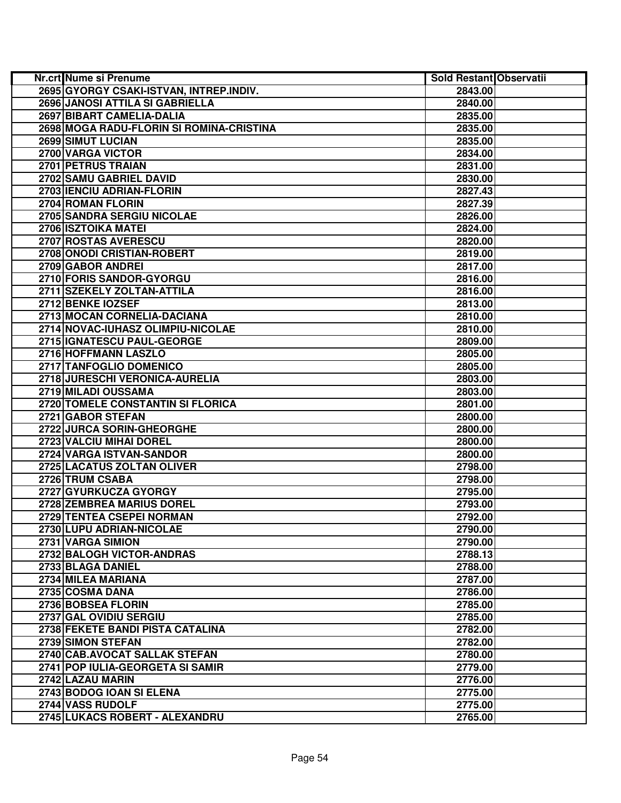| 2695 GYORGY CSAKI-ISTVAN, INTREP.INDIV.<br>2843.00<br>2696 JANOSI ATTILA SI GABRIELLA<br>2840.00<br>2697 BIBART CAMELIA-DALIA<br>2835.00<br>2698 MOGA RADU-FLORIN SI ROMINA-CRISTINA<br>2835.00<br>2699 SIMUT LUCIAN<br>2835.00<br>2700 VARGA VICTOR<br>2834.00<br>2701 PETRUS TRAIAN<br>2831.00<br>2702 SAMU GABRIEL DAVID<br>2830.00<br>2703 IENCIU ADRIAN-FLORIN<br>2827.43<br>2704 ROMAN FLORIN<br>2827.39<br>2705 SANDRA SERGIU NICOLAE<br>2826.00<br>2706 ISZTOIKA MATEI<br>2824.00<br>2707 ROSTAS AVERESCU<br>2820.00<br>2708 ONODI CRISTIAN-ROBERT<br>2819.00<br>2709 GABOR ANDREI<br>2817.00<br>2710 FORIS SANDOR-GYORGU<br>2816.00<br>2711 SZEKELY ZOLTAN-ATTILA<br>2816.00<br>2712 BENKE IOZSEF<br>2813.00<br>2713 MOCAN CORNELIA-DACIANA<br>2810.00<br>2714 NOVAC-IUHASZ OLIMPIU-NICOLAE<br>2810.00<br>2715 IGNATESCU PAUL-GEORGE<br>2809.00<br>2716 HOFFMANN LASZLO<br>2805.00<br>2717 TANFOGLIO DOMENICO<br>2805.00<br>2718 JURESCHI VERONICA-AURELIA<br>2803.00<br>2719 MILADI OUSSAMA<br>2803.00<br>2720 TOMELE CONSTANTIN SI FLORICA<br>2801.00<br>2721 GABOR STEFAN<br>2800.00<br>2722 JURCA SORIN-GHEORGHE<br>2800.00<br>2723 VALCIU MIHAI DOREL<br>2800.00<br>2724 VARGA ISTVAN-SANDOR<br>2800.00<br>2725 LACATUS ZOLTAN OLIVER<br>2798.00<br>2726 TRUM CSABA<br>2798.00<br>2727 GYURKUCZA GYORGY<br>2795.00<br>2728 ZEMBREA MARIUS DOREL<br>2793.00<br>2729 TENTEA CSEPEI NORMAN<br>2792.00<br>2730 LUPU ADRIAN-NICOLAE<br>2790.00<br>2731 VARGA SIMION<br>2790.00<br>2732 BALOGH VICTOR-ANDRAS<br>2788.13<br>2733 BLAGA DANIEL<br>2788.00<br>2734 MILEA MARIANA<br>2787.00<br>2735 COSMA DANA<br>2786.00<br>2736 BOBSEA FLORIN<br>2785.00<br>2737 GAL OVIDIU SERGIU<br>2785.00<br>2738 FEKETE BANDI PISTA CATALINA<br>2782.00<br>2739 SIMON STEFAN<br>2782.00<br>2740 CAB.AVOCAT SALLAK STEFAN<br>2780.00<br>2741 POP IULIA-GEORGETA SI SAMIR<br>2779.00<br>2742 LAZAU MARIN<br>2776.00<br>2775.00<br>2743 BODOG IOAN SI ELENA<br>2744 VASS RUDOLF<br>2775.00<br>2745 LUKACS ROBERT - ALEXANDRU<br>2765.00 | Nr.crt Nume si Prenume | Sold Restant Observatii |  |
|----------------------------------------------------------------------------------------------------------------------------------------------------------------------------------------------------------------------------------------------------------------------------------------------------------------------------------------------------------------------------------------------------------------------------------------------------------------------------------------------------------------------------------------------------------------------------------------------------------------------------------------------------------------------------------------------------------------------------------------------------------------------------------------------------------------------------------------------------------------------------------------------------------------------------------------------------------------------------------------------------------------------------------------------------------------------------------------------------------------------------------------------------------------------------------------------------------------------------------------------------------------------------------------------------------------------------------------------------------------------------------------------------------------------------------------------------------------------------------------------------------------------------------------------------------------------------------------------------------------------------------------------------------------------------------------------------------------------------------------------------------------------------------------------------------------------------------------------------------------------------------------------------------------------------------------------------------------------------------------------------------------------------------|------------------------|-------------------------|--|
|                                                                                                                                                                                                                                                                                                                                                                                                                                                                                                                                                                                                                                                                                                                                                                                                                                                                                                                                                                                                                                                                                                                                                                                                                                                                                                                                                                                                                                                                                                                                                                                                                                                                                                                                                                                                                                                                                                                                                                                                                                  |                        |                         |  |
|                                                                                                                                                                                                                                                                                                                                                                                                                                                                                                                                                                                                                                                                                                                                                                                                                                                                                                                                                                                                                                                                                                                                                                                                                                                                                                                                                                                                                                                                                                                                                                                                                                                                                                                                                                                                                                                                                                                                                                                                                                  |                        |                         |  |
|                                                                                                                                                                                                                                                                                                                                                                                                                                                                                                                                                                                                                                                                                                                                                                                                                                                                                                                                                                                                                                                                                                                                                                                                                                                                                                                                                                                                                                                                                                                                                                                                                                                                                                                                                                                                                                                                                                                                                                                                                                  |                        |                         |  |
|                                                                                                                                                                                                                                                                                                                                                                                                                                                                                                                                                                                                                                                                                                                                                                                                                                                                                                                                                                                                                                                                                                                                                                                                                                                                                                                                                                                                                                                                                                                                                                                                                                                                                                                                                                                                                                                                                                                                                                                                                                  |                        |                         |  |
|                                                                                                                                                                                                                                                                                                                                                                                                                                                                                                                                                                                                                                                                                                                                                                                                                                                                                                                                                                                                                                                                                                                                                                                                                                                                                                                                                                                                                                                                                                                                                                                                                                                                                                                                                                                                                                                                                                                                                                                                                                  |                        |                         |  |
|                                                                                                                                                                                                                                                                                                                                                                                                                                                                                                                                                                                                                                                                                                                                                                                                                                                                                                                                                                                                                                                                                                                                                                                                                                                                                                                                                                                                                                                                                                                                                                                                                                                                                                                                                                                                                                                                                                                                                                                                                                  |                        |                         |  |
|                                                                                                                                                                                                                                                                                                                                                                                                                                                                                                                                                                                                                                                                                                                                                                                                                                                                                                                                                                                                                                                                                                                                                                                                                                                                                                                                                                                                                                                                                                                                                                                                                                                                                                                                                                                                                                                                                                                                                                                                                                  |                        |                         |  |
|                                                                                                                                                                                                                                                                                                                                                                                                                                                                                                                                                                                                                                                                                                                                                                                                                                                                                                                                                                                                                                                                                                                                                                                                                                                                                                                                                                                                                                                                                                                                                                                                                                                                                                                                                                                                                                                                                                                                                                                                                                  |                        |                         |  |
|                                                                                                                                                                                                                                                                                                                                                                                                                                                                                                                                                                                                                                                                                                                                                                                                                                                                                                                                                                                                                                                                                                                                                                                                                                                                                                                                                                                                                                                                                                                                                                                                                                                                                                                                                                                                                                                                                                                                                                                                                                  |                        |                         |  |
|                                                                                                                                                                                                                                                                                                                                                                                                                                                                                                                                                                                                                                                                                                                                                                                                                                                                                                                                                                                                                                                                                                                                                                                                                                                                                                                                                                                                                                                                                                                                                                                                                                                                                                                                                                                                                                                                                                                                                                                                                                  |                        |                         |  |
|                                                                                                                                                                                                                                                                                                                                                                                                                                                                                                                                                                                                                                                                                                                                                                                                                                                                                                                                                                                                                                                                                                                                                                                                                                                                                                                                                                                                                                                                                                                                                                                                                                                                                                                                                                                                                                                                                                                                                                                                                                  |                        |                         |  |
|                                                                                                                                                                                                                                                                                                                                                                                                                                                                                                                                                                                                                                                                                                                                                                                                                                                                                                                                                                                                                                                                                                                                                                                                                                                                                                                                                                                                                                                                                                                                                                                                                                                                                                                                                                                                                                                                                                                                                                                                                                  |                        |                         |  |
|                                                                                                                                                                                                                                                                                                                                                                                                                                                                                                                                                                                                                                                                                                                                                                                                                                                                                                                                                                                                                                                                                                                                                                                                                                                                                                                                                                                                                                                                                                                                                                                                                                                                                                                                                                                                                                                                                                                                                                                                                                  |                        |                         |  |
|                                                                                                                                                                                                                                                                                                                                                                                                                                                                                                                                                                                                                                                                                                                                                                                                                                                                                                                                                                                                                                                                                                                                                                                                                                                                                                                                                                                                                                                                                                                                                                                                                                                                                                                                                                                                                                                                                                                                                                                                                                  |                        |                         |  |
|                                                                                                                                                                                                                                                                                                                                                                                                                                                                                                                                                                                                                                                                                                                                                                                                                                                                                                                                                                                                                                                                                                                                                                                                                                                                                                                                                                                                                                                                                                                                                                                                                                                                                                                                                                                                                                                                                                                                                                                                                                  |                        |                         |  |
|                                                                                                                                                                                                                                                                                                                                                                                                                                                                                                                                                                                                                                                                                                                                                                                                                                                                                                                                                                                                                                                                                                                                                                                                                                                                                                                                                                                                                                                                                                                                                                                                                                                                                                                                                                                                                                                                                                                                                                                                                                  |                        |                         |  |
|                                                                                                                                                                                                                                                                                                                                                                                                                                                                                                                                                                                                                                                                                                                                                                                                                                                                                                                                                                                                                                                                                                                                                                                                                                                                                                                                                                                                                                                                                                                                                                                                                                                                                                                                                                                                                                                                                                                                                                                                                                  |                        |                         |  |
|                                                                                                                                                                                                                                                                                                                                                                                                                                                                                                                                                                                                                                                                                                                                                                                                                                                                                                                                                                                                                                                                                                                                                                                                                                                                                                                                                                                                                                                                                                                                                                                                                                                                                                                                                                                                                                                                                                                                                                                                                                  |                        |                         |  |
|                                                                                                                                                                                                                                                                                                                                                                                                                                                                                                                                                                                                                                                                                                                                                                                                                                                                                                                                                                                                                                                                                                                                                                                                                                                                                                                                                                                                                                                                                                                                                                                                                                                                                                                                                                                                                                                                                                                                                                                                                                  |                        |                         |  |
|                                                                                                                                                                                                                                                                                                                                                                                                                                                                                                                                                                                                                                                                                                                                                                                                                                                                                                                                                                                                                                                                                                                                                                                                                                                                                                                                                                                                                                                                                                                                                                                                                                                                                                                                                                                                                                                                                                                                                                                                                                  |                        |                         |  |
|                                                                                                                                                                                                                                                                                                                                                                                                                                                                                                                                                                                                                                                                                                                                                                                                                                                                                                                                                                                                                                                                                                                                                                                                                                                                                                                                                                                                                                                                                                                                                                                                                                                                                                                                                                                                                                                                                                                                                                                                                                  |                        |                         |  |
|                                                                                                                                                                                                                                                                                                                                                                                                                                                                                                                                                                                                                                                                                                                                                                                                                                                                                                                                                                                                                                                                                                                                                                                                                                                                                                                                                                                                                                                                                                                                                                                                                                                                                                                                                                                                                                                                                                                                                                                                                                  |                        |                         |  |
|                                                                                                                                                                                                                                                                                                                                                                                                                                                                                                                                                                                                                                                                                                                                                                                                                                                                                                                                                                                                                                                                                                                                                                                                                                                                                                                                                                                                                                                                                                                                                                                                                                                                                                                                                                                                                                                                                                                                                                                                                                  |                        |                         |  |
|                                                                                                                                                                                                                                                                                                                                                                                                                                                                                                                                                                                                                                                                                                                                                                                                                                                                                                                                                                                                                                                                                                                                                                                                                                                                                                                                                                                                                                                                                                                                                                                                                                                                                                                                                                                                                                                                                                                                                                                                                                  |                        |                         |  |
|                                                                                                                                                                                                                                                                                                                                                                                                                                                                                                                                                                                                                                                                                                                                                                                                                                                                                                                                                                                                                                                                                                                                                                                                                                                                                                                                                                                                                                                                                                                                                                                                                                                                                                                                                                                                                                                                                                                                                                                                                                  |                        |                         |  |
|                                                                                                                                                                                                                                                                                                                                                                                                                                                                                                                                                                                                                                                                                                                                                                                                                                                                                                                                                                                                                                                                                                                                                                                                                                                                                                                                                                                                                                                                                                                                                                                                                                                                                                                                                                                                                                                                                                                                                                                                                                  |                        |                         |  |
|                                                                                                                                                                                                                                                                                                                                                                                                                                                                                                                                                                                                                                                                                                                                                                                                                                                                                                                                                                                                                                                                                                                                                                                                                                                                                                                                                                                                                                                                                                                                                                                                                                                                                                                                                                                                                                                                                                                                                                                                                                  |                        |                         |  |
|                                                                                                                                                                                                                                                                                                                                                                                                                                                                                                                                                                                                                                                                                                                                                                                                                                                                                                                                                                                                                                                                                                                                                                                                                                                                                                                                                                                                                                                                                                                                                                                                                                                                                                                                                                                                                                                                                                                                                                                                                                  |                        |                         |  |
|                                                                                                                                                                                                                                                                                                                                                                                                                                                                                                                                                                                                                                                                                                                                                                                                                                                                                                                                                                                                                                                                                                                                                                                                                                                                                                                                                                                                                                                                                                                                                                                                                                                                                                                                                                                                                                                                                                                                                                                                                                  |                        |                         |  |
|                                                                                                                                                                                                                                                                                                                                                                                                                                                                                                                                                                                                                                                                                                                                                                                                                                                                                                                                                                                                                                                                                                                                                                                                                                                                                                                                                                                                                                                                                                                                                                                                                                                                                                                                                                                                                                                                                                                                                                                                                                  |                        |                         |  |
|                                                                                                                                                                                                                                                                                                                                                                                                                                                                                                                                                                                                                                                                                                                                                                                                                                                                                                                                                                                                                                                                                                                                                                                                                                                                                                                                                                                                                                                                                                                                                                                                                                                                                                                                                                                                                                                                                                                                                                                                                                  |                        |                         |  |
|                                                                                                                                                                                                                                                                                                                                                                                                                                                                                                                                                                                                                                                                                                                                                                                                                                                                                                                                                                                                                                                                                                                                                                                                                                                                                                                                                                                                                                                                                                                                                                                                                                                                                                                                                                                                                                                                                                                                                                                                                                  |                        |                         |  |
|                                                                                                                                                                                                                                                                                                                                                                                                                                                                                                                                                                                                                                                                                                                                                                                                                                                                                                                                                                                                                                                                                                                                                                                                                                                                                                                                                                                                                                                                                                                                                                                                                                                                                                                                                                                                                                                                                                                                                                                                                                  |                        |                         |  |
|                                                                                                                                                                                                                                                                                                                                                                                                                                                                                                                                                                                                                                                                                                                                                                                                                                                                                                                                                                                                                                                                                                                                                                                                                                                                                                                                                                                                                                                                                                                                                                                                                                                                                                                                                                                                                                                                                                                                                                                                                                  |                        |                         |  |
|                                                                                                                                                                                                                                                                                                                                                                                                                                                                                                                                                                                                                                                                                                                                                                                                                                                                                                                                                                                                                                                                                                                                                                                                                                                                                                                                                                                                                                                                                                                                                                                                                                                                                                                                                                                                                                                                                                                                                                                                                                  |                        |                         |  |
|                                                                                                                                                                                                                                                                                                                                                                                                                                                                                                                                                                                                                                                                                                                                                                                                                                                                                                                                                                                                                                                                                                                                                                                                                                                                                                                                                                                                                                                                                                                                                                                                                                                                                                                                                                                                                                                                                                                                                                                                                                  |                        |                         |  |
|                                                                                                                                                                                                                                                                                                                                                                                                                                                                                                                                                                                                                                                                                                                                                                                                                                                                                                                                                                                                                                                                                                                                                                                                                                                                                                                                                                                                                                                                                                                                                                                                                                                                                                                                                                                                                                                                                                                                                                                                                                  |                        |                         |  |
|                                                                                                                                                                                                                                                                                                                                                                                                                                                                                                                                                                                                                                                                                                                                                                                                                                                                                                                                                                                                                                                                                                                                                                                                                                                                                                                                                                                                                                                                                                                                                                                                                                                                                                                                                                                                                                                                                                                                                                                                                                  |                        |                         |  |
|                                                                                                                                                                                                                                                                                                                                                                                                                                                                                                                                                                                                                                                                                                                                                                                                                                                                                                                                                                                                                                                                                                                                                                                                                                                                                                                                                                                                                                                                                                                                                                                                                                                                                                                                                                                                                                                                                                                                                                                                                                  |                        |                         |  |
|                                                                                                                                                                                                                                                                                                                                                                                                                                                                                                                                                                                                                                                                                                                                                                                                                                                                                                                                                                                                                                                                                                                                                                                                                                                                                                                                                                                                                                                                                                                                                                                                                                                                                                                                                                                                                                                                                                                                                                                                                                  |                        |                         |  |
|                                                                                                                                                                                                                                                                                                                                                                                                                                                                                                                                                                                                                                                                                                                                                                                                                                                                                                                                                                                                                                                                                                                                                                                                                                                                                                                                                                                                                                                                                                                                                                                                                                                                                                                                                                                                                                                                                                                                                                                                                                  |                        |                         |  |
|                                                                                                                                                                                                                                                                                                                                                                                                                                                                                                                                                                                                                                                                                                                                                                                                                                                                                                                                                                                                                                                                                                                                                                                                                                                                                                                                                                                                                                                                                                                                                                                                                                                                                                                                                                                                                                                                                                                                                                                                                                  |                        |                         |  |
|                                                                                                                                                                                                                                                                                                                                                                                                                                                                                                                                                                                                                                                                                                                                                                                                                                                                                                                                                                                                                                                                                                                                                                                                                                                                                                                                                                                                                                                                                                                                                                                                                                                                                                                                                                                                                                                                                                                                                                                                                                  |                        |                         |  |
|                                                                                                                                                                                                                                                                                                                                                                                                                                                                                                                                                                                                                                                                                                                                                                                                                                                                                                                                                                                                                                                                                                                                                                                                                                                                                                                                                                                                                                                                                                                                                                                                                                                                                                                                                                                                                                                                                                                                                                                                                                  |                        |                         |  |
|                                                                                                                                                                                                                                                                                                                                                                                                                                                                                                                                                                                                                                                                                                                                                                                                                                                                                                                                                                                                                                                                                                                                                                                                                                                                                                                                                                                                                                                                                                                                                                                                                                                                                                                                                                                                                                                                                                                                                                                                                                  |                        |                         |  |
|                                                                                                                                                                                                                                                                                                                                                                                                                                                                                                                                                                                                                                                                                                                                                                                                                                                                                                                                                                                                                                                                                                                                                                                                                                                                                                                                                                                                                                                                                                                                                                                                                                                                                                                                                                                                                                                                                                                                                                                                                                  |                        |                         |  |
|                                                                                                                                                                                                                                                                                                                                                                                                                                                                                                                                                                                                                                                                                                                                                                                                                                                                                                                                                                                                                                                                                                                                                                                                                                                                                                                                                                                                                                                                                                                                                                                                                                                                                                                                                                                                                                                                                                                                                                                                                                  |                        |                         |  |
|                                                                                                                                                                                                                                                                                                                                                                                                                                                                                                                                                                                                                                                                                                                                                                                                                                                                                                                                                                                                                                                                                                                                                                                                                                                                                                                                                                                                                                                                                                                                                                                                                                                                                                                                                                                                                                                                                                                                                                                                                                  |                        |                         |  |
|                                                                                                                                                                                                                                                                                                                                                                                                                                                                                                                                                                                                                                                                                                                                                                                                                                                                                                                                                                                                                                                                                                                                                                                                                                                                                                                                                                                                                                                                                                                                                                                                                                                                                                                                                                                                                                                                                                                                                                                                                                  |                        |                         |  |
|                                                                                                                                                                                                                                                                                                                                                                                                                                                                                                                                                                                                                                                                                                                                                                                                                                                                                                                                                                                                                                                                                                                                                                                                                                                                                                                                                                                                                                                                                                                                                                                                                                                                                                                                                                                                                                                                                                                                                                                                                                  |                        |                         |  |
|                                                                                                                                                                                                                                                                                                                                                                                                                                                                                                                                                                                                                                                                                                                                                                                                                                                                                                                                                                                                                                                                                                                                                                                                                                                                                                                                                                                                                                                                                                                                                                                                                                                                                                                                                                                                                                                                                                                                                                                                                                  |                        |                         |  |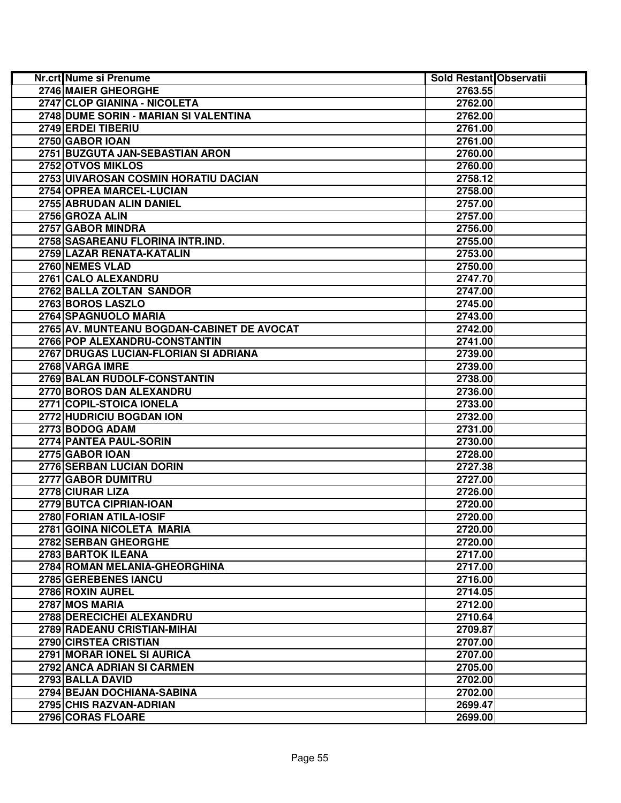| Nr.crt Nume si Prenume                     | Sold Restant Observatii |  |
|--------------------------------------------|-------------------------|--|
| 2746 MAIER GHEORGHE                        | 2763.55                 |  |
| 2747 CLOP GIANINA - NICOLETA               | 2762.00                 |  |
| 2748 DUME SORIN - MARIAN SI VALENTINA      | 2762.00                 |  |
| 2749 ERDEI TIBERIU                         | 2761.00                 |  |
| 2750 GABOR IOAN                            | 2761.00                 |  |
| 2751 BUZGUTA JAN-SEBASTIAN ARON            | 2760.00                 |  |
| 2752 OTVOS MIKLOS                          | 2760.00                 |  |
| 2753 UIVAROSAN COSMIN HORATIU DACIAN       | 2758.12                 |  |
| 2754 OPREA MARCEL-LUCIAN                   | 2758.00                 |  |
| 2755 ABRUDAN ALIN DANIEL                   | 2757.00                 |  |
| 2756 GROZA ALIN                            | 2757.00                 |  |
| 2757 GABOR MINDRA                          | 2756.00                 |  |
| 2758 SASAREANU FLORINA INTR.IND.           | 2755.00                 |  |
| 2759 LAZAR RENATA-KATALIN                  | 2753.00                 |  |
| 2760 NEMES VLAD                            | 2750.00                 |  |
| 2761 CALO ALEXANDRU                        | 2747.70                 |  |
| 2762 BALLA ZOLTAN SANDOR                   | 2747.00                 |  |
| 2763 BOROS LASZLO                          | 2745.00                 |  |
| 2764 SPAGNUOLO MARIA                       | 2743.00                 |  |
| 2765 AV. MUNTEANU BOGDAN-CABINET DE AVOCAT | 2742.00                 |  |
| 2766 POP ALEXANDRU-CONSTANTIN              | 2741.00                 |  |
| 2767 DRUGAS LUCIAN-FLORIAN SI ADRIANA      | 2739.00                 |  |
| 2768 VARGA IMRE                            | 2739.00                 |  |
| 2769 BALAN RUDOLF-CONSTANTIN               | 2738.00                 |  |
| 2770 BOROS DAN ALEXANDRU                   | 2736.00                 |  |
| 2771 COPIL-STOICA IONELA                   | 2733.00                 |  |
| 2772 HUDRICIU BOGDAN ION                   | 2732.00                 |  |
| 2773 BODOG ADAM                            | 2731.00                 |  |
| 2774 PANTEA PAUL-SORIN                     | 2730.00                 |  |
| 2775 GABOR IOAN                            | 2728.00                 |  |
| 2776 SERBAN LUCIAN DORIN                   | 2727.38                 |  |
| 2777 GABOR DUMITRU                         | 2727.00                 |  |
| 2778 CIURAR LIZA                           | 2726.00                 |  |
| 2779 BUTCA CIPRIAN-IOAN                    | 2720.00                 |  |
| 2780 FORIAN ATILA-IOSIF                    | 2720.00                 |  |
| 2781 GOINA NICOLETA MARIA                  | 2720.00                 |  |
| 2782 SERBAN GHEORGHE                       | 2720.00                 |  |
| 2783 BARTOK ILEANA                         | 2717.00                 |  |
| 2784 ROMAN MELANIA-GHEORGHINA              | 2717.00                 |  |
| 2785 GEREBENES IANCU                       | 2716.00                 |  |
| 2786 ROXIN AUREL                           | 2714.05                 |  |
| 2787 MOS MARIA                             | 2712.00                 |  |
| 2788 DERECICHEI ALEXANDRU                  | 2710.64                 |  |
| 2789 RADEANU CRISTIAN-MIHAI                | 2709.87                 |  |
| 2790 CIRSTEA CRISTIAN                      | 2707.00                 |  |
| 2791 MORAR IONEL SI AURICA                 | 2707.00                 |  |
| 2792 ANCA ADRIAN SI CARMEN                 | 2705.00                 |  |
| 2793 BALLA DAVID                           | 2702.00                 |  |
| 2794 BEJAN DOCHIANA-SABINA                 | 2702.00                 |  |
| 2795 CHIS RAZVAN-ADRIAN                    | 2699.47                 |  |
| 2796 CORAS FLOARE                          | 2699.00                 |  |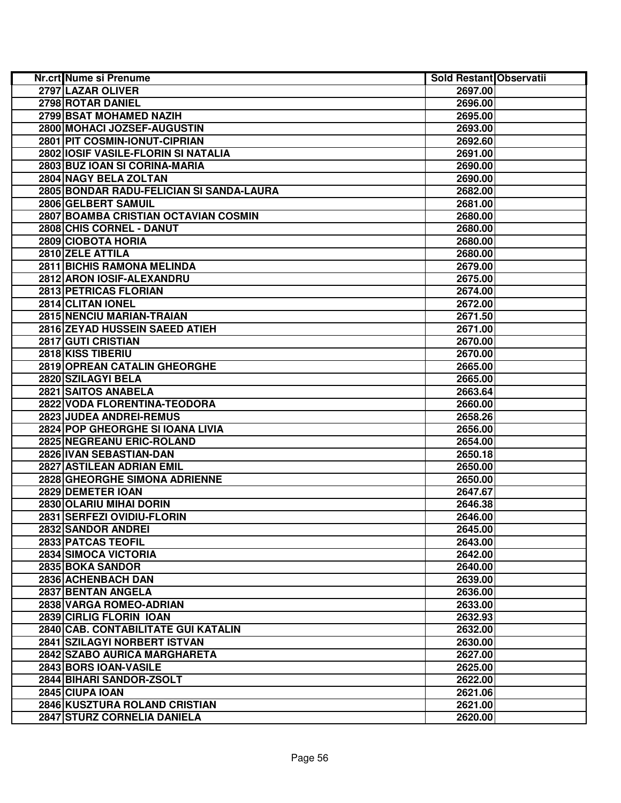| 2797 LAZAR OLIVER<br>2697.00<br>2798 ROTAR DANIEL<br>2696.00<br>2799 BSAT MOHAMED NAZIH<br>2695.00<br>2800 MOHACI JOZSEF-AUGUSTIN<br>2693.00<br>2801 PIT COSMIN-IONUT-CIPRIAN<br>2692.60<br>2802 IOSIF VASILE-FLORIN SI NATALIA<br>2691.00<br>2803 BUZ IOAN SI CORINA-MARIA<br>2690.00<br>2804 NAGY BELA ZOLTAN<br>2690.00<br>2805 BONDAR RADU-FELICIAN SI SANDA-LAURA<br>2682.00<br>2806 GELBERT SAMUIL<br>2681.00<br>2807 BOAMBA CRISTIAN OCTAVIAN COSMIN<br>2680.00<br>2808 CHIS CORNEL - DANUT<br>2680.00<br>2809 CIOBOTA HORIA<br>2680.00<br>2810 ZELE ATTILA<br>2680.00<br>2811 BICHIS RAMONA MELINDA<br>2679.00<br>2812 ARON IOSIF-ALEXANDRU<br>2675.00<br>2813 PETRICAS FLORIAN<br>2674.00<br>2814 CLITAN IONEL<br>2672.00<br>2815 NENCIU MARIAN-TRAIAN<br>2671.50<br>2816 ZEYAD HUSSEIN SAEED ATIEH<br>2671.00<br>2817 GUTI CRISTIAN<br>2670.00<br>2818 KISS TIBERIU<br>2670.00<br>2819 OPREAN CATALIN GHEORGHE<br>2665.00<br>2820 SZILAGYI BELA<br>2665.00<br>2821 SAITOS ANABELA<br>2663.64<br>2822 VODA FLORENTINA-TEODORA<br>2660.00<br>2823 JUDEA ANDREI-REMUS<br>2658.26<br>2824 POP GHEORGHE SI IOANA LIVIA<br>2656.00<br>2825 NEGREANU ERIC-ROLAND<br>2654.00<br>2826 IVAN SEBASTIAN-DAN<br>2650.18<br>2827 ASTILEAN ADRIAN EMIL<br>2650.00<br>2828 GHEORGHE SIMONA ADRIENNE<br>2650.00<br>2829 DEMETER IOAN<br>2647.67<br>2830 OLARIU MIHAI DORIN<br>2646.38<br>2831 SERFEZI OVIDIU-FLORIN<br>2646.00<br>2832 SANDOR ANDREI<br>2645.00<br>2833 PATCAS TEOFIL<br>2643.00<br>2834 SIMOCA VICTORIA<br>2642.00<br>2835 BOKA SANDOR<br>2640.00<br>2836 ACHENBACH DAN<br>2639.00<br>2837 BENTAN ANGELA<br>2636.00<br>2838 VARGA ROMEO-ADRIAN<br>2633.00<br>2839 CIRLIG FLORIN IOAN<br>2632.93<br>2840 CAB. CONTABILITATE GUI KATALIN<br>2632.00<br>2841 SZILAGYI NORBERT ISTVAN<br>2630.00<br>2842 SZABO AURICA MARGHARETA<br>2627.00<br>2843 BORS IOAN-VASILE<br>2625.00<br>2844 BIHARI SANDOR-ZSOLT<br>2622.00<br>2845 CIUPA IOAN<br>2621.06<br>2846 KUSZTURA ROLAND CRISTIAN<br>2621.00<br>2847 STURZ CORNELIA DANIELA<br>2620.00 | Nr.crt Nume si Prenume | Sold Restant Observatii |  |
|--------------------------------------------------------------------------------------------------------------------------------------------------------------------------------------------------------------------------------------------------------------------------------------------------------------------------------------------------------------------------------------------------------------------------------------------------------------------------------------------------------------------------------------------------------------------------------------------------------------------------------------------------------------------------------------------------------------------------------------------------------------------------------------------------------------------------------------------------------------------------------------------------------------------------------------------------------------------------------------------------------------------------------------------------------------------------------------------------------------------------------------------------------------------------------------------------------------------------------------------------------------------------------------------------------------------------------------------------------------------------------------------------------------------------------------------------------------------------------------------------------------------------------------------------------------------------------------------------------------------------------------------------------------------------------------------------------------------------------------------------------------------------------------------------------------------------------------------------------------------------------------------------------------------------------------------------------------------------------------------------------------------------------------------------|------------------------|-------------------------|--|
|                                                                                                                                                                                                                                                                                                                                                                                                                                                                                                                                                                                                                                                                                                                                                                                                                                                                                                                                                                                                                                                                                                                                                                                                                                                                                                                                                                                                                                                                                                                                                                                                                                                                                                                                                                                                                                                                                                                                                                                                                                                  |                        |                         |  |
|                                                                                                                                                                                                                                                                                                                                                                                                                                                                                                                                                                                                                                                                                                                                                                                                                                                                                                                                                                                                                                                                                                                                                                                                                                                                                                                                                                                                                                                                                                                                                                                                                                                                                                                                                                                                                                                                                                                                                                                                                                                  |                        |                         |  |
|                                                                                                                                                                                                                                                                                                                                                                                                                                                                                                                                                                                                                                                                                                                                                                                                                                                                                                                                                                                                                                                                                                                                                                                                                                                                                                                                                                                                                                                                                                                                                                                                                                                                                                                                                                                                                                                                                                                                                                                                                                                  |                        |                         |  |
|                                                                                                                                                                                                                                                                                                                                                                                                                                                                                                                                                                                                                                                                                                                                                                                                                                                                                                                                                                                                                                                                                                                                                                                                                                                                                                                                                                                                                                                                                                                                                                                                                                                                                                                                                                                                                                                                                                                                                                                                                                                  |                        |                         |  |
|                                                                                                                                                                                                                                                                                                                                                                                                                                                                                                                                                                                                                                                                                                                                                                                                                                                                                                                                                                                                                                                                                                                                                                                                                                                                                                                                                                                                                                                                                                                                                                                                                                                                                                                                                                                                                                                                                                                                                                                                                                                  |                        |                         |  |
|                                                                                                                                                                                                                                                                                                                                                                                                                                                                                                                                                                                                                                                                                                                                                                                                                                                                                                                                                                                                                                                                                                                                                                                                                                                                                                                                                                                                                                                                                                                                                                                                                                                                                                                                                                                                                                                                                                                                                                                                                                                  |                        |                         |  |
|                                                                                                                                                                                                                                                                                                                                                                                                                                                                                                                                                                                                                                                                                                                                                                                                                                                                                                                                                                                                                                                                                                                                                                                                                                                                                                                                                                                                                                                                                                                                                                                                                                                                                                                                                                                                                                                                                                                                                                                                                                                  |                        |                         |  |
|                                                                                                                                                                                                                                                                                                                                                                                                                                                                                                                                                                                                                                                                                                                                                                                                                                                                                                                                                                                                                                                                                                                                                                                                                                                                                                                                                                                                                                                                                                                                                                                                                                                                                                                                                                                                                                                                                                                                                                                                                                                  |                        |                         |  |
|                                                                                                                                                                                                                                                                                                                                                                                                                                                                                                                                                                                                                                                                                                                                                                                                                                                                                                                                                                                                                                                                                                                                                                                                                                                                                                                                                                                                                                                                                                                                                                                                                                                                                                                                                                                                                                                                                                                                                                                                                                                  |                        |                         |  |
|                                                                                                                                                                                                                                                                                                                                                                                                                                                                                                                                                                                                                                                                                                                                                                                                                                                                                                                                                                                                                                                                                                                                                                                                                                                                                                                                                                                                                                                                                                                                                                                                                                                                                                                                                                                                                                                                                                                                                                                                                                                  |                        |                         |  |
|                                                                                                                                                                                                                                                                                                                                                                                                                                                                                                                                                                                                                                                                                                                                                                                                                                                                                                                                                                                                                                                                                                                                                                                                                                                                                                                                                                                                                                                                                                                                                                                                                                                                                                                                                                                                                                                                                                                                                                                                                                                  |                        |                         |  |
|                                                                                                                                                                                                                                                                                                                                                                                                                                                                                                                                                                                                                                                                                                                                                                                                                                                                                                                                                                                                                                                                                                                                                                                                                                                                                                                                                                                                                                                                                                                                                                                                                                                                                                                                                                                                                                                                                                                                                                                                                                                  |                        |                         |  |
|                                                                                                                                                                                                                                                                                                                                                                                                                                                                                                                                                                                                                                                                                                                                                                                                                                                                                                                                                                                                                                                                                                                                                                                                                                                                                                                                                                                                                                                                                                                                                                                                                                                                                                                                                                                                                                                                                                                                                                                                                                                  |                        |                         |  |
|                                                                                                                                                                                                                                                                                                                                                                                                                                                                                                                                                                                                                                                                                                                                                                                                                                                                                                                                                                                                                                                                                                                                                                                                                                                                                                                                                                                                                                                                                                                                                                                                                                                                                                                                                                                                                                                                                                                                                                                                                                                  |                        |                         |  |
|                                                                                                                                                                                                                                                                                                                                                                                                                                                                                                                                                                                                                                                                                                                                                                                                                                                                                                                                                                                                                                                                                                                                                                                                                                                                                                                                                                                                                                                                                                                                                                                                                                                                                                                                                                                                                                                                                                                                                                                                                                                  |                        |                         |  |
|                                                                                                                                                                                                                                                                                                                                                                                                                                                                                                                                                                                                                                                                                                                                                                                                                                                                                                                                                                                                                                                                                                                                                                                                                                                                                                                                                                                                                                                                                                                                                                                                                                                                                                                                                                                                                                                                                                                                                                                                                                                  |                        |                         |  |
|                                                                                                                                                                                                                                                                                                                                                                                                                                                                                                                                                                                                                                                                                                                                                                                                                                                                                                                                                                                                                                                                                                                                                                                                                                                                                                                                                                                                                                                                                                                                                                                                                                                                                                                                                                                                                                                                                                                                                                                                                                                  |                        |                         |  |
|                                                                                                                                                                                                                                                                                                                                                                                                                                                                                                                                                                                                                                                                                                                                                                                                                                                                                                                                                                                                                                                                                                                                                                                                                                                                                                                                                                                                                                                                                                                                                                                                                                                                                                                                                                                                                                                                                                                                                                                                                                                  |                        |                         |  |
|                                                                                                                                                                                                                                                                                                                                                                                                                                                                                                                                                                                                                                                                                                                                                                                                                                                                                                                                                                                                                                                                                                                                                                                                                                                                                                                                                                                                                                                                                                                                                                                                                                                                                                                                                                                                                                                                                                                                                                                                                                                  |                        |                         |  |
|                                                                                                                                                                                                                                                                                                                                                                                                                                                                                                                                                                                                                                                                                                                                                                                                                                                                                                                                                                                                                                                                                                                                                                                                                                                                                                                                                                                                                                                                                                                                                                                                                                                                                                                                                                                                                                                                                                                                                                                                                                                  |                        |                         |  |
|                                                                                                                                                                                                                                                                                                                                                                                                                                                                                                                                                                                                                                                                                                                                                                                                                                                                                                                                                                                                                                                                                                                                                                                                                                                                                                                                                                                                                                                                                                                                                                                                                                                                                                                                                                                                                                                                                                                                                                                                                                                  |                        |                         |  |
|                                                                                                                                                                                                                                                                                                                                                                                                                                                                                                                                                                                                                                                                                                                                                                                                                                                                                                                                                                                                                                                                                                                                                                                                                                                                                                                                                                                                                                                                                                                                                                                                                                                                                                                                                                                                                                                                                                                                                                                                                                                  |                        |                         |  |
|                                                                                                                                                                                                                                                                                                                                                                                                                                                                                                                                                                                                                                                                                                                                                                                                                                                                                                                                                                                                                                                                                                                                                                                                                                                                                                                                                                                                                                                                                                                                                                                                                                                                                                                                                                                                                                                                                                                                                                                                                                                  |                        |                         |  |
|                                                                                                                                                                                                                                                                                                                                                                                                                                                                                                                                                                                                                                                                                                                                                                                                                                                                                                                                                                                                                                                                                                                                                                                                                                                                                                                                                                                                                                                                                                                                                                                                                                                                                                                                                                                                                                                                                                                                                                                                                                                  |                        |                         |  |
|                                                                                                                                                                                                                                                                                                                                                                                                                                                                                                                                                                                                                                                                                                                                                                                                                                                                                                                                                                                                                                                                                                                                                                                                                                                                                                                                                                                                                                                                                                                                                                                                                                                                                                                                                                                                                                                                                                                                                                                                                                                  |                        |                         |  |
|                                                                                                                                                                                                                                                                                                                                                                                                                                                                                                                                                                                                                                                                                                                                                                                                                                                                                                                                                                                                                                                                                                                                                                                                                                                                                                                                                                                                                                                                                                                                                                                                                                                                                                                                                                                                                                                                                                                                                                                                                                                  |                        |                         |  |
|                                                                                                                                                                                                                                                                                                                                                                                                                                                                                                                                                                                                                                                                                                                                                                                                                                                                                                                                                                                                                                                                                                                                                                                                                                                                                                                                                                                                                                                                                                                                                                                                                                                                                                                                                                                                                                                                                                                                                                                                                                                  |                        |                         |  |
|                                                                                                                                                                                                                                                                                                                                                                                                                                                                                                                                                                                                                                                                                                                                                                                                                                                                                                                                                                                                                                                                                                                                                                                                                                                                                                                                                                                                                                                                                                                                                                                                                                                                                                                                                                                                                                                                                                                                                                                                                                                  |                        |                         |  |
|                                                                                                                                                                                                                                                                                                                                                                                                                                                                                                                                                                                                                                                                                                                                                                                                                                                                                                                                                                                                                                                                                                                                                                                                                                                                                                                                                                                                                                                                                                                                                                                                                                                                                                                                                                                                                                                                                                                                                                                                                                                  |                        |                         |  |
|                                                                                                                                                                                                                                                                                                                                                                                                                                                                                                                                                                                                                                                                                                                                                                                                                                                                                                                                                                                                                                                                                                                                                                                                                                                                                                                                                                                                                                                                                                                                                                                                                                                                                                                                                                                                                                                                                                                                                                                                                                                  |                        |                         |  |
|                                                                                                                                                                                                                                                                                                                                                                                                                                                                                                                                                                                                                                                                                                                                                                                                                                                                                                                                                                                                                                                                                                                                                                                                                                                                                                                                                                                                                                                                                                                                                                                                                                                                                                                                                                                                                                                                                                                                                                                                                                                  |                        |                         |  |
|                                                                                                                                                                                                                                                                                                                                                                                                                                                                                                                                                                                                                                                                                                                                                                                                                                                                                                                                                                                                                                                                                                                                                                                                                                                                                                                                                                                                                                                                                                                                                                                                                                                                                                                                                                                                                                                                                                                                                                                                                                                  |                        |                         |  |
|                                                                                                                                                                                                                                                                                                                                                                                                                                                                                                                                                                                                                                                                                                                                                                                                                                                                                                                                                                                                                                                                                                                                                                                                                                                                                                                                                                                                                                                                                                                                                                                                                                                                                                                                                                                                                                                                                                                                                                                                                                                  |                        |                         |  |
|                                                                                                                                                                                                                                                                                                                                                                                                                                                                                                                                                                                                                                                                                                                                                                                                                                                                                                                                                                                                                                                                                                                                                                                                                                                                                                                                                                                                                                                                                                                                                                                                                                                                                                                                                                                                                                                                                                                                                                                                                                                  |                        |                         |  |
|                                                                                                                                                                                                                                                                                                                                                                                                                                                                                                                                                                                                                                                                                                                                                                                                                                                                                                                                                                                                                                                                                                                                                                                                                                                                                                                                                                                                                                                                                                                                                                                                                                                                                                                                                                                                                                                                                                                                                                                                                                                  |                        |                         |  |
|                                                                                                                                                                                                                                                                                                                                                                                                                                                                                                                                                                                                                                                                                                                                                                                                                                                                                                                                                                                                                                                                                                                                                                                                                                                                                                                                                                                                                                                                                                                                                                                                                                                                                                                                                                                                                                                                                                                                                                                                                                                  |                        |                         |  |
|                                                                                                                                                                                                                                                                                                                                                                                                                                                                                                                                                                                                                                                                                                                                                                                                                                                                                                                                                                                                                                                                                                                                                                                                                                                                                                                                                                                                                                                                                                                                                                                                                                                                                                                                                                                                                                                                                                                                                                                                                                                  |                        |                         |  |
|                                                                                                                                                                                                                                                                                                                                                                                                                                                                                                                                                                                                                                                                                                                                                                                                                                                                                                                                                                                                                                                                                                                                                                                                                                                                                                                                                                                                                                                                                                                                                                                                                                                                                                                                                                                                                                                                                                                                                                                                                                                  |                        |                         |  |
|                                                                                                                                                                                                                                                                                                                                                                                                                                                                                                                                                                                                                                                                                                                                                                                                                                                                                                                                                                                                                                                                                                                                                                                                                                                                                                                                                                                                                                                                                                                                                                                                                                                                                                                                                                                                                                                                                                                                                                                                                                                  |                        |                         |  |
|                                                                                                                                                                                                                                                                                                                                                                                                                                                                                                                                                                                                                                                                                                                                                                                                                                                                                                                                                                                                                                                                                                                                                                                                                                                                                                                                                                                                                                                                                                                                                                                                                                                                                                                                                                                                                                                                                                                                                                                                                                                  |                        |                         |  |
|                                                                                                                                                                                                                                                                                                                                                                                                                                                                                                                                                                                                                                                                                                                                                                                                                                                                                                                                                                                                                                                                                                                                                                                                                                                                                                                                                                                                                                                                                                                                                                                                                                                                                                                                                                                                                                                                                                                                                                                                                                                  |                        |                         |  |
|                                                                                                                                                                                                                                                                                                                                                                                                                                                                                                                                                                                                                                                                                                                                                                                                                                                                                                                                                                                                                                                                                                                                                                                                                                                                                                                                                                                                                                                                                                                                                                                                                                                                                                                                                                                                                                                                                                                                                                                                                                                  |                        |                         |  |
|                                                                                                                                                                                                                                                                                                                                                                                                                                                                                                                                                                                                                                                                                                                                                                                                                                                                                                                                                                                                                                                                                                                                                                                                                                                                                                                                                                                                                                                                                                                                                                                                                                                                                                                                                                                                                                                                                                                                                                                                                                                  |                        |                         |  |
|                                                                                                                                                                                                                                                                                                                                                                                                                                                                                                                                                                                                                                                                                                                                                                                                                                                                                                                                                                                                                                                                                                                                                                                                                                                                                                                                                                                                                                                                                                                                                                                                                                                                                                                                                                                                                                                                                                                                                                                                                                                  |                        |                         |  |
|                                                                                                                                                                                                                                                                                                                                                                                                                                                                                                                                                                                                                                                                                                                                                                                                                                                                                                                                                                                                                                                                                                                                                                                                                                                                                                                                                                                                                                                                                                                                                                                                                                                                                                                                                                                                                                                                                                                                                                                                                                                  |                        |                         |  |
|                                                                                                                                                                                                                                                                                                                                                                                                                                                                                                                                                                                                                                                                                                                                                                                                                                                                                                                                                                                                                                                                                                                                                                                                                                                                                                                                                                                                                                                                                                                                                                                                                                                                                                                                                                                                                                                                                                                                                                                                                                                  |                        |                         |  |
|                                                                                                                                                                                                                                                                                                                                                                                                                                                                                                                                                                                                                                                                                                                                                                                                                                                                                                                                                                                                                                                                                                                                                                                                                                                                                                                                                                                                                                                                                                                                                                                                                                                                                                                                                                                                                                                                                                                                                                                                                                                  |                        |                         |  |
|                                                                                                                                                                                                                                                                                                                                                                                                                                                                                                                                                                                                                                                                                                                                                                                                                                                                                                                                                                                                                                                                                                                                                                                                                                                                                                                                                                                                                                                                                                                                                                                                                                                                                                                                                                                                                                                                                                                                                                                                                                                  |                        |                         |  |
|                                                                                                                                                                                                                                                                                                                                                                                                                                                                                                                                                                                                                                                                                                                                                                                                                                                                                                                                                                                                                                                                                                                                                                                                                                                                                                                                                                                                                                                                                                                                                                                                                                                                                                                                                                                                                                                                                                                                                                                                                                                  |                        |                         |  |
|                                                                                                                                                                                                                                                                                                                                                                                                                                                                                                                                                                                                                                                                                                                                                                                                                                                                                                                                                                                                                                                                                                                                                                                                                                                                                                                                                                                                                                                                                                                                                                                                                                                                                                                                                                                                                                                                                                                                                                                                                                                  |                        |                         |  |
|                                                                                                                                                                                                                                                                                                                                                                                                                                                                                                                                                                                                                                                                                                                                                                                                                                                                                                                                                                                                                                                                                                                                                                                                                                                                                                                                                                                                                                                                                                                                                                                                                                                                                                                                                                                                                                                                                                                                                                                                                                                  |                        |                         |  |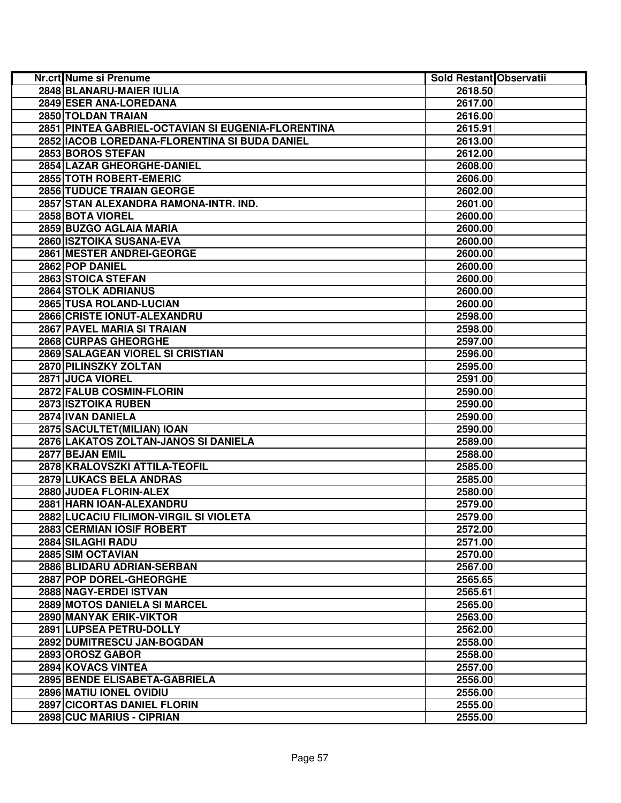| Nr.crt Nume si Prenume                             | Sold Restant Observatii |  |
|----------------------------------------------------|-------------------------|--|
| 2848 BLANARU-MAIER IULIA                           | 2618.50                 |  |
| 2849 ESER ANA-LOREDANA                             | 2617.00                 |  |
| 2850 TOLDAN TRAIAN                                 | 2616.00                 |  |
| 2851 PINTEA GABRIEL-OCTAVIAN SI EUGENIA-FLORENTINA | 2615.91                 |  |
| 2852   IACOB LOREDANA-FLORENTINA SI BUDA DANIEL    | 2613.00                 |  |
| 2853 BOROS STEFAN                                  | 2612.00                 |  |
| 2854 LAZAR GHEORGHE-DANIEL                         | 2608.00                 |  |
| 2855 TOTH ROBERT-EMERIC                            | 2606.00                 |  |
| <b>2856 TUDUCE TRAIAN GEORGE</b>                   | 2602.00                 |  |
| 2857 STAN ALEXANDRA RAMONA-INTR. IND.              | 2601.00                 |  |
| 2858 BOTA VIOREL                                   | 2600.00                 |  |
| 2859 BUZGO AGLAIA MARIA                            | 2600.00                 |  |
| 2860 ISZTOIKA SUSANA-EVA                           | 2600.00                 |  |
| 2861 MESTER ANDREI-GEORGE                          | 2600.00                 |  |
| 2862 POP DANIEL                                    | 2600.00                 |  |
| 2863 STOICA STEFAN                                 | 2600.00                 |  |
| 2864 STOLK ADRIANUS                                | 2600.00                 |  |
| 2865 TUSA ROLAND-LUCIAN                            | 2600.00                 |  |
| 2866 CRISTE IONUT-ALEXANDRU                        | 2598.00                 |  |
| 2867 PAVEL MARIA SI TRAIAN                         | 2598.00                 |  |
| 2868 CURPAS GHEORGHE                               | 2597.00                 |  |
| 2869 SALAGEAN VIOREL SI CRISTIAN                   | 2596.00                 |  |
| 2870 PILINSZKY ZOLTAN                              | 2595.00                 |  |
| 2871 JUCA VIOREL                                   | 2591.00                 |  |
| 2872 FALUB COSMIN-FLORIN                           | 2590.00                 |  |
| 2873 ISZTOIKA RUBEN                                | 2590.00                 |  |
| 2874 IVAN DANIELA                                  | 2590.00                 |  |
| 2875 SACULTET(MILIAN) IOAN                         | 2590.00                 |  |
| 2876 LAKATOS ZOLTAN-JANOS SI DANIELA               | 2589.00                 |  |
| 2877 BEJAN EMIL                                    | 2588.00                 |  |
| 2878 KRALOVSZKI ATTILA-TEOFIL                      | 2585.00                 |  |
| 2879 LUKACS BELA ANDRAS                            | 2585.00                 |  |
| 2880 JUDEA FLORIN-ALEX                             | 2580.00                 |  |
| 2881 HARN IOAN-ALEXANDRU                           | 2579.00                 |  |
| 2882 LUCACIU FILIMON-VIRGIL SI VIOLETA             | 2579.00                 |  |
| 2883 CERMIAN IOSIF ROBERT                          | 2572.00                 |  |
| 2884 SILAGHI RADU                                  | 2571.00                 |  |
| 2885 SIM OCTAVIAN                                  | 2570.00                 |  |
| 2886 BLIDARU ADRIAN-SERBAN                         | 2567.00                 |  |
| 2887 POP DOREL-GHEORGHE                            | 2565.65                 |  |
| 2888 NAGY-ERDEI ISTVAN                             | 2565.61                 |  |
| 2889 MOTOS DANIELA SI MARCEL                       | 2565.00                 |  |
| 2890 MANYAK ERIK-VIKTOR                            | 2563.00                 |  |
| 2891 LUPSEA PETRU-DOLLY                            | 2562.00                 |  |
| 2892 DUMITRESCU JAN-BOGDAN                         | 2558.00                 |  |
| 2893 OROSZ GABOR                                   | 2558.00                 |  |
| 2894 KOVACS VINTEA                                 | 2557.00                 |  |
| 2895 BENDE ELISABETA-GABRIELA                      | 2556.00                 |  |
| 2896 MATIU IONEL OVIDIU                            | 2556.00                 |  |
| <b>2897 CICORTAS DANIEL FLORIN</b>                 | 2555.00                 |  |
| 2898 CUC MARIUS - CIPRIAN                          | 2555.00                 |  |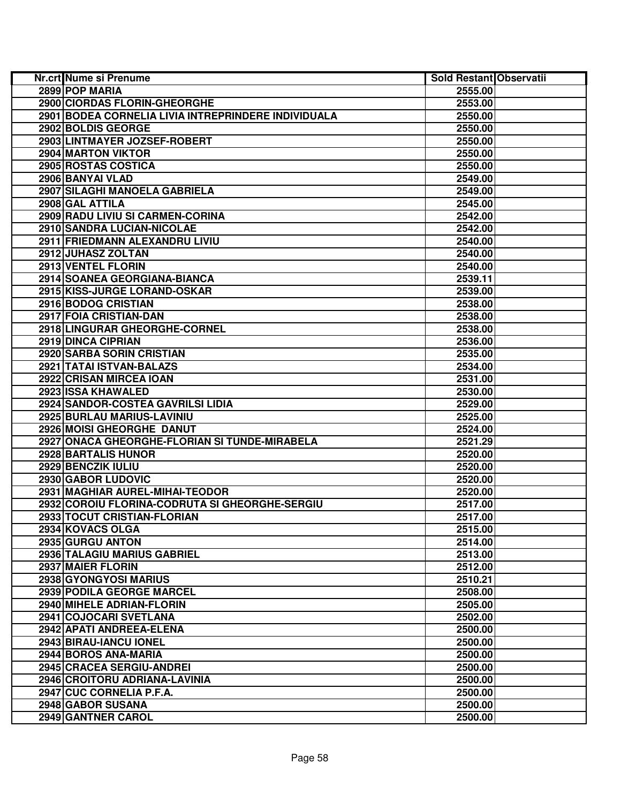| Nr.crt Nume si Prenume                              | Sold Restant Observatii |  |
|-----------------------------------------------------|-------------------------|--|
| 2899 POP MARIA                                      | 2555.00                 |  |
| 2900 CIORDAS FLORIN-GHEORGHE                        | 2553.00                 |  |
| 2901 BODEA CORNELIA LIVIA INTREPRINDERE INDIVIDUALA | 2550.00                 |  |
| 2902 BOLDIS GEORGE                                  | 2550.00                 |  |
| 2903 LINTMAYER JOZSEF-ROBERT                        | 2550.00                 |  |
| 2904 MARTON VIKTOR                                  | 2550.00                 |  |
| 2905 ROSTAS COSTICA                                 | 2550.00                 |  |
| 2906 BANYAI VLAD                                    | 2549.00                 |  |
| 2907 SILAGHI MANOELA GABRIELA                       | 2549.00                 |  |
| 2908 GAL ATTILA                                     | 2545.00                 |  |
| 2909 RADU LIVIU SI CARMEN-CORINA                    | 2542.00                 |  |
| 2910 SANDRA LUCIAN-NICOLAE                          | 2542.00                 |  |
| 2911 FRIEDMANN ALEXANDRU LIVIU                      | 2540.00                 |  |
| 2912 JUHASZ ZOLTAN                                  | 2540.00                 |  |
| 2913 VENTEL FLORIN                                  | 2540.00                 |  |
| 2914 SOANEA GEORGIANA-BIANCA                        | 2539.11                 |  |
| 2915 KISS-JURGE LORAND-OSKAR                        | 2539.00                 |  |
| 2916 BODOG CRISTIAN                                 | 2538.00                 |  |
| 2917 FOIA CRISTIAN-DAN                              | 2538.00                 |  |
| 2918 LINGURAR GHEORGHE-CORNEL                       | 2538.00                 |  |
| 2919 DINCA CIPRIAN                                  | 2536.00                 |  |
| 2920 SARBA SORIN CRISTIAN                           | 2535.00                 |  |
| 2921 TATAI ISTVAN-BALAZS                            | 2534.00                 |  |
| 2922 CRISAN MIRCEA IOAN                             | 2531.00                 |  |
| 2923 ISSA KHAWALED                                  | 2530.00                 |  |
| 2924 SANDOR-COSTEA GAVRILSI LIDIA                   | 2529.00                 |  |
| 2925 BURLAU MARIUS-LAVINIU                          | 2525.00                 |  |
| 2926 MOISI GHEORGHE DANUT                           | 2524.00                 |  |
| 2927 ONACA GHEORGHE-FLORIAN SI TUNDE-MIRABELA       | 2521.29                 |  |
| 2928 BARTALIS HUNOR                                 | 2520.00                 |  |
| 2929 BENCZIK IULIU                                  | 2520.00                 |  |
| 2930 GABOR LUDOVIC                                  | 2520.00                 |  |
| 2931 MAGHIAR AUREL-MIHAI-TEODOR                     | 2520.00                 |  |
| 2932 COROIU FLORINA-CODRUTA SI GHEORGHE-SERGIU      | 2517.00                 |  |
| 2933 TOCUT CRISTIAN-FLORIAN                         | 2517.00                 |  |
| 2934 KOVACS OLGA                                    | 2515.00                 |  |
| 2935 GURGU ANTON                                    | 2514.00                 |  |
| 2936 TALAGIU MARIUS GABRIEL                         | 2513.00                 |  |
| 2937 MAIER FLORIN                                   | 2512.00                 |  |
| 2938 GYONGYOSI MARIUS                               | 2510.21                 |  |
| 2939 PODILA GEORGE MARCEL                           | 2508.00                 |  |
| 2940 MIHELE ADRIAN-FLORIN                           | 2505.00                 |  |
| 2941 COJOCARI SVETLANA                              | 2502.00                 |  |
| 2942 APATI ANDREEA-ELENA                            | 2500.00                 |  |
| 2943 BIRAU-IANCU IONEL                              | 2500.00                 |  |
| 2944 BOROS ANA-MARIA                                | 2500.00                 |  |
| 2945 CRACEA SERGIU-ANDREI                           | 2500.00                 |  |
| 2946 CROITORU ADRIANA-LAVINIA                       | 2500.00                 |  |
| 2947 CUC CORNELIA P.F.A.                            | 2500.00                 |  |
| 2948 GABOR SUSANA                                   | 2500.00                 |  |
| 2949 GANTNER CAROL                                  | 2500.00                 |  |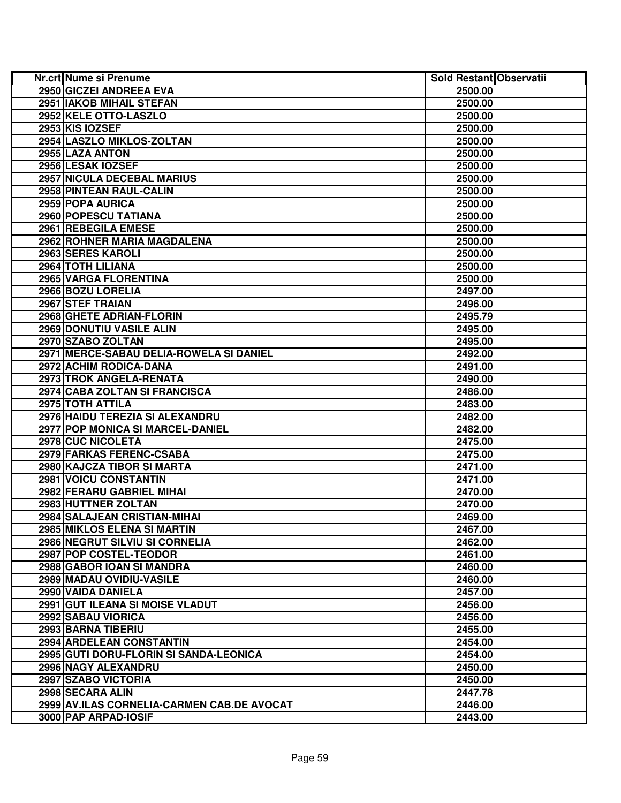| Nr.crt Nume si Prenume                     | Sold Restant Observatii |  |
|--------------------------------------------|-------------------------|--|
| 2950 GICZEI ANDREEA EVA                    | 2500.00                 |  |
| 2951 IAKOB MIHAIL STEFAN                   | 2500.00                 |  |
| 2952 KELE OTTO-LASZLO                      | 2500.00                 |  |
| 2953 KIS IOZSEF                            | 2500.00                 |  |
| 2954 LASZLO MIKLOS-ZOLTAN                  | 2500.00                 |  |
| 2955 LAZA ANTON                            | 2500.00                 |  |
| 2956 LESAK IOZSEF                          | 2500.00                 |  |
| <b>2957 NICULA DECEBAL MARIUS</b>          | 2500.00                 |  |
| 2958 PINTEAN RAUL-CALIN                    | 2500.00                 |  |
| 2959 POPA AURICA                           | 2500.00                 |  |
| 2960 POPESCU TATIANA                       | 2500.00                 |  |
| 2961 REBEGILA EMESE                        | 2500.00                 |  |
| 2962 ROHNER MARIA MAGDALENA                | 2500.00                 |  |
| 2963 SERES KAROLI                          | 2500.00                 |  |
| 2964 TOTH LILIANA                          | 2500.00                 |  |
| 2965 VARGA FLORENTINA                      | 2500.00                 |  |
| 2966 BOZU LORELIA                          | 2497.00                 |  |
| 2967 STEF TRAIAN                           | 2496.00                 |  |
| 2968 GHETE ADRIAN-FLORIN                   | 2495.79                 |  |
| 2969 DONUTIU VASILE ALIN                   | 2495.00                 |  |
| 2970 SZABO ZOLTAN                          | 2495.00                 |  |
| 2971 MERCE-SABAU DELIA-ROWELA SI DANIEL    | 2492.00                 |  |
| 2972 ACHIM RODICA-DANA                     | 2491.00                 |  |
| 2973 TROK ANGELA-RENATA                    | 2490.00                 |  |
| 2974 CABA ZOLTAN SI FRANCISCA              | 2486.00                 |  |
| 2975 TOTH ATTILA                           | 2483.00                 |  |
| 2976 HAIDU TEREZIA SI ALEXANDRU            | 2482.00                 |  |
| 2977 POP MONICA SI MARCEL-DANIEL           | 2482.00                 |  |
| 2978 CUC NICOLETA                          | 2475.00                 |  |
| 2979 FARKAS FERENC-CSABA                   | 2475.00                 |  |
| 2980 KAJCZA TIBOR SI MARTA                 | 2471.00                 |  |
| 2981 VOICU CONSTANTIN                      | 2471.00                 |  |
| 2982 FERARU GABRIEL MIHAI                  | 2470.00                 |  |
| 2983 HUTTNER ZOLTAN                        | 2470.00                 |  |
| 2984 SALAJEAN CRISTIAN-MIHAI               | 2469.00                 |  |
| 2985 MIKLOS ELENA SI MARTIN                | 2467.00                 |  |
| 2986 NEGRUT SILVIU SI CORNELIA             | 2462.00                 |  |
| 2987 POP COSTEL-TEODOR                     | 2461.00                 |  |
| 2988 GABOR IOAN SI MANDRA                  | 2460.00                 |  |
| 2989 MADAU OVIDIU-VASILE                   | 2460.00                 |  |
| 2990 VAIDA DANIELA                         | 2457.00                 |  |
| <b>2991 GUT ILEANA SI MOISE VLADUT</b>     | 2456.00                 |  |
| 2992 SABAU VIORICA                         | 2456.00                 |  |
| 2993 BARNA TIBERIU                         | 2455.00                 |  |
| 2994 ARDELEAN CONSTANTIN                   | 2454.00                 |  |
| 2995 GUTI DORU-FLORIN SI SANDA-LEONICA     | 2454.00                 |  |
| 2996 NAGY ALEXANDRU                        | 2450.00                 |  |
| 2997 SZABO VICTORIA                        | 2450.00                 |  |
| 2998 SECARA ALIN                           | 2447.78                 |  |
| 2999 AV.ILAS CORNELIA-CARMEN CAB.DE AVOCAT | 2446.00                 |  |
| 3000 PAP ARPAD-IOSIF                       | 2443.00                 |  |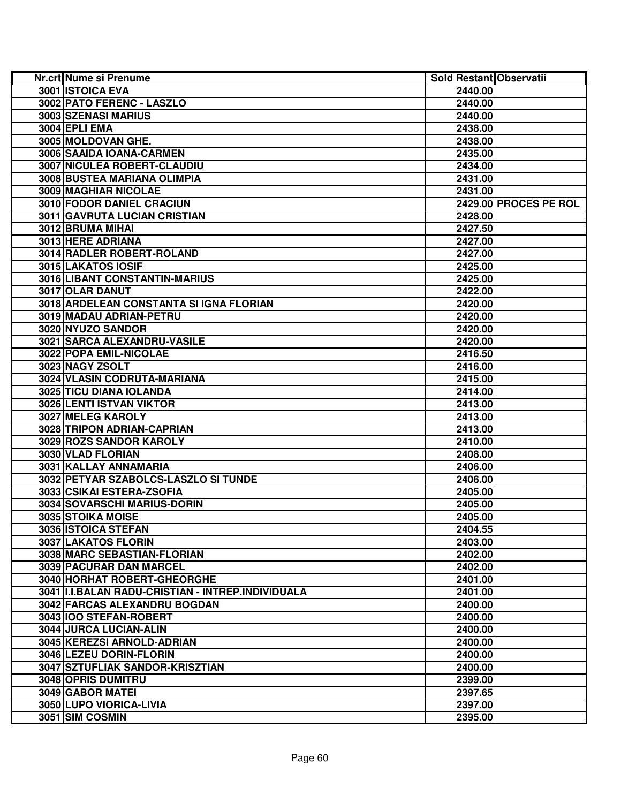| Nr.crt Nume si Prenume                             | Sold Restant Observatii |
|----------------------------------------------------|-------------------------|
| <b>3001 ISTOICA EVA</b>                            | 2440.00                 |
| 3002 PATO FERENC - LASZLO                          | 2440.00                 |
| 3003 SZENASI MARIUS                                | 2440.00                 |
| 3004 EPLI EMA                                      | 2438.00                 |
| 3005 MOLDOVAN GHE.                                 | 2438.00                 |
| 3006 SAAIDA IOANA-CARMEN                           | 2435.00                 |
| 3007 NICULEA ROBERT-CLAUDIU                        | 2434.00                 |
| 3008 BUSTEA MARIANA OLIMPIA                        | 2431.00                 |
| 3009 MAGHIAR NICOLAE                               | 2431.00                 |
| <b>3010 FODOR DANIEL CRACIUN</b>                   | 2429.00 PROCES PE ROL   |
| 3011 GAVRUTA LUCIAN CRISTIAN                       | 2428.00                 |
| 3012 BRUMA MIHAI                                   | 2427.50                 |
| 3013 HERE ADRIANA                                  | 2427.00                 |
| 3014 RADLER ROBERT-ROLAND                          | 2427.00                 |
| 3015 LAKATOS IOSIF                                 | 2425.00                 |
| 3016 LIBANT CONSTANTIN-MARIUS                      | 2425.00                 |
| 3017 OLAR DANUT                                    | 2422.00                 |
| 3018 ARDELEAN CONSTANTA SI IGNA FLORIAN            | 2420.00                 |
| 3019 MADAU ADRIAN-PETRU                            | 2420.00                 |
| 3020 NYUZO SANDOR                                  | 2420.00                 |
| 3021 SARCA ALEXANDRU-VASILE                        | 2420.00                 |
| 3022 POPA EMIL-NICOLAE                             | 2416.50                 |
| 3023 NAGY ZSOLT                                    | 2416.00                 |
| 3024 VLASIN CODRUTA-MARIANA                        | 2415.00                 |
| 3025 TICU DIANA IOLANDA                            | 2414.00                 |
| 3026 LENTI ISTVAN VIKTOR                           | 2413.00                 |
| <b>3027 MELEG KAROLY</b>                           | 2413.00                 |
| 3028 TRIPON ADRIAN-CAPRIAN                         | 2413.00                 |
| 3029 ROZS SANDOR KAROLY                            | 2410.00                 |
| 3030 VLAD FLORIAN                                  | 2408.00                 |
| 3031 KALLAY ANNAMARIA                              | 2406.00                 |
| 3032 PETYAR SZABOLCS-LASZLO SI TUNDE               | 2406.00                 |
| 3033 CSIKAI ESTERA-ZSOFIA                          | 2405.00                 |
| 3034 SOVARSCHI MARIUS-DORIN                        | 2405.00                 |
| 3035 STOIKA MOISE                                  | 2405.00                 |
| 3036 ISTOICA STEFAN                                | 2404.55                 |
| 3037 LAKATOS FLORIN                                | 2403.00                 |
| 3038 MARC SEBASTIAN-FLORIAN                        | 2402.00                 |
| 3039 PACURAR DAN MARCEL                            | 2402.00                 |
| 3040 HORHAT ROBERT-GHEORGHE                        | 2401.00                 |
| 3041 II.I.BALAN RADU-CRISTIAN - INTREP.INDIVIDUALA | 2401.00                 |
| 3042 FARCAS ALEXANDRU BOGDAN                       | 2400.00                 |
| 3043 IOO STEFAN-ROBERT                             | 2400.00                 |
| 3044 JURCA LUCIAN-ALIN                             | 2400.00                 |
| 3045 KEREZSI ARNOLD-ADRIAN                         | 2400.00                 |
| 3046 LEZEU DORIN-FLORIN                            | 2400.00                 |
| 3047 SZTUFLIAK SANDOR-KRISZTIAN                    | 2400.00                 |
| 3048 OPRIS DUMITRU                                 | 2399.00                 |
| 3049 GABOR MATEI                                   | 2397.65                 |
| 3050 LUPO VIORICA-LIVIA                            |                         |
|                                                    | 2397.00                 |
| 3051 SIM COSMIN                                    | 2395.00                 |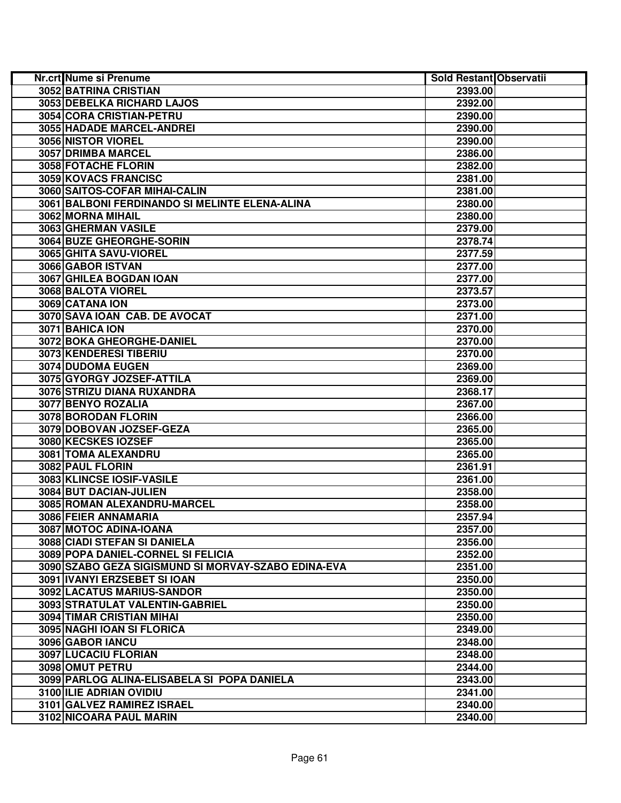| Nr.crt Nume si Prenume                              | Sold Restant Observatii |  |
|-----------------------------------------------------|-------------------------|--|
| 3052 BATRINA CRISTIAN                               | 2393.00                 |  |
| 3053 DEBELKA RICHARD LAJOS                          | 2392.00                 |  |
| 3054 CORA CRISTIAN-PETRU                            | 2390.00                 |  |
| 3055 HADADE MARCEL-ANDREI                           | 2390.00                 |  |
| 3056 NISTOR VIOREL                                  | 2390.00                 |  |
| 3057 DRIMBA MARCEL                                  | 2386.00                 |  |
| 3058 FOTACHE FLORIN                                 | 2382.00                 |  |
| 3059 KOVACS FRANCISC                                | 2381.00                 |  |
| 3060 SAITOS-COFAR MIHAI-CALIN                       | 2381.00                 |  |
| 3061 BALBONI FERDINANDO SI MELINTE ELENA-ALINA      | 2380.00                 |  |
| 3062 MORNA MIHAIL                                   | 2380.00                 |  |
| 3063 GHERMAN VASILE                                 | 2379.00                 |  |
| 3064 BUZE GHEORGHE-SORIN                            | 2378.74                 |  |
| 3065 GHITA SAVU-VIOREL                              | 2377.59                 |  |
| 3066 GABOR ISTVAN                                   | 2377.00                 |  |
| 3067 GHILEA BOGDAN IOAN                             | 2377.00                 |  |
| 3068 BALOTA VIOREL                                  | 2373.57                 |  |
| 3069 CATANA ION                                     | 2373.00                 |  |
| 3070 SAVA IOAN CAB. DE AVOCAT                       | 2371.00                 |  |
| 3071 BAHICA ION                                     | 2370.00                 |  |
| 3072 BOKA GHEORGHE-DANIEL                           | 2370.00                 |  |
| 3073 KENDERESI TIBERIU                              | 2370.00                 |  |
| 3074 DUDOMA EUGEN                                   | 2369.00                 |  |
| 3075 GYORGY JOZSEF-ATTILA                           | 2369.00                 |  |
| 3076 STRIZU DIANA RUXANDRA                          | 2368.17                 |  |
| 3077 BENYO ROZALIA                                  | 2367.00                 |  |
| 3078 BORODAN FLORIN                                 | 2366.00                 |  |
| 3079 DOBOVAN JOZSEF-GEZA                            | 2365.00                 |  |
| 3080 KECSKES IOZSEF                                 | 2365.00                 |  |
| 3081 TOMA ALEXANDRU                                 | 2365.00                 |  |
| 3082 PAUL FLORIN                                    | 2361.91                 |  |
| 3083 KLINCSE IOSIF-VASILE                           | 2361.00                 |  |
| 3084 BUT DACIAN-JULIEN                              | 2358.00                 |  |
| 3085 ROMAN ALEXANDRU-MARCEL                         | 2358.00                 |  |
| 3086 FEIER ANNAMARIA                                | 2357.94                 |  |
| 3087 MOTOC ADINA-IOANA                              | 2357.00                 |  |
| 3088 CIADI STEFAN SI DANIELA                        | 2356.00                 |  |
| 3089 POPA DANIEL-CORNEL SI FELICIA                  | 2352.00                 |  |
| 3090 SZABO GEZA SIGISMUND SI MORVAY-SZABO EDINA-EVA | 2351.00                 |  |
| 3091 IVANYI ERZSEBET SI IOAN                        | 2350.00                 |  |
| 3092 LACATUS MARIUS-SANDOR                          | 2350.00                 |  |
| 3093 STRATULAT VALENTIN-GABRIEL                     | 2350.00                 |  |
| 3094 TIMAR CRISTIAN MIHAI                           | 2350.00                 |  |
| 3095 NAGHI IOAN SI FLORICA                          | 2349.00                 |  |
| 3096 GABOR IANCU                                    | 2348.00                 |  |
| <b>3097 LUCACIU FLORIAN</b>                         | 2348.00                 |  |
| 3098 OMUT PETRU                                     | 2344.00                 |  |
| 3099 PARLOG ALINA-ELISABELA SI POPA DANIELA         | 2343.00                 |  |
| <b>3100 ILIE ADRIAN OVIDIU</b>                      | 2341.00                 |  |
| 3101 GALVEZ RAMIREZ ISRAEL                          | 2340.00                 |  |
| 3102 NICOARA PAUL MARIN                             | 2340.00                 |  |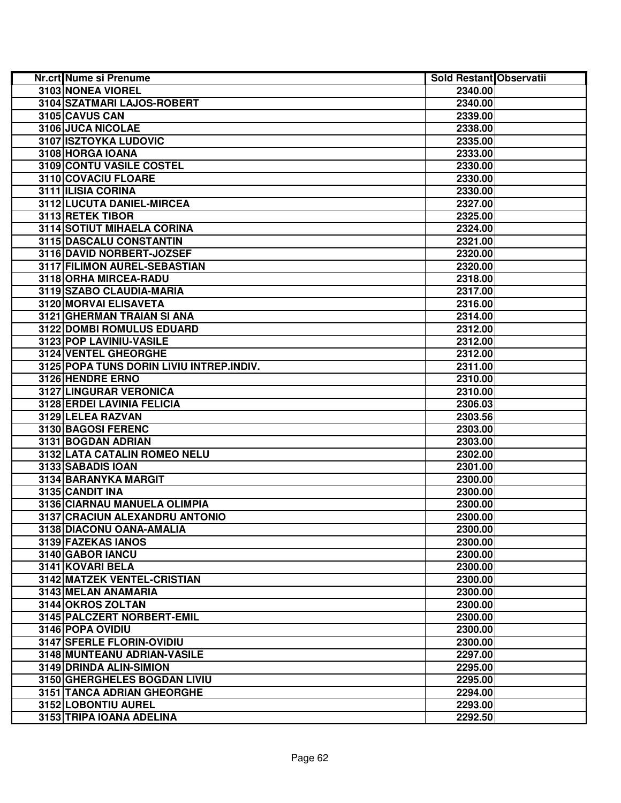| Nr.crt Nume si Prenume                   | Sold Restant Observatii |  |
|------------------------------------------|-------------------------|--|
| 3103 NONEA VIOREL                        | 2340.00                 |  |
| 3104 SZATMARI LAJOS-ROBERT               | 2340.00                 |  |
| 3105 CAVUS CAN                           | 2339.00                 |  |
| 3106 JUCA NICOLAE                        | 2338.00                 |  |
| 3107 ISZTOYKA LUDOVIC                    | 2335.00                 |  |
| 3108 HORGA IOANA                         | 2333.00                 |  |
| 3109 CONTU VASILE COSTEL                 | 2330.00                 |  |
| 3110 COVACIU FLOARE                      | 2330.00                 |  |
| 3111 ILISIA CORINA                       | 2330.00                 |  |
| 3112 LUCUTA DANIEL-MIRCEA                | 2327.00                 |  |
| 3113 RETEK TIBOR                         | 2325.00                 |  |
| 3114 SOTIUT MIHAELA CORINA               | 2324.00                 |  |
| 3115 DASCALU CONSTANTIN                  | 2321.00                 |  |
| 3116 DAVID NORBERT-JOZSEF                | 2320.00                 |  |
| 3117 FILIMON AUREL-SEBASTIAN             | 2320.00                 |  |
| 3118 ORHA MIRCEA-RADU                    | 2318.00                 |  |
| 3119 SZABO CLAUDIA-MARIA                 | 2317.00                 |  |
| 3120 MORVAI ELISAVETA                    | 2316.00                 |  |
| 3121 GHERMAN TRAIAN SI ANA               | 2314.00                 |  |
| 3122 DOMBI ROMULUS EDUARD                | 2312.00                 |  |
| 3123 POP LAVINIU-VASILE                  | 2312.00                 |  |
| 3124 VENTEL GHEORGHE                     | 2312.00                 |  |
| 3125 POPA TUNS DORIN LIVIU INTREP.INDIV. | 2311.00                 |  |
| 3126 HENDRE ERNO                         | 2310.00                 |  |
| 3127 LINGURAR VERONICA                   | 2310.00                 |  |
| <b>3128 ERDEI LAVINIA FELICIA</b>        | 2306.03                 |  |
| 3129 LELEA RAZVAN                        | 2303.56                 |  |
| 3130 BAGOSI FERENC                       | 2303.00                 |  |
| 3131 BOGDAN ADRIAN                       | 2303.00                 |  |
| 3132 LATA CATALIN ROMEO NELU             | 2302.00                 |  |
| 3133 SABADIS IOAN                        | 2301.00                 |  |
| 3134 BARANYKA MARGIT                     | 2300.00                 |  |
| 3135 CANDIT INA                          | 2300.00                 |  |
| 3136 CIARNAU MANUELA OLIMPIA             | 2300.00                 |  |
| 3137 CRACIUN ALEXANDRU ANTONIO           | 2300.00                 |  |
| 3138 DIACONU OANA-AMALIA                 | 2300.00                 |  |
| 3139 FAZEKAS IANOS                       | 2300.00                 |  |
| 3140 GABOR IANCU                         | 2300.00                 |  |
| 3141 KOVARI BELA                         | 2300.00                 |  |
| 3142 MATZEK VENTEL-CRISTIAN              | 2300.00                 |  |
| 3143 MELAN ANAMARIA                      | 2300.00                 |  |
| 3144 OKROS ZOLTAN                        | 2300.00                 |  |
| 3145 PALCZERT NORBERT-EMIL               | 2300.00                 |  |
| 3146 POPA OVIDIU                         | 2300.00                 |  |
| 3147 SFERLE FLORIN-OVIDIU                | 2300.00                 |  |
| 3148 MUNTEANU ADRIAN-VASILE              | 2297.00                 |  |
| 3149 DRINDA ALIN-SIMION                  | 2295.00                 |  |
| 3150 GHERGHELES BOGDAN LIVIU             | 2295.00                 |  |
| 3151 TANCA ADRIAN GHEORGHE               | 2294.00                 |  |
| 3152 LOBONTIU AUREL                      | 2293.00                 |  |
| 3153 TRIPA IOANA ADELINA                 | 2292.50                 |  |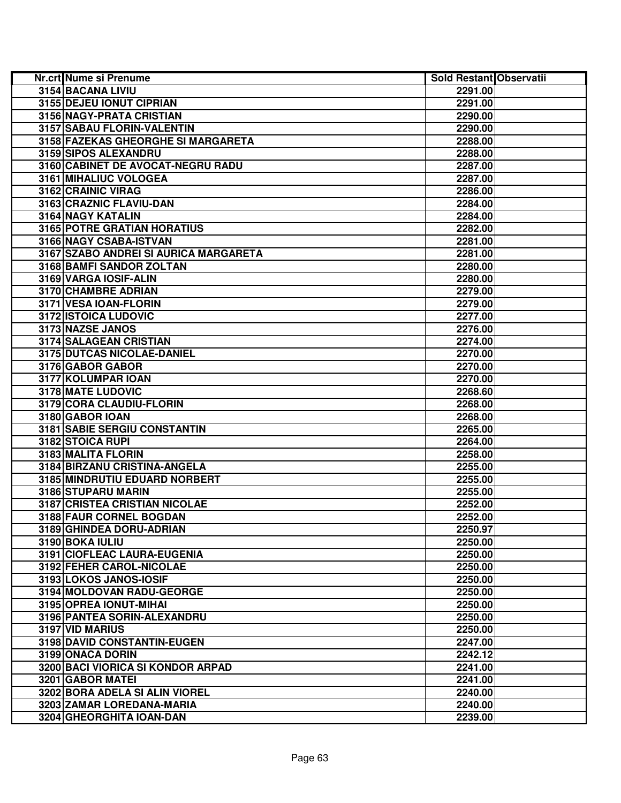| Nr.crt Nume si Prenume                | Sold Restant Observatii |  |
|---------------------------------------|-------------------------|--|
| 3154 BACANA LIVIU                     | 2291.00                 |  |
| 3155 DEJEU IONUT CIPRIAN              | 2291.00                 |  |
| 3156 NAGY-PRATA CRISTIAN              | 2290.00                 |  |
| 3157 SABAU FLORIN-VALENTIN            | 2290.00                 |  |
| 3158 FAZEKAS GHEORGHE SI MARGARETA    | 2288.00                 |  |
| 3159 SIPOS ALEXANDRU                  | 2288.00                 |  |
| 3160 CABINET DE AVOCAT-NEGRU RADU     | 2287.00                 |  |
| 3161 MIHALIUC VOLOGEA                 | 2287.00                 |  |
| 3162 CRAINIC VIRAG                    | 2286.00                 |  |
| 3163 CRAZNIC FLAVIU-DAN               | 2284.00                 |  |
| 3164 NAGY KATALIN                     | 2284.00                 |  |
| 3165 POTRE GRATIAN HORATIUS           | 2282.00                 |  |
| 3166 NAGY CSABA-ISTVAN                | 2281.00                 |  |
| 3167 SZABO ANDREI SI AURICA MARGARETA | 2281.00                 |  |
| 3168 BAMFI SANDOR ZOLTAN              | 2280.00                 |  |
| 3169 VARGA IOSIF-ALIN                 | 2280.00                 |  |
| 3170 CHAMBRE ADRIAN                   | 2279.00                 |  |
| 3171 VESA IOAN-FLORIN                 | 2279.00                 |  |
| 3172 ISTOICA LUDOVIC                  | 2277.00                 |  |
| 3173 NAZSE JANOS                      | 2276.00                 |  |
| 3174 SALAGEAN CRISTIAN                | 2274.00                 |  |
| 3175 DUTCAS NICOLAE-DANIEL            | 2270.00                 |  |
| 3176 GABOR GABOR                      | 2270.00                 |  |
| 3177 KOLUMPAR IOAN                    | 2270.00                 |  |
| 3178 MATE LUDOVIC                     | 2268.60                 |  |
| 3179 CORA CLAUDIU-FLORIN              | 2268.00                 |  |
| 3180 GABOR IOAN                       | 2268.00                 |  |
| 3181 SABIE SERGIU CONSTANTIN          | 2265.00                 |  |
| 3182 STOICA RUPI                      | 2264.00                 |  |
| 3183 MALITA FLORIN                    | 2258.00                 |  |
| 3184 BIRZANU CRISTINA-ANGELA          | 2255.00                 |  |
| 3185 MINDRUTIU EDUARD NORBERT         | 2255.00                 |  |
| 3186 STUPARU MARIN                    | 2255.00                 |  |
| 3187 CRISTEA CRISTIAN NICOLAE         | 2252.00                 |  |
| 3188 FAUR CORNEL BOGDAN               | 2252.00                 |  |
| 3189 GHINDEA DORU-ADRIAN              | 2250.97                 |  |
| 3190 BOKA IULIU                       | 2250.00                 |  |
| 3191 CIOFLEAC LAURA-EUGENIA           | 2250.00                 |  |
| 3192 FEHER CAROL-NICOLAE              | 2250.00                 |  |
| 3193 LOKOS JANOS-IOSIF                | 2250.00                 |  |
| 3194 MOLDOVAN RADU-GEORGE             | 2250.00                 |  |
| 3195 OPREA IONUT-MIHAI                | 2250.00                 |  |
| 3196 PANTEA SORIN-ALEXANDRU           | 2250.00                 |  |
| 3197 VID MARIUS                       | 2250.00                 |  |
| 3198 DAVID CONSTANTIN-EUGEN           | 2247.00                 |  |
| 3199 ONACA DORIN                      | 2242.12                 |  |
| 3200 BACI VIORICA SI KONDOR ARPAD     | 2241.00                 |  |
| 3201 GABOR MATEI                      | 2241.00                 |  |
| 3202 BORA ADELA SI ALIN VIOREL        | 2240.00                 |  |
| 3203 ZAMAR LOREDANA-MARIA             | 2240.00                 |  |
| 3204 GHEORGHITA IOAN-DAN              | 2239.00                 |  |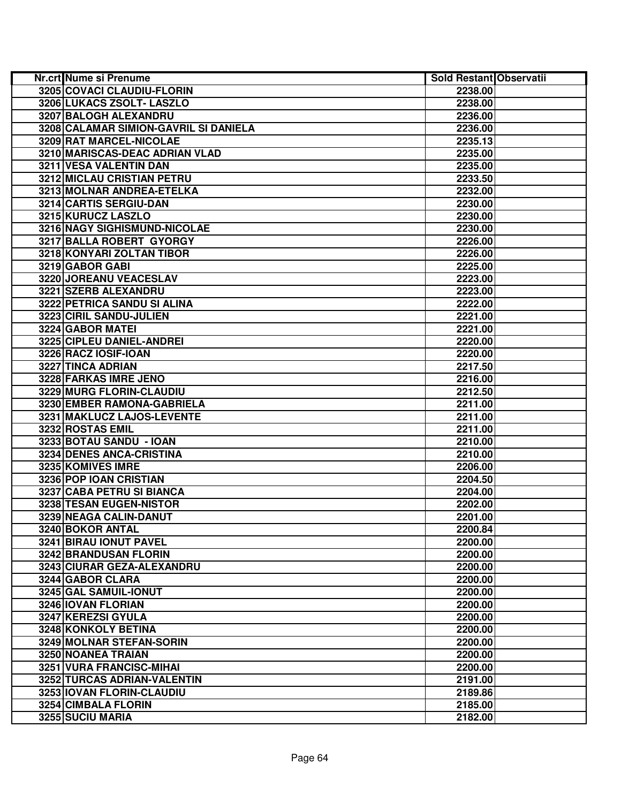| Nr.crt Nume si Prenume                | Sold Restant Observatii |  |
|---------------------------------------|-------------------------|--|
| 3205 COVACI CLAUDIU-FLORIN            | 2238.00                 |  |
| 3206 LUKACS ZSOLT- LASZLO             | 2238.00                 |  |
| 3207 BALOGH ALEXANDRU                 | 2236.00                 |  |
| 3208 CALAMAR SIMION-GAVRIL SI DANIELA | 2236.00                 |  |
| 3209 RAT MARCEL-NICOLAE               | 2235.13                 |  |
| 3210 MARISCAS-DEAC ADRIAN VLAD        | 2235.00                 |  |
| 3211 VESA VALENTIN DAN                | 2235.00                 |  |
| 3212 MICLAU CRISTIAN PETRU            | 2233.50                 |  |
| 3213 MOLNAR ANDREA-ETELKA             | 2232.00                 |  |
| 3214 CARTIS SERGIU-DAN                | 2230.00                 |  |
| 3215 KURUCZ LASZLO                    | 2230.00                 |  |
| 3216 NAGY SIGHISMUND-NICOLAE          | 2230.00                 |  |
| 3217 BALLA ROBERT GYORGY              | 2226.00                 |  |
| 3218 KONYARI ZOLTAN TIBOR             | 2226.00                 |  |
| 3219 GABOR GABI                       | 2225.00                 |  |
| 3220 JOREANU VEACESLAV                | 2223.00                 |  |
| 3221 SZERB ALEXANDRU                  | 2223.00                 |  |
| 3222 PETRICA SANDU SI ALINA           | 2222.00                 |  |
| 3223 CIRIL SANDU-JULIEN               | 2221.00                 |  |
| 3224 GABOR MATEI                      | 2221.00                 |  |
| 3225 CIPLEU DANIEL-ANDREI             | 2220.00                 |  |
| 3226 RACZ IOSIF-IOAN                  | 2220.00                 |  |
| 3227 TINCA ADRIAN                     | 2217.50                 |  |
| 3228 FARKAS IMRE JENO                 | 2216.00                 |  |
| 3229 MURG FLORIN-CLAUDIU              | 2212.50                 |  |
| 3230 EMBER RAMONA-GABRIELA            | 2211.00                 |  |
| 3231 MAKLUCZ LAJOS-LEVENTE            | 2211.00                 |  |
| 3232 ROSTAS EMIL                      | 2211.00                 |  |
| 3233 BOTAU SANDU - IOAN               | 2210.00                 |  |
| 3234 DENES ANCA-CRISTINA              | 2210.00                 |  |
| 3235 KOMIVES IMRE                     | 2206.00                 |  |
| 3236 POP IOAN CRISTIAN                | 2204.50                 |  |
| 3237 CABA PETRU SI BIANCA             | 2204.00                 |  |
| 3238 TESAN EUGEN-NISTOR               | 2202.00                 |  |
| 3239 NEAGA CALIN-DANUT                | 2201.00                 |  |
| 3240 BOKOR ANTAL                      | 2200.84                 |  |
| 3241 BIRAU IONUT PAVEL                | 2200.00                 |  |
| 3242 BRANDUSAN FLORIN                 | 2200.00                 |  |
| 3243 CIURAR GEZA-ALEXANDRU            | 2200.00                 |  |
| 3244 GABOR CLARA                      | 2200.00                 |  |
| 3245 GAL SAMUIL-IONUT                 | 2200.00                 |  |
| 3246 IOVAN FLORIAN                    | 2200.00                 |  |
| 3247 KEREZSI GYULA                    | 2200.00                 |  |
| 3248 KONKOLY BETINA                   | 2200.00                 |  |
| 3249 MOLNAR STEFAN-SORIN              | 2200.00                 |  |
| 3250 NOANEA TRAIAN                    | 2200.00                 |  |
| 3251 VURA FRANCISC-MIHAI              | 2200.00                 |  |
| 3252 TURCAS ADRIAN-VALENTIN           | 2191.00                 |  |
| 3253 IOVAN FLORIN-CLAUDIU             | 2189.86                 |  |
| <b>3254 CIMBALA FLORIN</b>            | 2185.00                 |  |
| 3255 SUCIU MARIA                      | 2182.00                 |  |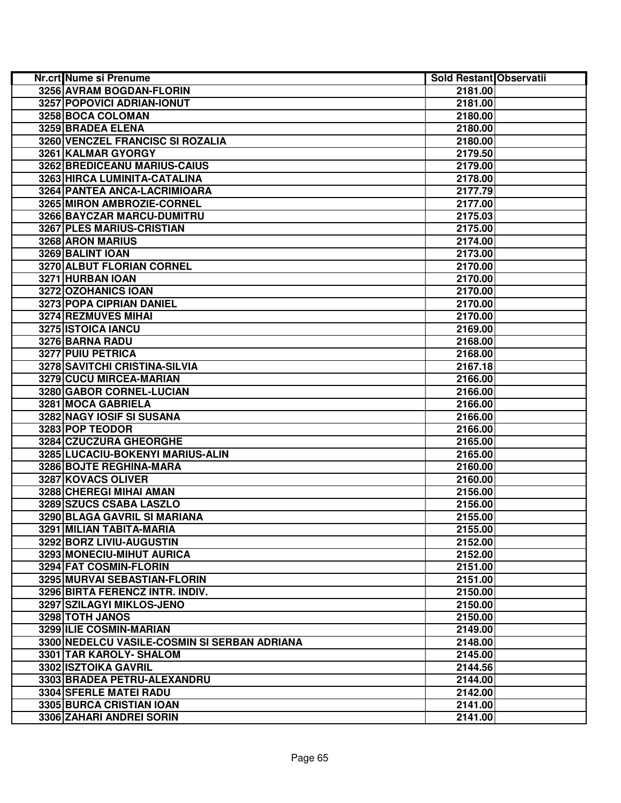| Nr.crt Nume si Prenume                       | Sold Restant Observatii |  |
|----------------------------------------------|-------------------------|--|
| 3256 AVRAM BOGDAN-FLORIN                     | 2181.00                 |  |
| 3257 POPOVICI ADRIAN-IONUT                   | 2181.00                 |  |
| 3258 BOCA COLOMAN                            | 2180.00                 |  |
| 3259 BRADEA ELENA                            | 2180.00                 |  |
| 3260 VENCZEL FRANCISC SI ROZALIA             | 2180.00                 |  |
| 3261 KALMAR GYORGY                           | 2179.50                 |  |
| 3262 BREDICEANU MARIUS-CAIUS                 | 2179.00                 |  |
| 3263 HIRCA LUMINITA-CATALINA                 | 2178.00                 |  |
| 3264 PANTEA ANCA-LACRIMIOARA                 | 2177.79                 |  |
| 3265 MIRON AMBROZIE-CORNEL                   | 2177.00                 |  |
| 3266 BAYCZAR MARCU-DUMITRU                   | 2175.03                 |  |
| 3267 PLES MARIUS-CRISTIAN                    | 2175.00                 |  |
| 3268 ARON MARIUS                             | 2174.00                 |  |
| 3269 BALINT IOAN                             | 2173.00                 |  |
| 3270 ALBUT FLORIAN CORNEL                    | 2170.00                 |  |
| 3271 HURBAN IOAN                             | 2170.00                 |  |
| 3272 OZOHANICS IOAN                          | 2170.00                 |  |
| 3273 POPA CIPRIAN DANIEL                     | 2170.00                 |  |
| 3274 REZMUVES MIHAI                          | 2170.00                 |  |
| 3275 ISTOICA IANCU                           | 2169.00                 |  |
| 3276 BARNA RADU                              | 2168.00                 |  |
| 3277 PUIU PETRICA                            | 2168.00                 |  |
| <b>3278 SAVITCHI CRISTINA-SILVIA</b>         | 2167.18                 |  |
| 3279 CUCU MIRCEA-MARIAN                      | 2166.00                 |  |
| 3280 GABOR CORNEL-LUCIAN                     | 2166.00                 |  |
| 3281 MOCA GABRIELA                           | 2166.00                 |  |
| 3282 NAGY IOSIF SI SUSANA                    | 2166.00                 |  |
| 3283 POP TEODOR                              | 2166.00                 |  |
| 3284 CZUCZURA GHEORGHE                       | 2165.00                 |  |
| 3285 LUCACIU-BOKENYI MARIUS-ALIN             | 2165.00                 |  |
| 3286 BOJTE REGHINA-MARA                      | 2160.00                 |  |
| 3287 KOVACS OLIVER                           | 2160.00                 |  |
| 3288 CHEREGI MIHAI AMAN                      | 2156.00                 |  |
| 3289 SZUCS CSABA LASZLO                      | 2156.00                 |  |
| 3290 BLAGA GAVRIL SI MARIANA                 | 2155.00                 |  |
| 3291 MILIAN TABITA-MARIA                     | 2155.00                 |  |
| 3292 BORZ LIVIU-AUGUSTIN                     | 2152.00                 |  |
| 3293 MONECIU-MIHUT AURICA                    | 2152.00                 |  |
| 3294 FAT COSMIN-FLORIN                       | 2151.00                 |  |
| 3295 MURVAI SEBASTIAN-FLORIN                 | 2151.00                 |  |
| 3296 BIRTA FERENCZ INTR. INDIV.              | 2150.00                 |  |
| 3297 SZILAGYI MIKLOS-JENO                    | 2150.00                 |  |
| 3298 TOTH JANOS                              | 2150.00                 |  |
| 3299 ILIE COSMIN-MARIAN                      | 2149.00                 |  |
| 3300 NEDELCU VASILE-COSMIN SI SERBAN ADRIANA | 2148.00                 |  |
| 3301 TAR KAROLY- SHALOM                      | 2145.00                 |  |
| 3302 ISZTOIKA GAVRIL                         | 2144.56                 |  |
| 3303 BRADEA PETRU-ALEXANDRU                  | 2144.00                 |  |
| <b>3304 SFERLE MATEI RADU</b>                | 2142.00                 |  |
| 3305 BURCA CRISTIAN IOAN                     | 2141.00                 |  |
| 3306 ZAHARI ANDREI SORIN                     | 2141.00                 |  |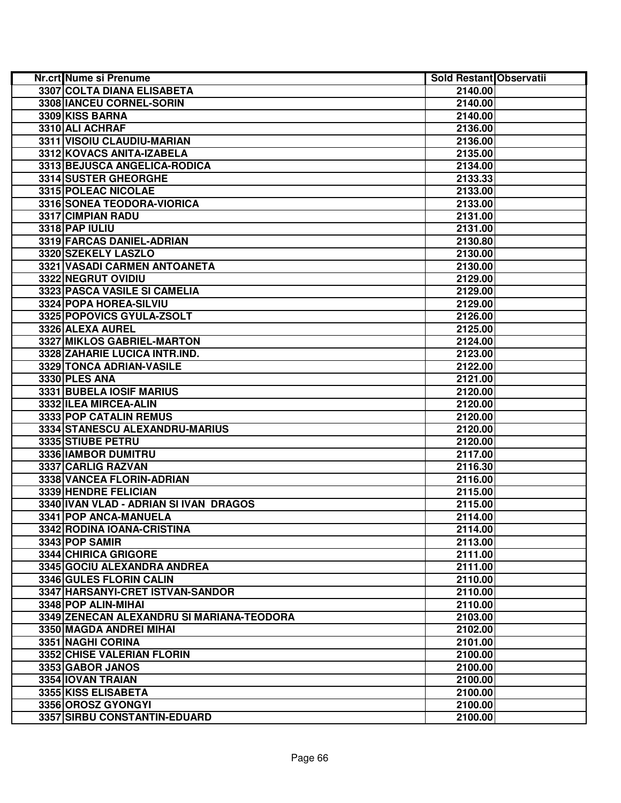| Nr.crt Nume si Prenume                    | <b>Sold Restant Observatii</b> |  |
|-------------------------------------------|--------------------------------|--|
| <b>3307 COLTA DIANA ELISABETA</b>         | 2140.00                        |  |
| 3308 IANCEU CORNEL-SORIN                  | 2140.00                        |  |
| 3309 KISS BARNA                           | 2140.00                        |  |
| 3310 ALI ACHRAF                           | 2136.00                        |  |
| 3311 VISOIU CLAUDIU-MARIAN                | 2136.00                        |  |
| 3312 KOVACS ANITA-IZABELA                 | 2135.00                        |  |
| 3313 BEJUSCA ANGELICA-RODICA              | 2134.00                        |  |
| 3314 SUSTER GHEORGHE                      | 2133.33                        |  |
| 3315 POLEAC NICOLAE                       | 2133.00                        |  |
| 3316 SONEA TEODORA-VIORICA                | 2133.00                        |  |
| 3317 CIMPIAN RADU                         | 2131.00                        |  |
| 3318 PAP IULIU                            | 2131.00                        |  |
| 3319 FARCAS DANIEL-ADRIAN                 | 2130.80                        |  |
| 3320 SZEKELY LASZLO                       | 2130.00                        |  |
| 3321 VASADI CARMEN ANTOANETA              | 2130.00                        |  |
| 3322 NEGRUT OVIDIU                        | 2129.00                        |  |
| 3323 PASCA VASILE SI CAMELIA              | 2129.00                        |  |
| 3324 POPA HOREA-SILVIU                    | 2129.00                        |  |
| 3325 POPOVICS GYULA-ZSOLT                 | 2126.00                        |  |
| 3326 ALEXA AUREL                          | 2125.00                        |  |
| 3327 MIKLOS GABRIEL-MARTON                | 2124.00                        |  |
| 3328 ZAHARIE LUCICA INTR.IND.             | 2123.00                        |  |
| 3329 TONCA ADRIAN-VASILE                  | 2122.00                        |  |
| 3330 PLES ANA                             | 2121.00                        |  |
| 3331 BUBELA IOSIF MARIUS                  | 2120.00                        |  |
| 3332 ILEA MIRCEA-ALIN                     | 2120.00                        |  |
| 3333 POP CATALIN REMUS                    | 2120.00                        |  |
| 3334 STANESCU ALEXANDRU-MARIUS            | 2120.00                        |  |
| 3335 STIUBE PETRU                         | 2120.00                        |  |
| 3336 IAMBOR DUMITRU                       | 2117.00                        |  |
| 3337 CARLIG RAZVAN                        | 2116.30                        |  |
| 3338 VANCEA FLORIN-ADRIAN                 | 2116.00                        |  |
| 3339 HENDRE FELICIAN                      | 2115.00                        |  |
| 3340 IVAN VLAD - ADRIAN SI IVAN DRAGOS    | 2115.00                        |  |
| 3341 POP ANCA-MANUELA                     | 2114.00                        |  |
| 3342 RODINA IOANA-CRISTINA                | 2114.00                        |  |
| 3343 POP SAMIR                            | 2113.00                        |  |
| 3344 CHIRICA GRIGORE                      | 2111.00                        |  |
| 3345 GOCIU ALEXANDRA ANDREA               | 2111.00                        |  |
| 3346 GULES FLORIN CALIN                   | 2110.00                        |  |
| 3347 HARSANYI-CRET ISTVAN-SANDOR          | 2110.00                        |  |
| 3348 POP ALIN-MIHAI                       | 2110.00                        |  |
| 3349 ZENECAN ALEXANDRU SI MARIANA-TEODORA | 2103.00                        |  |
| 3350 MAGDA ANDREI MIHAI                   | 2102.00                        |  |
| 3351 NAGHI CORINA                         | 2101.00                        |  |
| 3352 CHISE VALERIAN FLORIN                | 2100.00                        |  |
| 3353 GABOR JANOS                          | 2100.00                        |  |
| 3354 IOVAN TRAIAN                         | 2100.00                        |  |
| 3355 KISS ELISABETA                       | 2100.00                        |  |
| 3356 OROSZ GYONGYI                        | 2100.00                        |  |
| 3357 SIRBU CONSTANTIN-EDUARD              | 2100.00                        |  |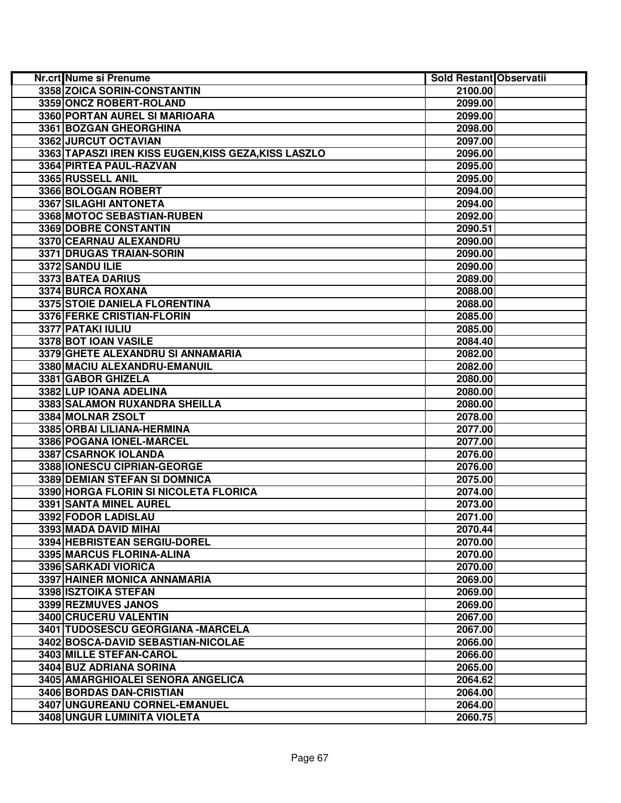| Nr.crt Nume si Prenume                               | Sold Restant Observatii |  |
|------------------------------------------------------|-------------------------|--|
| 3358 ZOICA SORIN-CONSTANTIN                          | 2100.00                 |  |
| 3359 ONCZ ROBERT-ROLAND                              | 2099.00                 |  |
| 3360 PORTAN AUREL SI MARIOARA                        | 2099.00                 |  |
| 3361 BOZGAN GHEORGHINA                               | 2098.00                 |  |
| 3362 JURCUT OCTAVIAN                                 | 2097.00                 |  |
| 3363 TAPASZI IREN KISS EUGEN, KISS GEZA, KISS LASZLO | 2096.00                 |  |
| 3364 PIRTEA PAUL-RAZVAN                              | 2095.00                 |  |
| 3365 RUSSELL ANIL                                    | 2095.00                 |  |
| 3366 BOLOGAN ROBERT                                  | 2094.00                 |  |
| 3367 SILAGHI ANTONETA                                | 2094.00                 |  |
| 3368 MOTOC SEBASTIAN-RUBEN                           | 2092.00                 |  |
| 3369 DOBRE CONSTANTIN                                | 2090.51                 |  |
| 3370 CEARNAU ALEXANDRU                               | 2090.00                 |  |
| 3371 DRUGAS TRAIAN-SORIN                             | 2090.00                 |  |
| 3372 SANDU ILIE                                      | 2090.00                 |  |
| 3373 BATEA DARIUS                                    | 2089.00                 |  |
| 3374 BURCA ROXANA                                    | 2088.00                 |  |
| 3375 STOIE DANIELA FLORENTINA                        | 2088.00                 |  |
| 3376 FERKE CRISTIAN-FLORIN                           | 2085.00                 |  |
| 3377 PATAKI IULIU                                    | 2085.00                 |  |
| 3378 BOT IOAN VASILE                                 | 2084.40                 |  |
| 3379 GHETE ALEXANDRU SI ANNAMARIA                    | 2082.00                 |  |
| 3380 MACIU ALEXANDRU-EMANUIL                         | 2082.00                 |  |
| 3381 GABOR GHIZELA                                   | 2080.00                 |  |
| 3382 LUP IOANA ADELINA                               | 2080.00                 |  |
| 3383 SALAMON RUXANDRA SHEILLA                        | 2080.00                 |  |
| 3384 MOLNAR ZSOLT                                    | 2078.00                 |  |
| 3385 ORBAI LILIANA-HERMINA                           | 2077.00                 |  |
| 3386 POGANA IONEL-MARCEL                             | 2077.00                 |  |
| 3387 CSARNOK IOLANDA                                 | 2076.00                 |  |
| 3388 IONESCU CIPRIAN-GEORGE                          | 2076.00                 |  |
| 3389 DEMIAN STEFAN SI DOMNICA                        | 2075.00                 |  |
| 3390 HORGA FLORIN SI NICOLETA FLORICA                | 2074.00                 |  |
| 3391 SANTA MINEL AUREL                               | 2073.00                 |  |
| 3392 FODOR LADISLAU                                  | 2071.00                 |  |
| 3393 MADA DAVID MIHAI                                | 2070.44                 |  |
| 3394 HEBRISTEAN SERGIU-DOREL                         | 2070.00                 |  |
| 3395 MARCUS FLORINA-ALINA                            | 2070.00                 |  |
| 3396 SARKADI VIORICA                                 | 2070.00                 |  |
| 3397 HAINER MONICA ANNAMARIA                         | 2069.00                 |  |
| 3398 ISZTOIKA STEFAN                                 | 2069.00                 |  |
| 3399 REZMUVES JANOS                                  | 2069.00                 |  |
| 3400 CRUCERU VALENTIN                                | 2067.00                 |  |
| 3401 TUDOSESCU GEORGIANA -MARCELA                    | 2067.00                 |  |
| 3402 BOSCA-DAVID SEBASTIAN-NICOLAE                   | 2066.00                 |  |
| 3403 MILLE STEFAN-CAROL                              | 2066.00                 |  |
| 3404 BUZ ADRIANA SORINA                              | 2065.00                 |  |
| 3405 AMARGHIOALEI SENORA ANGELICA                    | 2064.62                 |  |
| 3406 BORDAS DAN-CRISTIAN                             | 2064.00                 |  |
| 3407 UNGUREANU CORNEL-EMANUEL                        | 2064.00                 |  |
| <b>3408 UNGUR LUMINITA VIOLETA</b>                   | 2060.75                 |  |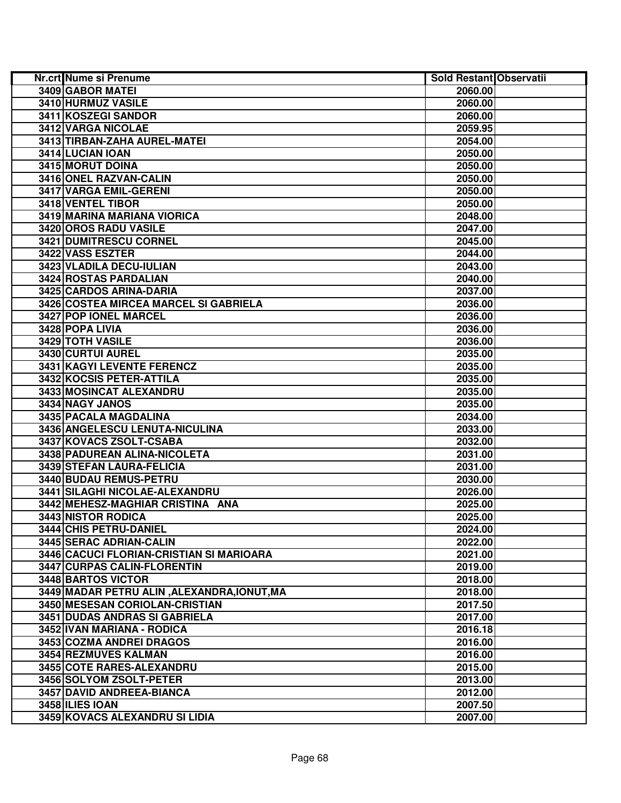| Nr.crt Nume si Prenume                      | Sold Restant Observatii |  |
|---------------------------------------------|-------------------------|--|
| 3409 GABOR MATEI                            | 2060.00                 |  |
| 3410 HURMUZ VASILE                          | 2060.00                 |  |
| 3411 KOSZEGI SANDOR                         | 2060.00                 |  |
| 3412 VARGA NICOLAE                          | 2059.95                 |  |
| 3413 TIRBAN-ZAHA AUREL-MATEI                | 2054.00                 |  |
| 3414 LUCIAN IOAN                            | 2050.00                 |  |
| 3415 MORUT DOINA                            | 2050.00                 |  |
| 3416 ONEL RAZVAN-CALIN                      | 2050.00                 |  |
| 3417 VARGA EMIL-GERENI                      | 2050.00                 |  |
| 3418 VENTEL TIBOR                           | 2050.00                 |  |
| 3419 MARINA MARIANA VIORICA                 | 2048.00                 |  |
| 3420 OROS RADU VASILE                       | 2047.00                 |  |
| 3421 DUMITRESCU CORNEL                      | 2045.00                 |  |
| 3422 VASS ESZTER                            | 2044.00                 |  |
| 3423 VLADILA DECU-IULIAN                    | 2043.00                 |  |
| <b>3424 ROSTAS PARDALIAN</b>                | 2040.00                 |  |
| 3425 CARDOS ARINA-DARIA                     | 2037.00                 |  |
| 3426 COSTEA MIRCEA MARCEL SI GABRIELA       | 2036.00                 |  |
| 3427 POP IONEL MARCEL                       | 2036.00                 |  |
| 3428 POPA LIVIA                             | 2036.00                 |  |
| 3429 TOTH VASILE                            | 2036.00                 |  |
| 3430 CURTUI AUREL                           | 2035.00                 |  |
| 3431 KAGYI LEVENTE FERENCZ                  | 2035.00                 |  |
| 3432 KOCSIS PETER-ATTILA                    | 2035.00                 |  |
| 3433 MOSINCAT ALEXANDRU                     | 2035.00                 |  |
| 3434 NAGY JANOS                             | 2035.00                 |  |
| 3435 PACALA MAGDALINA                       | 2034.00                 |  |
| 3436 ANGELESCU LENUTA-NICULINA              | 2033.00                 |  |
| 3437 KOVACS ZSOLT-CSABA                     | 2032.00                 |  |
| 3438 PADUREAN ALINA-NICOLETA                | 2031.00                 |  |
| 3439 STEFAN LAURA-FELICIA                   | 2031.00                 |  |
| 3440 BUDAU REMUS-PETRU                      | 2030.00                 |  |
| 3441 SILAGHI NICOLAE-ALEXANDRU              | 2026.00                 |  |
| 3442 MEHESZ-MAGHIAR CRISTINA ANA            | 2025.00                 |  |
| 3443 NISTOR RODICA                          | 2025.00                 |  |
| 3444 CHIS PETRU-DANIEL                      | 2024.00                 |  |
| 3445 SERAC ADRIAN-CALIN                     | 2022.00                 |  |
| 3446 CACUCI FLORIAN-CRISTIAN SI MARIOARA    | 2021.00                 |  |
| 3447 CURPAS CALIN-FLORENTIN                 | 2019.00                 |  |
| 3448 BARTOS VICTOR                          | 2018.00                 |  |
| 3449 MADAR PETRU ALIN, ALEXANDRA, IONUT, MA | 2018.00                 |  |
| 3450 MESESAN CORIOLAN-CRISTIAN              | 2017.50                 |  |
| 3451 DUDAS ANDRAS SI GABRIELA               | 2017.00                 |  |
| 3452 IVAN MARIANA - RODICA                  | 2016.18                 |  |
| 3453 COZMA ANDREI DRAGOS                    | 2016.00                 |  |
| 3454 REZMUVES KALMAN                        | 2016.00                 |  |
| 3455 COTE RARES-ALEXANDRU                   | 2015.00                 |  |
| 3456 SOLYOM ZSOLT-PETER                     | 2013.00                 |  |
| 3457 DAVID ANDREEA-BIANCA                   | 2012.00                 |  |
| 3458 ILIES IOAN                             | 2007.50                 |  |
| 3459 KOVACS ALEXANDRU SI LIDIA              | 2007.00                 |  |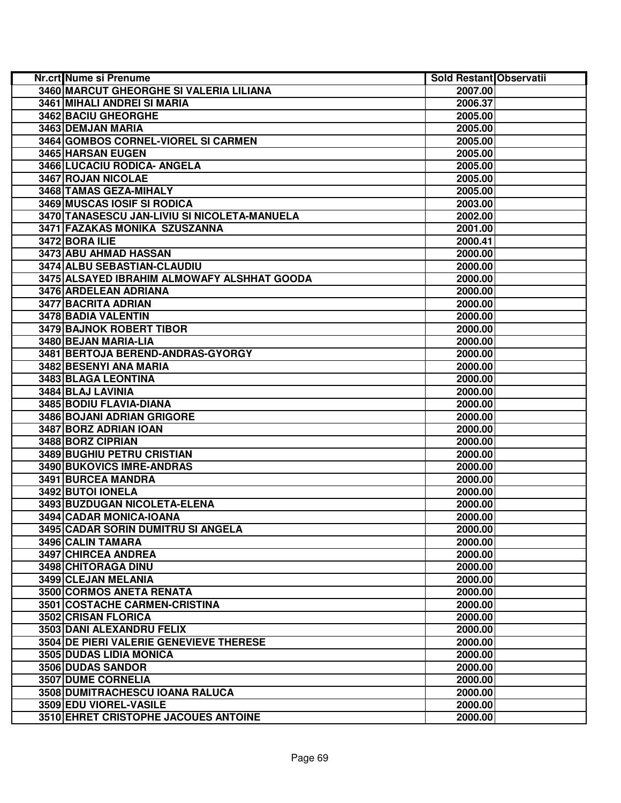| Nr.crt Nume si Prenume                       | Sold Restant Observatii |  |
|----------------------------------------------|-------------------------|--|
| 3460 MARCUT GHEORGHE SI VALERIA LILIANA      | 2007.00                 |  |
| 3461 MIHALI ANDREI SI MARIA                  | 2006.37                 |  |
| 3462 BACIU GHEORGHE                          | 2005.00                 |  |
| 3463 DEMJAN MARIA                            | 2005.00                 |  |
| 3464 GOMBOS CORNEL-VIOREL SI CARMEN          | 2005.00                 |  |
| 3465 HARSAN EUGEN                            | 2005.00                 |  |
| 3466 LUCACIU RODICA- ANGELA                  | 2005.00                 |  |
| 3467 ROJAN NICOLAE                           | 2005.00                 |  |
| 3468 TAMAS GEZA-MIHALY                       | 2005.00                 |  |
| 3469 MUSCAS IOSIF SI RODICA                  | 2003.00                 |  |
| 3470 TANASESCU JAN-LIVIU SI NICOLETA-MANUELA | 2002.00                 |  |
| 3471 FAZAKAS MONIKA SZUSZANNA                | 2001.00                 |  |
| 3472 BORA ILIE                               | 2000.41                 |  |
| 3473 ABU AHMAD HASSAN                        | 2000.00                 |  |
| 3474 ALBU SEBASTIAN-CLAUDIU                  | 2000.00                 |  |
| 3475 ALSAYED IBRAHIM ALMOWAFY ALSHHAT GOODA  | 2000.00                 |  |
| 3476 ARDELEAN ADRIANA                        | 2000.00                 |  |
| 3477 BACRITA ADRIAN                          | 2000.00                 |  |
| 3478 BADIA VALENTIN                          | 2000.00                 |  |
| 3479 BAJNOK ROBERT TIBOR                     | 2000.00                 |  |
| 3480 BEJAN MARIA-LIA                         | 2000.00                 |  |
| 3481 BERTOJA BEREND-ANDRAS-GYORGY            | 2000.00                 |  |
| 3482 BESENYI ANA MARIA                       | 2000.00                 |  |
| 3483 BLAGA LEONTINA                          | 2000.00                 |  |
| 3484 BLAJ LAVINIA                            | 2000.00                 |  |
| 3485 BODIU FLAVIA-DIANA                      | 2000.00                 |  |
| 3486 BOJANI ADRIAN GRIGORE                   | 2000.00                 |  |
| 3487 BORZ ADRIAN IOAN                        | 2000.00                 |  |
| 3488 BORZ CIPRIAN                            | 2000.00                 |  |
| 3489 BUGHIU PETRU CRISTIAN                   | 2000.00                 |  |
| 3490 BUKOVICS IMRE-ANDRAS                    | 2000.00                 |  |
| 3491 BURCEA MANDRA                           | 2000.00                 |  |
| 3492 BUTOI IONELA                            | 2000.00                 |  |
| 3493 BUZDUGAN NICOLETA-ELENA                 | 2000.00                 |  |
| 3494 CADAR MONICA-IOANA                      | 2000.00                 |  |
| 3495 CADAR SORIN DUMITRU SI ANGELA           | 2000.00                 |  |
| 3496 CALIN TAMARA                            | 2000.00                 |  |
| 3497 CHIRCEA ANDREA                          | 2000.00                 |  |
| 3498 CHITORAGA DINU                          | 2000.00                 |  |
| 3499 CLEJAN MELANIA                          | 2000.00                 |  |
| 3500 CORMOS ANETA RENATA                     | 2000.00                 |  |
| 3501 COSTACHE CARMEN-CRISTINA                | 2000.00                 |  |
| 3502 CRISAN FLORICA                          | 2000.00                 |  |
| 3503 DANI ALEXANDRU FELIX                    | 2000.00                 |  |
| 3504 DE PIERI VALERIE GENEVIEVE THERESE      | 2000.00                 |  |
| 3505 DUDAS LIDIA MONICA                      | 2000.00                 |  |
| 3506 DUDAS SANDOR                            | 2000.00                 |  |
| <b>3507 DUME CORNELIA</b>                    | 2000.00                 |  |
| 3508 DUMITRACHESCU IOANA RALUCA              | 2000.00                 |  |
| 3509 EDU VIOREL-VASILE                       | 2000.00                 |  |
| 3510 EHRET CRISTOPHE JACOUES ANTOINE         | 2000.00                 |  |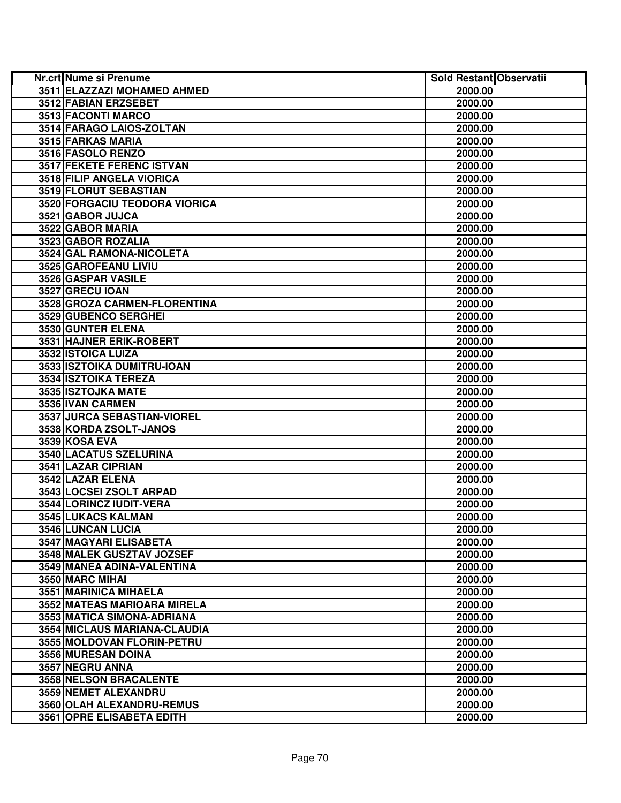| Nr.crt Nume si Prenume        | Sold Restant Observatii |  |
|-------------------------------|-------------------------|--|
| 3511 ELAZZAZI MOHAMED AHMED   | 2000.00                 |  |
| 3512 FABIAN ERZSEBET          | 2000.00                 |  |
| 3513 FACONTI MARCO            | 2000.00                 |  |
| 3514 FARAGO LAIOS-ZOLTAN      | 2000.00                 |  |
| 3515 FARKAS MARIA             | 2000.00                 |  |
| 3516 FASOLO RENZO             | 2000.00                 |  |
| 3517 FEKETE FERENC ISTVAN     | 2000.00                 |  |
| 3518 FILIP ANGELA VIORICA     | 2000.00                 |  |
| 3519 FLORUT SEBASTIAN         | 2000.00                 |  |
| 3520 FORGACIU TEODORA VIORICA | 2000.00                 |  |
| 3521 GABOR JUJCA              | 2000.00                 |  |
| 3522 GABOR MARIA              | 2000.00                 |  |
| 3523 GABOR ROZALIA            | 2000.00                 |  |
| 3524 GAL RAMONA-NICOLETA      | 2000.00                 |  |
| 3525 GAROFEANU LIVIU          | 2000.00                 |  |
| 3526 GASPAR VASILE            | 2000.00                 |  |
| 3527 GRECU IOAN               | 2000.00                 |  |
| 3528 GROZA CARMEN-FLORENTINA  | 2000.00                 |  |
| 3529 GUBENCO SERGHEI          | 2000.00                 |  |
| 3530 GUNTER ELENA             | 2000.00                 |  |
| 3531 HAJNER ERIK-ROBERT       | 2000.00                 |  |
| 3532 ISTOICA LUIZA            | 2000.00                 |  |
| 3533 ISZTOIKA DUMITRU-IOAN    | 2000.00                 |  |
| 3534 ISZTOIKA TEREZA          | 2000.00                 |  |
| 3535 ISZTOJKA MATE            | 2000.00                 |  |
| 3536 IVAN CARMEN              | 2000.00                 |  |
| 3537 JURCA SEBASTIAN-VIOREL   | 2000.00                 |  |
| 3538 KORDA ZSOLT-JANOS        | 2000.00                 |  |
| 3539 KOSA EVA                 | 2000.00                 |  |
| 3540 LACATUS SZELURINA        | 2000.00                 |  |
| 3541 LAZAR CIPRIAN            | 2000.00                 |  |
| 3542 LAZAR ELENA              | 2000.00                 |  |
| 3543 LOCSEI ZSOLT ARPAD       | 2000.00                 |  |
| 3544 LORINCZ IUDIT-VERA       | 2000.00                 |  |
| 3545 LUKACS KALMAN            | 2000.00                 |  |
| 3546 LUNCAN LUCIA             | 2000.00                 |  |
| 3547 MAGYARI ELISABETA        | 2000.00                 |  |
| 3548 MALEK GUSZTAV JOZSEF     | 2000.00                 |  |
| 3549 MANEA ADINA-VALENTINA    | 2000.00                 |  |
| 3550 MARC MIHAI               | 2000.00                 |  |
| 3551 MARINICA MIHAELA         | 2000.00                 |  |
| 3552 MATEAS MARIOARA MIRELA   | 2000.00                 |  |
| 3553 MATICA SIMONA-ADRIANA    | 2000.00                 |  |
| 3554 MICLAUS MARIANA-CLAUDIA  | 2000.00                 |  |
| 3555 MOLDOVAN FLORIN-PETRU    | 2000.00                 |  |
| 3556 MURESAN DOINA            | 2000.00                 |  |
| 3557 NEGRU ANNA               | 2000.00                 |  |
| <b>3558 NELSON BRACALENTE</b> | 2000.00                 |  |
| <b>3559 NEMET ALEXANDRU</b>   | 2000.00                 |  |
| 3560 OLAH ALEXANDRU-REMUS     | 2000.00                 |  |
| 3561 OPRE ELISABETA EDITH     | 2000.00                 |  |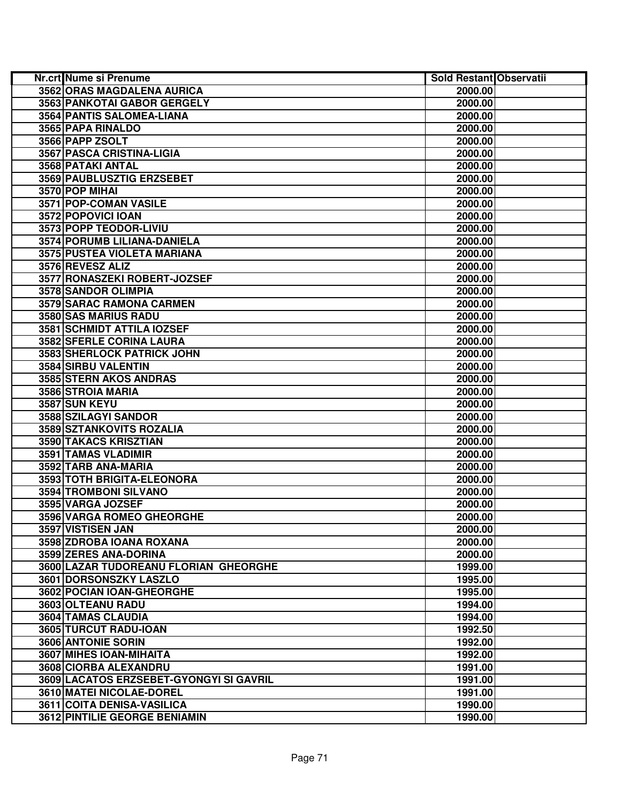| Nr.crt Nume si Prenume                  | <b>Sold Restant Observatii</b> |  |
|-----------------------------------------|--------------------------------|--|
| 3562 ORAS MAGDALENA AURICA              | 2000.00                        |  |
| 3563 PANKOTAI GABOR GERGELY             | 2000.00                        |  |
| 3564 PANTIS SALOMEA-LIANA               | 2000.00                        |  |
| 3565 PAPA RINALDO                       | 2000.00                        |  |
| 3566 PAPP ZSOLT                         | 2000.00                        |  |
| 3567 PASCA CRISTINA-LIGIA               | 2000.00                        |  |
| 3568 PATAKI ANTAL                       | 2000.00                        |  |
| 3569 PAUBLUSZTIG ERZSEBET               | 2000.00                        |  |
| 3570 POP MIHAI                          | 2000.00                        |  |
| 3571 POP-COMAN VASILE                   | 2000.00                        |  |
| 3572 POPOVICI IOAN                      | 2000.00                        |  |
| 3573 POPP TEODOR-LIVIU                  | 2000.00                        |  |
| 3574 PORUMB LILIANA-DANIELA             | 2000.00                        |  |
| 3575 PUSTEA VIOLETA MARIANA             | 2000.00                        |  |
| 3576 REVESZ ALIZ                        | 2000.00                        |  |
| 3577 RONASZEKI ROBERT-JOZSEF            | 2000.00                        |  |
| 3578 SANDOR OLIMPIA                     | 2000.00                        |  |
| 3579 SARAC RAMONA CARMEN                | 2000.00                        |  |
| 3580 SAS MARIUS RADU                    | 2000.00                        |  |
| 3581 SCHMIDT ATTILA IOZSEF              | 2000.00                        |  |
| 3582 SFERLE CORINA LAURA                | 2000.00                        |  |
| 3583 SHERLOCK PATRICK JOHN              | 2000.00                        |  |
| 3584 SIRBU VALENTIN                     | 2000.00                        |  |
| 3585 STERN AKOS ANDRAS                  | 2000.00                        |  |
| 3586 STROIA MARIA                       | 2000.00                        |  |
| 3587 SUN KEYU                           | 2000.00                        |  |
| 3588 SZILAGYI SANDOR                    | 2000.00                        |  |
| 3589 SZTANKOVITS ROZALIA                | 2000.00                        |  |
| 3590 TAKACS KRISZTIAN                   | 2000.00                        |  |
| 3591 TAMAS VLADIMIR                     | 2000.00                        |  |
| 3592 TARB ANA-MARIA                     | 2000.00                        |  |
| 3593 TOTH BRIGITA-ELEONORA              | 2000.00                        |  |
| 3594 TROMBONI SILVANO                   | 2000.00                        |  |
| 3595 VARGA JOZSEF                       | 2000.00                        |  |
| 3596 VARGA ROMEO GHEORGHE               | 2000.00                        |  |
| 3597 VISTISEN JAN                       | 2000.00                        |  |
| 3598 ZDROBA IOANA ROXANA                | 2000.00                        |  |
| 3599 ZERES ANA-DORINA                   | 2000.00                        |  |
| 3600 LAZAR TUDOREANU FLORIAN GHEORGHE   | 1999.00                        |  |
| 3601 DORSONSZKY LASZLO                  | 1995.00                        |  |
| 3602 POCIAN IOAN-GHEORGHE               | 1995.00                        |  |
| 3603 OLTEANU RADU                       | 1994.00                        |  |
| 3604 TAMAS CLAUDIA                      | 1994.00                        |  |
| 3605 TURCUT RADU-IOAN                   | 1992.50                        |  |
| 3606 ANTONIE SORIN                      | 1992.00                        |  |
| 3607 MIHES IOAN-MIHAITA                 | 1992.00                        |  |
| 3608 CIORBA ALEXANDRU                   | 1991.00                        |  |
| 3609 LACATOS ERZSEBET-GYONGYI SI GAVRIL | 1991.00                        |  |
| 3610 MATEI NICOLAE-DOREL                | 1991.00                        |  |
| 3611 COITA DENISA-VASILICA              | 1990.00                        |  |
| 3612 PINTILIE GEORGE BENIAMIN           | 1990.00                        |  |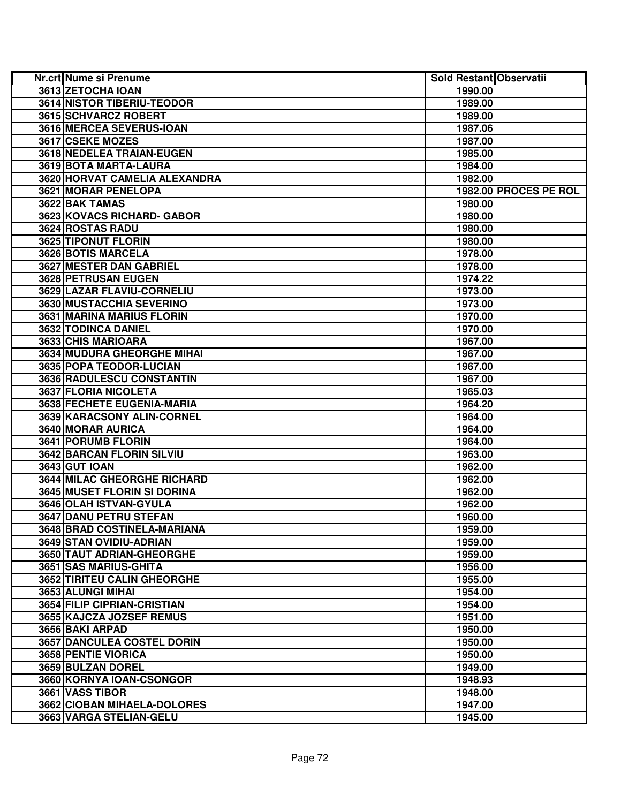| <b>Nr.crt Nume si Prenume</b>      | Sold Restant Observatii |                       |
|------------------------------------|-------------------------|-----------------------|
| 3613 ZETOCHA IOAN                  | 1990.00                 |                       |
| <b>3614 NISTOR TIBERIU-TEODOR</b>  | 1989.00                 |                       |
| 3615 SCHVARCZ ROBERT               | 1989.00                 |                       |
| 3616 MERCEA SEVERUS-IOAN           | 1987.06                 |                       |
| 3617 CSEKE MOZES                   | 1987.00                 |                       |
| 3618 NEDELEA TRAIAN-EUGEN          | 1985.00                 |                       |
| 3619 BOTA MARTA-LAURA              | 1984.00                 |                       |
| 3620 HORVAT CAMELIA ALEXANDRA      | 1982.00                 |                       |
| 3621 MORAR PENELOPA                |                         | 1982.00 PROCES PE ROL |
| 3622 BAK TAMAS                     | 1980.00                 |                       |
| 3623 KOVACS RICHARD- GABOR         | 1980.00                 |                       |
| 3624 ROSTAS RADU                   | 1980.00                 |                       |
| 3625 TIPONUT FLORIN                | 1980.00                 |                       |
| 3626 BOTIS MARCELA                 | 1978.00                 |                       |
| 3627 MESTER DAN GABRIEL            | 1978.00                 |                       |
| 3628 PETRUSAN EUGEN                | 1974.22                 |                       |
| 3629 LAZAR FLAVIU-CORNELIU         | 1973.00                 |                       |
| 3630 MUSTACCHIA SEVERINO           | 1973.00                 |                       |
| 3631 MARINA MARIUS FLORIN          | 1970.00                 |                       |
| 3632 TODINCA DANIEL                | 1970.00                 |                       |
| 3633 CHIS MARIOARA                 | 1967.00                 |                       |
| 3634 MUDURA GHEORGHE MIHAI         | 1967.00                 |                       |
| 3635 POPA TEODOR-LUCIAN            | 1967.00                 |                       |
| 3636 RADULESCU CONSTANTIN          | 1967.00                 |                       |
| 3637 FLORIA NICOLETA               | 1965.03                 |                       |
| 3638 FECHETE EUGENIA-MARIA         | 1964.20                 |                       |
| 3639 KARACSONY ALIN-CORNEL         | 1964.00                 |                       |
| 3640 MORAR AURICA                  | 1964.00                 |                       |
| 3641 PORUMB FLORIN                 | 1964.00                 |                       |
| <b>3642 BARCAN FLORIN SILVIU</b>   | 1963.00                 |                       |
| <b>3643 GUT IOAN</b>               | 1962.00                 |                       |
| <b>3644 MILAC GHEORGHE RICHARD</b> | 1962.00                 |                       |
| 3645 MUSET FLORIN SI DORINA        | 1962.00                 |                       |
| 3646 OLAH ISTVAN-GYULA             | 1962.00                 |                       |
| 3647 DANU PETRU STEFAN             | 1960.00                 |                       |
| 3648 BRAD COSTINELA-MARIANA        | 1959.00                 |                       |
| 3649 STAN OVIDIU-ADRIAN            | 1959.00                 |                       |
| <b>3650 TAUT ADRIAN-GHEORGHE</b>   | 1959.00                 |                       |
| 3651 SAS MARIUS-GHITA              | 1956.00                 |                       |
| <b>3652 TIRITEU CALIN GHEORGHE</b> | 1955.00                 |                       |
| 3653 ALUNGI MIHAI                  | 1954.00                 |                       |
| 3654 FILIP CIPRIAN-CRISTIAN        | 1954.00                 |                       |
| 3655 KAJCZA JOZSEF REMUS           | 1951.00                 |                       |
| 3656 BAKI ARPAD                    | 1950.00                 |                       |
| <b>3657 DANCULEA COSTEL DORIN</b>  | 1950.00                 |                       |
| <b>3658 PENTIE VIORICA</b>         | 1950.00                 |                       |
| 3659 BULZAN DOREL                  | 1949.00                 |                       |
| 3660 KORNYA IOAN-CSONGOR           | 1948.93                 |                       |
| 3661 VASS TIBOR                    | 1948.00                 |                       |
| 3662 CIOBAN MIHAELA-DOLORES        | 1947.00                 |                       |
| 3663 VARGA STELIAN-GELU            | 1945.00                 |                       |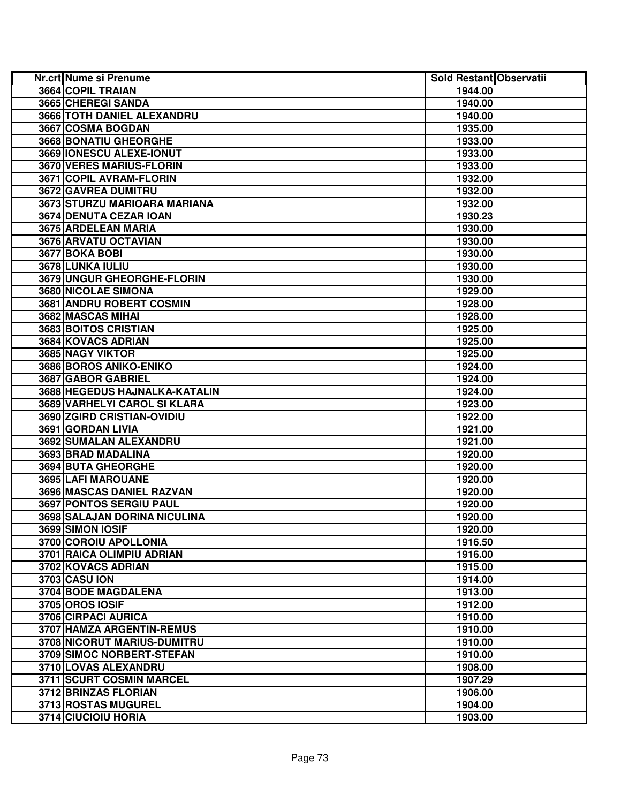| Nr.crt Nume si Prenume        | <b>Sold Restant Observatii</b> |  |
|-------------------------------|--------------------------------|--|
| 3664 COPIL TRAIAN             | 1944.00                        |  |
| 3665 CHEREGI SANDA            | 1940.00                        |  |
| 3666 TOTH DANIEL ALEXANDRU    | 1940.00                        |  |
| 3667 COSMA BOGDAN             | 1935.00                        |  |
| 3668 BONATIU GHEORGHE         | 1933.00                        |  |
| 3669 IONESCU ALEXE-IONUT      | 1933.00                        |  |
| 3670 VERES MARIUS-FLORIN      | 1933.00                        |  |
| 3671 COPIL AVRAM-FLORIN       | 1932.00                        |  |
| 3672 GAVREA DUMITRU           | 1932.00                        |  |
| 3673 STURZU MARIOARA MARIANA  | 1932.00                        |  |
| 3674 DENUTA CEZAR IOAN        | 1930.23                        |  |
| 3675 ARDELEAN MARIA           | 1930.00                        |  |
| 3676 ARVATU OCTAVIAN          | 1930.00                        |  |
| 3677 BOKA BOBI                | 1930.00                        |  |
| 3678 LUNKA IULIU              | 1930.00                        |  |
| 3679 UNGUR GHEORGHE-FLORIN    | 1930.00                        |  |
| 3680 NICOLAE SIMONA           | 1929.00                        |  |
| 3681 ANDRU ROBERT COSMIN      | 1928.00                        |  |
| 3682 MASCAS MIHAI             | 1928.00                        |  |
| 3683 BOITOS CRISTIAN          | 1925.00                        |  |
| 3684 KOVACS ADRIAN            | 1925.00                        |  |
| 3685 NAGY VIKTOR              | 1925.00                        |  |
| 3686 BOROS ANIKO-ENIKO        | 1924.00                        |  |
| 3687 GABOR GABRIEL            | 1924.00                        |  |
| 3688 HEGEDUS HAJNALKA-KATALIN | 1924.00                        |  |
| 3689 VARHELYI CAROL SI KLARA  | 1923.00                        |  |
| 3690 ZGIRD CRISTIAN-OVIDIU    | 1922.00                        |  |
| 3691 GORDAN LIVIA             | 1921.00                        |  |
| 3692 SUMALAN ALEXANDRU        | 1921.00                        |  |
| 3693 BRAD MADALINA            | 1920.00                        |  |
| 3694 BUTA GHEORGHE            | 1920.00                        |  |
| 3695 LAFI MAROUANE            | 1920.00                        |  |
| 3696 MASCAS DANIEL RAZVAN     | 1920.00                        |  |
| 3697 PONTOS SERGIU PAUL       | 1920.00                        |  |
| 3698 SALAJAN DORINA NICULINA  | 1920.00                        |  |
| 3699 SIMON IOSIF              | 1920.00                        |  |
| 3700 COROIU APOLLONIA         | 1916.50                        |  |
| 3701 RAICA OLIMPIU ADRIAN     | 1916.00                        |  |
| 3702 KOVACS ADRIAN            | 1915.00                        |  |
| 3703 CASU ION                 | 1914.00                        |  |
| 3704 BODE MAGDALENA           | 1913.00                        |  |
| 3705 OROS IOSIF               | 1912.00                        |  |
| 3706 CIRPACI AURICA           | 1910.00                        |  |
| 3707 HAMZA ARGENTIN-REMUS     | 1910.00                        |  |
| 3708 NICORUT MARIUS-DUMITRU   | 1910.00                        |  |
| 3709 SIMOC NORBERT-STEFAN     | 1910.00                        |  |
| 3710 LOVAS ALEXANDRU          | 1908.00                        |  |
| 3711 SCURT COSMIN MARCEL      | 1907.29                        |  |
| 3712 BRINZAS FLORIAN          | 1906.00                        |  |
| 3713 ROSTAS MUGUREL           | 1904.00                        |  |
| 3714 CIUCIOIU HORIA           | 1903.00                        |  |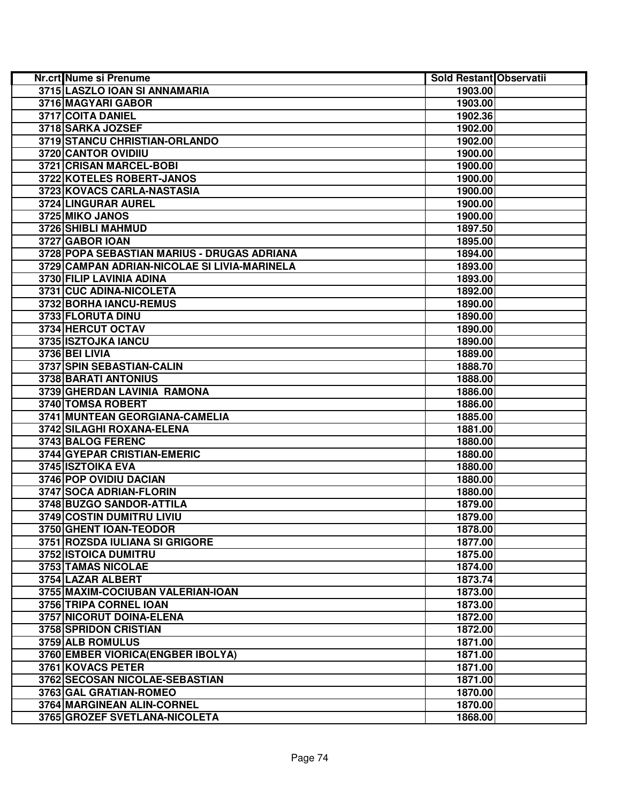| Nr.crt Nume si Prenume                       | <b>Sold Restant Observatii</b> |  |
|----------------------------------------------|--------------------------------|--|
| 3715 LASZLO IOAN SI ANNAMARIA                | 1903.00                        |  |
| 3716 MAGYARI GABOR                           | 1903.00                        |  |
| 3717 COITA DANIEL                            | 1902.36                        |  |
| 3718 SARKA JOZSEF                            | 1902.00                        |  |
| 3719 STANCU CHRISTIAN-ORLANDO                | 1902.00                        |  |
| 3720 CANTOR OVIDIIU                          | 1900.00                        |  |
| 3721 CRISAN MARCEL-BOBI                      | 1900.00                        |  |
| 3722 KOTELES ROBERT-JANOS                    | 1900.00                        |  |
| 3723 KOVACS CARLA-NASTASIA                   | 1900.00                        |  |
| 3724 LINGURAR AUREL                          | 1900.00                        |  |
| 3725 MIKO JANOS                              | 1900.00                        |  |
| 3726 SHIBLI MAHMUD                           | 1897.50                        |  |
| 3727 GABOR IOAN                              | 1895.00                        |  |
| 3728 POPA SEBASTIAN MARIUS - DRUGAS ADRIANA  | 1894.00                        |  |
| 3729 CAMPAN ADRIAN-NICOLAE SI LIVIA-MARINELA | 1893.00                        |  |
| 3730 FILIP LAVINIA ADINA                     | 1893.00                        |  |
| 3731 CUC ADINA-NICOLETA                      | 1892.00                        |  |
| 3732 BORHA IANCU-REMUS                       | 1890.00                        |  |
| 3733 FLORUTA DINU                            | 1890.00                        |  |
| 3734 HERCUT OCTAV                            | 1890.00                        |  |
| 3735 ISZTOJKA IANCU                          | 1890.00                        |  |
| <b>3736 BEI LIVIA</b>                        | 1889.00                        |  |
| 3737 SPIN SEBASTIAN-CALIN                    | 1888.70                        |  |
| 3738 BARATI ANTONIUS                         | 1888.00                        |  |
| 3739 GHERDAN LAVINIA RAMONA                  | 1886.00                        |  |
| 3740 TOMSA ROBERT                            | 1886.00                        |  |
| 3741 MUNTEAN GEORGIANA-CAMELIA               | 1885.00                        |  |
| 3742 SILAGHI ROXANA-ELENA                    | 1881.00                        |  |
| 3743 BALOG FERENC                            | 1880.00                        |  |
| 3744 GYEPAR CRISTIAN-EMERIC                  | 1880.00                        |  |
| 3745 ISZTOIKA EVA                            | 1880.00                        |  |
| 3746 POP OVIDIU DACIAN                       | 1880.00                        |  |
| 3747 SOCA ADRIAN-FLORIN                      | 1880.00                        |  |
| 3748 BUZGO SANDOR-ATTILA                     | 1879.00                        |  |
| 3749 COSTIN DUMITRU LIVIU                    | 1879.00                        |  |
| 3750 GHENT IOAN-TEODOR                       | 1878.00                        |  |
| 3751 ROZSDA IULIANA SI GRIGORE               | 1877.00                        |  |
| 3752 ISTOICA DUMITRU                         | 1875.00                        |  |
| 3753 TAMAS NICOLAE                           | 1874.00                        |  |
| 3754 LAZAR ALBERT                            | 1873.74                        |  |
| 3755 MAXIM-COCIUBAN VALERIAN-IOAN            | 1873.00                        |  |
| 3756 TRIPA CORNEL IOAN                       | 1873.00                        |  |
| 3757 NICORUT DOINA-ELENA                     | 1872.00                        |  |
| 3758 SPRIDON CRISTIAN                        | 1872.00                        |  |
| 3759 ALB ROMULUS                             | 1871.00                        |  |
| 3760 EMBER VIORICA (ENGBER IBOLYA)           | 1871.00                        |  |
| 3761 KOVACS PETER                            | 1871.00                        |  |
| 3762 SECOSAN NICOLAE-SEBASTIAN               | 1871.00                        |  |
| 3763 GAL GRATIAN-ROMEO                       | 1870.00                        |  |
| 3764 MARGINEAN ALIN-CORNEL                   | 1870.00                        |  |
| 3765 GROZEF SVETLANA-NICOLETA                | 1868.00                        |  |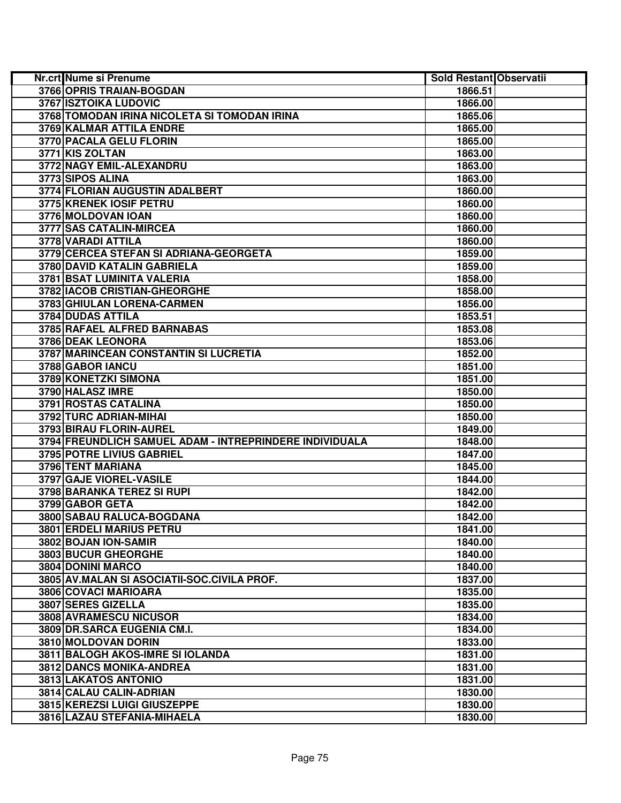| Nr.crt Nume si Prenume                                  | Sold Restant Observatii |  |
|---------------------------------------------------------|-------------------------|--|
| 3766 OPRIS TRAIAN-BOGDAN                                | 1866.51                 |  |
| <b>3767 ISZTOIKA LUDOVIC</b>                            | 1866.00                 |  |
| 3768 TOMODAN IRINA NICOLETA SI TOMODAN IRINA            | 1865.06                 |  |
| 3769 KALMAR ATTILA ENDRE                                | 1865.00                 |  |
| 3770 PACALA GELU FLORIN                                 | 1865.00                 |  |
| 3771 KIS ZOLTAN                                         | 1863.00                 |  |
| 3772 NAGY EMIL-ALEXANDRU                                | 1863.00                 |  |
| 3773 SIPOS ALINA                                        | 1863.00                 |  |
| 3774 FLORIAN AUGUSTIN ADALBERT                          | 1860.00                 |  |
| 3775 KRENEK IOSIF PETRU                                 | 1860.00                 |  |
| 3776 MOLDOVAN IOAN                                      | 1860.00                 |  |
| 3777 SAS CATALIN-MIRCEA                                 | 1860.00                 |  |
| 3778 VARADI ATTILA                                      | 1860.00                 |  |
| 3779 CERCEA STEFAN SI ADRIANA-GEORGETA                  | 1859.00                 |  |
| 3780 DAVID KATALIN GABRIELA                             | 1859.00                 |  |
| 3781 BSAT LUMINITA VALERIA                              | 1858.00                 |  |
| 3782 IACOB CRISTIAN-GHEORGHE                            | 1858.00                 |  |
| 3783 GHIULAN LORENA-CARMEN                              | 1856.00                 |  |
| 3784 DUDAS ATTILA                                       | 1853.51                 |  |
| 3785 RAFAEL ALFRED BARNABAS                             | 1853.08                 |  |
| 3786 DEAK LEONORA                                       | 1853.06                 |  |
| 3787 MARINCEAN CONSTANTIN SI LUCRETIA                   | 1852.00                 |  |
| 3788 GABOR IANCU                                        | 1851.00                 |  |
| 3789 KONETZKI SIMONA                                    | 1851.00                 |  |
| 3790 HALASZ IMRE                                        | 1850.00                 |  |
| 3791 ROSTAS CATALINA                                    | 1850.00                 |  |
| 3792 TURC ADRIAN-MIHAI                                  | 1850.00                 |  |
| 3793 BIRAU FLORIN-AUREL                                 | 1849.00                 |  |
| 3794 FREUNDLICH SAMUEL ADAM - INTREPRINDERE INDIVIDUALA | 1848.00                 |  |
| 3795 POTRE LIVIUS GABRIEL                               | 1847.00                 |  |
| 3796 TENT MARIANA                                       | 1845.00                 |  |
| 3797 GAJE VIOREL-VASILE                                 | 1844.00                 |  |
| 3798 BARANKA TEREZ SI RUPI                              | 1842.00                 |  |
| 3799 GABOR GETA                                         | 1842.00                 |  |
| 3800 SABAU RALUCA-BOGDANA                               | 1842.00                 |  |
| <b>3801 ERDELI MARIUS PETRU</b>                         | 1841.00                 |  |
| 3802 BOJAN ION-SAMIR                                    | 1840.00                 |  |
| 3803 BUCUR GHEORGHE                                     | 1840.00                 |  |
| 3804 DONINI MARCO                                       | 1840.00                 |  |
| 3805 AV.MALAN SI ASOCIATII-SOC.CIVILA PROF.             | 1837.00                 |  |
| 3806 COVACI MARIOARA                                    | 1835.00                 |  |
| 3807 SERES GIZELLA                                      | 1835.00                 |  |
| 3808 AVRAMESCU NICUSOR                                  | 1834.00                 |  |
| 3809 DR.SARCA EUGENIA CM.I.                             | 1834.00                 |  |
| 3810 MOLDOVAN DORIN                                     | 1833.00                 |  |
| 3811 BALOGH AKOS-IMRE SI IOLANDA                        | 1831.00                 |  |
| 3812 DANCS MONIKA-ANDREA                                | 1831.00                 |  |
| 3813 LAKATOS ANTONIO                                    | 1831.00                 |  |
| 3814 CALAU CALIN-ADRIAN                                 | 1830.00                 |  |
| 3815 KEREZSI LUIGI GIUSZEPPE                            | 1830.00                 |  |
| 3816 LAZAU STEFANIA-MIHAELA                             | 1830.00                 |  |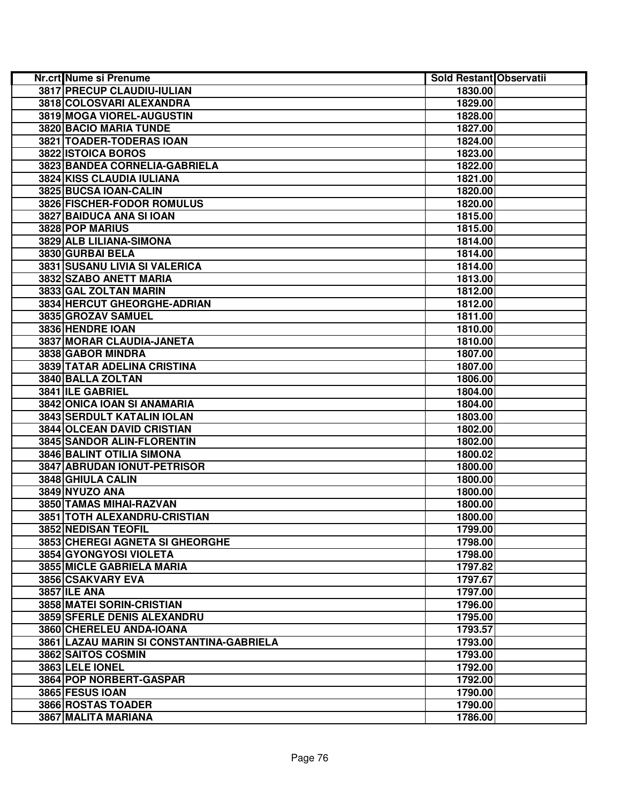| <b>Nr.crt Nume si Prenume</b>            | Sold Restant Observatii |  |
|------------------------------------------|-------------------------|--|
| 3817 PRECUP CLAUDIU-IULIAN               | 1830.00                 |  |
| 3818 COLOSVARI ALEXANDRA                 | 1829.00                 |  |
| 3819 MOGA VIOREL-AUGUSTIN                | 1828.00                 |  |
| 3820 BACIO MARIA TUNDE                   | 1827.00                 |  |
| 3821 TOADER-TODERAS IOAN                 | 1824.00                 |  |
| 3822 ISTOICA BOROS                       | 1823.00                 |  |
| 3823 BANDEA CORNELIA-GABRIELA            | 1822.00                 |  |
| 3824 KISS CLAUDIA IULIANA                | 1821.00                 |  |
| 3825 BUCSA IOAN-CALIN                    | 1820.00                 |  |
| 3826 FISCHER-FODOR ROMULUS               | 1820.00                 |  |
| 3827 BAIDUCA ANA SI IOAN                 | 1815.00                 |  |
| 3828 POP MARIUS                          | 1815.00                 |  |
| 3829 ALB LILIANA-SIMONA                  | 1814.00                 |  |
| 3830 GURBAI BELA                         | 1814.00                 |  |
| 3831 SUSANU LIVIA SI VALERICA            | 1814.00                 |  |
| 3832 SZABO ANETT MARIA                   | 1813.00                 |  |
| 3833 GAL ZOLTAN MARIN                    | 1812.00                 |  |
| 3834 HERCUT GHEORGHE-ADRIAN              | 1812.00                 |  |
| 3835 GROZAV SAMUEL                       | 1811.00                 |  |
| 3836 HENDRE IOAN                         | 1810.00                 |  |
| 3837 MORAR CLAUDIA-JANETA                | 1810.00                 |  |
| 3838 GABOR MINDRA                        | 1807.00                 |  |
| <b>3839 TATAR ADELINA CRISTINA</b>       | 1807.00                 |  |
| 3840 BALLA ZOLTAN                        | 1806.00                 |  |
| 3841 ILE GABRIEL                         | 1804.00                 |  |
| 3842 ONICA IOAN SI ANAMARIA              | 1804.00                 |  |
| <b>3843 SERDULT KATALIN IOLAN</b>        | 1803.00                 |  |
| 3844 OLCEAN DAVID CRISTIAN               | 1802.00                 |  |
| 3845 SANDOR ALIN-FLORENTIN               | 1802.00                 |  |
| 3846 BALINT OTILIA SIMONA                | 1800.02                 |  |
| 3847 ABRUDAN IONUT-PETRISOR              | 1800.00                 |  |
| 3848 GHIULA CALIN                        | 1800.00                 |  |
| 3849 NYUZO ANA                           | 1800.00                 |  |
| 3850 TAMAS MIHAI-RAZVAN                  | 1800.00                 |  |
| 3851 TOTH ALEXANDRU-CRISTIAN             | 1800.00                 |  |
| 3852 NEDISAN TEOFIL                      | 1799.00                 |  |
| <b>3853 CHEREGI AGNETA SI GHEORGHE</b>   | 1798.00                 |  |
| <b>3854 GYONGYOSI VIOLETA</b>            | 1798.00                 |  |
| 3855 MICLE GABRIELA MARIA                | 1797.82                 |  |
| 3856 CSAKVARY EVA                        | 1797.67                 |  |
| 3857 ILE ANA                             | 1797.00                 |  |
| 3858 MATEI SORIN-CRISTIAN                | 1796.00                 |  |
| 3859 SFERLE DENIS ALEXANDRU              | 1795.00                 |  |
| 3860 CHERELEU ANDA-IOANA                 | 1793.57                 |  |
| 3861 LAZAU MARIN SI CONSTANTINA-GABRIELA | 1793.00                 |  |
| 3862 SAITOS COSMIN                       | 1793.00                 |  |
| 3863 LELE IONEL                          | 1792.00                 |  |
| 3864 POP NORBERT-GASPAR                  | 1792.00                 |  |
| 3865 FESUS IOAN                          | 1790.00                 |  |
| 3866 ROSTAS TOADER                       | 1790.00                 |  |
| 3867 MALITA MARIANA                      | 1786.00                 |  |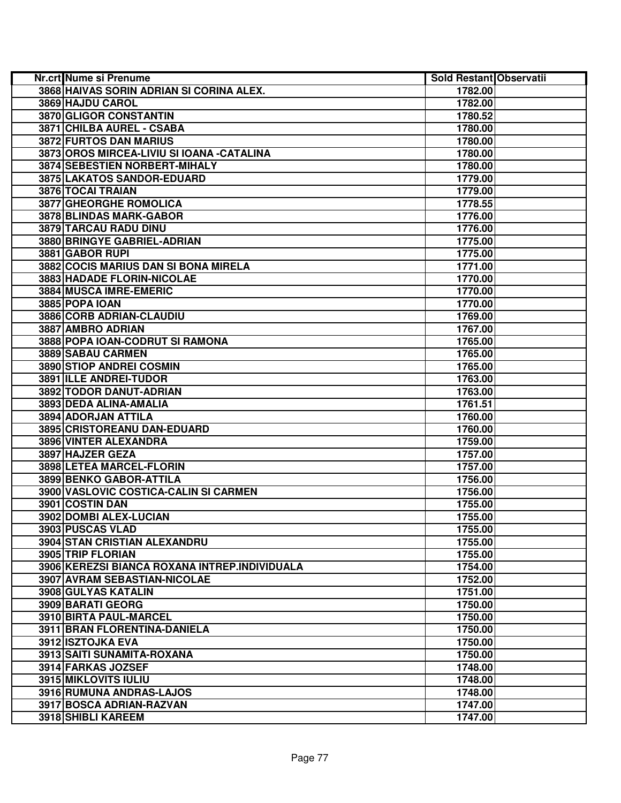| <b>Nr.crt Nume si Prenume</b>                 | Sold Restant Observatii |  |
|-----------------------------------------------|-------------------------|--|
| 3868 HAIVAS SORIN ADRIAN SI CORINA ALEX.      | 1782.00                 |  |
| 3869 HAJDU CAROL                              | 1782.00                 |  |
| 3870 GLIGOR CONSTANTIN                        | 1780.52                 |  |
| 3871 CHILBA AUREL - CSABA                     | 1780.00                 |  |
| 3872 FURTOS DAN MARIUS                        | 1780.00                 |  |
| 3873 OROS MIRCEA-LIVIU SI IOANA - CATALINA    | 1780.00                 |  |
| 3874 SEBESTIEN NORBERT-MIHALY                 | 1780.00                 |  |
| 3875 LAKATOS SANDOR-EDUARD                    | 1779.00                 |  |
| 3876 TOCAI TRAIAN                             | 1779.00                 |  |
| <b>3877 GHEORGHE ROMOLICA</b>                 | 1778.55                 |  |
| 3878 BLINDAS MARK-GABOR                       | 1776.00                 |  |
| 3879 TARCAU RADU DINU                         | 1776.00                 |  |
| 3880 BRINGYE GABRIEL-ADRIAN                   | 1775.00                 |  |
| 3881 GABOR RUPI                               | 1775.00                 |  |
| 3882 COCIS MARIUS DAN SI BONA MIRELA          | 1771.00                 |  |
| 3883 HADADE FLORIN-NICOLAE                    | 1770.00                 |  |
| 3884 MUSCA IMRE-EMERIC                        | 1770.00                 |  |
| 3885 POPA IOAN                                | 1770.00                 |  |
| 3886 CORB ADRIAN-CLAUDIU                      | 1769.00                 |  |
| 3887 AMBRO ADRIAN                             | 1767.00                 |  |
| 3888 POPA IOAN-CODRUT SI RAMONA               | 1765.00                 |  |
| 3889 SABAU CARMEN                             | 1765.00                 |  |
| 3890 STIOP ANDREI COSMIN                      | 1765.00                 |  |
| 3891 ILLE ANDREI-TUDOR                        | 1763.00                 |  |
| 3892 TODOR DANUT-ADRIAN                       | 1763.00                 |  |
| 3893 DEDA ALINA-AMALIA                        | 1761.51                 |  |
| 3894 ADORJAN ATTILA                           | 1760.00                 |  |
| 3895 CRISTOREANU DAN-EDUARD                   | 1760.00                 |  |
| 3896 VINTER ALEXANDRA                         | 1759.00                 |  |
| 3897 HAJZER GEZA                              | 1757.00                 |  |
| 3898 LETEA MARCEL-FLORIN                      | 1757.00                 |  |
| 3899 BENKO GABOR-ATTILA                       | 1756.00                 |  |
| 3900 VASLOVIC COSTICA-CALIN SI CARMEN         | 1756.00                 |  |
| 3901 COSTIN DAN                               | 1755.00                 |  |
| 3902 DOMBI ALEX-LUCIAN                        | 1755.00                 |  |
| 3903 PUSCAS VLAD                              | 1755.00                 |  |
| 3904 STAN CRISTIAN ALEXANDRU                  | 1755.00                 |  |
| 3905 TRIP FLORIAN                             | 1755.00                 |  |
| 3906 KEREZSI BIANCA ROXANA INTREP.INDIVIDUALA | 1754.00                 |  |
| 3907 AVRAM SEBASTIAN-NICOLAE                  | 1752.00                 |  |
| 3908 GULYAS KATALIN                           | 1751.00                 |  |
| 3909 BARATI GEORG                             | 1750.00                 |  |
| 3910 BIRTA PAUL-MARCEL                        | 1750.00                 |  |
| 3911 BRAN FLORENTINA-DANIELA                  | 1750.00                 |  |
| 3912 ISZTOJKA EVA                             | 1750.00                 |  |
| 3913 SAITI SUNAMITA-ROXANA                    | 1750.00                 |  |
| 3914 FARKAS JOZSEF                            | 1748.00                 |  |
| 3915 MIKLOVITS IULIU                          | 1748.00                 |  |
| 3916 RUMUNA ANDRAS-LAJOS                      | 1748.00                 |  |
| 3917 BOSCA ADRIAN-RAZVAN                      | 1747.00                 |  |
| 3918 SHIBLI KAREEM                            | 1747.00                 |  |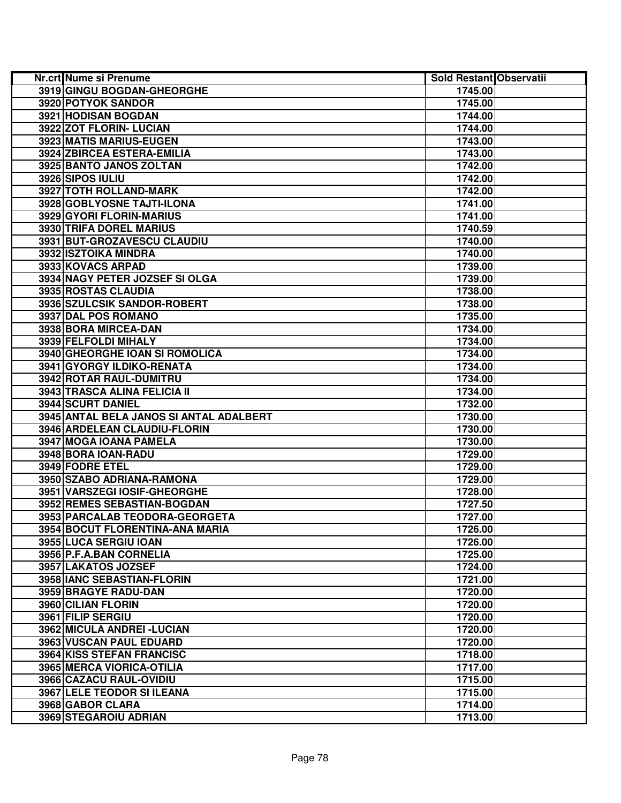| Nr.crt Nume si Prenume                  | <b>Sold Restant Observatii</b> |  |
|-----------------------------------------|--------------------------------|--|
| 3919 GINGU BOGDAN-GHEORGHE              | 1745.00                        |  |
| 3920 POTYOK SANDOR                      | 1745.00                        |  |
| 3921 HODISAN BOGDAN                     | 1744.00                        |  |
| 3922 ZOT FLORIN- LUCIAN                 | 1744.00                        |  |
| 3923 MATIS MARIUS-EUGEN                 | 1743.00                        |  |
| 3924 ZBIRCEA ESTERA-EMILIA              | 1743.00                        |  |
| 3925 BANTO JANOS ZOLTAN                 | 1742.00                        |  |
| 3926 SIPOS IULIU                        | 1742.00                        |  |
| 3927 TOTH ROLLAND-MARK                  | 1742.00                        |  |
| 3928 GOBLYOSNE TAJTI-ILONA              | 1741.00                        |  |
| 3929 GYORI FLORIN-MARIUS                | 1741.00                        |  |
| 3930 TRIFA DOREL MARIUS                 | 1740.59                        |  |
| 3931 BUT-GROZAVESCU CLAUDIU             | 1740.00                        |  |
| 3932 ISZTOIKA MINDRA                    | 1740.00                        |  |
| 3933 KOVACS ARPAD                       | 1739.00                        |  |
| 3934 NAGY PETER JOZSEF SI OLGA          | 1739.00                        |  |
| 3935 ROSTAS CLAUDIA                     | 1738.00                        |  |
| 3936 SZULCSIK SANDOR-ROBERT             | 1738.00                        |  |
| 3937 DAL POS ROMANO                     | 1735.00                        |  |
| 3938 BORA MIRCEA-DAN                    | 1734.00                        |  |
| 3939 FELFOLDI MIHALY                    | 1734.00                        |  |
| 3940 GHEORGHE IOAN SI ROMOLICA          | 1734.00                        |  |
| 3941 GYORGY ILDIKO-RENATA               | 1734.00                        |  |
| 3942 ROTAR RAUL-DUMITRU                 | 1734.00                        |  |
| 3943 TRASCA ALINA FELICIA II            | 1734.00                        |  |
| 3944 SCURT DANIEL                       | 1732.00                        |  |
| 3945 ANTAL BELA JANOS SI ANTAL ADALBERT | 1730.00                        |  |
| 3946 ARDELEAN CLAUDIU-FLORIN            | 1730.00                        |  |
| 3947 MOGA IOANA PAMELA                  | 1730.00                        |  |
| 3948 BORA IOAN-RADU                     | 1729.00                        |  |
| 3949 FODRE ETEL                         | 1729.00                        |  |
| 3950 SZABO ADRIANA-RAMONA               | 1729.00                        |  |
| 3951 VARSZEGI IOSIF-GHEORGHE            | 1728.00                        |  |
| 3952 REMES SEBASTIAN-BOGDAN             | 1727.50                        |  |
| 3953 PARCALAB TEODORA-GEORGETA          | 1727.00                        |  |
| 3954 BOCUT FLORENTINA-ANA MARIA         | 1726.00                        |  |
| 3955 LUCA SERGIU IOAN                   | 1726.00                        |  |
| 3956 P.F.A.BAN CORNELIA                 | 1725.00                        |  |
| 3957 LAKATOS JOZSEF                     | 1724.00                        |  |
| 3958 IANC SEBASTIAN-FLORIN              | 1721.00                        |  |
| 3959 BRAGYE RADU-DAN                    | 1720.00                        |  |
| 3960 CILIAN FLORIN                      | 1720.00                        |  |
| 3961 FILIP SERGIU                       | 1720.00                        |  |
| 3962 MICULA ANDREI - LUCIAN             | 1720.00                        |  |
| 3963 VUSCAN PAUL EDUARD                 | 1720.00                        |  |
| 3964 KISS STEFAN FRANCISC               | 1718.00                        |  |
| 3965 MERCA VIORICA-OTILIA               | 1717.00                        |  |
| 3966 CAZACU RAUL-OVIDIU                 | 1715.00                        |  |
| <b>3967 LELE TEODOR SI ILEANA</b>       | 1715.00                        |  |
| 3968 GABOR CLARA                        | 1714.00                        |  |
| 3969 STEGAROIU ADRIAN                   | 1713.00                        |  |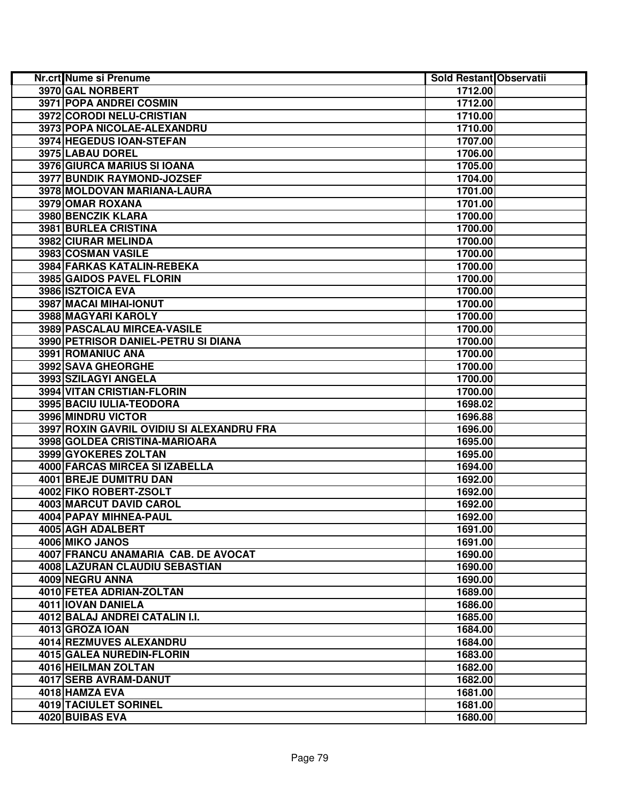| <b>Nr.crt Nume si Prenume</b>              | Sold Restant Observatii |  |
|--------------------------------------------|-------------------------|--|
| 3970 GAL NORBERT                           | 1712.00                 |  |
| 3971 POPA ANDREI COSMIN                    | 1712.00                 |  |
| 3972 CORODI NELU-CRISTIAN                  | 1710.00                 |  |
| 3973 POPA NICOLAE-ALEXANDRU                | 1710.00                 |  |
| 3974 HEGEDUS IOAN-STEFAN                   | 1707.00                 |  |
| 3975 LABAU DOREL                           | 1706.00                 |  |
| 3976 GIURCA MARIUS SI IOANA                | 1705.00                 |  |
| 3977 BUNDIK RAYMOND-JOZSEF                 | 1704.00                 |  |
| 3978 MOLDOVAN MARIANA-LAURA                | 1701.00                 |  |
| 3979 OMAR ROXANA                           | 1701.00                 |  |
| 3980 BENCZIK KLARA                         | 1700.00                 |  |
| 3981 BURLEA CRISTINA                       | 1700.00                 |  |
| 3982 CIURAR MELINDA                        | 1700.00                 |  |
| 3983 COSMAN VASILE                         | 1700.00                 |  |
| 3984 FARKAS KATALIN-REBEKA                 | 1700.00                 |  |
| 3985 GAIDOS PAVEL FLORIN                   | 1700.00                 |  |
| 3986 ISZTOICA EVA                          | 1700.00                 |  |
| 3987 MACAI MIHAI-IONUT                     | 1700.00                 |  |
| 3988 MAGYARI KAROLY                        | 1700.00                 |  |
| 3989 PASCALAU MIRCEA-VASILE                | 1700.00                 |  |
| 3990 PETRISOR DANIEL-PETRU SI DIANA        | 1700.00                 |  |
| 3991 ROMANIUC ANA                          | 1700.00                 |  |
| <b>3992 SAVA GHEORGHE</b>                  | 1700.00                 |  |
| 3993 SZILAGYI ANGELA                       | 1700.00                 |  |
| 3994 VITAN CRISTIAN-FLORIN                 | 1700.00                 |  |
| 3995 BACIU IULIA-TEODORA                   | 1698.02                 |  |
| 3996 MINDRU VICTOR                         | 1696.88                 |  |
| 3997 ROXIN GAVRIL OVIDIU SI ALEXANDRU FRA  | 1696.00                 |  |
| 3998 GOLDEA CRISTINA-MARIOARA              | 1695.00                 |  |
| 3999 GYOKERES ZOLTAN                       | 1695.00                 |  |
| 4000 FARCAS MIRCEA SI IZABELLA             | 1694.00                 |  |
| 4001 BREJE DUMITRU DAN                     | 1692.00                 |  |
| 4002 FIKO ROBERT-ZSOLT                     | 1692.00                 |  |
| <b>4003 MARCUT DAVID CAROL</b>             | 1692.00                 |  |
| 4004 PAPAY MIHNEA-PAUL                     | 1692.00                 |  |
| 4005 AGH ADALBERT                          | 1691.00                 |  |
| 4006 MIKO JANOS                            | 1691.00                 |  |
| 4007 FRANCU ANAMARIA CAB. DE AVOCAT        | 1690.00                 |  |
| 4008 LAZURAN CLAUDIU SEBASTIAN             | 1690.00                 |  |
| 4009 NEGRU ANNA                            | 1690.00                 |  |
| 4010 FETEA ADRIAN-ZOLTAN                   | 1689.00                 |  |
| 4011 IOVAN DANIELA                         | 1686.00                 |  |
| 4012 BALAJ ANDREI CATALIN I.I.             | 1685.00                 |  |
| 4013 GROZA IOAN<br>4014 REZMUVES ALEXANDRU | 1684.00                 |  |
| 4015 GALEA NUREDIN-FLORIN                  | 1684.00                 |  |
| 4016 HEILMAN ZOLTAN                        | 1683.00<br>1682.00      |  |
| 4017 SERB AVRAM-DANUT                      | 1682.00                 |  |
| 4018 HAMZA EVA                             | 1681.00                 |  |
| <b>4019 TACIULET SORINEL</b>               | 1681.00                 |  |
| 4020 BUIBAS EVA                            | 1680.00                 |  |
|                                            |                         |  |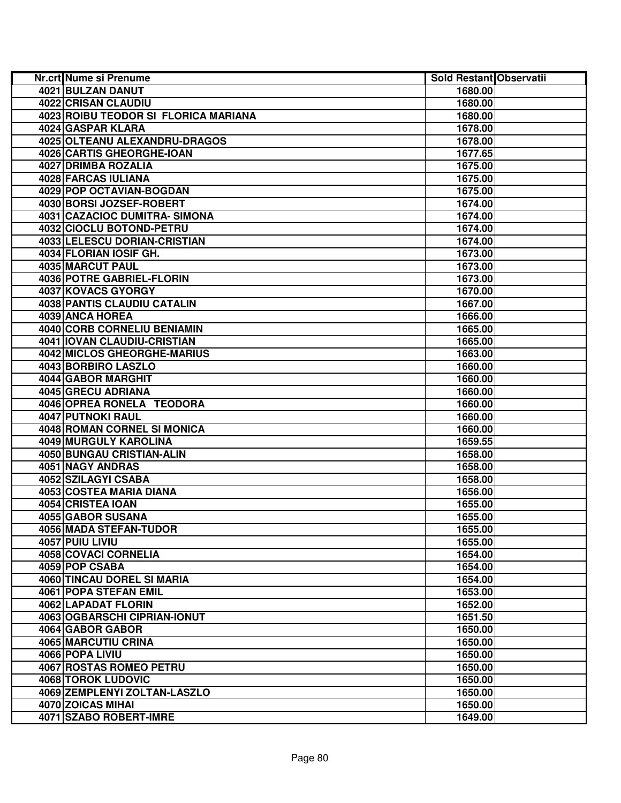| <b>Nr.crt Nume si Prenume</b>        | Sold Restant Observatii |  |
|--------------------------------------|-------------------------|--|
| 4021 BULZAN DANUT                    | 1680.00                 |  |
| <b>4022 CRISAN CLAUDIU</b>           | 1680.00                 |  |
| 4023 ROIBU TEODOR SI FLORICA MARIANA | 1680.00                 |  |
| 4024 GASPAR KLARA                    | 1678.00                 |  |
| 4025 OLTEANU ALEXANDRU-DRAGOS        | 1678.00                 |  |
| 4026 CARTIS GHEORGHE-IOAN            | 1677.65                 |  |
| 4027 DRIMBA ROZALIA                  | 1675.00                 |  |
| 4028 FARCAS IULIANA                  | 1675.00                 |  |
| <b>4029 POP OCTAVIAN-BOGDAN</b>      | 1675.00                 |  |
| 4030 BORSI JOZSEF-ROBERT             | 1674.00                 |  |
| 4031 CAZACIOC DUMITRA-SIMONA         | 1674.00                 |  |
| 4032 CIOCLU BOTOND-PETRU             | 1674.00                 |  |
| 4033 LELESCU DORIAN-CRISTIAN         | 1674.00                 |  |
| 4034 FLORIAN IOSIF GH.               | 1673.00                 |  |
| 4035 MARCUT PAUL                     | 1673.00                 |  |
| 4036 POTRE GABRIEL-FLORIN            | 1673.00                 |  |
| 4037 KOVACS GYORGY                   | 1670.00                 |  |
| 4038 PANTIS CLAUDIU CATALIN          | 1667.00                 |  |
| 4039 ANCA HOREA                      | 1666.00                 |  |
| 4040 CORB CORNELIU BENIAMIN          | 1665.00                 |  |
| 4041   IOVAN CLAUDIU-CRISTIAN        | 1665.00                 |  |
| 4042 MICLOS GHEORGHE-MARIUS          | 1663.00                 |  |
| 4043 BORBIRO LASZLO                  | 1660.00                 |  |
| 4044 GABOR MARGHIT                   | 1660.00                 |  |
| 4045 GRECU ADRIANA                   | 1660.00                 |  |
| 4046 OPREA RONELA TEODORA            | 1660.00                 |  |
| <b>4047 PUTNOKI RAUL</b>             | 1660.00                 |  |
| 4048 ROMAN CORNEL SI MONICA          | 1660.00                 |  |
| 4049 MURGULY KAROLINA                | 1659.55                 |  |
| 4050 BUNGAU CRISTIAN-ALIN            | 1658.00                 |  |
| <b>4051 NAGY ANDRAS</b>              | 1658.00                 |  |
| 4052 SZILAGYI CSABA                  | 1658.00                 |  |
| 4053 COSTEA MARIA DIANA              | 1656.00                 |  |
| 4054 CRISTEA IOAN                    | 1655.00                 |  |
| 4055 GABOR SUSANA                    | 1655.00                 |  |
| <b>4056 MADA STEFAN-TUDOR</b>        | 1655.00                 |  |
| 4057 PUIU LIVIU                      | 1655.00                 |  |
| 4058 COVACI CORNELIA                 | 1654.00                 |  |
| 4059 POP CSABA                       | 1654.00                 |  |
| <b>4060 TINCAU DOREL SI MARIA</b>    | 1654.00                 |  |
| 4061 POPA STEFAN EMIL                | 1653.00                 |  |
| 4062 LAPADAT FLORIN                  | 1652.00                 |  |
| 4063 OGBARSCHI CIPRIAN-IONUT         | 1651.50                 |  |
| 4064 GABOR GABOR                     | 1650.00                 |  |
| 4065 MARCUTIU CRINA                  | 1650.00                 |  |
| 4066 POPA LIVIU                      | 1650.00                 |  |
| 4067 ROSTAS ROMEO PETRU              | 1650.00                 |  |
| <b>4068 TOROK LUDOVIC</b>            | 1650.00                 |  |
| 4069 ZEMPLENYI ZOLTAN-LASZLO         | 1650.00                 |  |
| 4070 ZOICAS MIHAI                    | 1650.00                 |  |
| 4071 SZABO ROBERT-IMRE               | 1649.00                 |  |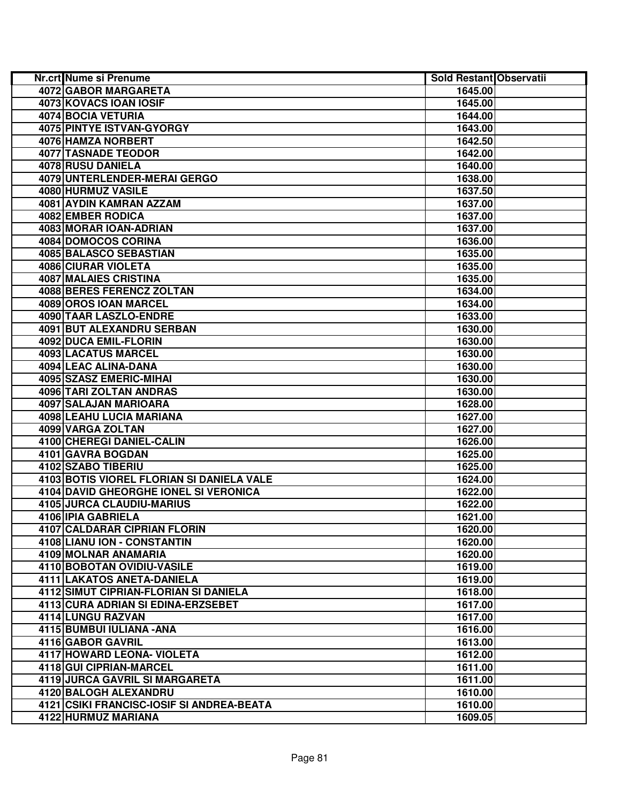| Nr.crt Nume si Prenume                    | Sold Restant Observatii |  |
|-------------------------------------------|-------------------------|--|
| 4072 GABOR MARGARETA                      | 1645.00                 |  |
| 4073 KOVACS IOAN IOSIF                    | 1645.00                 |  |
| 4074 BOCIA VETURIA                        | 1644.00                 |  |
| 4075 PINTYE ISTVAN-GYORGY                 | 1643.00                 |  |
| 4076 HAMZA NORBERT                        | 1642.50                 |  |
| 4077 TASNADE TEODOR                       | 1642.00                 |  |
| 4078 RUSU DANIELA                         | 1640.00                 |  |
| 4079 UNTERLENDER-MERAI GERGO              | 1638.00                 |  |
| 4080 HURMUZ VASILE                        | 1637.50                 |  |
| 4081 AYDIN KAMRAN AZZAM                   | 1637.00                 |  |
| 4082 EMBER RODICA                         | 1637.00                 |  |
| 4083 MORAR IOAN-ADRIAN                    | 1637.00                 |  |
| 4084 DOMOCOS CORINA                       | 1636.00                 |  |
| 4085 BALASCO SEBASTIAN                    | 1635.00                 |  |
| 4086 CIURAR VIOLETA                       | 1635.00                 |  |
| 4087 MALAIES CRISTINA                     | 1635.00                 |  |
| 4088 BERES FERENCZ ZOLTAN                 | 1634.00                 |  |
| 4089 OROS IOAN MARCEL                     | 1634.00                 |  |
| 4090 TAAR LASZLO-ENDRE                    | 1633.00                 |  |
| 4091 BUT ALEXANDRU SERBAN                 | 1630.00                 |  |
| 4092 DUCA EMIL-FLORIN                     | 1630.00                 |  |
| 4093 LACATUS MARCEL                       | 1630.00                 |  |
| 4094 LEAC ALINA-DANA                      | 1630.00                 |  |
| 4095 SZASZ EMERIC-MIHAI                   | 1630.00                 |  |
| 4096 TARI ZOLTAN ANDRAS                   | 1630.00                 |  |
| 4097 SALAJAN MARIOARA                     | 1628.00                 |  |
| <b>4098 LEAHU LUCIA MARIANA</b>           | 1627.00                 |  |
| 4099 VARGA ZOLTAN                         | 1627.00                 |  |
| 4100 CHEREGI DANIEL-CALIN                 | 1626.00                 |  |
| 4101 GAVRA BOGDAN                         | 1625.00                 |  |
| 4102 SZABO TIBERIU                        | 1625.00                 |  |
| 4103 BOTIS VIOREL FLORIAN SI DANIELA VALE | 1624.00                 |  |
| 4104 DAVID GHEORGHE IONEL SI VERONICA     | 1622.00                 |  |
| 4105 JURCA CLAUDIU-MARIUS                 | 1622.00                 |  |
| 4106 IPIA GABRIELA                        | 1621.00                 |  |
| 4107 CALDARAR CIPRIAN FLORIN              | 1620.00                 |  |
| 4108 LIANU ION - CONSTANTIN               | 1620.00                 |  |
| 4109 MOLNAR ANAMARIA                      | 1620.00                 |  |
| 4110 BOBOTAN OVIDIU-VASILE                | 1619.00                 |  |
| 4111 LAKATOS ANETA-DANIELA                | 1619.00                 |  |
| 4112 SIMUT CIPRIAN-FLORIAN SI DANIELA     | 1618.00                 |  |
| 4113 CURA ADRIAN SI EDINA-ERZSEBET        | 1617.00                 |  |
| 4114 LUNGU RAZVAN                         | 1617.00                 |  |
| 4115 BUMBUI IULIANA - ANA                 | 1616.00                 |  |
| 4116 GABOR GAVRIL                         | 1613.00                 |  |
| 4117 HOWARD LEONA- VIOLETA                | 1612.00                 |  |
| 4118 GUI CIPRIAN-MARCEL                   | 1611.00                 |  |
| 4119 JURCA GAVRIL SI MARGARETA            | 1611.00                 |  |
| 4120 BALOGH ALEXANDRU                     | 1610.00                 |  |
| 4121 CSIKI FRANCISC-IOSIF SI ANDREA-BEATA | 1610.00                 |  |
| 4122 HURMUZ MARIANA                       | 1609.05                 |  |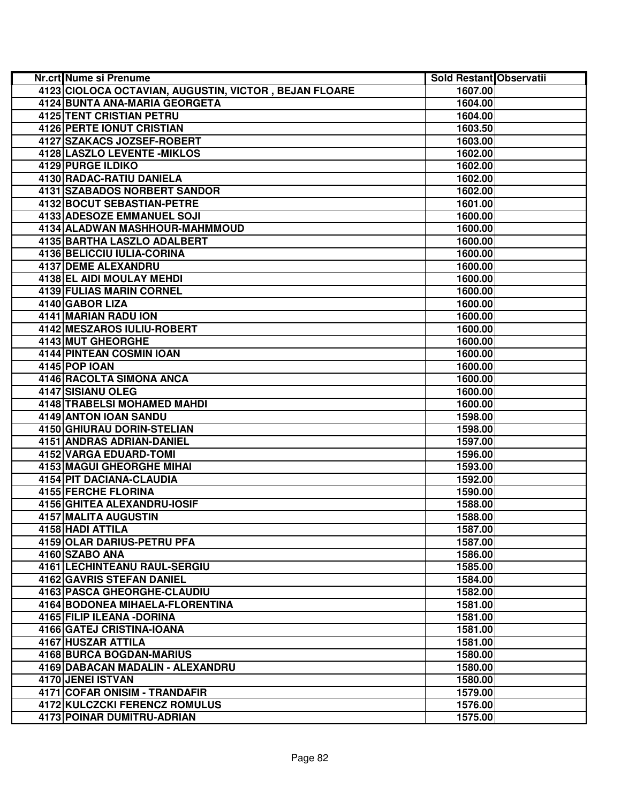| Nr.crt Nume si Prenume                                | Sold Restant Observatii |  |
|-------------------------------------------------------|-------------------------|--|
| 4123 CIOLOCA OCTAVIAN, AUGUSTIN, VICTOR, BEJAN FLOARE | 1607.00                 |  |
| 4124 BUNTA ANA-MARIA GEORGETA                         | 1604.00                 |  |
| 4125 TENT CRISTIAN PETRU                              | 1604.00                 |  |
| 4126 PERTE IONUT CRISTIAN                             | 1603.50                 |  |
| 4127 SZAKACS JOZSEF-ROBERT                            | 1603.00                 |  |
| 4128 LASZLO LEVENTE - MIKLOS                          | 1602.00                 |  |
| 4129 PURGE ILDIKO                                     | 1602.00                 |  |
| <b>4130 RADAC-RATIU DANIELA</b>                       | 1602.00                 |  |
| 4131 SZABADOS NORBERT SANDOR                          | 1602.00                 |  |
| <b>4132 BOCUT SEBASTIAN-PETRE</b>                     | 1601.00                 |  |
| 4133 ADESOZE EMMANUEL SOJI                            | 1600.00                 |  |
| 4134 ALADWAN MASHHOUR-MAHMMOUD                        | 1600.00                 |  |
| 4135 BARTHA LASZLO ADALBERT                           | 1600.00                 |  |
| 4136 BELICCIU IULIA-CORINA                            | 1600.00                 |  |
| 4137 DEME ALEXANDRU                                   | 1600.00                 |  |
| 4138 EL AIDI MOULAY MEHDI                             | 1600.00                 |  |
| <b>4139 FULIAS MARIN CORNEL</b>                       | 1600.00                 |  |
| 4140 GABOR LIZA                                       | 1600.00                 |  |
| 4141 MARIAN RADU ION                                  | 1600.00                 |  |
| 4142 MESZAROS IULIU-ROBERT                            | 1600.00                 |  |
| 4143 MUT GHEORGHE                                     | 1600.00                 |  |
| <b>4144 PINTEAN COSMIN IOAN</b>                       | 1600.00                 |  |
| <b>4145 POP IOAN</b>                                  | 1600.00                 |  |
| <b>4146 RACOLTA SIMONA ANCA</b>                       | 1600.00                 |  |
| 4147 SISIANU OLEG                                     | 1600.00                 |  |
| 4148 TRABELSI MOHAMED MAHDI                           | 1600.00                 |  |
| 4149 ANTON IOAN SANDU                                 | 1598.00                 |  |
| 4150 GHIURAU DORIN-STELIAN                            | 1598.00                 |  |
| 4151 ANDRAS ADRIAN-DANIEL                             | 1597.00                 |  |
| 4152 VARGA EDUARD-TOMI                                | 1596.00                 |  |
| 4153 MAGUI GHEORGHE MIHAI                             | 1593.00                 |  |
| 4154 PIT DACIANA-CLAUDIA                              | 1592.00                 |  |
| 4155 FERCHE FLORINA                                   | 1590.00                 |  |
| 4156 GHITEA ALEXANDRU-IOSIF                           | 1588.00                 |  |
| 4157 MALITA AUGUSTIN                                  | 1588.00                 |  |
| 4158 HADI ATTILA                                      | 1587.00                 |  |
| 4159 OLAR DARIUS-PETRU PFA                            | 1587.00                 |  |
| 4160 SZABO ANA                                        | 1586.00                 |  |
| <b>4161 LECHINTEANU RAUL-SERGIU</b>                   | 1585.00                 |  |
| 4162 GAVRIS STEFAN DANIEL                             | 1584.00                 |  |
| <b>4163 PASCA GHEORGHE-CLAUDIU</b>                    | 1582.00                 |  |
| 4164 BODONEA MIHAELA-FLORENTINA                       | 1581.00                 |  |
| 4165 FILIP ILEANA - DORINA                            | 1581.00                 |  |
| 4166 GATEJ CRISTINA-IOANA                             | 1581.00                 |  |
| 4167 HUSZAR ATTILA                                    | 1581.00                 |  |
| <b>4168 BURCA BOGDAN-MARIUS</b>                       | 1580.00                 |  |
| 4169 DABACAN MADALIN - ALEXANDRU                      | 1580.00                 |  |
| 4170 JENEI ISTVAN                                     | 1580.00                 |  |
| 4171 COFAR ONISIM - TRANDAFIR                         | 1579.00                 |  |
| 4172 KULCZCKI FERENCZ ROMULUS                         | 1576.00                 |  |
| <b>4173 POINAR DUMITRU-ADRIAN</b>                     | 1575.00                 |  |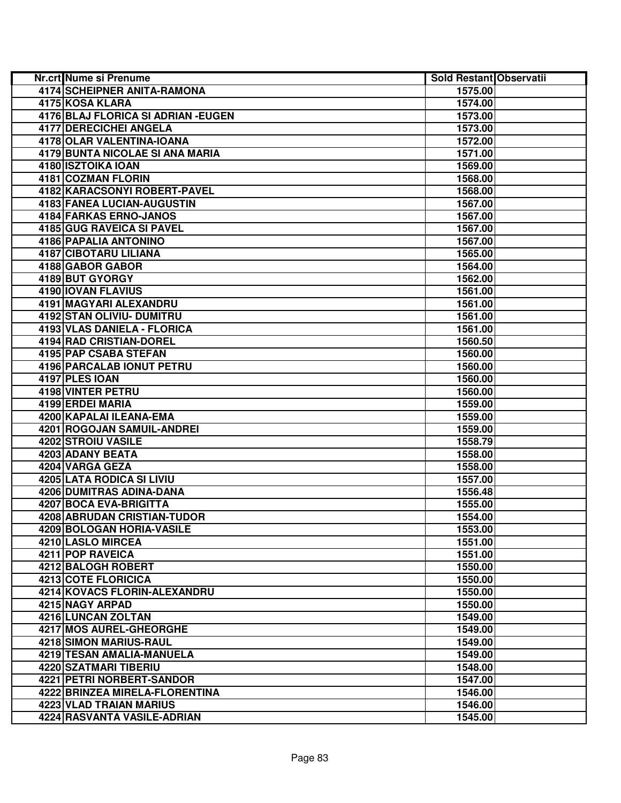| Nr.crt Nume si Prenume              | Sold Restant Observatii |  |
|-------------------------------------|-------------------------|--|
| <b>4174 SCHEIPNER ANITA-RAMONA</b>  | 1575.00                 |  |
| 4175 KOSA KLARA                     | 1574.00                 |  |
| 4176 BLAJ FLORICA SI ADRIAN - EUGEN | 1573.00                 |  |
| 4177 DERECICHEI ANGELA              | 1573.00                 |  |
| 4178 OLAR VALENTINA-IOANA           | 1572.00                 |  |
| 4179 BUNTA NICOLAE SI ANA MARIA     | 1571.00                 |  |
| 4180 ISZTOIKA IOAN                  | 1569.00                 |  |
| 4181 COZMAN FLORIN                  | 1568.00                 |  |
| 4182 KARACSONYI ROBERT-PAVEL        | 1568.00                 |  |
| <b>4183 FANEA LUCIAN-AUGUSTIN</b>   | 1567.00                 |  |
| 4184 FARKAS ERNO-JANOS              | 1567.00                 |  |
| 4185 GUG RAVEICA SI PAVEL           | 1567.00                 |  |
| 4186 PAPALIA ANTONINO               | 1567.00                 |  |
| 4187 CIBOTARU LILIANA               | 1565.00                 |  |
| 4188 GABOR GABOR                    | 1564.00                 |  |
| 4189 BUT GYORGY                     | 1562.00                 |  |
| 4190 IOVAN FLAVIUS                  | 1561.00                 |  |
| 4191 MAGYARI ALEXANDRU              | 1561.00                 |  |
| 4192 STAN OLIVIU- DUMITRU           | 1561.00                 |  |
| 4193 VLAS DANIELA - FLORICA         | 1561.00                 |  |
| 4194 RAD CRISTIAN-DOREL             | 1560.50                 |  |
| 4195 PAP CSABA STEFAN               | 1560.00                 |  |
| 4196 PARCALAB IONUT PETRU           | 1560.00                 |  |
| 4197 PLES IOAN                      | 1560.00                 |  |
| <b>4198 VINTER PETRU</b>            | 1560.00                 |  |
| 4199 ERDEI MARIA                    | 1559.00                 |  |
| 4200 KAPALAI ILEANA-EMA             | 1559.00                 |  |
| 4201 ROGOJAN SAMUIL-ANDREI          | 1559.00                 |  |
| 4202 STROIU VASILE                  | 1558.79                 |  |
| 4203 ADANY BEATA                    | 1558.00                 |  |
| 4204 VARGA GEZA                     | 1558.00                 |  |
| 4205 LATA RODICA SI LIVIU           | 1557.00                 |  |
| 4206 DUMITRAS ADINA-DANA            | 1556.48                 |  |
| 4207 BOCA EVA-BRIGITTA              | 1555.00                 |  |
| 4208 ABRUDAN CRISTIAN-TUDOR         | 1554.00                 |  |
| 4209 BOLOGAN HORIA-VASILE           | 1553.00                 |  |
| 4210 LASLO MIRCEA                   | 1551.00                 |  |
| 4211 POP RAVEICA                    | 1551.00                 |  |
| 4212 BALOGH ROBERT                  | 1550.00                 |  |
| 4213 COTE FLORICICA                 | 1550.00                 |  |
| 4214 KOVACS FLORIN-ALEXANDRU        | 1550.00                 |  |
| 4215 NAGY ARPAD                     | 1550.00                 |  |
| 4216 LUNCAN ZOLTAN                  | 1549.00                 |  |
| 4217 MOS AUREL-GHEORGHE             | 1549.00                 |  |
| 4218 SIMON MARIUS-RAUL              | 1549.00                 |  |
| 4219 TESAN AMALIA-MANUELA           | 1549.00                 |  |
| <b>4220 SZATMARI TIBERIU</b>        | 1548.00                 |  |
| 4221 PETRI NORBERT-SANDOR           | 1547.00                 |  |
| 4222 BRINZEA MIRELA-FLORENTINA      | 1546.00                 |  |
| 4223 VLAD TRAIAN MARIUS             | 1546.00                 |  |
| 4224 RASVANTA VASILE-ADRIAN         | 1545.00                 |  |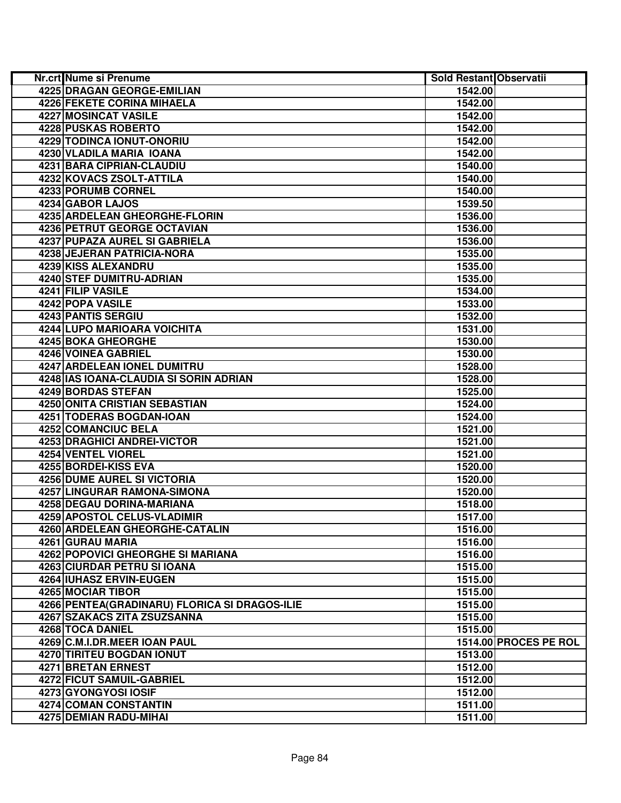| Nr.crt Nume si Prenume                         | <b>Sold Restant Observatii</b> |                       |
|------------------------------------------------|--------------------------------|-----------------------|
| 4225 DRAGAN GEORGE-EMILIAN                     | 1542.00                        |                       |
| 4226 FEKETE CORINA MIHAELA                     | 1542.00                        |                       |
| 4227 MOSINCAT VASILE                           | 1542.00                        |                       |
| 4228 PUSKAS ROBERTO                            | 1542.00                        |                       |
| 4229 TODINCA IONUT-ONORIU                      | 1542.00                        |                       |
| 4230 VLADILA MARIA IOANA                       | 1542.00                        |                       |
| 4231 BARA CIPRIAN-CLAUDIU                      | 1540.00                        |                       |
| 4232 KOVACS ZSOLT-ATTILA                       | 1540.00                        |                       |
| 4233 PORUMB CORNEL                             | 1540.00                        |                       |
| 4234 GABOR LAJOS                               | 1539.50                        |                       |
| 4235 ARDELEAN GHEORGHE-FLORIN                  | 1536.00                        |                       |
| 4236 PETRUT GEORGE OCTAVIAN                    | 1536.00                        |                       |
| 4237 PUPAZA AUREL SI GABRIELA                  | 1536.00                        |                       |
| 4238 JEJERAN PATRICIA-NORA                     | 1535.00                        |                       |
| 4239 KISS ALEXANDRU                            | 1535.00                        |                       |
| <b>4240 STEF DUMITRU-ADRIAN</b>                | 1535.00                        |                       |
| 4241 FILIP VASILE                              | 1534.00                        |                       |
| 4242 POPA VASILE                               | 1533.00                        |                       |
| 4243 PANTIS SERGIU                             | 1532.00                        |                       |
| 4244 LUPO MARIOARA VOICHITA                    | 1531.00                        |                       |
| 4245 BOKA GHEORGHE                             | 1530.00                        |                       |
| 4246 VOINEA GABRIEL                            | 1530.00                        |                       |
| 4247 ARDELEAN IONEL DUMITRU                    | 1528.00                        |                       |
| 4248 IAS IOANA-CLAUDIA SI SORIN ADRIAN         | 1528.00                        |                       |
| 4249 BORDAS STEFAN                             | 1525.00                        |                       |
| <b>4250 ONITA CRISTIAN SEBASTIAN</b>           | 1524.00                        |                       |
| <b>4251 TODERAS BOGDAN-IOAN</b>                | 1524.00                        |                       |
| 4252 COMANCIUC BELA                            | 1521.00                        |                       |
| 4253 DRAGHICI ANDREI-VICTOR                    | 1521.00                        |                       |
| 4254 VENTEL VIOREL                             | 1521.00                        |                       |
| 4255 BORDEI-KISS EVA                           | 1520.00                        |                       |
| <b>4256 DUME AUREL SI VICTORIA</b>             | 1520.00                        |                       |
| 4257 LINGURAR RAMONA-SIMONA                    | 1520.00                        |                       |
| 4258 DEGAU DORINA-MARIANA                      | 1518.00                        |                       |
| 4259 APOSTOL CELUS-VLADIMIR                    | 1517.00                        |                       |
| 4260 ARDELEAN GHEORGHE-CATALIN                 | 1516.00                        |                       |
| 4261 GURAU MARIA                               | 1516.00                        |                       |
| 4262 POPOVICI GHEORGHE SI MARIANA              | 1516.00                        |                       |
| 4263 CIURDAR PETRU SI IOANA                    | 1515.00                        |                       |
| 4264 IUHASZ ERVIN-EUGEN                        | 1515.00                        |                       |
| 4265 MOCIAR TIBOR                              | 1515.00                        |                       |
| 4266 PENTEA (GRADINARU) FLORICA SI DRAGOS-ILIE | 1515.00                        |                       |
| 4267 SZAKACS ZITA ZSUZSANNA                    | 1515.00                        |                       |
| 4268 TOCA DANIEL                               | 1515.00                        |                       |
| 4269 C.M.I.DR.MEER IOAN PAUL                   |                                | 1514.00 PROCES PE ROL |
| 4270 TIRITEU BOGDAN IONUT                      | 1513.00                        |                       |
| 4271 BRETAN ERNEST                             | 1512.00                        |                       |
| <b>4272 FICUT SAMUIL-GABRIEL</b>               | 1512.00                        |                       |
| 4273 GYONGYOSI IOSIF                           | 1512.00                        |                       |
| 4274 COMAN CONSTANTIN                          | 1511.00                        |                       |
| 4275 DEMIAN RADU-MIHAI                         | 1511.00                        |                       |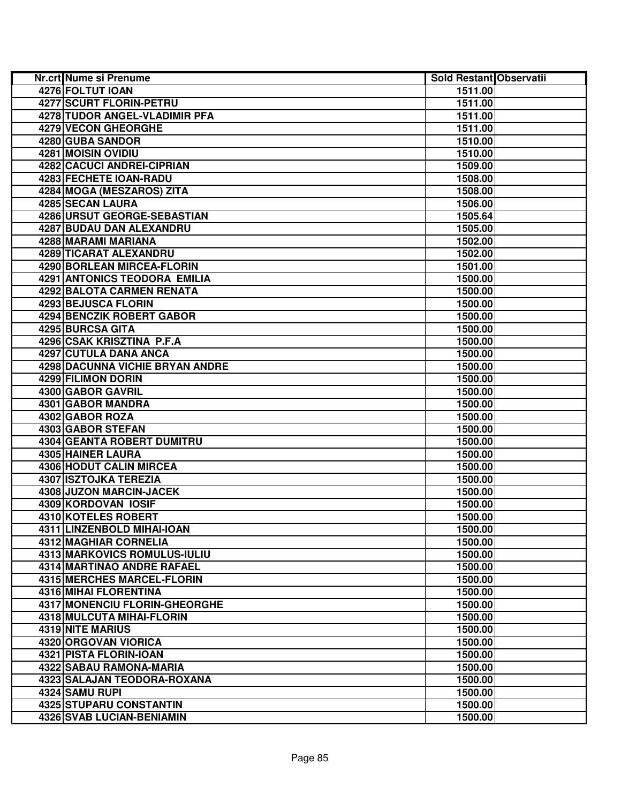| Nr.crt Nume si Prenume                 | Sold Restant Observatii |  |
|----------------------------------------|-------------------------|--|
| 4276 FOLTUT IOAN                       | 1511.00                 |  |
| <b>4277 SCURT FLORIN-PETRU</b>         | 1511.00                 |  |
| 4278 TUDOR ANGEL-VLADIMIR PFA          | 1511.00                 |  |
| 4279 VECON GHEORGHE                    | 1511.00                 |  |
| 4280 GUBA SANDOR                       | 1510.00                 |  |
| 4281 MOISIN OVIDIU                     | 1510.00                 |  |
| 4282 CACUCI ANDREI-CIPRIAN             | 1509.00                 |  |
| 4283 FECHETE IOAN-RADU                 | 1508.00                 |  |
| 4284 MOGA (MESZAROS) ZITA              | 1508.00                 |  |
| <b>4285 SECAN LAURA</b>                | 1506.00                 |  |
| 4286 URSUT GEORGE-SEBASTIAN            | 1505.64                 |  |
| 4287 BUDAU DAN ALEXANDRU               | 1505.00                 |  |
| 4288 MARAMI MARIANA                    | 1502.00                 |  |
| 4289 TICARAT ALEXANDRU                 | 1502.00                 |  |
| 4290 BORLEAN MIRCEA-FLORIN             | 1501.00                 |  |
| 4291 ANTONICS TEODORA EMILIA           | 1500.00                 |  |
| 4292 BALOTA CARMEN RENATA              | 1500.00                 |  |
| 4293 BEJUSCA FLORIN                    | 1500.00                 |  |
| 4294 BENCZIK ROBERT GABOR              | 1500.00                 |  |
| 4295 BURCSA GITA                       | 1500.00                 |  |
| 4296 CSAK KRISZTINA P.F.A              | 1500.00                 |  |
| 4297 CUTULA DANA ANCA                  | 1500.00                 |  |
| <b>4298 DACUNNA VICHIE BRYAN ANDRE</b> | 1500.00                 |  |
| 4299 FILIMON DORIN                     | 1500.00                 |  |
| 4300 GABOR GAVRIL                      | 1500.00                 |  |
| 4301 GABOR MANDRA                      | 1500.00                 |  |
| 4302 GABOR ROZA                        | 1500.00                 |  |
| 4303 GABOR STEFAN                      | 1500.00                 |  |
| 4304 GEANTA ROBERT DUMITRU             | 1500.00                 |  |
| 4305 HAINER LAURA                      | 1500.00                 |  |
| <b>4306 HODUT CALIN MIRCEA</b>         | 1500.00                 |  |
| <b>4307 ISZTOJKA TEREZIA</b>           | 1500.00                 |  |
| 4308 JUZON MARCIN-JACEK                | 1500.00                 |  |
| 4309 KORDOVAN IOSIF                    | 1500.00                 |  |
| 4310 KOTELES ROBERT                    | 1500.00                 |  |
| 4311 LINZENBOLD MIHAI-IOAN             | 1500.00                 |  |
| 4312 MAGHIAR CORNELIA                  | 1500.00                 |  |
| 4313 MARKOVICS ROMULUS-IULIU           | 1500.00                 |  |
| <b>4314 MARTINAO ANDRE RAFAEL</b>      | 1500.00                 |  |
| <b>4315 MERCHES MARCEL-FLORIN</b>      | 1500.00                 |  |
| 4316 MIHAI FLORENTINA                  | 1500.00                 |  |
| 4317 MONENCIU FLORIN-GHEORGHE          | 1500.00                 |  |
| 4318 MULCUTA MIHAI-FLORIN              | 1500.00                 |  |
| 4319 NITE MARIUS                       | 1500.00                 |  |
| 4320 ORGOVAN VIORICA                   | 1500.00                 |  |
| 4321 PISTA FLORIN-IOAN                 | 1500.00                 |  |
| 4322 SABAU RAMONA-MARIA                | 1500.00                 |  |
| 4323 SALAJAN TEODORA-ROXANA            | 1500.00                 |  |
| 4324 SAMU RUPI                         | 1500.00                 |  |
| <b>4325 STUPARU CONSTANTIN</b>         | 1500.00                 |  |
| 4326 SVAB LUCIAN-BENIAMIN              | 1500.00                 |  |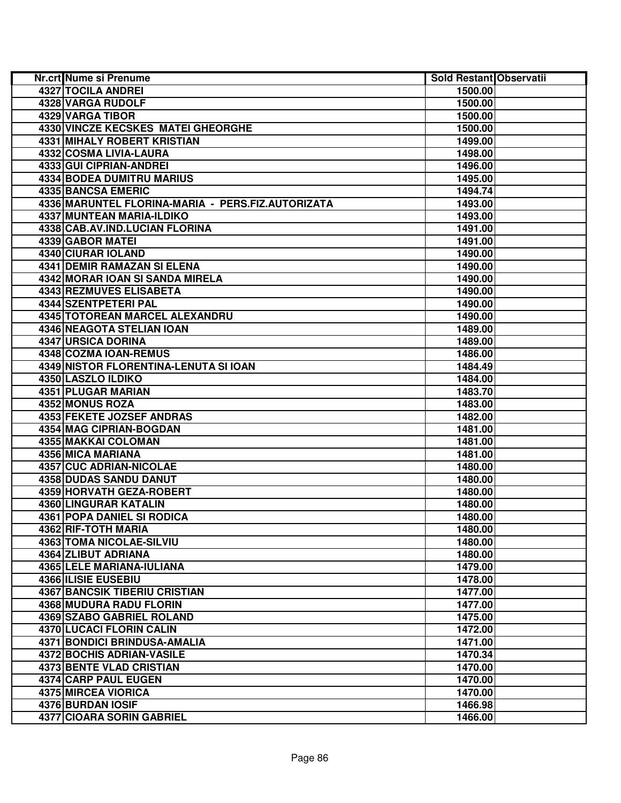| Nr.crt Nume si Prenume                            | Sold Restant Observatii |  |
|---------------------------------------------------|-------------------------|--|
| 4327 TOCILA ANDREI                                | 1500.00                 |  |
| 4328 VARGA RUDOLF                                 | 1500.00                 |  |
| 4329 VARGA TIBOR                                  | 1500.00                 |  |
| 4330 VINCZE KECSKES MATEI GHEORGHE                | 1500.00                 |  |
| <b>4331 MIHALY ROBERT KRISTIAN</b>                | 1499.00                 |  |
| 4332 COSMA LIVIA-LAURA                            | 1498.00                 |  |
| 4333 GUI CIPRIAN-ANDREI                           | 1496.00                 |  |
| 4334 BODEA DUMITRU MARIUS                         | 1495.00                 |  |
| <b>4335 BANCSA EMERIC</b>                         | 1494.74                 |  |
| 4336 MARUNTEL FLORINA-MARIA - PERS.FIZ.AUTORIZATA | 1493.00                 |  |
| <b>4337 MUNTEAN MARIA-ILDIKO</b>                  | 1493.00                 |  |
| 4338 CAB.AV.IND.LUCIAN FLORINA                    | 1491.00                 |  |
| 4339 GABOR MATEI                                  | 1491.00                 |  |
| 4340 CIURAR IOLAND                                | 1490.00                 |  |
| 4341 DEMIR RAMAZAN SI ELENA                       | 1490.00                 |  |
| 4342 MORAR IOAN SI SANDA MIRELA                   | 1490.00                 |  |
| 4343 REZMUVES ELISABETA                           | 1490.00                 |  |
| 4344 SZENTPETERI PAL                              | 1490.00                 |  |
| 4345 TOTOREAN MARCEL ALEXANDRU                    | 1490.00                 |  |
| 4346 NEAGOTA STELIAN IOAN                         | 1489.00                 |  |
| 4347 URSICA DORINA                                | 1489.00                 |  |
| 4348 COZMA IOAN-REMUS                             | 1486.00                 |  |
| 4349 NISTOR FLORENTINA-LENUTA SI IOAN             | 1484.49                 |  |
| 4350 LASZLO ILDIKO                                | 1484.00                 |  |
| 4351 PLUGAR MARIAN                                | 1483.70                 |  |
| 4352 MONUS ROZA                                   | 1483.00                 |  |
| <b>4353 FEKETE JOZSEF ANDRAS</b>                  | 1482.00                 |  |
| 4354 MAG CIPRIAN-BOGDAN                           | 1481.00                 |  |
| 4355 MAKKAI COLOMAN                               | 1481.00                 |  |
| 4356 MICA MARIANA                                 | 1481.00                 |  |
| 4357 CUC ADRIAN-NICOLAE                           | 1480.00                 |  |
| 4358 DUDAS SANDU DANUT                            | 1480.00                 |  |
| 4359 HORVATH GEZA-ROBERT                          | 1480.00                 |  |
| <b>4360 LINGURAR KATALIN</b>                      | 1480.00                 |  |
| 4361 POPA DANIEL SI RODICA                        | 1480.00                 |  |
| 4362 RIF-TOTH MARIA                               | 1480.00                 |  |
| 4363 TOMA NICOLAE-SILVIU                          | 1480.00                 |  |
| 4364 ZLIBUT ADRIANA                               | 1480.00                 |  |
| 4365 LELE MARIANA-IULIANA                         | 1479.00                 |  |
| 4366 ILISIE EUSEBIU                               | 1478.00                 |  |
| <b>4367 BANCSIK TIBERIU CRISTIAN</b>              | 1477.00                 |  |
| 4368 MUDURA RADU FLORIN                           | 1477.00                 |  |
| 4369 SZABO GABRIEL ROLAND                         | 1475.00                 |  |
| 4370 LUCACI FLORIN CALIN                          | 1472.00                 |  |
| 4371 BONDICI BRINDUSA-AMALIA                      | 1471.00                 |  |
| <b>4372 BOCHIS ADRIAN-VASILE</b>                  | 1470.34                 |  |
| <b>4373 BENTE VLAD CRISTIAN</b>                   | 1470.00                 |  |
| <b>4374 CARP PAUL EUGEN</b>                       | 1470.00                 |  |
| <b>4375 MIRCEA VIORICA</b>                        | 1470.00                 |  |
| <b>4376 BURDAN IOSIF</b>                          | 1466.98                 |  |
| 4377 CIOARA SORIN GABRIEL                         | 1466.00                 |  |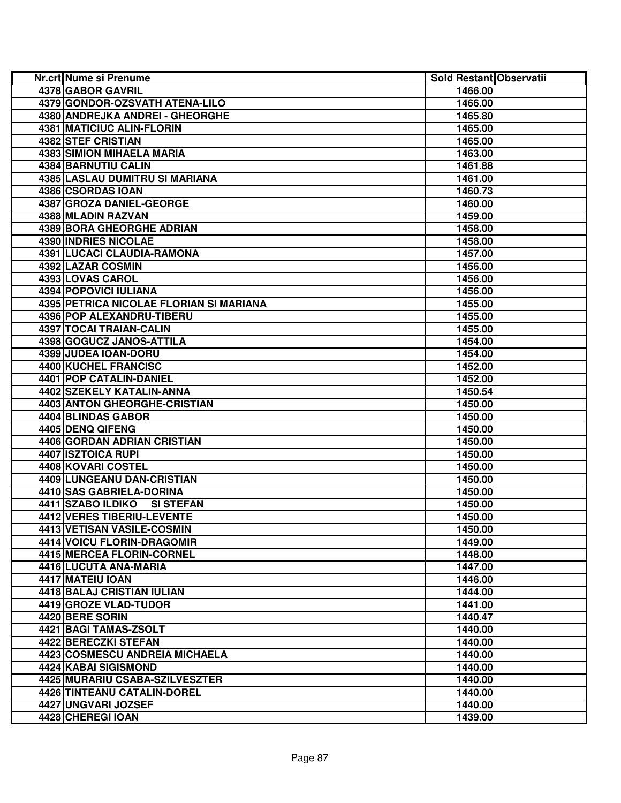| <b>Nr.crt Nume si Prenume</b>           | Sold Restant Observatii |  |
|-----------------------------------------|-------------------------|--|
| 4378 GABOR GAVRIL                       | 1466.00                 |  |
| 4379 GONDOR-OZSVATH ATENA-LILO          | 1466.00                 |  |
| 4380 ANDREJKA ANDREI - GHEORGHE         | 1465.80                 |  |
| 4381 MATICIUC ALIN-FLORIN               | 1465.00                 |  |
| 4382 STEF CRISTIAN                      | 1465.00                 |  |
| 4383 SIMION MIHAELA MARIA               | 1463.00                 |  |
| 4384 BARNUTIU CALIN                     | 1461.88                 |  |
| 4385 LASLAU DUMITRU SI MARIANA          | 1461.00                 |  |
| 4386 CSORDAS IOAN                       | 1460.73                 |  |
| 4387 GROZA DANIEL-GEORGE                | 1460.00                 |  |
| 4388 MLADIN RAZVAN                      | 1459.00                 |  |
| <b>4389 BORA GHEORGHE ADRIAN</b>        | 1458.00                 |  |
| 4390 INDRIES NICOLAE                    | 1458.00                 |  |
| 4391 LUCACI CLAUDIA-RAMONA              | 1457.00                 |  |
| 4392 LAZAR COSMIN                       | 1456.00                 |  |
| 4393 LOVAS CAROL                        | 1456.00                 |  |
| 4394 POPOVICI IULIANA                   | 1456.00                 |  |
| 4395 PETRICA NICOLAE FLORIAN SI MARIANA | 1455.00                 |  |
| 4396 POP ALEXANDRU-TIBERU               | 1455.00                 |  |
| 4397 TOCAI TRAIAN-CALIN                 | 1455.00                 |  |
| 4398 GOGUCZ JANOS-ATTILA                | 1454.00                 |  |
| 4399 JUDEA IOAN-DORU                    | 1454.00                 |  |
| <b>4400 KUCHEL FRANCISC</b>             | 1452.00                 |  |
| 4401 POP CATALIN-DANIEL                 | 1452.00                 |  |
| 4402 SZEKELY KATALIN-ANNA               | 1450.54                 |  |
| <b>4403 ANTON GHEORGHE-CRISTIAN</b>     | 1450.00                 |  |
| 4404 BLINDAS GABOR                      | 1450.00                 |  |
| 4405 DENQ QIFENG                        | 1450.00                 |  |
| 4406 GORDAN ADRIAN CRISTIAN             | 1450.00                 |  |
| 4407 ISZTOICA RUPI                      | 1450.00                 |  |
| 4408 KOVARI COSTEL                      | 1450.00                 |  |
| 4409 LUNGEANU DAN-CRISTIAN              | 1450.00                 |  |
| 4410 SAS GABRIELA-DORINA                | 1450.00                 |  |
| 4411 SZABO ILDIKO SI STEFAN             | 1450.00                 |  |
| 4412 VERES TIBERIU-LEVENTE              | 1450.00                 |  |
| 4413 VETISAN VASILE-COSMIN              | 1450.00                 |  |
| 4414 VOICU FLORIN-DRAGOMIR              | 1449.00                 |  |
| 4415 MERCEA FLORIN-CORNEL               | 1448.00                 |  |
| 4416 LUCUTA ANA-MARIA                   | 1447.00                 |  |
| 4417 MATEIU IOAN                        | 1446.00                 |  |
| 4418 BALAJ CRISTIAN IULIAN              | 1444.00                 |  |
| 4419 GROZE VLAD-TUDOR                   | 1441.00                 |  |
| 4420 BERE SORIN                         | 1440.47                 |  |
| 4421 BAGI TAMAS-ZSOLT                   | 1440.00                 |  |
| 4422 BERECZKI STEFAN                    | 1440.00                 |  |
| 4423 COSMESCU ANDREIA MICHAELA          | 1440.00                 |  |
| 4424 KABAI SIGISMOND                    | 1440.00                 |  |
| 4425 MURARIU CSABA-SZILVESZTER          | 1440.00                 |  |
| 4426 TINTEANU CATALIN-DOREL             | 1440.00                 |  |
| 4427 UNGVARI JOZSEF                     | 1440.00                 |  |
| 4428 CHEREGI IOAN                       | 1439.00                 |  |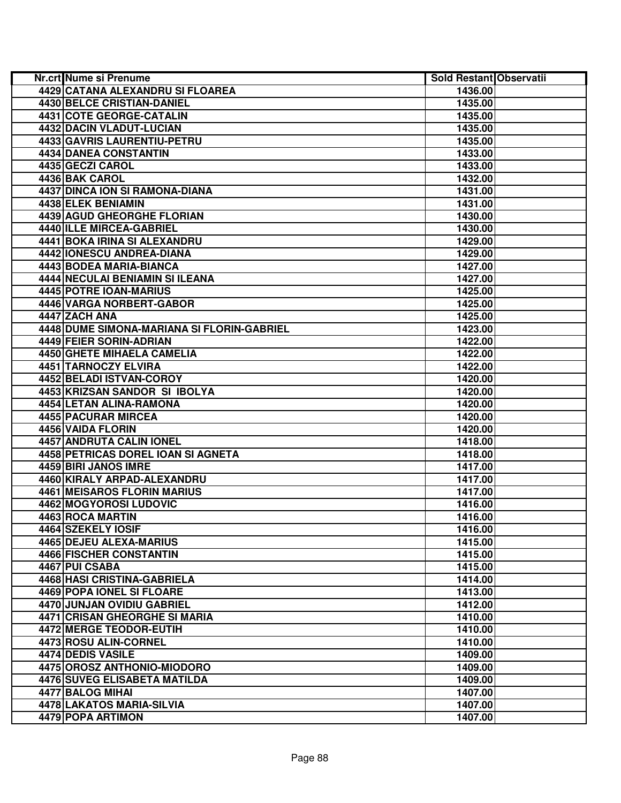| <b>Nr.crt Nume si Prenume</b>              | Sold Restant Observatii |  |
|--------------------------------------------|-------------------------|--|
| 4429 CATANA ALEXANDRU SI FLOAREA           | 1436.00                 |  |
| 4430 BELCE CRISTIAN-DANIEL                 | 1435.00                 |  |
| 4431 COTE GEORGE-CATALIN                   | 1435.00                 |  |
| 4432 DACIN VLADUT-LUCIAN                   | 1435.00                 |  |
| 4433 GAVRIS LAURENTIU-PETRU                | 1435.00                 |  |
| 4434 DANEA CONSTANTIN                      | 1433.00                 |  |
| 4435 GECZI CAROL                           | 1433.00                 |  |
| 4436 BAK CAROL                             | 1432.00                 |  |
| 4437 DINCA ION SI RAMONA-DIANA             | 1431.00                 |  |
| 4438 ELEK BENIAMIN                         | 1431.00                 |  |
| 4439 AGUD GHEORGHE FLORIAN                 | 1430.00                 |  |
| 4440 ILLE MIRCEA-GABRIEL                   | 1430.00                 |  |
| 4441 BOKA IRINA SI ALEXANDRU               | 1429.00                 |  |
| 4442 IONESCU ANDREA-DIANA                  | 1429.00                 |  |
| 4443 BODEA MARIA-BIANCA                    | 1427.00                 |  |
| 4444 NECULAI BENIAMIN SI ILEANA            | 1427.00                 |  |
| 4445 POTRE IOAN-MARIUS                     | 1425.00                 |  |
| 4446 VARGA NORBERT-GABOR                   | 1425.00                 |  |
| 4447 ZACH ANA                              | 1425.00                 |  |
| 4448 DUME SIMONA-MARIANA SI FLORIN-GABRIEL | 1423.00                 |  |
| 4449 FEIER SORIN-ADRIAN                    | 1422.00                 |  |
| 4450 GHETE MIHAELA CAMELIA                 | 1422.00                 |  |
| 4451 TARNOCZY ELVIRA                       | 1422.00                 |  |
| 4452 BELADI ISTVAN-COROY                   | 1420.00                 |  |
| 4453 KRIZSAN SANDOR SI IBOLYA              | 1420.00                 |  |
| 4454 LETAN ALINA-RAMONA                    | 1420.00                 |  |
| 4455 PACURAR MIRCEA                        | 1420.00                 |  |
| 4456 VAIDA FLORIN                          | 1420.00                 |  |
| 4457 ANDRUTA CALIN IONEL                   | 1418.00                 |  |
| 4458 PETRICAS DOREL IOAN SI AGNETA         | 1418.00                 |  |
| 4459 BIRI JANOS IMRE                       | 1417.00                 |  |
| 4460 KIRALY ARPAD-ALEXANDRU                | 1417.00                 |  |
| <b>4461 MEISAROS FLORIN MARIUS</b>         | 1417.00                 |  |
| 4462 MOGYOROSI LUDOVIC                     | 1416.00                 |  |
| 4463 ROCA MARTIN                           | 1416.00                 |  |
| 4464 SZEKELY IOSIF                         | 1416.00                 |  |
| 4465 DEJEU ALEXA-MARIUS                    | 1415.00                 |  |
| 4466 FISCHER CONSTANTIN                    | 1415.00                 |  |
| 4467 PUI CSABA                             | 1415.00                 |  |
| <b>4468 HASI CRISTINA-GABRIELA</b>         | 1414.00                 |  |
| 4469 POPA IONEL SI FLOARE                  | 1413.00                 |  |
| 4470 JUNJAN OVIDIU GABRIEL                 | 1412.00                 |  |
| 4471 CRISAN GHEORGHE SI MARIA              | 1410.00                 |  |
| 4472 MERGE TEODOR-EUTIH                    | 1410.00                 |  |
| 4473 ROSU ALIN-CORNEL                      | 1410.00                 |  |
| 4474 DEDIS VASILE                          | 1409.00                 |  |
| 4475 OROSZ ANTHONIO-MIODORO                | 1409.00                 |  |
| <b>4476 SUVEG ELISABETA MATILDA</b>        | 1409.00                 |  |
| 4477 BALOG MIHAI                           | 1407.00                 |  |
| 4478 LAKATOS MARIA-SILVIA                  | 1407.00                 |  |
| 4479 POPA ARTIMON                          | 1407.00                 |  |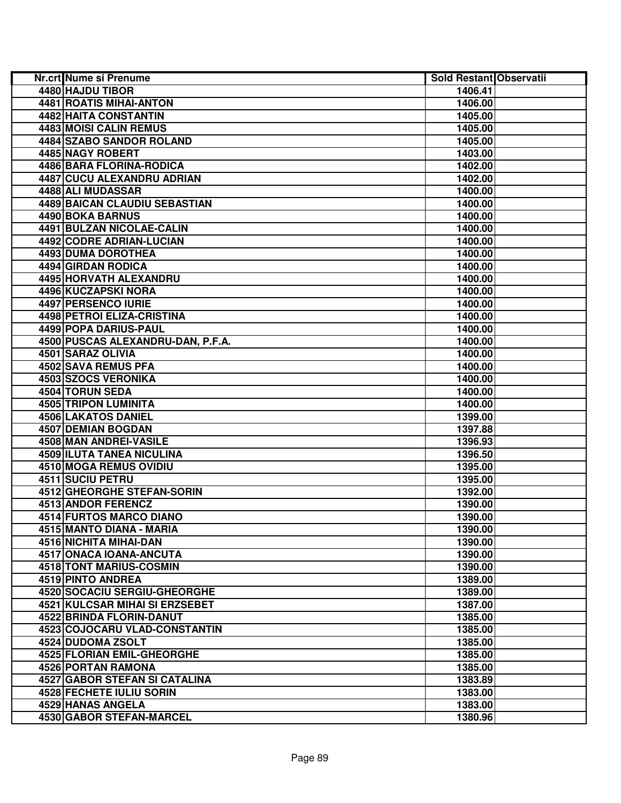| <b>Nr.crt Nume si Prenume</b>        | Sold Restant Observatii |  |
|--------------------------------------|-------------------------|--|
| 4480 HAJDU TIBOR                     | 1406.41                 |  |
| 4481 ROATIS MIHAI-ANTON              | 1406.00                 |  |
| 4482 HAITA CONSTANTIN                | 1405.00                 |  |
| 4483 MOISI CALIN REMUS               | 1405.00                 |  |
| 4484 SZABO SANDOR ROLAND             | 1405.00                 |  |
| 4485 NAGY ROBERT                     | 1403.00                 |  |
| 4486 BARA FLORINA-RODICA             | 1402.00                 |  |
| <b>4487 CUCU ALEXANDRU ADRIAN</b>    | 1402.00                 |  |
| 4488 ALI MUDASSAR                    | 1400.00                 |  |
| 4489 BAICAN CLAUDIU SEBASTIAN        | 1400.00                 |  |
| 4490 BOKA BARNUS                     | 1400.00                 |  |
| 4491 BULZAN NICOLAE-CALIN            | 1400.00                 |  |
| 4492 CODRE ADRIAN-LUCIAN             | 1400.00                 |  |
| 4493 DUMA DOROTHEA                   | 1400.00                 |  |
| 4494 GIRDAN RODICA                   | 1400.00                 |  |
| 4495 HORVATH ALEXANDRU               | 1400.00                 |  |
| 4496 KUCZAPSKI NORA                  | 1400.00                 |  |
| 4497 PERSENCO IURIE                  | 1400.00                 |  |
| 4498 PETROI ELIZA-CRISTINA           | 1400.00                 |  |
| 4499 POPA DARIUS-PAUL                | 1400.00                 |  |
| 4500 PUSCAS ALEXANDRU-DAN, P.F.A.    | 1400.00                 |  |
| 4501 SARAZ OLIVIA                    | 1400.00                 |  |
| <b>4502 SAVA REMUS PFA</b>           | 1400.00                 |  |
| 4503 SZOCS VERONIKA                  | 1400.00                 |  |
| 4504 TORUN SEDA                      | 1400.00                 |  |
| <b>4505 TRIPON LUMINITA</b>          | 1400.00                 |  |
| 4506 LAKATOS DANIEL                  | 1399.00                 |  |
| 4507 DEMIAN BOGDAN                   | 1397.88                 |  |
| 4508 MAN ANDREI-VASILE               | 1396.93                 |  |
| <b>4509 ILUTA TANEA NICULINA</b>     | 1396.50                 |  |
| 4510 MOGA REMUS OVIDIU               | 1395.00                 |  |
| <b>4511 SUCIU PETRU</b>              | 1395.00                 |  |
| <b>4512 GHEORGHE STEFAN-SORIN</b>    | 1392.00                 |  |
| 4513 ANDOR FERENCZ                   | 1390.00                 |  |
| 4514 FURTOS MARCO DIANO              | 1390.00                 |  |
| 4515 MANTO DIANA - MARIA             | 1390.00                 |  |
| 4516 NICHITA MIHAI-DAN               | 1390.00                 |  |
| 4517 ONACA IOANA-ANCUTA              | 1390.00                 |  |
| 4518 TONT MARIUS-COSMIN              | 1390.00                 |  |
| 4519 PINTO ANDREA                    | 1389.00                 |  |
| 4520 SOCACIU SERGIU-GHEORGHE         | 1389.00                 |  |
| 4521 KULCSAR MIHAI SI ERZSEBET       | 1387.00                 |  |
| 4522 BRINDA FLORIN-DANUT             | 1385.00                 |  |
| 4523 COJOCARU VLAD-CONSTANTIN        | 1385.00                 |  |
| 4524 DUDOMA ZSOLT                    | 1385.00                 |  |
| <b>4525 FLORIAN EMIL-GHEORGHE</b>    | 1385.00                 |  |
| <b>4526 PORTAN RAMONA</b>            | 1385.00                 |  |
| <b>4527 GABOR STEFAN SI CATALINA</b> | 1383.89                 |  |
| <b>4528 FECHETE IULIU SORIN</b>      | 1383.00                 |  |
| <b>4529 HANAS ANGELA</b>             | 1383.00                 |  |
| <b>4530 GABOR STEFAN-MARCEL</b>      | 1380.96                 |  |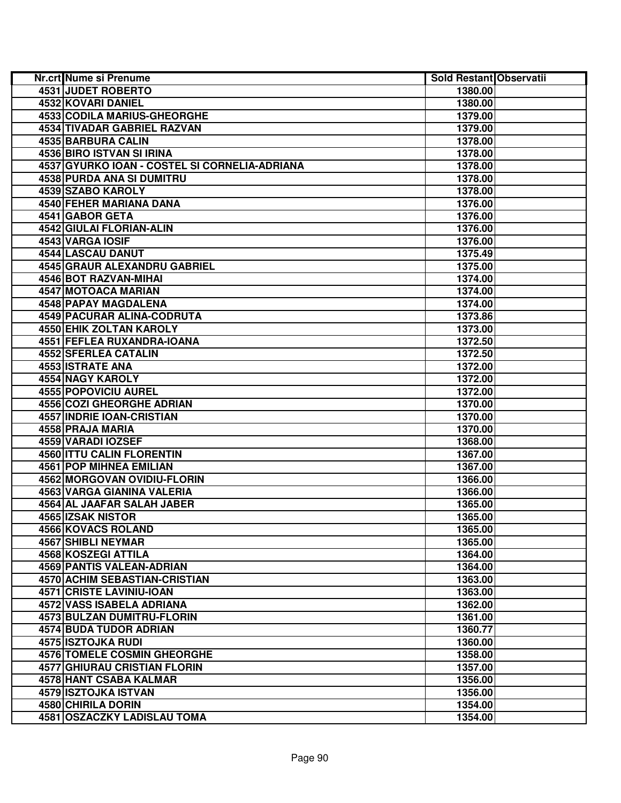| Nr.crt Nume si Prenume                        | Sold Restant Observatii |  |
|-----------------------------------------------|-------------------------|--|
| <b>4531 JUDET ROBERTO</b>                     | 1380.00                 |  |
| 4532 KOVARI DANIEL                            | 1380.00                 |  |
| 4533 CODILA MARIUS-GHEORGHE                   | 1379.00                 |  |
| 4534 TIVADAR GABRIEL RAZVAN                   | 1379.00                 |  |
| 4535 BARBURA CALIN                            | 1378.00                 |  |
| 4536 BIRO ISTVAN SI IRINA                     | 1378.00                 |  |
| 4537 GYURKO IOAN - COSTEL SI CORNELIA-ADRIANA | 1378.00                 |  |
| 4538 PURDA ANA SI DUMITRU                     | 1378.00                 |  |
| 4539 SZABO KAROLY                             | 1378.00                 |  |
| 4540 FEHER MARIANA DANA                       | 1376.00                 |  |
| 4541 GABOR GETA                               | 1376.00                 |  |
| <b>4542 GIULAI FLORIAN-ALIN</b>               | 1376.00                 |  |
| 4543 VARGA IOSIF                              | 1376.00                 |  |
| 4544 LASCAU DANUT                             | 1375.49                 |  |
| 4545 GRAUR ALEXANDRU GABRIEL                  | 1375.00                 |  |
| 4546 BOT RAZVAN-MIHAI                         | 1374.00                 |  |
| 4547 MOTOACA MARIAN                           | 1374.00                 |  |
| 4548 PAPAY MAGDALENA                          | 1374.00                 |  |
| 4549 PACURAR ALINA-CODRUTA                    | 1373.86                 |  |
| 4550 EHIK ZOLTAN KAROLY                       | 1373.00                 |  |
| 4551 FEFLEA RUXANDRA-IOANA                    | 1372.50                 |  |
| 4552 SFERLEA CATALIN                          | 1372.50                 |  |
| 4553 ISTRATE ANA                              | 1372.00                 |  |
| <b>4554 NAGY KAROLY</b>                       | 1372.00                 |  |
| <b>4555 POPOVICIU AUREL</b>                   | 1372.00                 |  |
| <b>4556 COZI GHEORGHE ADRIAN</b>              | 1370.00                 |  |
| 4557 INDRIE IOAN-CRISTIAN                     | 1370.00                 |  |
| 4558 PRAJA MARIA                              | 1370.00                 |  |
| 4559 VARADI IOZSEF                            | 1368.00                 |  |
| 4560 ITTU CALIN FLORENTIN                     | 1367.00                 |  |
| 4561 POP MIHNEA EMILIAN                       | 1367.00                 |  |
| 4562 MORGOVAN OVIDIU-FLORIN                   | 1366.00                 |  |
| 4563 VARGA GIANINA VALERIA                    | 1366.00                 |  |
| 4564 AL JAAFAR SALAH JABER                    | 1365.00                 |  |
| 4565 IZSAK NISTOR                             | 1365.00                 |  |
| <b>4566 KOVACS ROLAND</b>                     | 1365.00                 |  |
| 4567 SHIBLI NEYMAR                            | 1365.00                 |  |
| 4568 KOSZEGI ATTILA                           | 1364.00                 |  |
| 4569 PANTIS VALEAN-ADRIAN                     | 1364.00                 |  |
| 4570 ACHIM SEBASTIAN-CRISTIAN                 | 1363.00                 |  |
| 4571 CRISTE LAVINIU-IOAN                      | 1363.00                 |  |
| 4572 VASS ISABELA ADRIANA                     | 1362.00                 |  |
| <b>4573 BULZAN DUMITRU-FLORIN</b>             | 1361.00                 |  |
| 4574 BUDA TUDOR ADRIAN                        | 1360.77                 |  |
| 4575 ISZTOJKA RUDI                            | 1360.00                 |  |
| 4576 TOMELE COSMIN GHEORGHE                   | 1358.00                 |  |
| <b>4577 GHIURAU CRISTIAN FLORIN</b>           | 1357.00                 |  |
| 4578 HANT CSABA KALMAR                        | 1356.00                 |  |
| 4579 ISZTOJKA ISTVAN                          | 1356.00                 |  |
| <b>4580 CHIRILA DORIN</b>                     | 1354.00                 |  |
| <b>4581 OSZACZKY LADISLAU TOMA</b>            | 1354.00                 |  |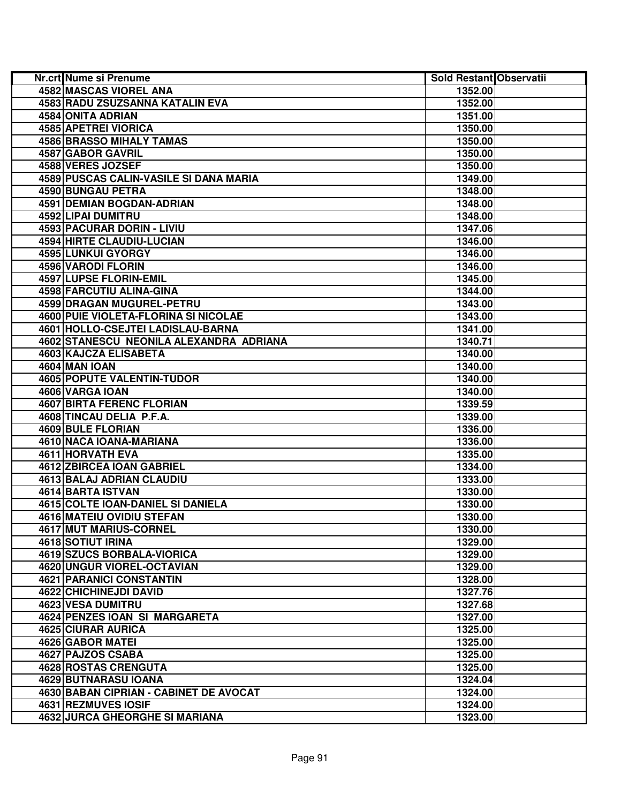| Nr.crt Nume si Prenume                  | Sold Restant Observatii |  |
|-----------------------------------------|-------------------------|--|
| <b>4582 MASCAS VIOREL ANA</b>           | 1352.00                 |  |
| 4583 RADU ZSUZSANNA KATALIN EVA         | 1352.00                 |  |
| 4584 ONITA ADRIAN                       | 1351.00                 |  |
| 4585 APETREI VIORICA                    | 1350.00                 |  |
| <b>4586 BRASSO MIHALY TAMAS</b>         | 1350.00                 |  |
| 4587 GABOR GAVRIL                       | 1350.00                 |  |
| 4588 VERES JOZSEF                       | 1350.00                 |  |
| 4589 PUSCAS CALIN-VASILE SI DANA MARIA  | 1349.00                 |  |
| 4590 BUNGAU PETRA                       | 1348.00                 |  |
| 4591 DEMIAN BOGDAN-ADRIAN               | 1348.00                 |  |
| 4592 LIPAI DUMITRU                      | 1348.00                 |  |
| 4593 PACURAR DORIN - LIVIU              | 1347.06                 |  |
| 4594 HIRTE CLAUDIU-LUCIAN               | 1346.00                 |  |
| 4595 LUNKUI GYORGY                      | 1346.00                 |  |
| 4596 VARODI FLORIN                      | 1346.00                 |  |
| 4597 LUPSE FLORIN-EMIL                  | 1345.00                 |  |
| 4598 FARCUTIU ALINA-GINA                | 1344.00                 |  |
| <b>4599 DRAGAN MUGUREL-PETRU</b>        | 1343.00                 |  |
| 4600 PUIE VIOLETA-FLORINA SI NICOLAE    | 1343.00                 |  |
| 4601 HOLLO-CSEJTEI LADISLAU-BARNA       | 1341.00                 |  |
| 4602 STANESCU NEONILA ALEXANDRA ADRIANA | 1340.71                 |  |
| 4603 KAJCZA ELISABETA                   | 1340.00                 |  |
| 4604 MAN IOAN                           | 1340.00                 |  |
| <b>4605 POPUTE VALENTIN-TUDOR</b>       | 1340.00                 |  |
| 4606 VARGA IOAN                         | 1340.00                 |  |
| <b>4607 BIRTA FERENC FLORIAN</b>        | 1339.59                 |  |
| 4608 TINCAU DELIA P.F.A.                | 1339.00                 |  |
| 4609 BULE FLORIAN                       | 1336.00                 |  |
| 4610 NACA IOANA-MARIANA                 | 1336.00                 |  |
| 4611 HORVATH EVA                        | 1335.00                 |  |
| 4612 ZBIRCEA IOAN GABRIEL               | 1334.00                 |  |
| 4613 BALAJ ADRIAN CLAUDIU               | 1333.00                 |  |
| <b>4614 BARTA ISTVAN</b>                | 1330.00                 |  |
| 4615 COLTE IOAN-DANIEL SI DANIELA       | 1330.00                 |  |
| 4616 MATEIU OVIDIU STEFAN               | 1330.00                 |  |
| <b>4617 MUT MARIUS-CORNEL</b>           | 1330.00                 |  |
| <b>4618 SOTIUT IRINA</b>                | 1329.00                 |  |
| 4619 SZUCS BORBALA-VIORICA              | 1329.00                 |  |
| 4620 UNGUR VIOREL-OCTAVIAN              | 1329.00                 |  |
| <b>4621 PARANICI CONSTANTIN</b>         | 1328.00                 |  |
| 4622 CHICHINEJDI DAVID                  | 1327.76                 |  |
| 4623 VESA DUMITRU                       | 1327.68                 |  |
| 4624 PENZES IOAN SI MARGARETA           | 1327.00                 |  |
| 4625 CIURAR AURICA                      | 1325.00                 |  |
| <b>4626 GABOR MATEL</b>                 | 1325.00                 |  |
| 4627 PAJZOS CSABA                       | 1325.00                 |  |
| <b>4628 ROSTAS CRENGUTA</b>             | 1325.00                 |  |
| 4629 BUTNARASU IOANA                    | 1324.04                 |  |
| 4630 BABAN CIPRIAN - CABINET DE AVOCAT  | 1324.00                 |  |
| <b>4631 REZMUVES IOSIF</b>              | 1324.00                 |  |
| <b>4632 JURCA GHEORGHE SI MARIANA</b>   | 1323.00                 |  |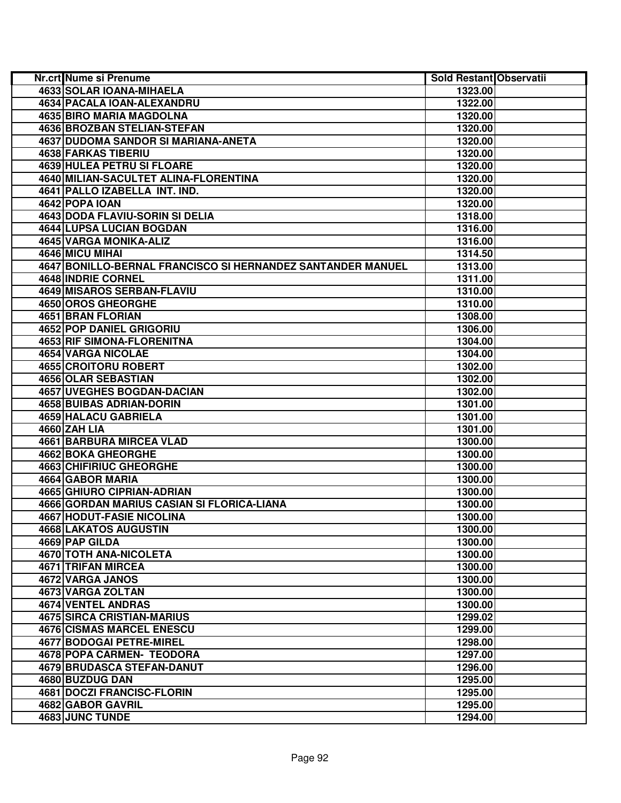| Nr.crt Nume si Prenume                                      | Sold Restant Observatii |  |
|-------------------------------------------------------------|-------------------------|--|
| 4633 SOLAR IOANA-MIHAELA                                    | 1323.00                 |  |
| 4634 PACALA IOAN-ALEXANDRU                                  | 1322.00                 |  |
| <b>4635 BIRO MARIA MAGDOLNA</b>                             | 1320.00                 |  |
| 4636 BROZBAN STELIAN-STEFAN                                 | 1320.00                 |  |
| 4637 DUDOMA SANDOR SI MARIANA-ANETA                         | 1320.00                 |  |
| <b>4638 FARKAS TIBERIU</b>                                  | 1320.00                 |  |
| 4639 HULEA PETRU SI FLOARE                                  | 1320.00                 |  |
| 4640 MILIAN-SACULTET ALINA-FLORENTINA                       | 1320.00                 |  |
| 4641 PALLO IZABELLA INT. IND.                               | 1320.00                 |  |
| 4642 POPA IOAN                                              | 1320.00                 |  |
| 4643 DODA FLAVIU-SORIN SI DELIA                             | 1318.00                 |  |
| 4644 LUPSA LUCIAN BOGDAN                                    | 1316.00                 |  |
| 4645 VARGA MONIKA-ALIZ                                      | 1316.00                 |  |
| 4646 MICU MIHAI                                             | 1314.50                 |  |
| 4647 BONILLO-BERNAL FRANCISCO SI HERNANDEZ SANTANDER MANUEL | 1313.00                 |  |
| 4648 INDRIE CORNEL                                          | 1311.00                 |  |
| 4649 MISAROS SERBAN-FLAVIU                                  | 1310.00                 |  |
| 4650 OROS GHEORGHE                                          | 1310.00                 |  |
| 4651 BRAN FLORIAN                                           | 1308.00                 |  |
| 4652 POP DANIEL GRIGORIU                                    | 1306.00                 |  |
| 4653 RIF SIMONA-FLORENITNA                                  | 1304.00                 |  |
| 4654 VARGA NICOLAE                                          | 1304.00                 |  |
| 4655 CROITORU ROBERT                                        | 1302.00                 |  |
| 4656 OLAR SEBASTIAN                                         | 1302.00                 |  |
| <b>4657 UVEGHES BOGDAN-DACIAN</b>                           | 1302.00                 |  |
| <b>4658 BUIBAS ADRIAN-DORIN</b>                             | 1301.00                 |  |
| <b>4659 HALACU GABRIELA</b>                                 | 1301.00                 |  |
| 4660 ZAH LIA                                                | 1301.00                 |  |
| 4661 BARBURA MIRCEA VLAD                                    | 1300.00                 |  |
| 4662 BOKA GHEORGHE                                          | 1300.00                 |  |
| 4663 CHIFIRIUC GHEORGHE                                     | 1300.00                 |  |
| 4664 GABOR MARIA                                            | 1300.00                 |  |
| 4665 GHIURO CIPRIAN-ADRIAN                                  | 1300.00                 |  |
| 4666 GORDAN MARIUS CASIAN SI FLORICA-LIANA                  | 1300.00                 |  |
| <b>4667 HODUT-FASIE NICOLINA</b>                            | 1300.00                 |  |
| <b>4668 LAKATOS AUGUSTIN</b>                                | 1300.00                 |  |
| 4669 PAP GILDA                                              | 1300.00                 |  |
| 4670 TOTH ANA-NICOLETA                                      | 1300.00                 |  |
| <b>4671 TRIFAN MIRCEA</b>                                   | 1300.00                 |  |
| 4672 VARGA JANOS                                            | 1300.00                 |  |
| 4673 VARGA ZOLTAN                                           | 1300.00                 |  |
| 4674 VENTEL ANDRAS                                          | 1300.00                 |  |
| 4675 SIRCA CRISTIAN-MARIUS                                  | 1299.02                 |  |
| <b>4676 CISMAS MARCEL ENESCU</b>                            | 1299.00                 |  |
| 4677 BODOGAI PETRE-MIREL                                    | 1298.00                 |  |
| 4678 POPA CARMEN- TEODORA                                   | 1297.00                 |  |
| <b>4679 BRUDASCA STEFAN-DANUT</b>                           | 1296.00                 |  |
| 4680 BUZDUG DAN                                             | 1295.00                 |  |
| <b>4681 DOCZI FRANCISC-FLORIN</b>                           | 1295.00                 |  |
| 4682 GABOR GAVRIL                                           | 1295.00                 |  |
| 4683 JUNC TUNDE                                             | 1294.00                 |  |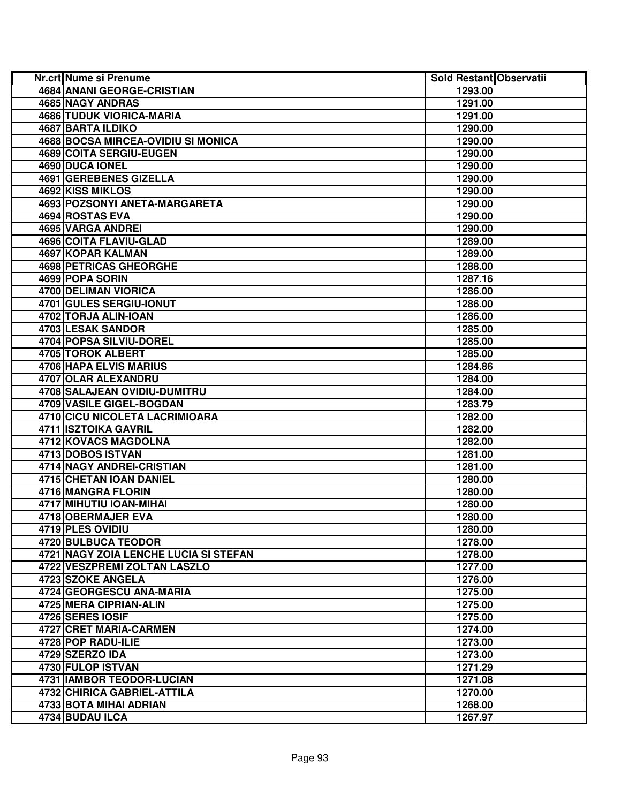| <b>Nr.crt Nume si Prenume</b>             | Sold Restant Observatii |  |
|-------------------------------------------|-------------------------|--|
| 4684 ANANI GEORGE-CRISTIAN                | 1293.00                 |  |
| <b>4685 NAGY ANDRAS</b>                   | 1291.00                 |  |
| 4686 TUDUK VIORICA-MARIA                  | 1291.00                 |  |
| 4687 BARTA ILDIKO                         | 1290.00                 |  |
| <b>4688 BOCSA MIRCEA-OVIDIU SI MONICA</b> | 1290.00                 |  |
| 4689 COITA SERGIU-EUGEN                   | 1290.00                 |  |
| 4690 DUCA IONEL                           | 1290.00                 |  |
| 4691 GEREBENES GIZELLA                    | 1290.00                 |  |
| 4692 KISS MIKLOS                          | 1290.00                 |  |
| 4693 POZSONYI ANETA-MARGARETA             | 1290.00                 |  |
| 4694 ROSTAS EVA                           | 1290.00                 |  |
| 4695 VARGA ANDREI                         | 1290.00                 |  |
| 4696 COITA FLAVIU-GLAD                    | 1289.00                 |  |
| 4697 KOPAR KALMAN                         | 1289.00                 |  |
| 4698 PETRICAS GHEORGHE                    | 1288.00                 |  |
| 4699 POPA SORIN                           | 1287.16                 |  |
| 4700 DELIMAN VIORICA                      | 1286.00                 |  |
| 4701 GULES SERGIU-IONUT                   | 1286.00                 |  |
| 4702 TORJA ALIN-IOAN                      | 1286.00                 |  |
| 4703 LESAK SANDOR                         | 1285.00                 |  |
| 4704 POPSA SILVIU-DOREL                   | 1285.00                 |  |
| 4705 TOROK ALBERT                         | 1285.00                 |  |
| <b>4706 HAPA ELVIS MARIUS</b>             | 1284.86                 |  |
| 4707 OLAR ALEXANDRU                       | 1284.00                 |  |
| 4708 SALAJEAN OVIDIU-DUMITRU              | 1284.00                 |  |
| 4709 VASILE GIGEL-BOGDAN                  | 1283.79                 |  |
| 4710 CICU NICOLETA LACRIMIOARA            | 1282.00                 |  |
| <b>4711 ISZTOIKA GAVRIL</b>               | 1282.00                 |  |
| 4712 KOVACS MAGDOLNA                      | 1282.00                 |  |
| 4713 DOBOS ISTVAN                         | 1281.00                 |  |
| 4714 NAGY ANDREI-CRISTIAN                 | 1281.00                 |  |
| 4715 CHETAN IOAN DANIEL                   | 1280.00                 |  |
| 4716 MANGRA FLORIN                        | 1280.00                 |  |
| 4717 MIHUTIU IOAN-MIHAI                   | 1280.00                 |  |
| 4718 OBERMAJER EVA                        | 1280.00                 |  |
| 4719 PLES OVIDIU                          | 1280.00                 |  |
| 4720 BULBUCA TEODOR                       | 1278.00                 |  |
| 4721 NAGY ZOIA LENCHE LUCIA SI STEFAN     | 1278.00                 |  |
| 4722 VESZPREMI ZOLTAN LASZLO              | 1277.00                 |  |
| 4723 SZOKE ANGELA                         | 1276.00                 |  |
| 4724 GEORGESCU ANA-MARIA                  | 1275.00                 |  |
| 4725 MERA CIPRIAN-ALIN                    | 1275.00                 |  |
| 4726 SERES IOSIF                          | 1275.00                 |  |
| 4727 CRET MARIA-CARMEN                    | 1274.00                 |  |
| 4728 POP RADU-ILIE                        | 1273.00                 |  |
| 4729 SZERZO IDA                           | 1273.00                 |  |
| 4730 FULOP ISTVAN                         | 1271.29                 |  |
| <b>4731 IAMBOR TEODOR-LUCIAN</b>          | 1271.08                 |  |
| 4732 CHIRICA GABRIEL-ATTILA               | 1270.00                 |  |
| <b>4733 BOTA MIHAI ADRIAN</b>             | 1268.00                 |  |
| 4734 BUDAU ILCA                           | 1267.97                 |  |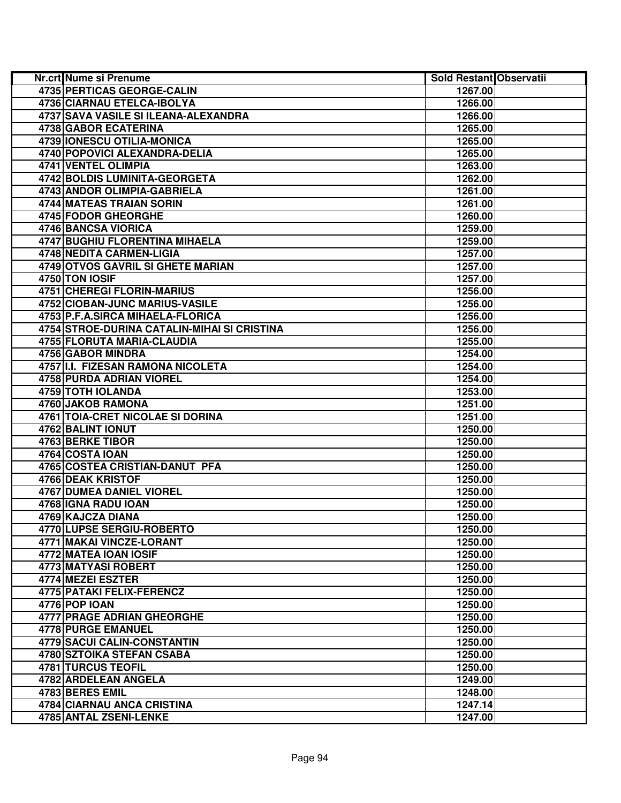| Nr.crt Nume si Prenume                      | Sold Restant Observatii |  |
|---------------------------------------------|-------------------------|--|
| <b>4735 PERTICAS GEORGE-CALIN</b>           | 1267.00                 |  |
| 4736 CIARNAU ETELCA-IBOLYA                  | 1266.00                 |  |
| 4737 SAVA VASILE SI ILEANA-ALEXANDRA        | 1266.00                 |  |
| 4738 GABOR ECATERINA                        | 1265.00                 |  |
| 4739 IONESCU OTILIA-MONICA                  | 1265.00                 |  |
| 4740 POPOVICI ALEXANDRA-DELIA               | 1265.00                 |  |
| 4741 VENTEL OLIMPIA                         | 1263.00                 |  |
| 4742 BOLDIS LUMINITA-GEORGETA               | 1262.00                 |  |
| 4743 ANDOR OLIMPIA-GABRIELA                 | 1261.00                 |  |
| 4744 MATEAS TRAIAN SORIN                    | 1261.00                 |  |
| 4745 FODOR GHEORGHE                         | 1260.00                 |  |
| 4746 BANCSA VIORICA                         | 1259.00                 |  |
| 4747 BUGHIU FLORENTINA MIHAELA              | 1259.00                 |  |
| 4748 NEDITA CARMEN-LIGIA                    | 1257.00                 |  |
| 4749 OTVOS GAVRIL SI GHETE MARIAN           | 1257.00                 |  |
| 4750 TON IOSIF                              | 1257.00                 |  |
| <b>4751 CHEREGI FLORIN-MARIUS</b>           | 1256.00                 |  |
| 4752 CIOBAN-JUNC MARIUS-VASILE              | 1256.00                 |  |
| 4753 P.F.A.SIRCA MIHAELA-FLORICA            | 1256.00                 |  |
| 4754 STROE-DURINA CATALIN-MIHAI SI CRISTINA | 1256.00                 |  |
| 4755 FLORUTA MARIA-CLAUDIA                  | 1255.00                 |  |
| 4756 GABOR MINDRA                           | 1254.00                 |  |
| 4757 I.I. FIZESAN RAMONA NICOLETA           | 1254.00                 |  |
| 4758 PURDA ADRIAN VIOREL                    | 1254.00                 |  |
| <b>4759 TOTH IOLANDA</b>                    | 1253.00                 |  |
| 4760 JAKOB RAMONA                           | 1251.00                 |  |
| 4761 TOIA-CRET NICOLAE SI DORINA            | 1251.00                 |  |
| 4762 BALINT IONUT                           | 1250.00                 |  |
| 4763 BERKE TIBOR                            | 1250.00                 |  |
| 4764 COSTA IOAN                             | 1250.00                 |  |
| 4765 COSTEA CRISTIAN-DANUT PFA              | 1250.00                 |  |
| 4766 DEAK KRISTOF                           | 1250.00                 |  |
| 4767 DUMEA DANIEL VIOREL                    | 1250.00                 |  |
| 4768 IGNA RADU IOAN                         | 1250.00                 |  |
| 4769 KAJCZA DIANA                           | 1250.00                 |  |
| <b>4770 LUPSE SERGIU-ROBERTO</b>            | 1250.00                 |  |
| 4771 MAKAI VINCZE-LORANT                    | 1250.00                 |  |
| 4772 MATEA IOAN IOSIF                       | 1250.00                 |  |
| 4773 MATYASI ROBERT                         | 1250.00                 |  |
| 4774 MEZEI ESZTER                           | 1250.00                 |  |
| 4775 PATAKI FELIX-FERENCZ                   | 1250.00                 |  |
| 4776 POP IOAN                               | 1250.00                 |  |
| <b>4777 PRAGE ADRIAN GHEORGHE</b>           | 1250.00                 |  |
| 4778 PURGE EMANUEL                          | 1250.00                 |  |
| <b>4779 SACUI CALIN-CONSTANTIN</b>          | 1250.00                 |  |
| 4780 SZTOIKA STEFAN CSABA                   | 1250.00                 |  |
| <b>4781 TURCUS TEOFIL</b>                   | 1250.00                 |  |
| 4782 ARDELEAN ANGELA                        | 1249.00                 |  |
| 4783 BERES EMIL                             | 1248.00                 |  |
| <b>4784 CIARNAU ANCA CRISTINA</b>           | 1247.14                 |  |
| <b>4785 ANTAL ZSENI-LENKE</b>               | 1247.00                 |  |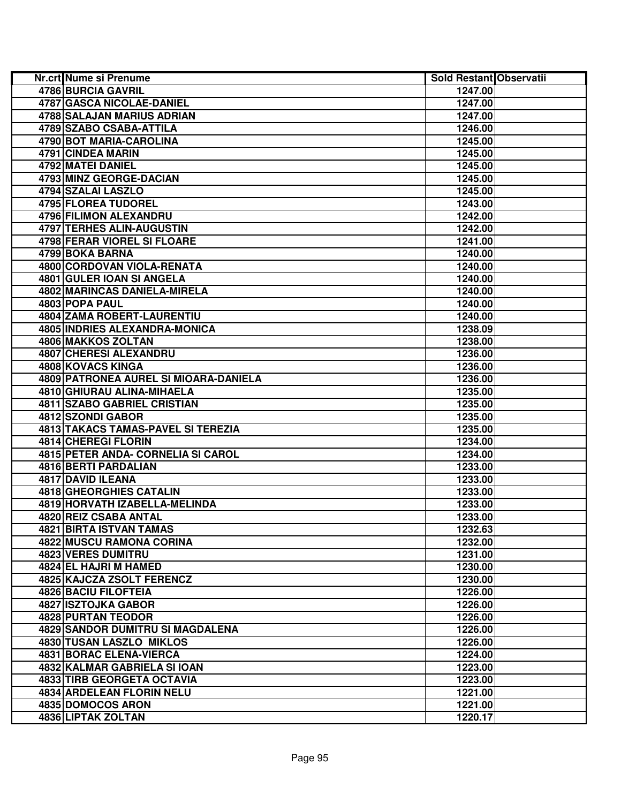| <b>Nr.crt Nume si Prenume</b>         | Sold Restant Observatii |  |
|---------------------------------------|-------------------------|--|
| 4786 BURCIA GAVRIL                    | 1247.00                 |  |
| 4787 GASCA NICOLAE-DANIEL             | 1247.00                 |  |
| 4788 SALAJAN MARIUS ADRIAN            | 1247.00                 |  |
| 4789 SZABO CSABA-ATTILA               | 1246.00                 |  |
| 4790 BOT MARIA-CAROLINA               | 1245.00                 |  |
| 4791 CINDEA MARIN                     | 1245.00                 |  |
| 4792 MATEI DANIEL                     | 1245.00                 |  |
| 4793 MINZ GEORGE-DACIAN               | 1245.00                 |  |
| 4794 SZALAI LASZLO                    | 1245.00                 |  |
| 4795 FLOREA TUDOREL                   | 1243.00                 |  |
| 4796 FILIMON ALEXANDRU                | 1242.00                 |  |
| 4797 TERHES ALIN-AUGUSTIN             | 1242.00                 |  |
| 4798 FERAR VIOREL SI FLOARE           | 1241.00                 |  |
| 4799 BOKA BARNA                       | 1240.00                 |  |
| 4800 CORDOVAN VIOLA-RENATA            | 1240.00                 |  |
| 4801 GULER IOAN SI ANGELA             | 1240.00                 |  |
| 4802 MARINCAS DANIELA-MIRELA          | 1240.00                 |  |
| 4803 POPA PAUL                        | 1240.00                 |  |
| 4804 ZAMA ROBERT-LAURENTIU            | 1240.00                 |  |
| 4805 INDRIES ALEXANDRA-MONICA         | 1238.09                 |  |
| 4806 MAKKOS ZOLTAN                    | 1238.00                 |  |
| 4807 CHERESI ALEXANDRU                | 1236.00                 |  |
| 4808 KOVACS KINGA                     | 1236.00                 |  |
| 4809 PATRONEA AUREL SI MIOARA-DANIELA | 1236.00                 |  |
| 4810 GHIURAU ALINA-MIHAELA            | 1235.00                 |  |
| <b>4811 SZABO GABRIEL CRISTIAN</b>    | 1235.00                 |  |
| 4812 SZONDI GABOR                     | 1235.00                 |  |
| 4813 TAKACS TAMAS-PAVEL SI TEREZIA    | 1235.00                 |  |
| <b>4814 CHEREGI FLORIN</b>            | 1234.00                 |  |
| 4815 PETER ANDA- CORNELIA SI CAROL    | 1234.00                 |  |
| 4816 BERTI PARDALIAN                  | 1233.00                 |  |
| 4817 DAVID ILEANA                     | 1233.00                 |  |
| 4818 GHEORGHIES CATALIN               | 1233.00                 |  |
| 4819 HORVATH IZABELLA-MELINDA         | 1233.00                 |  |
| 4820 REIZ CSABA ANTAL                 | 1233.00                 |  |
| <b>4821 BIRTA ISTVAN TAMAS</b>        | 1232.63                 |  |
| 4822 MUSCU RAMONA CORINA              | 1232.00                 |  |
| 4823 VERES DUMITRU                    | 1231.00                 |  |
| 4824 EL HAJRI M HAMED                 | 1230.00                 |  |
| 4825 KAJCZA ZSOLT FERENCZ             | 1230.00                 |  |
| <b>4826 BACIU FILOFTEIA</b>           | 1226.00                 |  |
| 4827 ISZTOJKA GABOR                   | 1226.00                 |  |
| 4828 PURTAN TEODOR                    | 1226.00                 |  |
| 4829 SANDOR DUMITRU SI MAGDALENA      | 1226.00                 |  |
| 4830 TUSAN LASZLO MIKLOS              | 1226.00                 |  |
| 4831 BORAC ELENA-VIERCA               | 1224.00                 |  |
| 4832 KALMAR GABRIELA SI IOAN          | 1223.00                 |  |
| <b>4833 TIRB GEORGETA OCTAVIA</b>     | 1223.00                 |  |
| <b>4834 ARDELEAN FLORIN NELU</b>      | 1221.00                 |  |
| 4835 DOMOCOS ARON                     | 1221.00                 |  |
| 4836 LIPTAK ZOLTAN                    | 1220.17                 |  |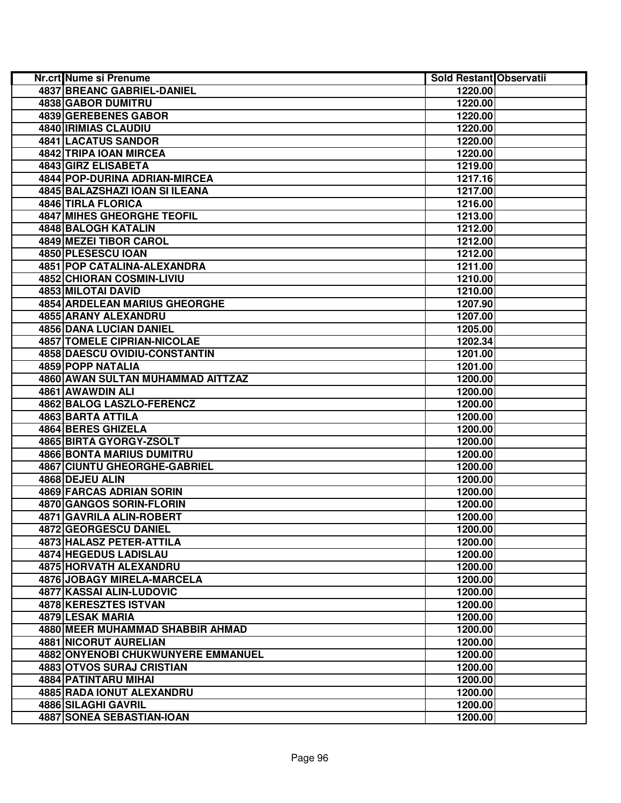| <b>Nr.crt</b> Nume si Prenume                                          | Sold Restant Observatii |  |
|------------------------------------------------------------------------|-------------------------|--|
| <b>4837 BREANC GABRIEL-DANIEL</b>                                      | 1220.00                 |  |
| <b>4838 GABOR DUMITRU</b>                                              | 1220.00                 |  |
| 4839 GEREBENES GABOR                                                   | 1220.00                 |  |
| 4840 IRIMIAS CLAUDIU                                                   | 1220.00                 |  |
| 4841 LACATUS SANDOR                                                    | 1220.00                 |  |
| 4842 TRIPA IOAN MIRCEA                                                 | 1220.00                 |  |
| 4843 GIRZ ELISABETA                                                    | 1219.00                 |  |
| 4844 POP-DURINA ADRIAN-MIRCEA                                          | 1217.16                 |  |
| 4845 BALAZSHAZI IOAN SI ILEANA                                         | 1217.00                 |  |
| 4846 TIRLA FLORICA                                                     | 1216.00                 |  |
| <b>4847 MIHES GHEORGHE TEOFIL</b>                                      | 1213.00                 |  |
| 4848 BALOGH KATALIN                                                    | 1212.00                 |  |
| 4849 MEZEI TIBOR CAROL                                                 | 1212.00                 |  |
| 4850 PLESESCU IOAN                                                     | 1212.00                 |  |
| 4851 POP CATALINA-ALEXANDRA                                            | 1211.00                 |  |
| 4852 CHIORAN COSMIN-LIVIU                                              | 1210.00                 |  |
| 4853 MILOTAI DAVID                                                     | 1210.00                 |  |
| <b>4854 ARDELEAN MARIUS GHEORGHE</b>                                   | 1207.90                 |  |
| 4855 ARANY ALEXANDRU                                                   | 1207.00                 |  |
| 4856 DANA LUCIAN DANIEL                                                | 1205.00                 |  |
| <b>4857 TOMELE CIPRIAN-NICOLAE</b>                                     | 1202.34                 |  |
| 4858 DAESCU OVIDIU-CONSTANTIN                                          | 1201.00                 |  |
| <b>4859 POPP NATALIA</b>                                               | 1201.00                 |  |
| 4860 AWAN SULTAN MUHAMMAD AITTZAZ                                      | 1200.00                 |  |
| 4861 AWAWDIN ALI                                                       | 1200.00                 |  |
| 4862 BALOG LASZLO-FERENCZ                                              | 1200.00                 |  |
| <b>4863 BARTA ATTILA</b>                                               | 1200.00                 |  |
| 4864 BERES GHIZELA                                                     | 1200.00                 |  |
| 4865 BIRTA GYORGY-ZSOLT                                                | 1200.00                 |  |
| <b>4866 BONTA MARIUS DUMITRU</b>                                       | 1200.00                 |  |
| <b>4867 CIUNTU GHEORGHE-GABRIEL</b>                                    | 1200.00                 |  |
| 4868 DEJEU ALIN                                                        | 1200.00                 |  |
| 4869 FARCAS ADRIAN SORIN                                               | 1200.00                 |  |
| 4870 GANGOS SORIN-FLORIN                                               | 1200.00                 |  |
| 4871 GAVRILA ALIN-ROBERT                                               | 1200.00                 |  |
| 4872 GEORGESCU DANIEL                                                  | 1200.00                 |  |
| 4873 HALASZ PETER-ATTILA                                               | 1200.00                 |  |
| 4874 HEGEDUS LADISLAU                                                  | 1200.00                 |  |
| 4875 HORVATH ALEXANDRU                                                 | 1200.00                 |  |
| 4876 JOBAGY MIRELA-MARCELA                                             | 1200.00                 |  |
| 4877 KASSAI ALIN-LUDOVIC                                               | 1200.00                 |  |
| 4878 KERESZTES ISTVAN                                                  | 1200.00                 |  |
| 4879 LESAK MARIA                                                       | 1200.00                 |  |
| 4880 MEER MUHAMMAD SHABBIR AHMAD                                       | 1200.00                 |  |
| <b>4881 NICORUT AURELIAN</b>                                           | 1200.00                 |  |
| 4882 ONYENOBI CHUKWUNYERE EMMANUEL<br><b>4883 OTVOS SURAJ CRISTIAN</b> | 1200.00                 |  |
| 4884 PATINTARU MIHAI                                                   | 1200.00<br>1200.00      |  |
| 4885 RADA IONUT ALEXANDRU                                              | 1200.00                 |  |
| <b>4886 SILAGHI GAVRIL</b>                                             | 1200.00                 |  |
| 4887 SONEA SEBASTIAN-IOAN                                              | 1200.00                 |  |
|                                                                        |                         |  |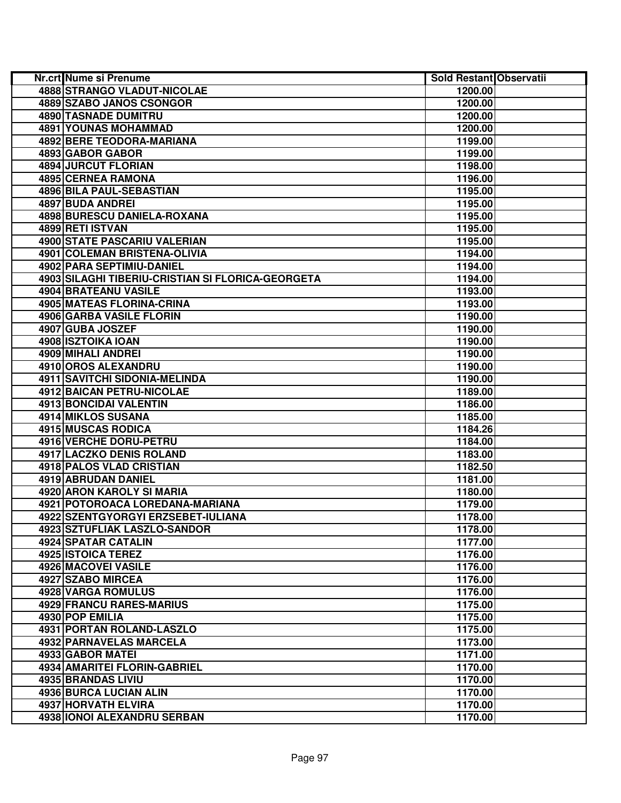| Nr.crt Nume si Prenume                            | <b>Sold Restant Observatii</b> |
|---------------------------------------------------|--------------------------------|
| <b>4888 STRANGO VLADUT-NICOLAE</b>                | 1200.00                        |
| 4889 SZABO JANOS CSONGOR                          | 1200.00                        |
| 4890 TASNADE DUMITRU                              | 1200.00                        |
| 4891 YOUNAS MOHAMMAD                              | 1200.00                        |
| <b>4892 BERE TEODORA-MARIANA</b>                  | 1199.00                        |
| 4893 GABOR GABOR                                  | 1199.00                        |
| 4894 JURCUT FLORIAN                               | 1198.00                        |
| 4895 CERNEA RAMONA                                | 1196.00                        |
| <b>4896 BILA PAUL-SEBASTIAN</b>                   | 1195.00                        |
| 4897 BUDA ANDREI                                  | 1195.00                        |
| 4898 BURESCU DANIELA-ROXANA                       | 1195.00                        |
| 4899 RETI ISTVAN                                  | 1195.00                        |
| 4900 STATE PASCARIU VALERIAN                      | 1195.00                        |
| 4901 COLEMAN BRISTENA-OLIVIA                      | 1194.00                        |
| 4902 PARA SEPTIMIU-DANIEL                         | 1194.00                        |
| 4903 SILAGHI TIBERIU-CRISTIAN SI FLORICA-GEORGETA | 1194.00                        |
| 4904 BRATEANU VASILE                              | 1193.00                        |
| 4905 MATEAS FLORINA-CRINA                         | 1193.00                        |
| 4906 GARBA VASILE FLORIN                          | 1190.00                        |
| 4907 GUBA JOSZEF                                  | 1190.00                        |
| 4908 ISZTOIKA IOAN                                | 1190.00                        |
| <b>4909 MIHALI ANDREI</b>                         | 1190.00                        |
| 4910 OROS ALEXANDRU                               | 1190.00                        |
| <b>4911 SAVITCHI SIDONIA-MELINDA</b>              | 1190.00                        |
| 4912 BAICAN PETRU-NICOLAE                         | 1189.00                        |
| <b>4913 BONCIDAI VALENTIN</b>                     | 1186.00                        |
| 4914 MIKLOS SUSANA                                | 1185.00                        |
| 4915 MUSCAS RODICA                                | 1184.26                        |
| 4916 VERCHE DORU-PETRU                            | 1184.00                        |
| 4917 LACZKO DENIS ROLAND                          | 1183.00                        |
| 4918 PALOS VLAD CRISTIAN                          | 1182.50                        |
| 4919 ABRUDAN DANIEL                               | 1181.00                        |
| 4920 ARON KAROLY SI MARIA                         | 1180.00                        |
| 4921 POTOROACA LOREDANA-MARIANA                   | 1179.00                        |
| 4922 SZENTGYORGYI ERZSEBET-IULIANA                | 1178.00                        |
| 4923 SZTUFLIAK LASZLO-SANDOR                      | 1178.00                        |
| 4924 SPATAR CATALIN                               | 1177.00                        |
| 4925 ISTOICA TEREZ                                | 1176.00                        |
| 4926 MACOVEI VASILE                               | 1176.00                        |
| 4927 SZABO MIRCEA                                 | 1176.00                        |
| 4928 VARGA ROMULUS                                | 1176.00                        |
| 4929 FRANCU RARES-MARIUS                          | 1175.00                        |
| 4930 POP EMILIA                                   | 1175.00                        |
| 4931 PORTAN ROLAND-LASZLO                         | 1175.00                        |
| 4932 PARNAVELAS MARCELA                           | 1173.00                        |
| 4933 GABOR MATEI                                  | 1171.00                        |
| <b>4934 AMARITEI FLORIN-GABRIEL</b>               | 1170.00                        |
| 4935 BRANDAS LIVIU                                | 1170.00                        |
| 4936 BURCA LUCIAN ALIN                            | 1170.00                        |
| 4937 HORVATH ELVIRA                               | 1170.00                        |
| 4938 IONOI ALEXANDRU SERBAN                       | 1170.00                        |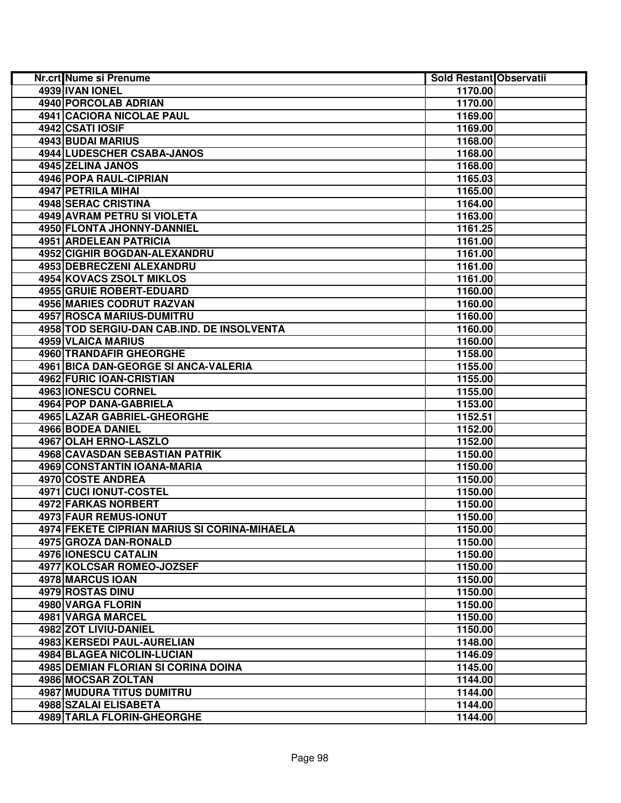| Nr.crt Nume si Prenume                       | Sold Restant Observatii |  |
|----------------------------------------------|-------------------------|--|
| 4939 IVAN IONEL                              | 1170.00                 |  |
| 4940 PORCOLAB ADRIAN                         | 1170.00                 |  |
| 4941 CACIORA NICOLAE PAUL                    | 1169.00                 |  |
| 4942 CSATI IOSIF                             | 1169.00                 |  |
| 4943 BUDAI MARIUS                            | 1168.00                 |  |
| 4944 LUDESCHER CSABA-JANOS                   | 1168.00                 |  |
| 4945 ZELINA JANOS                            | 1168.00                 |  |
| <b>4946 POPA RAUL-CIPRIAN</b>                | 1165.03                 |  |
| 4947 PETRILA MIHAI                           | 1165.00                 |  |
| 4948 SERAC CRISTINA                          | 1164.00                 |  |
| 4949 AVRAM PETRU SI VIOLETA                  | 1163.00                 |  |
| 4950 FLONTA JHONNY-DANNIEL                   | 1161.25                 |  |
| 4951 ARDELEAN PATRICIA                       | 1161.00                 |  |
| 4952 CIGHIR BOGDAN-ALEXANDRU                 | 1161.00                 |  |
| 4953 DEBRECZENI ALEXANDRU                    | 1161.00                 |  |
| 4954 KOVACS ZSOLT MIKLOS                     | 1161.00                 |  |
| 4955 GRUIE ROBERT-EDUARD                     | 1160.00                 |  |
| 4956 MARIES CODRUT RAZVAN                    | 1160.00                 |  |
| 4957 ROSCA MARIUS-DUMITRU                    | 1160.00                 |  |
| 4958 TOD SERGIU-DAN CAB.IND. DE INSOLVENTA   | 1160.00                 |  |
| 4959 VLAICA MARIUS                           | 1160.00                 |  |
| 4960 TRANDAFIR GHEORGHE                      | 1158.00                 |  |
| 4961 BICA DAN-GEORGE SI ANCA-VALERIA         | 1155.00                 |  |
| 4962 FURIC IOAN-CRISTIAN                     | 1155.00                 |  |
| 4963 IONESCU CORNEL                          | 1155.00                 |  |
| <b>4964 POP DANA-GABRIELA</b>                | 1153.00                 |  |
| <b>4965 LAZAR GABRIEL-GHEORGHE</b>           | 1152.51                 |  |
| 4966 BODEA DANIEL                            | 1152.00                 |  |
| 4967 OLAH ERNO-LASZLO                        | 1152.00                 |  |
| 4968 CAVASDAN SEBASTIAN PATRIK               | 1150.00                 |  |
| 4969 CONSTANTIN IOANA-MARIA                  | 1150.00                 |  |
| 4970 COSTE ANDREA                            | 1150.00                 |  |
| 4971 CUCI IONUT-COSTEL                       | 1150.00                 |  |
| 4972 FARKAS NORBERT                          | 1150.00                 |  |
| 4973 FAUR REMUS-IONUT                        | 1150.00                 |  |
| 4974 FEKETE CIPRIAN MARIUS SI CORINA-MIHAELA | 1150.00                 |  |
| 4975 GROZA DAN-RONALD                        | 1150.00                 |  |
| 4976 IONESCU CATALIN                         | 1150.00                 |  |
| 4977 KOLCSAR ROMEO-JOZSEF                    | 1150.00                 |  |
| 4978 MARCUS IOAN                             | 1150.00                 |  |
| 4979 ROSTAS DINU                             | 1150.00                 |  |
| 4980 VARGA FLORIN                            | 1150.00                 |  |
| 4981 VARGA MARCEL                            | 1150.00                 |  |
| 4982 ZOT LIVIU-DANIEL                        | 1150.00                 |  |
| 4983 KERSEDI PAUL-AURELIAN                   | 1148.00                 |  |
| 4984 BLAGEA NICOLIN-LUCIAN                   | 1146.09                 |  |
| 4985 DEMIAN FLORIAN SI CORINA DOINA          | 1145.00                 |  |
| 4986 MOCSAR ZOLTAN                           | 1144.00                 |  |
| 4987 MUDURA TITUS DUMITRU                    | 1144.00                 |  |
| <b>4988 SZALAI ELISABETA</b>                 | 1144.00                 |  |
| <b>4989 TARLA FLORIN-GHEORGHE</b>            | 1144.00                 |  |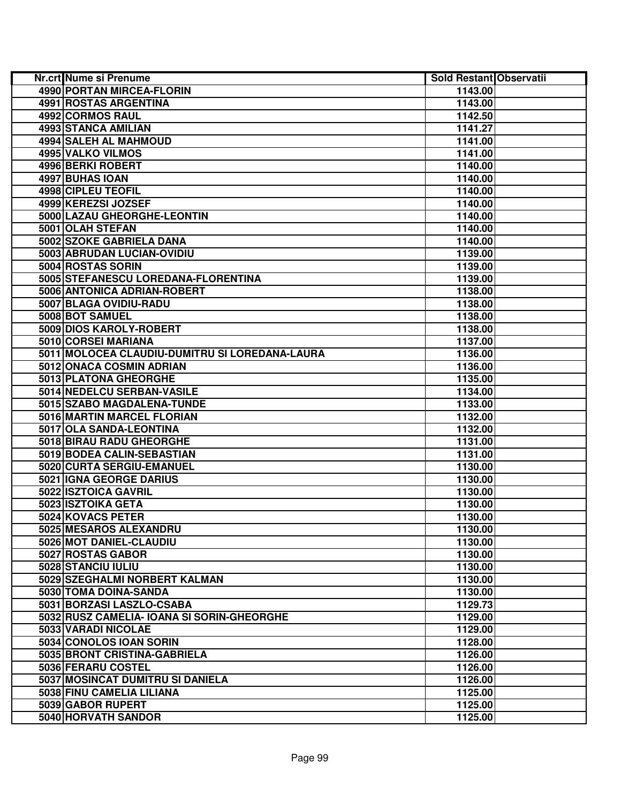| Nr.crt Nume si Prenume                         | <b>Sold Restant Observatii</b> |
|------------------------------------------------|--------------------------------|
| 4990 PORTAN MIRCEA-FLORIN                      | 1143.00                        |
| 4991 ROSTAS ARGENTINA                          | 1143.00                        |
| 4992 CORMOS RAUL                               | 1142.50                        |
| 4993 STANCA AMILIAN                            | 1141.27                        |
| 4994 SALEH AL MAHMOUD                          | 1141.00                        |
| 4995 VALKO VILMOS                              | 1141.00                        |
| 4996 BERKI ROBERT                              | 1140.00                        |
| 4997 BUHAS IOAN                                | 1140.00                        |
| 4998 CIPLEU TEOFIL                             | 1140.00                        |
| 4999 KEREZSI JOZSEF                            | 1140.00                        |
| 5000 LAZAU GHEORGHE-LEONTIN                    | 1140.00                        |
| 5001 OLAH STEFAN                               | 1140.00                        |
| 5002 SZOKE GABRIELA DANA                       | 1140.00                        |
| 5003 ABRUDAN LUCIAN-OVIDIU                     | 1139.00                        |
| 5004 ROSTAS SORIN                              | 1139.00                        |
| 5005 STEFANESCU LOREDANA-FLORENTINA            | 1139.00                        |
| 5006 ANTONICA ADRIAN-ROBERT                    | 1138.00                        |
| 5007 BLAGA OVIDIU-RADU                         | 1138.00                        |
| 5008 BOT SAMUEL                                | 1138.00                        |
| 5009 DIOS KAROLY-ROBERT                        | 1138.00                        |
| 5010 CORSEI MARIANA                            | 1137.00                        |
| 5011 MOLOCEA CLAUDIU-DUMITRU SI LOREDANA-LAURA | 1136.00                        |
| 5012 ONACA COSMIN ADRIAN                       | 1136.00                        |
| 5013 PLATONA GHEORGHE                          | 1135.00                        |
| 5014 NEDELCU SERBAN-VASILE                     | 1134.00                        |
| 5015 SZABO MAGDALENA-TUNDE                     | 1133.00                        |
| 5016 MARTIN MARCEL FLORIAN                     | 1132.00                        |
| 5017 OLA SANDA-LEONTINA                        | 1132.00                        |
| 5018 BIRAU RADU GHEORGHE                       | 1131.00                        |
| 5019 BODEA CALIN-SEBASTIAN                     | 1131.00                        |
| 5020 CURTA SERGIU-EMANUEL                      | 1130.00                        |
| 5021 IGNA GEORGE DARIUS                        | 1130.00                        |
| 5022 ISZTOICA GAVRIL                           | 1130.00                        |
| 5023 ISZTOIKA GETA                             | 1130.00                        |
| 5024 KOVACS PETER                              | 1130.00                        |
| 5025 MESAROS ALEXANDRU                         | 1130.00                        |
| 5026 MOT DANIEL-CLAUDIU                        | 1130.00                        |
| 5027 ROSTAS GABOR                              | 1130.00                        |
| 5028 STANCIU IULIU                             | 1130.00                        |
| 5029 SZEGHALMI NORBERT KALMAN                  | 1130.00                        |
| 5030 TOMA DOINA-SANDA                          | 1130.00                        |
| 5031 BORZASI LASZLO-CSABA                      | 1129.73                        |
| 5032 RUSZ CAMELIA- IOANA SI SORIN-GHEORGHE     | 1129.00                        |
| 5033 VARADI NICOLAE                            | 1129.00                        |
| 5034 CONOLOS IOAN SORIN                        | 1128.00                        |
| 5035 BRONT CRISTINA-GABRIELA                   | 1126.00                        |
| 5036 FERARU COSTEL                             | 1126.00                        |
| 5037 MOSINCAT DUMITRU SI DANIELA               | 1126.00                        |
| 5038 FINU CAMELIA LILIANA                      | 1125.00                        |
| 5039 GABOR RUPERT                              | 1125.00                        |
| 5040 HORVATH SANDOR                            | 1125.00                        |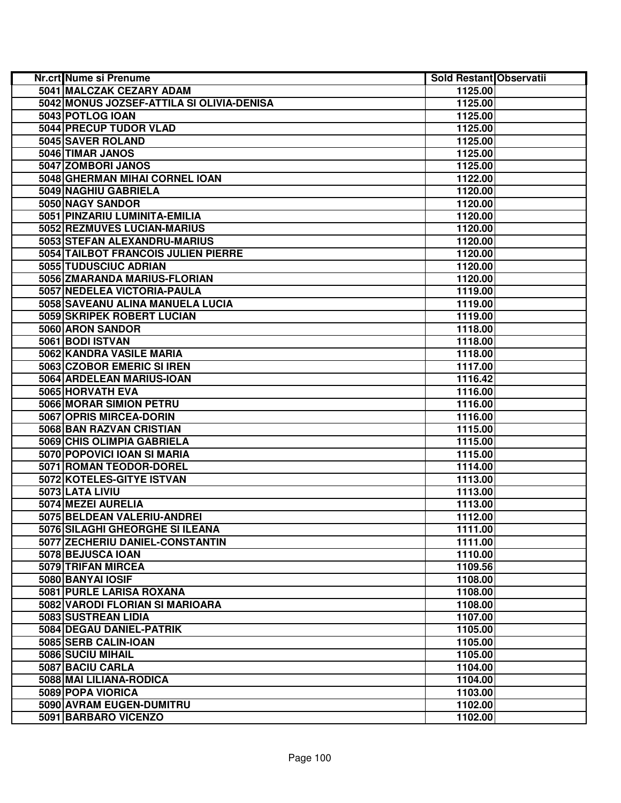| Nr.crt Nume si Prenume                    | Sold Restant Observatii |  |
|-------------------------------------------|-------------------------|--|
| 5041 MALCZAK CEZARY ADAM                  | 1125.00                 |  |
| 5042 MONUS JOZSEF-ATTILA SI OLIVIA-DENISA | 1125.00                 |  |
| 5043 POTLOG IOAN                          | 1125.00                 |  |
| 5044 PRECUP TUDOR VLAD                    | 1125.00                 |  |
| 5045 SAVER ROLAND                         | 1125.00                 |  |
| 5046 TIMAR JANOS                          | 1125.00                 |  |
| 5047 ZOMBORI JANOS                        | 1125.00                 |  |
| 5048 GHERMAN MIHAI CORNEL IOAN            | 1122.00                 |  |
| 5049 NAGHIU GABRIELA                      | 1120.00                 |  |
| 5050 NAGY SANDOR                          | 1120.00                 |  |
| 5051 PINZARIU LUMINITA-EMILIA             | 1120.00                 |  |
| 5052 REZMUVES LUCIAN-MARIUS               | 1120.00                 |  |
| 5053 STEFAN ALEXANDRU-MARIUS              | 1120.00                 |  |
| 5054 TAILBOT FRANCOIS JULIEN PIERRE       | 1120.00                 |  |
| 5055 TUDUSCIUC ADRIAN                     | 1120.00                 |  |
| 5056 ZMARANDA MARIUS-FLORIAN              | 1120.00                 |  |
| 5057 NEDELEA VICTORIA-PAULA               | 1119.00                 |  |
| 5058 SAVEANU ALINA MANUELA LUCIA          | 1119.00                 |  |
| 5059 SKRIPEK ROBERT LUCIAN                | 1119.00                 |  |
| 5060 ARON SANDOR                          | 1118.00                 |  |
| 5061 BODI ISTVAN                          | 1118.00                 |  |
| 5062 KANDRA VASILE MARIA                  | 1118.00                 |  |
| 5063 CZOBOR EMERIC SI IREN                | 1117.00                 |  |
| 5064 ARDELEAN MARIUS-IOAN                 | 1116.42                 |  |
| 5065 HORVATH EVA                          | 1116.00                 |  |
| 5066 MORAR SIMION PETRU                   | 1116.00                 |  |
| 5067 OPRIS MIRCEA-DORIN                   | 1116.00                 |  |
| 5068 BAN RAZVAN CRISTIAN                  | 1115.00                 |  |
| 5069 CHIS OLIMPIA GABRIELA                | 1115.00                 |  |
| 5070 POPOVICI IOAN SI MARIA               | 1115.00                 |  |
| 5071 ROMAN TEODOR-DOREL                   | 1114.00                 |  |
| 5072 KOTELES-GITYE ISTVAN                 | 1113.00                 |  |
| 5073 LATA LIVIU                           | 1113.00                 |  |
| 5074 MEZEI AURELIA                        | 1113.00                 |  |
| 5075 BELDEAN VALERIU-ANDREI               | 1112.00                 |  |
| 5076 SILAGHI GHEORGHE SI ILEANA           | 1111.00                 |  |
| 5077 ZECHERIU DANIEL-CONSTANTIN           | 1111.00                 |  |
| 5078 BEJUSCA IOAN                         | 1110.00                 |  |
| 5079 TRIFAN MIRCEA                        | 1109.56                 |  |
| 5080 BANYAI IOSIF                         | 1108.00                 |  |
| 5081 PURLE LARISA ROXANA                  | 1108.00                 |  |
| 5082 VARODI FLORIAN SI MARIOARA           | 1108.00                 |  |
| 5083 SUSTREAN LIDIA                       | 1107.00                 |  |
| 5084 DEGAU DANIEL-PATRIK                  | 1105.00                 |  |
| 5085 SERB CALIN-IOAN                      | 1105.00                 |  |
| 5086 SUCIU MIHAIL                         | 1105.00                 |  |
| 5087 BACIU CARLA                          | 1104.00                 |  |
| 5088 MAI LILIANA-RODICA                   | 1104.00                 |  |
| 5089 POPA VIORICA                         | 1103.00                 |  |
| 5090 AVRAM EUGEN-DUMITRU                  | 1102.00                 |  |
| 5091 BARBARO VICENZO                      | 1102.00                 |  |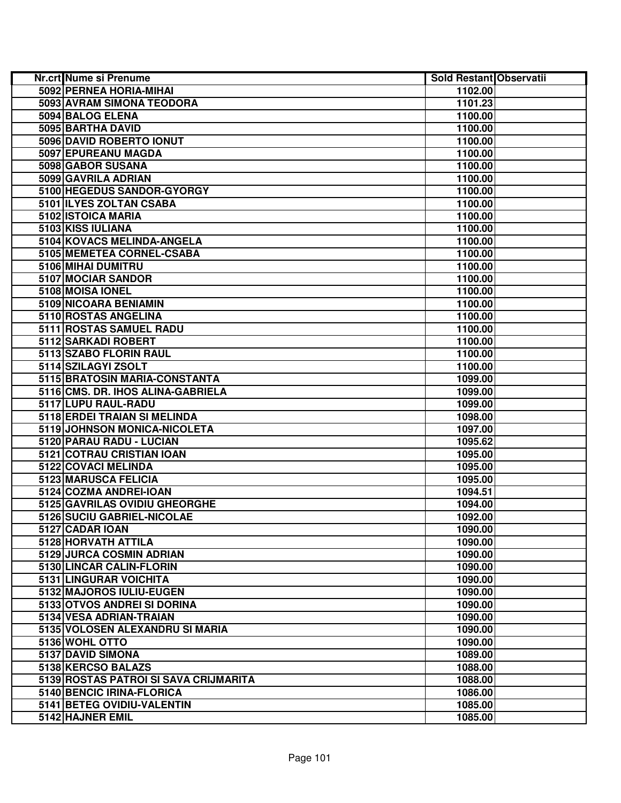| Nr.crt Nume si Prenume                             | Sold Restant Observatii |  |
|----------------------------------------------------|-------------------------|--|
| 5092 PERNEA HORIA-MIHAI                            | 1102.00                 |  |
| <b>5093 AVRAM SIMONA TEODORA</b>                   | 1101.23                 |  |
| 5094 BALOG ELENA                                   | 1100.00                 |  |
| 5095 BARTHA DAVID                                  | 1100.00                 |  |
| 5096 DAVID ROBERTO IONUT                           | 1100.00                 |  |
| 5097 EPUREANU MAGDA                                | 1100.00                 |  |
| 5098 GABOR SUSANA                                  | 1100.00                 |  |
| 5099 GAVRILA ADRIAN                                | 1100.00                 |  |
| 5100 HEGEDUS SANDOR-GYORGY                         | 1100.00                 |  |
| 5101 ILYES ZOLTAN CSABA                            | 1100.00                 |  |
| 5102 ISTOICA MARIA                                 | 1100.00                 |  |
| 5103 KISS IULIANA                                  | 1100.00                 |  |
| 5104 KOVACS MELINDA-ANGELA                         | 1100.00                 |  |
| 5105 MEMETEA CORNEL-CSABA                          | 1100.00                 |  |
| 5106 MIHAI DUMITRU                                 | 1100.00                 |  |
| 5107 MOCIAR SANDOR                                 | 1100.00                 |  |
| 5108 MOISA IONEL                                   | 1100.00                 |  |
| 5109 NICOARA BENIAMIN                              | 1100.00                 |  |
| 5110 ROSTAS ANGELINA                               | 1100.00                 |  |
| 5111 ROSTAS SAMUEL RADU                            | 1100.00                 |  |
| 5112 SARKADI ROBERT                                | 1100.00                 |  |
| 5113 SZABO FLORIN RAUL                             | 1100.00                 |  |
| 5114 SZILAGYI ZSOLT                                | 1100.00                 |  |
| 5115 BRATOSIN MARIA-CONSTANTA                      | 1099.00                 |  |
| 5116 CMS. DR. IHOS ALINA-GABRIELA                  | 1099.00                 |  |
| 5117 LUPU RAUL-RADU                                | 1099.00                 |  |
| 5118 ERDEI TRAIAN SI MELINDA                       | 1098.00                 |  |
| 5119 JOHNSON MONICA-NICOLETA                       | 1097.00                 |  |
| 5120 PARAU RADU - LUCIAN                           | 1095.62                 |  |
| 5121 COTRAU CRISTIAN IOAN                          | 1095.00                 |  |
| 5122 COVACI MELINDA                                | 1095.00                 |  |
| 5123 MARUSCA FELICIA                               | 1095.00                 |  |
| 5124 COZMA ANDREI-IOAN                             | 1094.51                 |  |
| 5125 GAVRILAS OVIDIU GHEORGHE                      | 1094.00                 |  |
| 5126 SUCIU GABRIEL-NICOLAE                         | 1092.00                 |  |
| 5127 CADAR IOAN                                    | 1090.00                 |  |
| 5128 HORVATH ATTILA                                | 1090.00                 |  |
| 5129 JURCA COSMIN ADRIAN                           | 1090.00                 |  |
| 5130 LINCAR CALIN-FLORIN<br>5131 LINGURAR VOICHITA | 1090.00<br>1090.00      |  |
| 5132 MAJOROS IULIU-EUGEN                           | 1090.00                 |  |
| 5133 OTVOS ANDREI SI DORINA                        |                         |  |
| 5134 VESA ADRIAN-TRAIAN                            | 1090.00<br>1090.00      |  |
| 5135 VOLOSEN ALEXANDRU SI MARIA                    | 1090.00                 |  |
| 5136 WOHL OTTO                                     | 1090.00                 |  |
| 5137 DAVID SIMONA                                  | 1089.00                 |  |
| 5138 KERCSO BALAZS                                 | 1088.00                 |  |
| 5139 ROSTAS PATROI SI SAVA CRIJMARITA              | 1088.00                 |  |
| 5140 BENCIC IRINA-FLORICA                          | 1086.00                 |  |
| 5141 BETEG OVIDIU-VALENTIN                         | 1085.00                 |  |
| 5142 HAJNER EMIL                                   | 1085.00                 |  |
|                                                    |                         |  |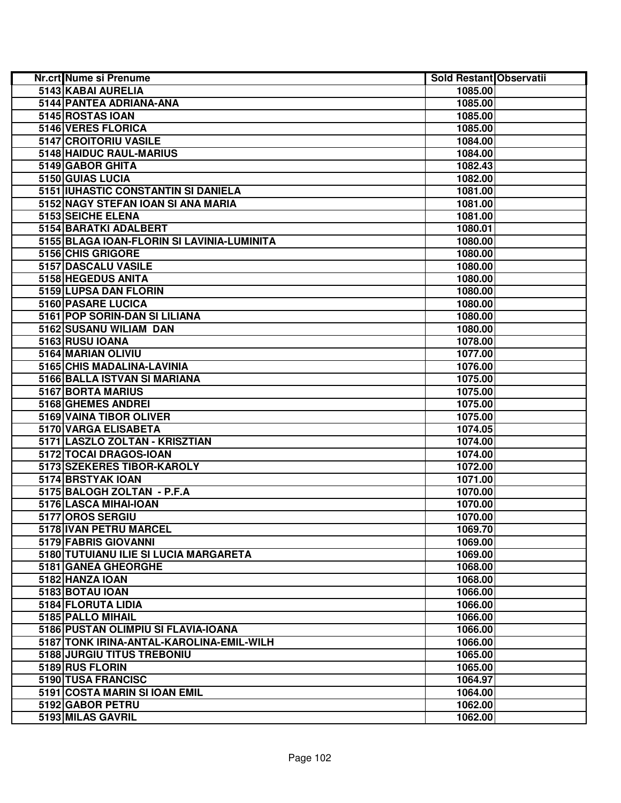| Nr.crt Nume si Prenume                     | Sold Restant Observatii |  |
|--------------------------------------------|-------------------------|--|
| 5143 KABAI AURELIA                         | 1085.00                 |  |
| 5144 PANTEA ADRIANA-ANA                    | 1085.00                 |  |
| 5145 ROSTAS IOAN                           | 1085.00                 |  |
| 5146 VERES FLORICA                         | 1085.00                 |  |
| 5147 CROITORIU VASILE                      | 1084.00                 |  |
| 5148 HAIDUC RAUL-MARIUS                    | 1084.00                 |  |
| 5149 GABOR GHITA                           | 1082.43                 |  |
| 5150 GUIAS LUCIA                           | 1082.00                 |  |
| 5151 IUHASTIC CONSTANTIN SI DANIELA        | 1081.00                 |  |
| 5152 NAGY STEFAN IOAN SI ANA MARIA         | 1081.00                 |  |
| 5153 SEICHE ELENA                          | 1081.00                 |  |
| 5154 BARATKI ADALBERT                      | 1080.01                 |  |
| 5155 BLAGA IOAN-FLORIN SI LAVINIA-LUMINITA | 1080.00                 |  |
| 5156 CHIS GRIGORE                          | 1080.00                 |  |
| 5157 DASCALU VASILE                        | 1080.00                 |  |
| 5158 HEGEDUS ANITA                         | 1080.00                 |  |
| 5159 LUPSA DAN FLORIN                      | 1080.00                 |  |
| 5160 PASARE LUCICA                         | 1080.00                 |  |
| 5161 POP SORIN-DAN SI LILIANA              | 1080.00                 |  |
| 5162 SUSANU WILIAM DAN                     | 1080.00                 |  |
| 5163 RUSU IOANA                            | 1078.00                 |  |
| 5164 MARIAN OLIVIU                         | 1077.00                 |  |
| 5165 CHIS MADALINA-LAVINIA                 | 1076.00                 |  |
| 5166 BALLA ISTVAN SI MARIANA               | 1075.00                 |  |
| 5167 BORTA MARIUS                          | 1075.00                 |  |
| 5168 GHEMES ANDREI                         | 1075.00                 |  |
| 5169 VAINA TIBOR OLIVER                    | 1075.00                 |  |
| 5170 VARGA ELISABETA                       | 1074.05                 |  |
| 5171 LASZLO ZOLTAN - KRISZTIAN             | 1074.00                 |  |
| 5172 TOCAI DRAGOS-IOAN                     | 1074.00                 |  |
| 5173 SZEKERES TIBOR-KAROLY                 | 1072.00                 |  |
| 5174 BRSTYAK IOAN                          | 1071.00                 |  |
| 5175 BALOGH ZOLTAN - P.F.A                 | 1070.00                 |  |
| 5176 LASCA MIHAI-IOAN                      | 1070.00                 |  |
| 5177 OROS SERGIU                           | 1070.00                 |  |
| 5178 IVAN PETRU MARCEL                     | 1069.70                 |  |
| 5179 FABRIS GIOVANNI                       | 1069.00                 |  |
| 5180 TUTUIANU ILIE SI LUCIA MARGARETA      | 1069.00                 |  |
| 5181 GANEA GHEORGHE                        | 1068.00                 |  |
| 5182 HANZA IOAN                            | 1068.00                 |  |
| 5183 BOTAU IOAN                            | 1066.00                 |  |
| 5184 FLORUTA LIDIA                         | 1066.00                 |  |
| 5185 PALLO MIHAIL                          | 1066.00                 |  |
| 5186 PUSTAN OLIMPIU SI FLAVIA-IOANA        | 1066.00                 |  |
| 5187 TONK IRINA-ANTAL-KAROLINA-EMIL-WILH   | 1066.00                 |  |
| 5188 JURGIU TITUS TREBONIU                 | 1065.00                 |  |
| 5189 RUS FLORIN                            | 1065.00                 |  |
| 5190 TUSA FRANCISC                         | 1064.97                 |  |
| 5191 COSTA MARIN SI IOAN EMIL              | 1064.00                 |  |
| 5192 GABOR PETRU                           | 1062.00                 |  |
| 5193 MILAS GAVRIL                          | 1062.00                 |  |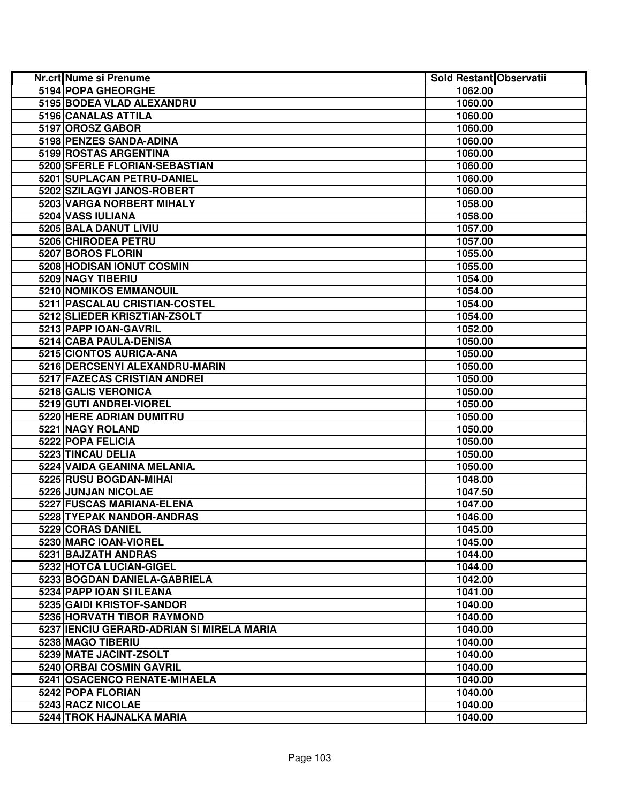| <b>Nr.crt</b> Nume si Prenume               | Sold Restant Observatii |  |
|---------------------------------------------|-------------------------|--|
| 5194 POPA GHEORGHE                          | 1062.00                 |  |
| 5195 BODEA VLAD ALEXANDRU                   | 1060.00                 |  |
| 5196 CANALAS ATTILA                         | 1060.00                 |  |
| 5197 OROSZ GABOR                            | 1060.00                 |  |
| 5198 PENZES SANDA-ADINA                     | 1060.00                 |  |
| 5199 ROSTAS ARGENTINA                       | 1060.00                 |  |
| 5200 SFERLE FLORIAN-SEBASTIAN               | 1060.00                 |  |
| 5201 SUPLACAN PETRU-DANIEL                  | 1060.00                 |  |
| 5202 SZILAGYI JANOS-ROBERT                  | 1060.00                 |  |
| 5203 VARGA NORBERT MIHALY                   | 1058.00                 |  |
| 5204 VASS IULIANA                           | 1058.00                 |  |
| 5205 BALA DANUT LIVIU                       | 1057.00                 |  |
| 5206 CHIRODEA PETRU                         | 1057.00                 |  |
| 5207 BOROS FLORIN                           | 1055.00                 |  |
| 5208 HODISAN IONUT COSMIN                   | 1055.00                 |  |
| 5209 NAGY TIBERIU                           | 1054.00                 |  |
| 5210 NOMIKOS EMMANOUIL                      | 1054.00                 |  |
| 5211 PASCALAU CRISTIAN-COSTEL               | 1054.00                 |  |
| 5212 SLIEDER KRISZTIAN-ZSOLT                | 1054.00                 |  |
| 5213 PAPP IOAN-GAVRIL                       | 1052.00                 |  |
| 5214 CABA PAULA-DENISA                      | 1050.00                 |  |
| 5215 CIONTOS AURICA-ANA                     | 1050.00                 |  |
| 5216 DERCSENYI ALEXANDRU-MARIN              | 1050.00                 |  |
| 5217 FAZECAS CRISTIAN ANDREI                | 1050.00                 |  |
| 5218 GALIS VERONICA                         | 1050.00                 |  |
| 5219 GUTI ANDREI-VIOREL                     | 1050.00                 |  |
| 5220 HERE ADRIAN DUMITRU                    | 1050.00                 |  |
| 5221 NAGY ROLAND                            | 1050.00                 |  |
| 5222 POPA FELICIA                           | 1050.00                 |  |
| 5223 TINCAU DELIA                           | 1050.00                 |  |
| 5224 VAIDA GEANINA MELANIA.                 | 1050.00                 |  |
| 5225 RUSU BOGDAN-MIHAI                      | 1048.00                 |  |
| 5226 JUNJAN NICOLAE                         | 1047.50                 |  |
| 5227 FUSCAS MARIANA-ELENA                   | 1047.00                 |  |
| 5228 TYEPAK NANDOR-ANDRAS                   | 1046.00                 |  |
| 5229 CORAS DANIEL                           | 1045.00                 |  |
| 5230 MARC IOAN-VIOREL                       | 1045.00                 |  |
| 5231 BAJZATH ANDRAS                         | 1044.00                 |  |
| 5232 HOTCA LUCIAN-GIGEL                     | 1044.00                 |  |
| 5233 BOGDAN DANIELA-GABRIELA                | 1042.00                 |  |
| 5234 PAPP IOAN SI ILEANA                    | 1041.00                 |  |
| 5235 GAIDI KRISTOF-SANDOR                   | 1040.00                 |  |
| 5236 HORVATH TIBOR RAYMOND                  | 1040.00                 |  |
| 5237   IENCIU GERARD-ADRIAN SI MIRELA MARIA | 1040.00                 |  |
| 5238 MAGO TIBERIU                           | 1040.00                 |  |
| 5239 MATE JACINT-ZSOLT                      | 1040.00                 |  |
| 5240 ORBAI COSMIN GAVRIL                    | 1040.00                 |  |
| 5241 OSACENCO RENATE-MIHAELA                | 1040.00                 |  |
| 5242 POPA FLORIAN                           | 1040.00                 |  |
| 5243 RACZ NICOLAE                           | 1040.00                 |  |
| 5244 TROK HAJNALKA MARIA                    | 1040.00                 |  |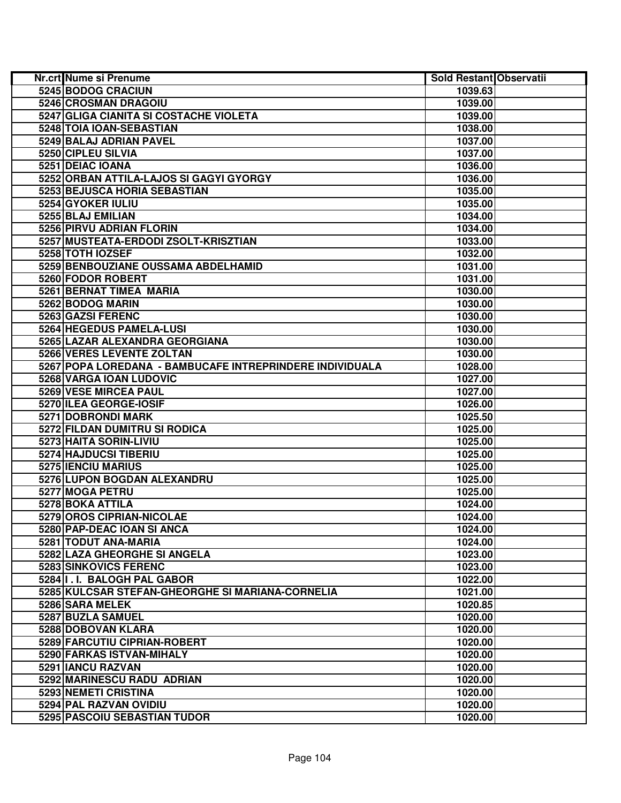| Nr.crt Nume si Prenume                                   | Sold Restant Observatii |  |
|----------------------------------------------------------|-------------------------|--|
| 5245 BODOG CRACIUN                                       | 1039.63                 |  |
| 5246 CROSMAN DRAGOIU                                     | 1039.00                 |  |
| 5247 GLIGA CIANITA SI COSTACHE VIOLETA                   | 1039.00                 |  |
| 5248 TOIA IOAN-SEBASTIAN                                 | 1038.00                 |  |
| 5249 BALAJ ADRIAN PAVEL                                  | 1037.00                 |  |
| 5250 CIPLEU SILVIA                                       | 1037.00                 |  |
| 5251 DEIAC IOANA                                         | 1036.00                 |  |
| 5252 ORBAN ATTILA-LAJOS SI GAGYI GYORGY                  | 1036.00                 |  |
| 5253 BEJUSCA HORIA SEBASTIAN                             | 1035.00                 |  |
| 5254 GYOKER IULIU                                        | 1035.00                 |  |
| 5255 BLAJ EMILIAN                                        | 1034.00                 |  |
| 5256 PIRVU ADRIAN FLORIN                                 | 1034.00                 |  |
| 5257 MUSTEATA-ERDODI ZSOLT-KRISZTIAN                     | 1033.00                 |  |
| 5258 TOTH IOZSEF                                         | 1032.00                 |  |
| 5259 BENBOUZIANE OUSSAMA ABDELHAMID                      | 1031.00                 |  |
| 5260 FODOR ROBERT                                        | 1031.00                 |  |
| 5261 BERNAT TIMEA MARIA                                  | 1030.00                 |  |
| 5262 BODOG MARIN                                         | 1030.00                 |  |
| 5263 GAZSI FERENC                                        | 1030.00                 |  |
| 5264 HEGEDUS PAMELA-LUSI                                 | 1030.00                 |  |
| 5265 LAZAR ALEXANDRA GEORGIANA                           | 1030.00                 |  |
| 5266 VERES LEVENTE ZOLTAN                                | 1030.00                 |  |
| 5267 POPA LOREDANA - BAMBUCAFE INTREPRINDERE INDIVIDUALA | 1028.00                 |  |
| 5268 VARGA IOAN LUDOVIC                                  | 1027.00                 |  |
| 5269 VESE MIRCEA PAUL                                    | 1027.00                 |  |
| 5270 ILEA GEORGE-IOSIF                                   | 1026.00                 |  |
| <b>5271 DOBRONDI MARK</b>                                | 1025.50                 |  |
| 5272 FILDAN DUMITRU SI RODICA                            | 1025.00                 |  |
| 5273 HAITA SORIN-LIVIU                                   | 1025.00                 |  |
| 5274 HAJDUCSI TIBERIU                                    | 1025.00                 |  |
| 5275 IENCIU MARIUS                                       | 1025.00                 |  |
| 5276 LUPON BOGDAN ALEXANDRU                              | 1025.00                 |  |
| 5277 MOGA PETRU                                          | 1025.00                 |  |
| 5278 BOKA ATTILA                                         | 1024.00                 |  |
| 5279 OROS CIPRIAN-NICOLAE                                | 1024.00                 |  |
| 5280 PAP-DEAC IOAN SI ANCA                               | 1024.00                 |  |
| 5281 TODUT ANA-MARIA                                     | 1024.00                 |  |
| 5282 LAZA GHEORGHE SI ANGELA                             | 1023.00                 |  |
| 5283 SINKOVICS FERENC                                    | 1023.00                 |  |
| 5284 I.I. BALOGH PAL GABOR                               | 1022.00                 |  |
| 5285 KULCSAR STEFAN-GHEORGHE SI MARIANA-CORNELIA         | 1021.00                 |  |
| 5286 SARA MELEK                                          | 1020.85                 |  |
| 5287 BUZLA SAMUEL                                        | 1020.00                 |  |
| 5288 DOBOVAN KLARA                                       | 1020.00                 |  |
| 5289 FARCUTIU CIPRIAN-ROBERT                             | 1020.00                 |  |
| 5290 FARKAS ISTVAN-MIHALY                                | 1020.00                 |  |
| 5291 IANCU RAZVAN                                        | 1020.00                 |  |
| 5292 MARINESCU RADU ADRIAN                               | 1020.00                 |  |
| 5293 NEMETI CRISTINA                                     | 1020.00                 |  |
| 5294 PAL RAZVAN OVIDIU                                   | 1020.00                 |  |
| 5295 PASCOIU SEBASTIAN TUDOR                             | 1020.00                 |  |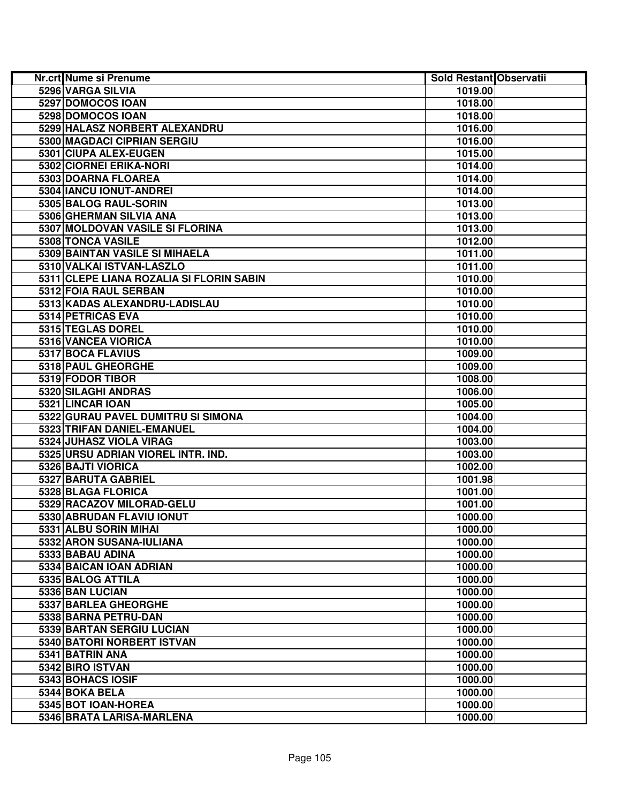| Nr.crt Nume si Prenume                   | Sold Restant Observatii |  |
|------------------------------------------|-------------------------|--|
| 5296 VARGA SILVIA                        | 1019.00                 |  |
| 5297 DOMOCOS IOAN                        | 1018.00                 |  |
| 5298 DOMOCOS IOAN                        | 1018.00                 |  |
| 5299 HALASZ NORBERT ALEXANDRU            | 1016.00                 |  |
| 5300 MAGDACI CIPRIAN SERGIU              | 1016.00                 |  |
| 5301 CIUPA ALEX-EUGEN                    | 1015.00                 |  |
| 5302 CIORNEI ERIKA-NORI                  | 1014.00                 |  |
| 5303 DOARNA FLOAREA                      | 1014.00                 |  |
| 5304 IANCU IONUT-ANDREI                  | 1014.00                 |  |
| 5305 BALOG RAUL-SORIN                    | 1013.00                 |  |
| 5306 GHERMAN SILVIA ANA                  | 1013.00                 |  |
| 5307 MOLDOVAN VASILE SI FLORINA          | 1013.00                 |  |
| 5308 TONCA VASILE                        | 1012.00                 |  |
| 5309 BAINTAN VASILE SI MIHAELA           | 1011.00                 |  |
| 5310 VALKAI ISTVAN-LASZLO                | 1011.00                 |  |
| 5311 CLEPE LIANA ROZALIA SI FLORIN SABIN | 1010.00                 |  |
| 5312 FOIA RAUL SERBAN                    | 1010.00                 |  |
| 5313 KADAS ALEXANDRU-LADISLAU            | 1010.00                 |  |
| 5314 PETRICAS EVA                        | 1010.00                 |  |
| 5315 TEGLAS DOREL                        | 1010.00                 |  |
| 5316 VANCEA VIORICA                      | 1010.00                 |  |
| 5317 BOCA FLAVIUS                        | 1009.00                 |  |
| 5318 PAUL GHEORGHE                       | 1009.00                 |  |
| 5319 FODOR TIBOR                         | 1008.00                 |  |
| 5320 SILAGHI ANDRAS                      | 1006.00                 |  |
| 5321 LINCAR IOAN                         | 1005.00                 |  |
| 5322 GURAU PAVEL DUMITRU SI SIMONA       | 1004.00                 |  |
| 5323 TRIFAN DANIEL-EMANUEL               | 1004.00                 |  |
| 5324 JUHASZ VIOLA VIRAG                  | 1003.00                 |  |
| 5325 URSU ADRIAN VIOREL INTR. IND.       | 1003.00                 |  |
| 5326 BAJTI VIORICA                       | 1002.00                 |  |
| 5327 BARUTA GABRIEL                      | 1001.98                 |  |
| 5328 BLAGA FLORICA                       | 1001.00                 |  |
| 5329 RACAZOV MILORAD-GELU                | 1001.00                 |  |
| 5330 ABRUDAN FLAVIU IONUT                | 1000.00                 |  |
| 5331 ALBU SORIN MIHAI                    | 1000.00                 |  |
| 5332 ARON SUSANA-IULIANA                 | 1000.00                 |  |
| 5333 BABAU ADINA                         | 1000.00                 |  |
| 5334 BAICAN IOAN ADRIAN                  | 1000.00                 |  |
| 5335 BALOG ATTILA                        | 1000.00                 |  |
| 5336 BAN LUCIAN                          | 1000.00                 |  |
| 5337 BARLEA GHEORGHE                     | 1000.00                 |  |
| 5338 BARNA PETRU-DAN                     | 1000.00                 |  |
| 5339 BARTAN SERGIU LUCIAN                | 1000.00                 |  |
| 5340 BATORI NORBERT ISTVAN               | 1000.00                 |  |
| 5341 BATRIN ANA                          | 1000.00                 |  |
| 5342 BIRO ISTVAN                         | 1000.00                 |  |
| 5343 BOHACS IOSIF                        | 1000.00                 |  |
| 5344 BOKA BELA                           | 1000.00                 |  |
| 5345 BOT IOAN-HOREA                      | 1000.00                 |  |
| 5346 BRATA LARISA-MARLENA                | 1000.00                 |  |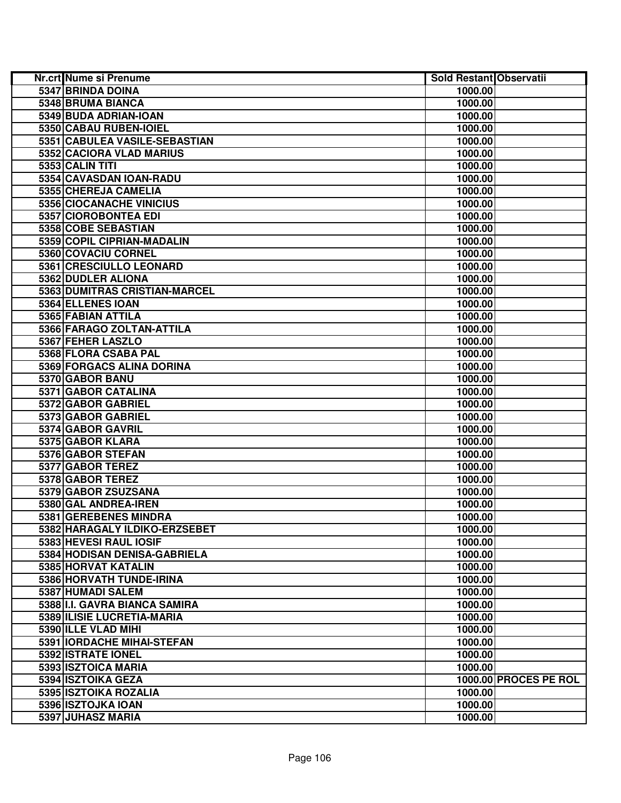| Nr.crt Nume si Prenume           | Sold Restant Observatii |                       |
|----------------------------------|-------------------------|-----------------------|
| 5347 BRINDA DOINA                | 1000.00                 |                       |
| 5348 BRUMA BIANCA                | 1000.00                 |                       |
| 5349 BUDA ADRIAN-IOAN            | 1000.00                 |                       |
| 5350 CABAU RUBEN-IOIEL           | 1000.00                 |                       |
| 5351 CABULEA VASILE-SEBASTIAN    | 1000.00                 |                       |
| 5352 CACIORA VLAD MARIUS         | 1000.00                 |                       |
| 5353 CALIN TITI                  | 1000.00                 |                       |
| 5354 CAVASDAN IOAN-RADU          | 1000.00                 |                       |
| 5355 CHEREJA CAMELIA             | 1000.00                 |                       |
| 5356 CIOCANACHE VINICIUS         | 1000.00                 |                       |
| 5357 CIOROBONTEA EDI             | 1000.00                 |                       |
| 5358 COBE SEBASTIAN              | 1000.00                 |                       |
| 5359 COPIL CIPRIAN-MADALIN       | 1000.00                 |                       |
| 5360 COVACIU CORNEL              | 1000.00                 |                       |
| 5361 CRESCIULLO LEONARD          | 1000.00                 |                       |
| 5362 DUDLER ALIONA               | 1000.00                 |                       |
| 5363 DUMITRAS CRISTIAN-MARCEL    | 1000.00                 |                       |
| 5364 ELLENES IOAN                | 1000.00                 |                       |
| 5365 FABIAN ATTILA               | 1000.00                 |                       |
| 5366 FARAGO ZOLTAN-ATTILA        | 1000.00                 |                       |
| 5367 FEHER LASZLO                | 1000.00                 |                       |
| 5368 FLORA CSABA PAL             | 1000.00                 |                       |
| <b>5369 FORGACS ALINA DORINA</b> | 1000.00                 |                       |
| 5370 GABOR BANU                  | 1000.00                 |                       |
| 5371 GABOR CATALINA              | 1000.00                 |                       |
| 5372 GABOR GABRIEL               | 1000.00                 |                       |
| 5373 GABOR GABRIEL               | 1000.00                 |                       |
| 5374 GABOR GAVRIL                | 1000.00                 |                       |
| 5375 GABOR KLARA                 | 1000.00                 |                       |
| 5376 GABOR STEFAN                | 1000.00                 |                       |
| 5377 GABOR TEREZ                 | 1000.00                 |                       |
| 5378 GABOR TEREZ                 | 1000.00                 |                       |
| 5379 GABOR ZSUZSANA              | 1000.00                 |                       |
| 5380 GAL ANDREA-IREN             | 1000.00                 |                       |
| 5381 GEREBENES MINDRA            | 1000.00                 |                       |
| 5382 HARAGALY ILDIKO-ERZSEBET    | 1000.00                 |                       |
| 5383 HEVESI RAUL IOSIF           | 1000.00                 |                       |
| 5384 HODISAN DENISA-GABRIELA     | 1000.00                 |                       |
| 5385 HORVAT KATALIN              | 1000.00                 |                       |
| 5386 HORVATH TUNDE-IRINA         | 1000.00                 |                       |
| 5387 HUMADI SALEM                | 1000.00                 |                       |
| 5388 II.I. GAVRA BIANCA SAMIRA   | 1000.00                 |                       |
| 5389 ILISIE LUCRETIA-MARIA       | 1000.00                 |                       |
| 5390 ILLE VLAD MIHI              | 1000.00                 |                       |
| 5391 IORDACHE MIHAI-STEFAN       | 1000.00                 |                       |
| 5392 ISTRATE IONEL               | 1000.00                 |                       |
| 5393 ISZTOICA MARIA              | 1000.00                 |                       |
| 5394 ISZTOIKA GEZA               |                         | 1000.00 PROCES PE ROL |
| 5395 ISZTOIKA ROZALIA            | 1000.00                 |                       |
| 5396 ISZTOJKA IOAN               | 1000.00                 |                       |
| 5397 JUHASZ MARIA                | 1000.00                 |                       |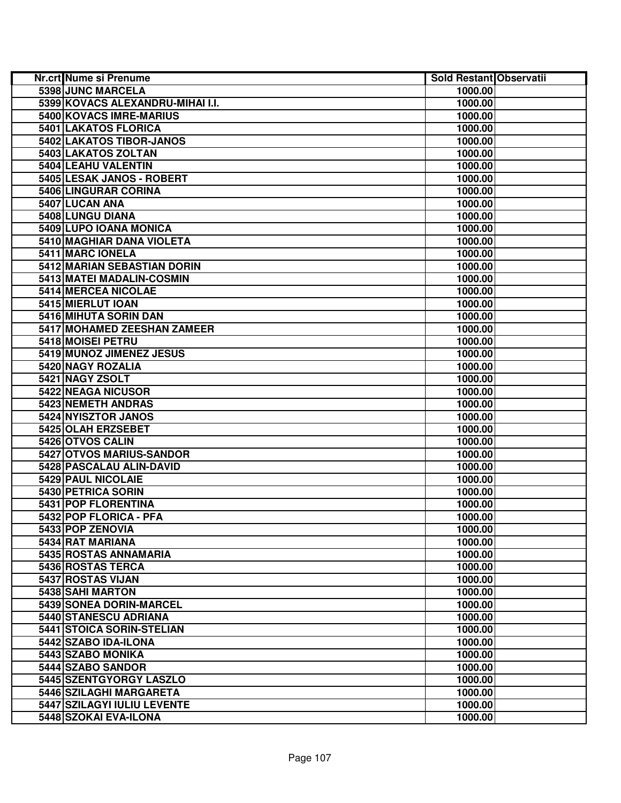| <b>Nr.crt Nume si Prenume</b>    | Sold Restant Observatii |  |
|----------------------------------|-------------------------|--|
| 5398 JUNC MARCELA                | 1000.00                 |  |
| 5399 KOVACS ALEXANDRU-MIHAI I.I. | 1000.00                 |  |
| 5400 KOVACS IMRE-MARIUS          | 1000.00                 |  |
| 5401 LAKATOS FLORICA             | 1000.00                 |  |
| 5402 LAKATOS TIBOR-JANOS         | 1000.00                 |  |
| 5403 LAKATOS ZOLTAN              | 1000.00                 |  |
| 5404 LEAHU VALENTIN              | 1000.00                 |  |
| 5405 LESAK JANOS - ROBERT        | 1000.00                 |  |
| 5406 LINGURAR CORINA             | 1000.00                 |  |
| 5407 LUCAN ANA                   | 1000.00                 |  |
| 5408 LUNGU DIANA                 | 1000.00                 |  |
| 5409 LUPO IOANA MONICA           | 1000.00                 |  |
| 5410 MAGHIAR DANA VIOLETA        | 1000.00                 |  |
| 5411 MARC IONELA                 | 1000.00                 |  |
| 5412 MARIAN SEBASTIAN DORIN      | 1000.00                 |  |
| 5413 MATEI MADALIN-COSMIN        | 1000.00                 |  |
| 5414 MERCEA NICOLAE              | 1000.00                 |  |
| 5415 MIERLUT IOAN                | 1000.00                 |  |
| 5416 MIHUTA SORIN DAN            | 1000.00                 |  |
| 5417 MOHAMED ZEESHAN ZAMEER      | 1000.00                 |  |
| 5418 MOISEI PETRU                | 1000.00                 |  |
| 5419 MUNOZ JIMENEZ JESUS         | 1000.00                 |  |
| 5420 NAGY ROZALIA                | 1000.00                 |  |
| 5421 NAGY ZSOLT                  | 1000.00                 |  |
| 5422 NEAGA NICUSOR               | 1000.00                 |  |
| <b>5423 NEMETH ANDRAS</b>        | 1000.00                 |  |
| 5424 NYISZTOR JANOS              | 1000.00                 |  |
| 5425 OLAH ERZSEBET               | 1000.00                 |  |
| 5426 OTVOS CALIN                 | 1000.00                 |  |
| 5427 OTVOS MARIUS-SANDOR         | 1000.00                 |  |
| 5428 PASCALAU ALIN-DAVID         | 1000.00                 |  |
| 5429 PAUL NICOLAIE               | 1000.00                 |  |
| 5430 PETRICA SORIN               | 1000.00                 |  |
| 5431 POP FLORENTINA              | 1000.00                 |  |
| 5432 POP FLORICA - PFA           | 1000.00                 |  |
| 5433 POP ZENOVIA                 | 1000.00                 |  |
| 5434 RAT MARIANA                 | 1000.00                 |  |
| 5435 ROSTAS ANNAMARIA            | 1000.00                 |  |
| 5436 ROSTAS TERCA                | 1000.00                 |  |
| 5437 ROSTAS VIJAN                | 1000.00                 |  |
| 5438 SAHI MARTON                 | 1000.00                 |  |
| 5439 SONEA DORIN-MARCEL          | 1000.00                 |  |
| 5440 STANESCU ADRIANA            | 1000.00                 |  |
| 5441 STOICA SORIN-STELIAN        | 1000.00                 |  |
| 5442 SZABO IDA-ILONA             | 1000.00                 |  |
| 5443 SZABO MONIKA                | 1000.00                 |  |
| 5444 SZABO SANDOR                | 1000.00                 |  |
| 5445 SZENTGYORGY LASZLO          | 1000.00                 |  |
| 5446 SZILAGHI MARGARETA          | 1000.00                 |  |
| 5447 SZILAGYI IULIU LEVENTE      | 1000.00                 |  |
| 5448 SZOKAI EVA-ILONA            | 1000.00                 |  |